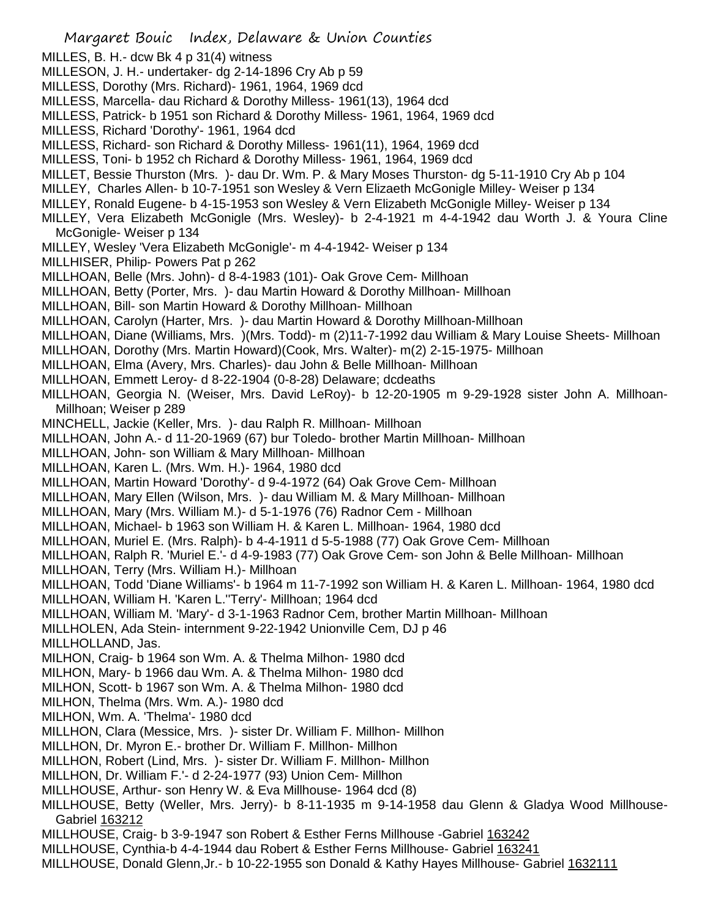Margaret Bouic Index, Delaware & Union Counties MILLES, B. H.- dcw Bk 4 p 31(4) witness MILLESON, J. H.- undertaker- dg 2-14-1896 Cry Ab p 59 MILLESS, Dorothy (Mrs. Richard)- 1961, 1964, 1969 dcd MILLESS, Marcella- dau Richard & Dorothy Milless- 1961(13), 1964 dcd MILLESS, Patrick- b 1951 son Richard & Dorothy Milless- 1961, 1964, 1969 dcd MILLESS, Richard 'Dorothy'- 1961, 1964 dcd MILLESS, Richard- son Richard & Dorothy Milless- 1961(11), 1964, 1969 dcd MILLESS, Toni- b 1952 ch Richard & Dorothy Milless- 1961, 1964, 1969 dcd MILLET, Bessie Thurston (Mrs. )- dau Dr. Wm. P. & Mary Moses Thurston- dg 5-11-1910 Cry Ab p 104 MILLEY, Charles Allen- b 10-7-1951 son Wesley & Vern Elizaeth McGonigle Milley- Weiser p 134 MILLEY, Ronald Eugene- b 4-15-1953 son Wesley & Vern Elizabeth McGonigle Milley- Weiser p 134 MILLEY, Vera Elizabeth McGonigle (Mrs. Wesley)- b 2-4-1921 m 4-4-1942 dau Worth J. & Youra Cline McGonigle- Weiser p 134 MILLEY, Wesley 'Vera Elizabeth McGonigle'- m 4-4-1942- Weiser p 134 MILLHISER, Philip- Powers Pat p 262 MILLHOAN, Belle (Mrs. John)- d 8-4-1983 (101)- Oak Grove Cem- Millhoan MILLHOAN, Betty (Porter, Mrs. )- dau Martin Howard & Dorothy Millhoan- Millhoan MILLHOAN, Bill- son Martin Howard & Dorothy Millhoan- Millhoan MILLHOAN, Carolyn (Harter, Mrs. )- dau Martin Howard & Dorothy Millhoan-Millhoan MILLHOAN, Diane (Williams, Mrs. )(Mrs. Todd)- m (2)11-7-1992 dau William & Mary Louise Sheets- Millhoan MILLHOAN, Dorothy (Mrs. Martin Howard)(Cook, Mrs. Walter)- m(2) 2-15-1975- Millhoan MILLHOAN, Elma (Avery, Mrs. Charles)- dau John & Belle Millhoan- Millhoan MILLHOAN, Emmett Leroy- d 8-22-1904 (0-8-28) Delaware; dcdeaths MILLHOAN, Georgia N. (Weiser, Mrs. David LeRoy)- b 12-20-1905 m 9-29-1928 sister John A. Millhoan-Millhoan; Weiser p 289 MINCHELL, Jackie (Keller, Mrs. )- dau Ralph R. Millhoan- Millhoan MILLHOAN, John A.- d 11-20-1969 (67) bur Toledo- brother Martin Millhoan- Millhoan MILLHOAN, John- son William & Mary Millhoan- Millhoan MILLHOAN, Karen L. (Mrs. Wm. H.)- 1964, 1980 dcd MILLHOAN, Martin Howard 'Dorothy'- d 9-4-1972 (64) Oak Grove Cem- Millhoan MILLHOAN, Mary Ellen (Wilson, Mrs. )- dau William M. & Mary Millhoan- Millhoan MILLHOAN, Mary (Mrs. William M.)- d 5-1-1976 (76) Radnor Cem - Millhoan MILLHOAN, Michael- b 1963 son William H. & Karen L. Millhoan- 1964, 1980 dcd MILLHOAN, Muriel E. (Mrs. Ralph)- b 4-4-1911 d 5-5-1988 (77) Oak Grove Cem- Millhoan MILLHOAN, Ralph R. 'Muriel E.'- d 4-9-1983 (77) Oak Grove Cem- son John & Belle Millhoan- Millhoan MILLHOAN, Terry (Mrs. William H.)- Millhoan MILLHOAN, Todd 'Diane Williams'- b 1964 m 11-7-1992 son William H. & Karen L. Millhoan- 1964, 1980 dcd MILLHOAN, William H. 'Karen L.''Terry'- Millhoan; 1964 dcd MILLHOAN, William M. 'Mary'- d 3-1-1963 Radnor Cem, brother Martin Millhoan- Millhoan MILLHOLEN, Ada Stein- internment 9-22-1942 Unionville Cem, DJ p 46 MILLHOLLAND, Jas. MILHON, Craig- b 1964 son Wm. A. & Thelma Milhon- 1980 dcd MILHON, Mary- b 1966 dau Wm. A. & Thelma Milhon- 1980 dcd MILHON, Scott- b 1967 son Wm. A. & Thelma Milhon- 1980 dcd MILHON, Thelma (Mrs. Wm. A.)- 1980 dcd MILHON, Wm. A. 'Thelma'- 1980 dcd MILLHON, Clara (Messice, Mrs. )- sister Dr. William F. Millhon- Millhon MILLHON, Dr. Myron E.- brother Dr. William F. Millhon- Millhon MILLHON, Robert (Lind, Mrs. )- sister Dr. William F. Millhon- Millhon MILLHON, Dr. William F.'- d 2-24-1977 (93) Union Cem- Millhon MILLHOUSE, Arthur- son Henry W. & Eva Millhouse- 1964 dcd (8) MILLHOUSE, Betty (Weller, Mrs. Jerry)- b 8-11-1935 m 9-14-1958 dau Glenn & Gladya Wood Millhouse-Gabriel 163212 MILLHOUSE, Craig- b 3-9-1947 son Robert & Esther Ferns Millhouse -Gabriel 163242 MILLHOUSE, Cynthia-b 4-4-1944 dau Robert & Esther Ferns Millhouse- Gabriel 163241 MILLHOUSE, Donald Glenn,Jr.- b 10-22-1955 son Donald & Kathy Hayes Millhouse- Gabriel 1632111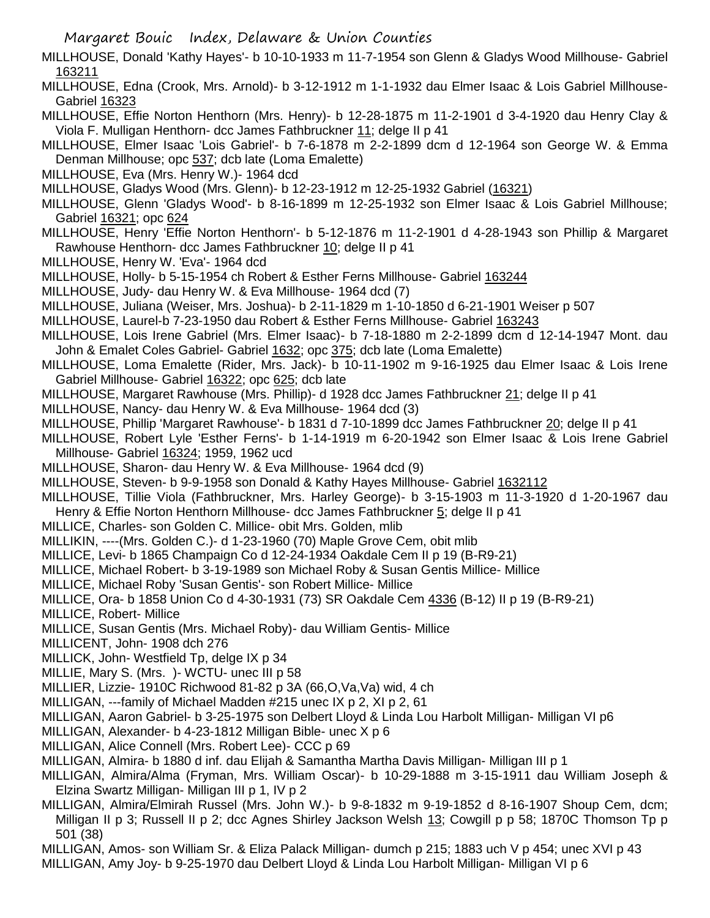- Margaret Bouic Index, Delaware & Union Counties
- MILLHOUSE, Donald 'Kathy Hayes'- b 10-10-1933 m 11-7-1954 son Glenn & Gladys Wood Millhouse- Gabriel 163211
- MILLHOUSE, Edna (Crook, Mrs. Arnold)- b 3-12-1912 m 1-1-1932 dau Elmer Isaac & Lois Gabriel Millhouse-Gabriel 16323
- MILLHOUSE, Effie Norton Henthorn (Mrs. Henry)- b 12-28-1875 m 11-2-1901 d 3-4-1920 dau Henry Clay & Viola F. Mulligan Henthorn- dcc James Fathbruckner 11; delge II p 41
- MILLHOUSE, Elmer Isaac 'Lois Gabriel'- b 7-6-1878 m 2-2-1899 dcm d 12-1964 son George W. & Emma Denman Millhouse; opc 537; dcb late (Loma Emalette)
- MILLHOUSE, Eva (Mrs. Henry W.)- 1964 dcd
- MILLHOUSE, Gladys Wood (Mrs. Glenn)- b 12-23-1912 m 12-25-1932 Gabriel (16321)
- MILLHOUSE, Glenn 'Gladys Wood'- b 8-16-1899 m 12-25-1932 son Elmer Isaac & Lois Gabriel Millhouse; Gabriel 16321; opc 624
- MILLHOUSE, Henry 'Effie Norton Henthorn'- b 5-12-1876 m 11-2-1901 d 4-28-1943 son Phillip & Margaret Rawhouse Henthorn- dcc James Fathbruckner 10; delge II p 41
- MILLHOUSE, Henry W. 'Eva'- 1964 dcd
- MILLHOUSE, Holly- b 5-15-1954 ch Robert & Esther Ferns Millhouse- Gabriel 163244
- MILLHOUSE, Judy- dau Henry W. & Eva Millhouse- 1964 dcd (7)
- MILLHOUSE, Juliana (Weiser, Mrs. Joshua)- b 2-11-1829 m 1-10-1850 d 6-21-1901 Weiser p 507
- MILLHOUSE, Laurel-b 7-23-1950 dau Robert & Esther Ferns Millhouse- Gabriel 163243
- MILLHOUSE, Lois Irene Gabriel (Mrs. Elmer Isaac)- b 7-18-1880 m 2-2-1899 dcm d 12-14-1947 Mont. dau John & Emalet Coles Gabriel- Gabriel 1632; opc 375; dcb late (Loma Emalette)
- MILLHOUSE, Loma Emalette (Rider, Mrs. Jack)- b 10-11-1902 m 9-16-1925 dau Elmer Isaac & Lois Irene Gabriel Millhouse- Gabriel 16322; opc 625; dcb late
- MILLHOUSE, Margaret Rawhouse (Mrs. Phillip)- d 1928 dcc James Fathbruckner 21; delge II p 41
- MILLHOUSE, Nancy- dau Henry W. & Eva Millhouse- 1964 dcd (3)
- MILLHOUSE, Phillip 'Margaret Rawhouse'- b 1831 d 7-10-1899 dcc James Fathbruckner 20; delge II p 41
- MILLHOUSE, Robert Lyle 'Esther Ferns'- b 1-14-1919 m 6-20-1942 son Elmer Isaac & Lois Irene Gabriel Millhouse- Gabriel 16324; 1959, 1962 ucd
- MILLHOUSE, Sharon- dau Henry W. & Eva Millhouse- 1964 dcd (9)
- MILLHOUSE, Steven- b 9-9-1958 son Donald & Kathy Hayes Millhouse- Gabriel 1632112
- MILLHOUSE, Tillie Viola (Fathbruckner, Mrs. Harley George)- b 3-15-1903 m 11-3-1920 d 1-20-1967 dau Henry & Effie Norton Henthorn Millhouse- dcc James Fathbruckner 5; delge II p 41
- MILLICE, Charles- son Golden C. Millice- obit Mrs. Golden, mlib
- MILLIKIN, ----(Mrs. Golden C.)- d 1-23-1960 (70) Maple Grove Cem, obit mlib
- MILLICE, Levi- b 1865 Champaign Co d 12-24-1934 Oakdale Cem II p 19 (B-R9-21)
- MILLICE, Michael Robert- b 3-19-1989 son Michael Roby & Susan Gentis Millice- Millice
- MILLICE, Michael Roby 'Susan Gentis'- son Robert Millice- Millice
- MILLICE, Ora- b 1858 Union Co d 4-30-1931 (73) SR Oakdale Cem 4336 (B-12) II p 19 (B-R9-21)
- MILLICE, Robert- Millice
- MILLICE, Susan Gentis (Mrs. Michael Roby)- dau William Gentis- Millice
- MILLICENT, John- 1908 dch 276
- MILLICK, John- Westfield Tp, delge IX p 34
- MILLIE, Mary S. (Mrs. )- WCTU- unec III p 58
- MILLIER, Lizzie- 1910C Richwood 81-82 p 3A (66,O,Va,Va) wid, 4 ch
- MILLIGAN, ---family of Michael Madden #215 unec IX p 2, XI p 2, 61
- MILLIGAN, Aaron Gabriel- b 3-25-1975 son Delbert Lloyd & Linda Lou Harbolt Milligan- Milligan VI p6
- MILLIGAN, Alexander- b 4-23-1812 Milligan Bible- unec X p 6
- MILLIGAN, Alice Connell (Mrs. Robert Lee)- CCC p 69
- MILLIGAN, Almira- b 1880 d inf. dau Elijah & Samantha Martha Davis Milligan- Milligan III p 1
- MILLIGAN, Almira/Alma (Fryman, Mrs. William Oscar)- b 10-29-1888 m 3-15-1911 dau William Joseph & Elzina Swartz Milligan- Milligan III p 1, IV p 2
- MILLIGAN, Almira/Elmirah Russel (Mrs. John W.)- b 9-8-1832 m 9-19-1852 d 8-16-1907 Shoup Cem, dcm; Milligan II p 3; Russell II p 2; dcc Agnes Shirley Jackson Welsh 13; Cowgill p p 58; 1870C Thomson Tp p 501 (38)
- MILLIGAN, Amos- son William Sr. & Eliza Palack Milligan- dumch p 215; 1883 uch V p 454; unec XVI p 43 MILLIGAN, Amy Joy- b 9-25-1970 dau Delbert Lloyd & Linda Lou Harbolt Milligan- Milligan VI p 6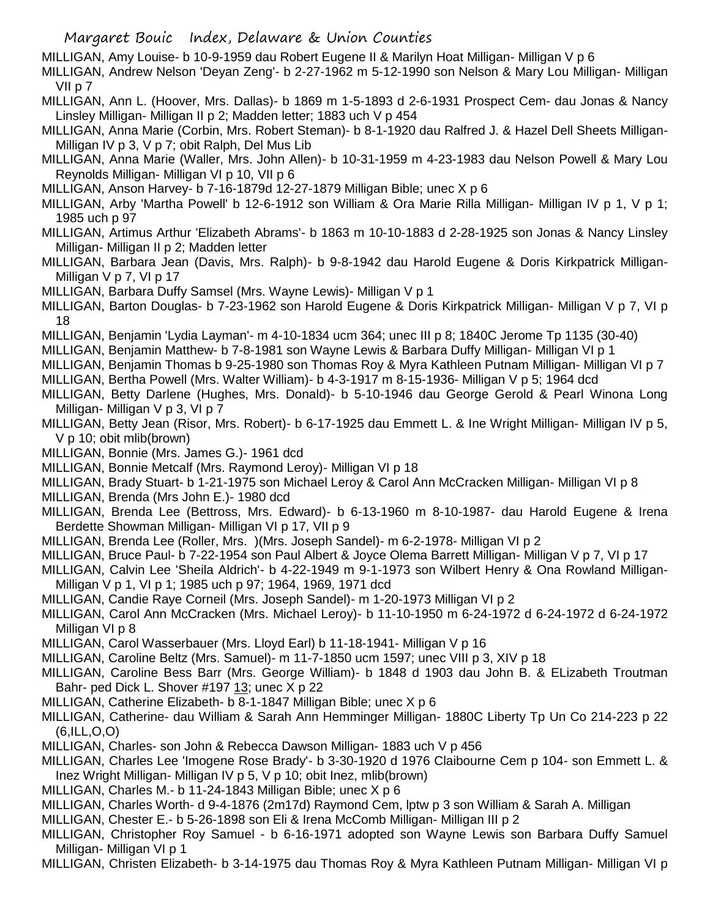MILLIGAN, Amy Louise- b 10-9-1959 dau Robert Eugene II & Marilyn Hoat Milligan- Milligan V p 6

MILLIGAN, Andrew Nelson 'Deyan Zeng'- b 2-27-1962 m 5-12-1990 son Nelson & Mary Lou Milligan- Milligan VII p 7

MILLIGAN, Ann L. (Hoover, Mrs. Dallas)- b 1869 m 1-5-1893 d 2-6-1931 Prospect Cem- dau Jonas & Nancy Linsley Milligan- Milligan II p 2; Madden letter; 1883 uch V p 454

- MILLIGAN, Anna Marie (Corbin, Mrs. Robert Steman)- b 8-1-1920 dau Ralfred J. & Hazel Dell Sheets Milligan-Milligan IV p 3, V p 7; obit Ralph, Del Mus Lib
- MILLIGAN, Anna Marie (Waller, Mrs. John Allen)- b 10-31-1959 m 4-23-1983 dau Nelson Powell & Mary Lou Reynolds Milligan- Milligan VI p 10, VII p 6

MILLIGAN, Anson Harvey- b 7-16-1879d 12-27-1879 Milligan Bible; unec X p 6

- MILLIGAN, Arby 'Martha Powell' b 12-6-1912 son William & Ora Marie Rilla Milligan- Milligan IV p 1, V p 1; 1985 uch p 97
- MILLIGAN, Artimus Arthur 'Elizabeth Abrams'- b 1863 m 10-10-1883 d 2-28-1925 son Jonas & Nancy Linsley Milligan- Milligan II p 2; Madden letter
- MILLIGAN, Barbara Jean (Davis, Mrs. Ralph)- b 9-8-1942 dau Harold Eugene & Doris Kirkpatrick Milligan-Milligan V p 7, VI p 17
- MILLIGAN, Barbara Duffy Samsel (Mrs. Wayne Lewis)- Milligan V p 1
- MILLIGAN, Barton Douglas- b 7-23-1962 son Harold Eugene & Doris Kirkpatrick Milligan- Milligan V p 7, VI p 18
- MILLIGAN, Benjamin 'Lydia Layman'- m 4-10-1834 ucm 364; unec III p 8; 1840C Jerome Tp 1135 (30-40)
- MILLIGAN, Benjamin Matthew- b 7-8-1981 son Wayne Lewis & Barbara Duffy Milligan- Milligan VI p 1
- MILLIGAN, Benjamin Thomas b 9-25-1980 son Thomas Roy & Myra Kathleen Putnam Milligan- Milligan VI p 7
- MILLIGAN, Bertha Powell (Mrs. Walter William)- b 4-3-1917 m 8-15-1936- Milligan V p 5; 1964 dcd
- MILLIGAN, Betty Darlene (Hughes, Mrs. Donald)- b 5-10-1946 dau George Gerold & Pearl Winona Long Milligan- Milligan V p 3, VI p 7
- MILLIGAN, Betty Jean (Risor, Mrs. Robert)- b 6-17-1925 dau Emmett L. & Ine Wright Milligan- Milligan IV p 5, V p 10; obit mlib(brown)
- MILLIGAN, Bonnie (Mrs. James G.)- 1961 dcd
- MILLIGAN, Bonnie Metcalf (Mrs. Raymond Leroy)- Milligan VI p 18
- MILLIGAN, Brady Stuart- b 1-21-1975 son Michael Leroy & Carol Ann McCracken Milligan- Milligan VI p 8
- MILLIGAN, Brenda (Mrs John E.)- 1980 dcd
- MILLIGAN, Brenda Lee (Bettross, Mrs. Edward)- b 6-13-1960 m 8-10-1987- dau Harold Eugene & Irena Berdette Showman Milligan- Milligan VI p 17, VII p 9
- MILLIGAN, Brenda Lee (Roller, Mrs. )(Mrs. Joseph Sandel)- m 6-2-1978- Milligan VI p 2
- MILLIGAN, Bruce Paul- b 7-22-1954 son Paul Albert & Joyce Olema Barrett Milligan- Milligan V p 7, VI p 17
- MILLIGAN, Calvin Lee 'Sheila Aldrich'- b 4-22-1949 m 9-1-1973 son Wilbert Henry & Ona Rowland Milligan-Milligan V p 1, VI p 1; 1985 uch p 97; 1964, 1969, 1971 dcd
- MILLIGAN, Candie Raye Corneil (Mrs. Joseph Sandel)- m 1-20-1973 Milligan VI p 2
- MILLIGAN, Carol Ann McCracken (Mrs. Michael Leroy)- b 11-10-1950 m 6-24-1972 d 6-24-1972 d 6-24-1972 Milligan VI p 8
- MILLIGAN, Carol Wasserbauer (Mrs. Lloyd Earl) b 11-18-1941- Milligan V p 16
- MILLIGAN, Caroline Beltz (Mrs. Samuel)- m 11-7-1850 ucm 1597; unec VIII p 3, XIV p 18
- MILLIGAN, Caroline Bess Barr (Mrs. George William)- b 1848 d 1903 dau John B. & ELizabeth Troutman Bahr- ped Dick L. Shover #197 13; unec X p 22
- MILLIGAN, Catherine Elizabeth- b 8-1-1847 Milligan Bible; unec X p 6
- MILLIGAN, Catherine- dau William & Sarah Ann Hemminger Milligan- 1880C Liberty Tp Un Co 214-223 p 22 (6,ILL,O,O)
- MILLIGAN, Charles- son John & Rebecca Dawson Milligan- 1883 uch V p 456
- MILLIGAN, Charles Lee 'Imogene Rose Brady'- b 3-30-1920 d 1976 Claibourne Cem p 104- son Emmett L. & Inez Wright Milligan- Milligan IV p 5, V p 10; obit Inez, mlib(brown)
- MILLIGAN, Charles M.- b 11-24-1843 Milligan Bible; unec X p 6
- MILLIGAN, Charles Worth- d 9-4-1876 (2m17d) Raymond Cem, lptw p 3 son William & Sarah A. Milligan
- MILLIGAN, Chester E.- b 5-26-1898 son Eli & Irena McComb Milligan- Milligan III p 2
- MILLIGAN, Christopher Roy Samuel b 6-16-1971 adopted son Wayne Lewis son Barbara Duffy Samuel Milligan- Milligan VI p 1
- MILLIGAN, Christen Elizabeth- b 3-14-1975 dau Thomas Roy & Myra Kathleen Putnam Milligan- Milligan VI p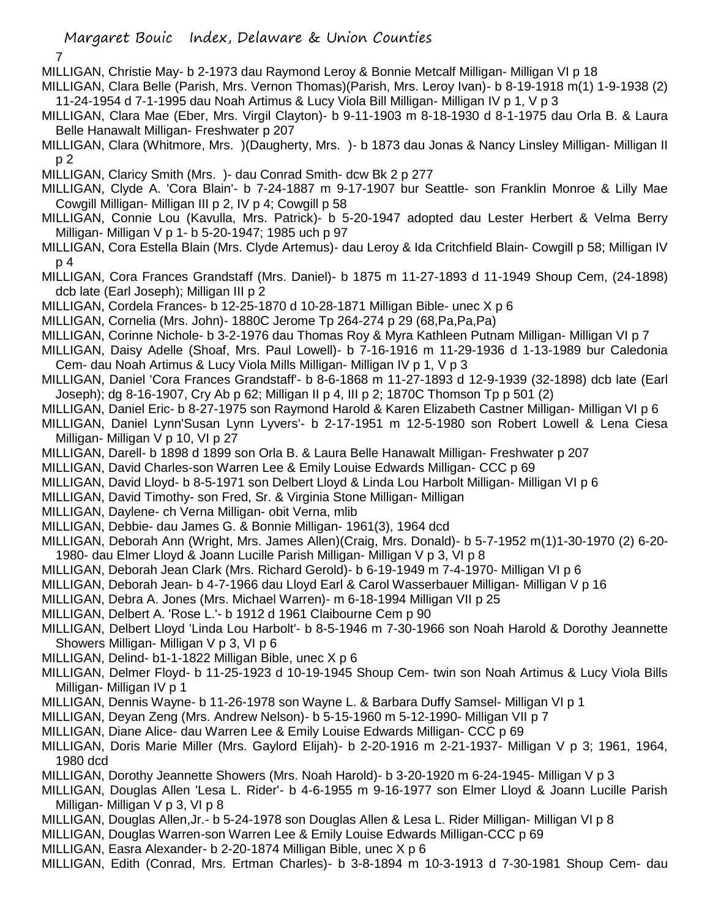7

- MILLIGAN, Christie May- b 2-1973 dau Raymond Leroy & Bonnie Metcalf Milligan- Milligan VI p 18
- MILLIGAN, Clara Belle (Parish, Mrs. Vernon Thomas)(Parish, Mrs. Leroy Ivan)- b 8-19-1918 m(1) 1-9-1938 (2) 11-24-1954 d 7-1-1995 dau Noah Artimus & Lucy Viola Bill Milligan- Milligan IV p 1, V p 3
- MILLIGAN, Clara Mae (Eber, Mrs. Virgil Clayton)- b 9-11-1903 m 8-18-1930 d 8-1-1975 dau Orla B. & Laura Belle Hanawalt Milligan- Freshwater p 207
- MILLIGAN, Clara (Whitmore, Mrs. )(Daugherty, Mrs. )- b 1873 dau Jonas & Nancy Linsley Milligan- Milligan II p 2
- MILLIGAN, Claricy Smith (Mrs. )- dau Conrad Smith- dcw Bk 2 p 277
- MILLIGAN, Clyde A. 'Cora Blain'- b 7-24-1887 m 9-17-1907 bur Seattle- son Franklin Monroe & Lilly Mae Cowgill Milligan- Milligan III p 2, IV p 4; Cowgill p 58
- MILLIGAN, Connie Lou (Kavulla, Mrs. Patrick)- b 5-20-1947 adopted dau Lester Herbert & Velma Berry Milligan- Milligan V p 1- b 5-20-1947; 1985 uch p 97
- MILLIGAN, Cora Estella Blain (Mrs. Clyde Artemus)- dau Leroy & Ida Critchfield Blain- Cowgill p 58; Milligan IV p 4
- MILLIGAN, Cora Frances Grandstaff (Mrs. Daniel)- b 1875 m 11-27-1893 d 11-1949 Shoup Cem, (24-1898) dcb late (Earl Joseph); Milligan III p 2
- MILLIGAN, Cordela Frances- b 12-25-1870 d 10-28-1871 Milligan Bible- unec X p 6
- MILLIGAN, Cornelia (Mrs. John)- 1880C Jerome Tp 264-274 p 29 (68,Pa,Pa,Pa)
- MILLIGAN, Corinne Nichole- b 3-2-1976 dau Thomas Roy & Myra Kathleen Putnam Milligan- Milligan VI p 7
- MILLIGAN, Daisy Adelle (Shoaf, Mrs. Paul Lowell)- b 7-16-1916 m 11-29-1936 d 1-13-1989 bur Caledonia Cem- dau Noah Artimus & Lucy Viola Mills Milligan- Milligan IV p 1, V p 3
- MILLIGAN, Daniel 'Cora Frances Grandstaff'- b 8-6-1868 m 11-27-1893 d 12-9-1939 (32-1898) dcb late (Earl Joseph); dg 8-16-1907, Cry Ab p 62; Milligan II p 4, III p 2; 1870C Thomson Tp p 501 (2)
- MILLIGAN, Daniel Eric- b 8-27-1975 son Raymond Harold & Karen Elizabeth Castner Milligan- Milligan VI p 6
- MILLIGAN, Daniel Lynn'Susan Lynn Lyvers'- b 2-17-1951 m 12-5-1980 son Robert Lowell & Lena Ciesa Milligan- Milligan V p 10, VI p 27
- MILLIGAN, Darell- b 1898 d 1899 son Orla B. & Laura Belle Hanawalt Milligan- Freshwater p 207
- MILLIGAN, David Charles-son Warren Lee & Emily Louise Edwards Milligan- CCC p 69
- MILLIGAN, David Lloyd- b 8-5-1971 son Delbert Lloyd & Linda Lou Harbolt Milligan- Milligan VI p 6
- MILLIGAN, David Timothy- son Fred, Sr. & Virginia Stone Milligan- Milligan
- MILLIGAN, Daylene- ch Verna Milligan- obit Verna, mlib
- MILLIGAN, Debbie- dau James G. & Bonnie Milligan- 1961(3), 1964 dcd
- MILLIGAN, Deborah Ann (Wright, Mrs. James Allen)(Craig, Mrs. Donald)- b 5-7-1952 m(1)1-30-1970 (2) 6-20- 1980- dau Elmer Lloyd & Joann Lucille Parish Milligan- Milligan V p 3, VI p 8
- MILLIGAN, Deborah Jean Clark (Mrs. Richard Gerold)- b 6-19-1949 m 7-4-1970- Milligan VI p 6
- MILLIGAN, Deborah Jean- b 4-7-1966 dau Lloyd Earl & Carol Wasserbauer Milligan- Milligan V p 16
- MILLIGAN, Debra A. Jones (Mrs. Michael Warren)- m 6-18-1994 Milligan VII p 25
- MILLIGAN, Delbert A. 'Rose L.'- b 1912 d 1961 Claibourne Cem p 90
- MILLIGAN, Delbert Lloyd 'Linda Lou Harbolt'- b 8-5-1946 m 7-30-1966 son Noah Harold & Dorothy Jeannette Showers Milligan- Milligan V p 3, VI p 6
- MILLIGAN, Delind- b1-1-1822 Milligan Bible, unec X p 6
- MILLIGAN, Delmer Floyd- b 11-25-1923 d 10-19-1945 Shoup Cem- twin son Noah Artimus & Lucy Viola Bills Milligan- Milligan IV p 1
- MILLIGAN, Dennis Wayne- b 11-26-1978 son Wayne L. & Barbara Duffy Samsel- Milligan VI p 1
- MILLIGAN, Deyan Zeng (Mrs. Andrew Nelson)- b 5-15-1960 m 5-12-1990- Milligan VII p 7
- MILLIGAN, Diane Alice- dau Warren Lee & Emily Louise Edwards Milligan- CCC p 69
- MILLIGAN, Doris Marie Miller (Mrs. Gaylord Elijah)- b 2-20-1916 m 2-21-1937- Milligan V p 3; 1961, 1964, 1980 dcd
- MILLIGAN, Dorothy Jeannette Showers (Mrs. Noah Harold)- b 3-20-1920 m 6-24-1945- Milligan V p 3
- MILLIGAN, Douglas Allen 'Lesa L. Rider'- b 4-6-1955 m 9-16-1977 son Elmer Lloyd & Joann Lucille Parish Milligan- Milligan V p 3, VI p 8
- MILLIGAN, Douglas Allen,Jr.- b 5-24-1978 son Douglas Allen & Lesa L. Rider Milligan- Milligan VI p 8
- MILLIGAN, Douglas Warren-son Warren Lee & Emily Louise Edwards Milligan-CCC p 69
- MILLIGAN, Easra Alexander- b 2-20-1874 Milligan Bible, unec X p 6
- MILLIGAN, Edith (Conrad, Mrs. Ertman Charles)- b 3-8-1894 m 10-3-1913 d 7-30-1981 Shoup Cem- dau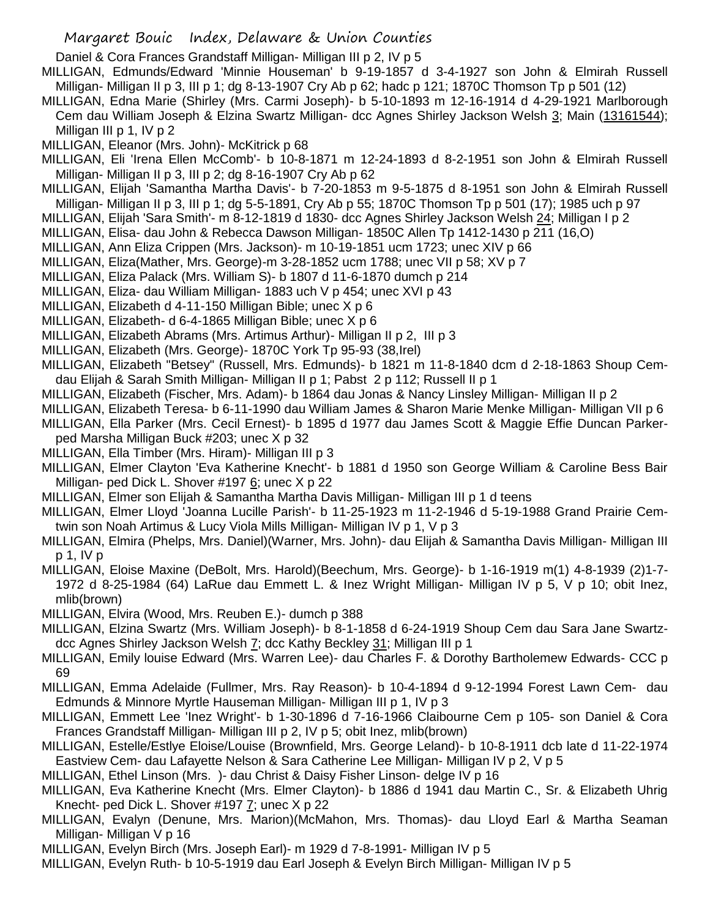Daniel & Cora Frances Grandstaff Milligan- Milligan III p 2, IV p 5

MILLIGAN, Edmunds/Edward 'Minnie Houseman' b 9-19-1857 d 3-4-1927 son John & Elmirah Russell Milligan- Milligan II p 3, III p 1; dg 8-13-1907 Cry Ab p 62; hadc p 121; 1870C Thomson Tp p 501 (12)

MILLIGAN, Edna Marie (Shirley (Mrs. Carmi Joseph)- b 5-10-1893 m 12-16-1914 d 4-29-1921 Marlborough Cem dau William Joseph & Elzina Swartz Milligan- dcc Agnes Shirley Jackson Welsh 3; Main (13161544); Milligan III p 1, IV p 2

MILLIGAN, Eleanor (Mrs. John)- McKitrick p 68

MILLIGAN, Eli 'Irena Ellen McComb'- b 10-8-1871 m 12-24-1893 d 8-2-1951 son John & Elmirah Russell Milligan- Milligan II p 3, III p 2; dg 8-16-1907 Cry Ab p 62

MILLIGAN, Elijah 'Samantha Martha Davis'- b 7-20-1853 m 9-5-1875 d 8-1951 son John & Elmirah Russell Milligan- Milligan II p 3, III p 1; dg 5-5-1891, Cry Ab p 55; 1870C Thomson Tp p 501 (17); 1985 uch p 97

MILLIGAN, Elijah 'Sara Smith'- m 8-12-1819 d 1830- dcc Agnes Shirley Jackson Welsh 24; Milligan I p 2

- MILLIGAN, Elisa- dau John & Rebecca Dawson Milligan- 1850C Allen Tp 1412-1430 p 211 (16,O)
- MILLIGAN, Ann Eliza Crippen (Mrs. Jackson)- m 10-19-1851 ucm 1723; unec XIV p 66
- MILLIGAN, Eliza(Mather, Mrs. George)-m 3-28-1852 ucm 1788; unec VII p 58; XV p 7
- MILLIGAN, Eliza Palack (Mrs. William S)- b 1807 d 11-6-1870 dumch p 214

MILLIGAN, Eliza- dau William Milligan- 1883 uch V p 454; unec XVI p 43

- MILLIGAN, Elizabeth d 4-11-150 Milligan Bible; unec X p 6
- MILLIGAN, Elizabeth- d 6-4-1865 Milligan Bible; unec X p 6
- MILLIGAN, Elizabeth Abrams (Mrs. Artimus Arthur)- Milligan II p 2, III p 3
- MILLIGAN, Elizabeth (Mrs. George)- 1870C York Tp 95-93 (38,Irel)

MILLIGAN, Elizabeth "Betsey" (Russell, Mrs. Edmunds)- b 1821 m 11-8-1840 dcm d 2-18-1863 Shoup Cemdau Elijah & Sarah Smith Milligan- Milligan II p 1; Pabst 2 p 112; Russell II p 1

- MILLIGAN, Elizabeth (Fischer, Mrs. Adam)- b 1864 dau Jonas & Nancy Linsley Milligan- Milligan II p 2
- MILLIGAN, Elizabeth Teresa- b 6-11-1990 dau William James & Sharon Marie Menke Milligan- Milligan VII p 6
- MILLIGAN, Ella Parker (Mrs. Cecil Ernest)- b 1895 d 1977 dau James Scott & Maggie Effie Duncan Parkerped Marsha Milligan Buck #203; unec X p 32
- MILLIGAN, Ella Timber (Mrs. Hiram)- Milligan III p 3
- MILLIGAN, Elmer Clayton 'Eva Katherine Knecht'- b 1881 d 1950 son George William & Caroline Bess Bair Milligan- ped Dick L. Shover #197 6; unec X p 22
- MILLIGAN, Elmer son Elijah & Samantha Martha Davis Milligan- Milligan III p 1 d teens
- MILLIGAN, Elmer Lloyd 'Joanna Lucille Parish'- b 11-25-1923 m 11-2-1946 d 5-19-1988 Grand Prairie Cemtwin son Noah Artimus & Lucy Viola Mills Milligan- Milligan IV p 1, V p 3
- MILLIGAN, Elmira (Phelps, Mrs. Daniel)(Warner, Mrs. John)- dau Elijah & Samantha Davis Milligan- Milligan III p 1, IV p
- MILLIGAN, Eloise Maxine (DeBolt, Mrs. Harold)(Beechum, Mrs. George)- b 1-16-1919 m(1) 4-8-1939 (2)1-7- 1972 d 8-25-1984 (64) LaRue dau Emmett L. & Inez Wright Milligan- Milligan IV p 5, V p 10; obit Inez, mlib(brown)
- MILLIGAN, Elvira (Wood, Mrs. Reuben E.)- dumch p 388
- MILLIGAN, Elzina Swartz (Mrs. William Joseph)- b 8-1-1858 d 6-24-1919 Shoup Cem dau Sara Jane Swartzdcc Agnes Shirley Jackson Welsh 7; dcc Kathy Beckley 31; Milligan III p 1
- MILLIGAN, Emily louise Edward (Mrs. Warren Lee)- dau Charles F. & Dorothy Bartholemew Edwards- CCC p 69
- MILLIGAN, Emma Adelaide (Fullmer, Mrs. Ray Reason)- b 10-4-1894 d 9-12-1994 Forest Lawn Cem- dau Edmunds & Minnore Myrtle Hauseman Milligan- Milligan III p 1, IV p 3
- MILLIGAN, Emmett Lee 'Inez Wright'- b 1-30-1896 d 7-16-1966 Claibourne Cem p 105- son Daniel & Cora Frances Grandstaff Milligan- Milligan III p 2, IV p 5; obit Inez, mlib(brown)
- MILLIGAN, Estelle/Estlye Eloise/Louise (Brownfield, Mrs. George Leland)- b 10-8-1911 dcb late d 11-22-1974 Eastview Cem- dau Lafayette Nelson & Sara Catherine Lee Milligan- Milligan IV p 2, V p 5
- MILLIGAN, Ethel Linson (Mrs. )- dau Christ & Daisy Fisher Linson- delge IV p 16
- MILLIGAN, Eva Katherine Knecht (Mrs. Elmer Clayton)- b 1886 d 1941 dau Martin C., Sr. & Elizabeth Uhrig Knecht- ped Dick L. Shover #197 7; unec X p 22
- MILLIGAN, Evalyn (Denune, Mrs. Marion)(McMahon, Mrs. Thomas)- dau Lloyd Earl & Martha Seaman Milligan- Milligan V p 16
- MILLIGAN, Evelyn Birch (Mrs. Joseph Earl)- m 1929 d 7-8-1991- Milligan IV p 5
- MILLIGAN, Evelyn Ruth- b 10-5-1919 dau Earl Joseph & Evelyn Birch Milligan- Milligan IV p 5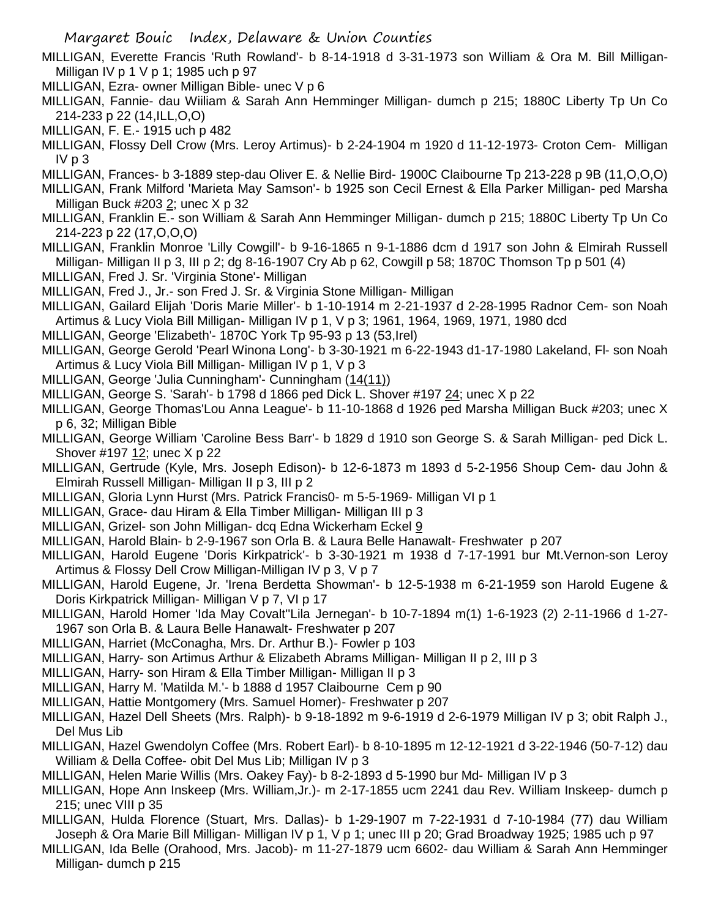MILLIGAN, Everette Francis 'Ruth Rowland'- b 8-14-1918 d 3-31-1973 son William & Ora M. Bill Milligan-Milligan IV p 1 V p 1; 1985 uch p 97

- MILLIGAN, Ezra- owner Milligan Bible- unec V p 6
- MILLIGAN, Fannie- dau Wiiliam & Sarah Ann Hemminger Milligan- dumch p 215; 1880C Liberty Tp Un Co 214-233 p 22 (14,ILL,O,O)
- MILLIGAN, F. E.- 1915 uch p 482
- MILLIGAN, Flossy Dell Crow (Mrs. Leroy Artimus)- b 2-24-1904 m 1920 d 11-12-1973- Croton Cem- Milligan IV p 3
- MILLIGAN, Frances- b 3-1889 step-dau Oliver E. & Nellie Bird- 1900C Claibourne Tp 213-228 p 9B (11,O,O,O)
- MILLIGAN, Frank Milford 'Marieta May Samson'- b 1925 son Cecil Ernest & Ella Parker Milligan- ped Marsha Milligan Buck #203 2; unec X p 32
- MILLIGAN, Franklin E.- son William & Sarah Ann Hemminger Milligan- dumch p 215; 1880C Liberty Tp Un Co 214-223 p 22 (17,O,O,O)
- MILLIGAN, Franklin Monroe 'Lilly Cowgill'- b 9-16-1865 n 9-1-1886 dcm d 1917 son John & Elmirah Russell Milligan- Milligan II p 3, III p 2; dg 8-16-1907 Cry Ab p 62, Cowgill p 58; 1870C Thomson Tp p 501 (4)
- MILLIGAN, Fred J. Sr. 'Virginia Stone'- Milligan
- MILLIGAN, Fred J., Jr.- son Fred J. Sr. & Virginia Stone Milligan- Milligan
- MILLIGAN, Gailard Elijah 'Doris Marie Miller'- b 1-10-1914 m 2-21-1937 d 2-28-1995 Radnor Cem- son Noah Artimus & Lucy Viola Bill Milligan- Milligan IV p 1, V p 3; 1961, 1964, 1969, 1971, 1980 dcd
- MILLIGAN, George 'Elizabeth'- 1870C York Tp 95-93 p 13 (53,Irel)
- MILLIGAN, George Gerold 'Pearl Winona Long'- b 3-30-1921 m 6-22-1943 d1-17-1980 Lakeland, Fl- son Noah Artimus & Lucy Viola Bill Milligan- Milligan IV p 1, V p 3
- MILLIGAN, George 'Julia Cunningham'- Cunningham (14(11))
- MILLIGAN, George S. 'Sarah'- b 1798 d 1866 ped Dick L. Shover #197 24; unec X p 22
- MILLIGAN, George Thomas'Lou Anna League'- b 11-10-1868 d 1926 ped Marsha Milligan Buck #203; unec X p 6, 32; Milligan Bible
- MILLIGAN, George William 'Caroline Bess Barr'- b 1829 d 1910 son George S. & Sarah Milligan- ped Dick L. Shover #197 12; unec X p 22
- MILLIGAN, Gertrude (Kyle, Mrs. Joseph Edison)- b 12-6-1873 m 1893 d 5-2-1956 Shoup Cem- dau John & Elmirah Russell Milligan- Milligan II p 3, III p 2
- MILLIGAN, Gloria Lynn Hurst (Mrs. Patrick Francis0- m 5-5-1969- Milligan VI p 1
- MILLIGAN, Grace- dau Hiram & Ella Timber Milligan- Milligan III p 3
- MILLIGAN, Grizel- son John Milligan- dcq Edna Wickerham Eckel 9
- MILLIGAN, Harold Blain- b 2-9-1967 son Orla B. & Laura Belle Hanawalt- Freshwater p 207
- MILLIGAN, Harold Eugene 'Doris Kirkpatrick'- b 3-30-1921 m 1938 d 7-17-1991 bur Mt.Vernon-son Leroy Artimus & Flossy Dell Crow Milligan-Milligan IV p 3, V p 7
- MILLIGAN, Harold Eugene, Jr. 'Irena Berdetta Showman'- b 12-5-1938 m 6-21-1959 son Harold Eugene & Doris Kirkpatrick Milligan- Milligan V p 7, VI p 17
- MILLIGAN, Harold Homer 'Ida May Covalt''Lila Jernegan'- b 10-7-1894 m(1) 1-6-1923 (2) 2-11-1966 d 1-27- 1967 son Orla B. & Laura Belle Hanawalt- Freshwater p 207
- MILLIGAN, Harriet (McConagha, Mrs. Dr. Arthur B.)- Fowler p 103
- MILLIGAN, Harry- son Artimus Arthur & Elizabeth Abrams Milligan- Milligan II p 2, III p 3
- MILLIGAN, Harry- son Hiram & Ella Timber Milligan- Milligan II p 3
- MILLIGAN, Harry M. 'Matilda M.'- b 1888 d 1957 Claibourne Cem p 90
- MILLIGAN, Hattie Montgomery (Mrs. Samuel Homer)- Freshwater p 207
- MILLIGAN, Hazel Dell Sheets (Mrs. Ralph)- b 9-18-1892 m 9-6-1919 d 2-6-1979 Milligan IV p 3; obit Ralph J., Del Mus Lib
- MILLIGAN, Hazel Gwendolyn Coffee (Mrs. Robert Earl)- b 8-10-1895 m 12-12-1921 d 3-22-1946 (50-7-12) dau William & Della Coffee- obit Del Mus Lib; Milligan IV p 3
- MILLIGAN, Helen Marie Willis (Mrs. Oakey Fay)- b 8-2-1893 d 5-1990 bur Md- Milligan IV p 3
- MILLIGAN, Hope Ann Inskeep (Mrs. William,Jr.)- m 2-17-1855 ucm 2241 dau Rev. William Inskeep- dumch p 215; unec VIII p 35
- MILLIGAN, Hulda Florence (Stuart, Mrs. Dallas)- b 1-29-1907 m 7-22-1931 d 7-10-1984 (77) dau William Joseph & Ora Marie Bill Milligan- Milligan IV p 1, V p 1; unec III p 20; Grad Broadway 1925; 1985 uch p 97
- MILLIGAN, Ida Belle (Orahood, Mrs. Jacob)- m 11-27-1879 ucm 6602- dau William & Sarah Ann Hemminger Milligan- dumch p 215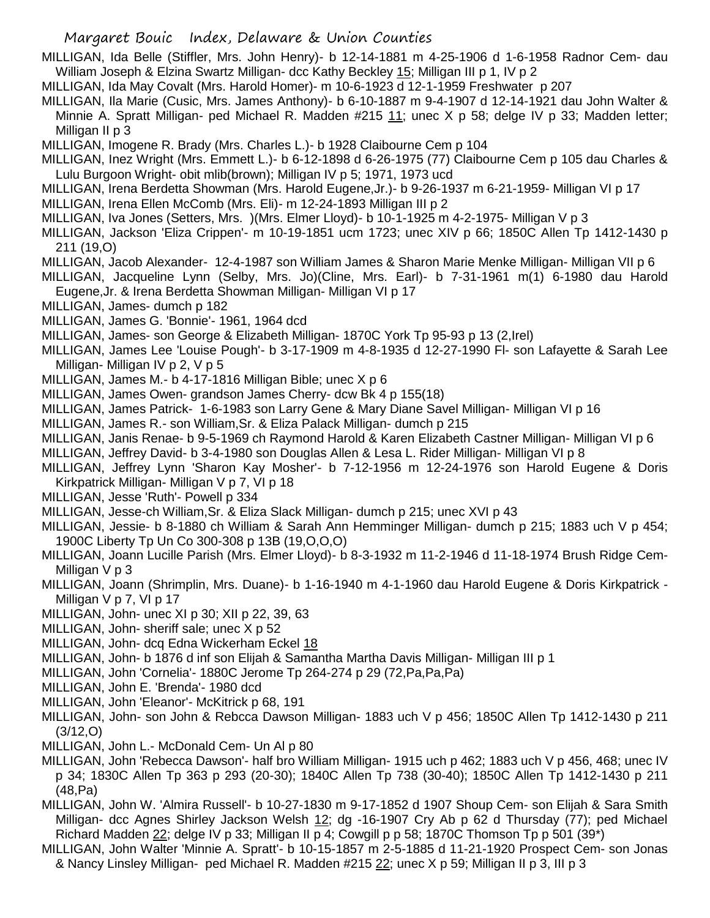MILLIGAN, Ida Belle (Stiffler, Mrs. John Henry)- b 12-14-1881 m 4-25-1906 d 1-6-1958 Radnor Cem- dau William Joseph & Elzina Swartz Milligan- dcc Kathy Beckley 15; Milligan III p 1, IV p 2

MILLIGAN, Ida May Covalt (Mrs. Harold Homer)- m 10-6-1923 d 12-1-1959 Freshwater p 207

MILLIGAN, Ila Marie (Cusic, Mrs. James Anthony)- b 6-10-1887 m 9-4-1907 d 12-14-1921 dau John Walter & Minnie A. Spratt Milligan- ped Michael R. Madden #215 11; unec X p 58; delge IV p 33; Madden letter; Milligan II p 3

- MILLIGAN, Imogene R. Brady (Mrs. Charles L.)- b 1928 Claibourne Cem p 104
- MILLIGAN, Inez Wright (Mrs. Emmett L.)- b 6-12-1898 d 6-26-1975 (77) Claibourne Cem p 105 dau Charles & Lulu Burgoon Wright- obit mlib(brown); Milligan IV p 5; 1971, 1973 ucd
- MILLIGAN, Irena Berdetta Showman (Mrs. Harold Eugene,Jr.)- b 9-26-1937 m 6-21-1959- Milligan VI p 17
- MILLIGAN, Irena Ellen McComb (Mrs. Eli)- m 12-24-1893 Milligan III p 2
- MILLIGAN, Iva Jones (Setters, Mrs. )(Mrs. Elmer Lloyd)- b 10-1-1925 m 4-2-1975- Milligan V p 3
- MILLIGAN, Jackson 'Eliza Crippen'- m 10-19-1851 ucm 1723; unec XIV p 66; 1850C Allen Tp 1412-1430 p 211 (19,O)
- MILLIGAN, Jacob Alexander- 12-4-1987 son William James & Sharon Marie Menke Milligan- Milligan VII p 6
- MILLIGAN, Jacqueline Lynn (Selby, Mrs. Jo)(Cline, Mrs. Earl)- b 7-31-1961 m(1) 6-1980 dau Harold Eugene,Jr. & Irena Berdetta Showman Milligan- Milligan VI p 17
- MILLIGAN, James- dumch p 182
- MILLIGAN, James G. 'Bonnie'- 1961, 1964 dcd
- MILLIGAN, James- son George & Elizabeth Milligan- 1870C York Tp 95-93 p 13 (2,Irel)
- MILLIGAN, James Lee 'Louise Pough'- b 3-17-1909 m 4-8-1935 d 12-27-1990 Fl- son Lafayette & Sarah Lee Milligan- Milligan IV p 2, V p 5
- MILLIGAN, James M.- b 4-17-1816 Milligan Bible; unec X p 6
- MILLIGAN, James Owen- grandson James Cherry- dcw Bk 4 p 155(18)
- MILLIGAN, James Patrick- 1-6-1983 son Larry Gene & Mary Diane Savel Milligan- Milligan VI p 16
- MILLIGAN, James R.- son William,Sr. & Eliza Palack Milligan- dumch p 215
- MILLIGAN, Janis Renae- b 9-5-1969 ch Raymond Harold & Karen Elizabeth Castner Milligan- Milligan VI p 6
- MILLIGAN, Jeffrey David- b 3-4-1980 son Douglas Allen & Lesa L. Rider Milligan- Milligan VI p 8
- MILLIGAN, Jeffrey Lynn 'Sharon Kay Mosher'- b 7-12-1956 m 12-24-1976 son Harold Eugene & Doris Kirkpatrick Milligan- Milligan V p 7, VI p 18
- MILLIGAN, Jesse 'Ruth'- Powell p 334
- MILLIGAN, Jesse-ch William,Sr. & Eliza Slack Milligan- dumch p 215; unec XVI p 43
- MILLIGAN, Jessie- b 8-1880 ch William & Sarah Ann Hemminger Milligan- dumch p 215; 1883 uch V p 454; 1900C Liberty Tp Un Co 300-308 p 13B (19,O,O,O)
- MILLIGAN, Joann Lucille Parish (Mrs. Elmer Lloyd)- b 8-3-1932 m 11-2-1946 d 11-18-1974 Brush Ridge Cem-Milligan V p 3
- MILLIGAN, Joann (Shrimplin, Mrs. Duane)- b 1-16-1940 m 4-1-1960 dau Harold Eugene & Doris Kirkpatrick Milligan V p 7, VI p 17
- MILLIGAN, John- unec XI p 30; XII p 22, 39, 63
- MILLIGAN, John- sheriff sale; unec X p 52
- MILLIGAN, John- dcq Edna Wickerham Eckel 18
- MILLIGAN, John- b 1876 d inf son Elijah & Samantha Martha Davis Milligan- Milligan III p 1
- MILLIGAN, John 'Cornelia'- 1880C Jerome Tp 264-274 p 29 (72,Pa,Pa,Pa)
- MILLIGAN, John E. 'Brenda'- 1980 dcd
- MILLIGAN, John 'Eleanor'- McKitrick p 68, 191
- MILLIGAN, John- son John & Rebcca Dawson Milligan- 1883 uch V p 456; 1850C Allen Tp 1412-1430 p 211 (3/12,O)
- MILLIGAN, John L.- McDonald Cem- Un Al p 80
- MILLIGAN, John 'Rebecca Dawson'- half bro William Milligan- 1915 uch p 462; 1883 uch V p 456, 468; unec IV p 34; 1830C Allen Tp 363 p 293 (20-30); 1840C Allen Tp 738 (30-40); 1850C Allen Tp 1412-1430 p 211 (48,Pa)
- MILLIGAN, John W. 'Almira Russell'- b 10-27-1830 m 9-17-1852 d 1907 Shoup Cem- son Elijah & Sara Smith Milligan- dcc Agnes Shirley Jackson Welsh 12; dg -16-1907 Cry Ab p 62 d Thursday (77); ped Michael Richard Madden 22; delge IV p 33; Milligan II p 4; Cowgill p p 58; 1870C Thomson Tp p 501 (39\*)
- MILLIGAN, John Walter 'Minnie A. Spratt'- b 10-15-1857 m 2-5-1885 d 11-21-1920 Prospect Cem- son Jonas & Nancy Linsley Milligan- ped Michael R. Madden #215 22; unec X p 59; Milligan II p 3, III p 3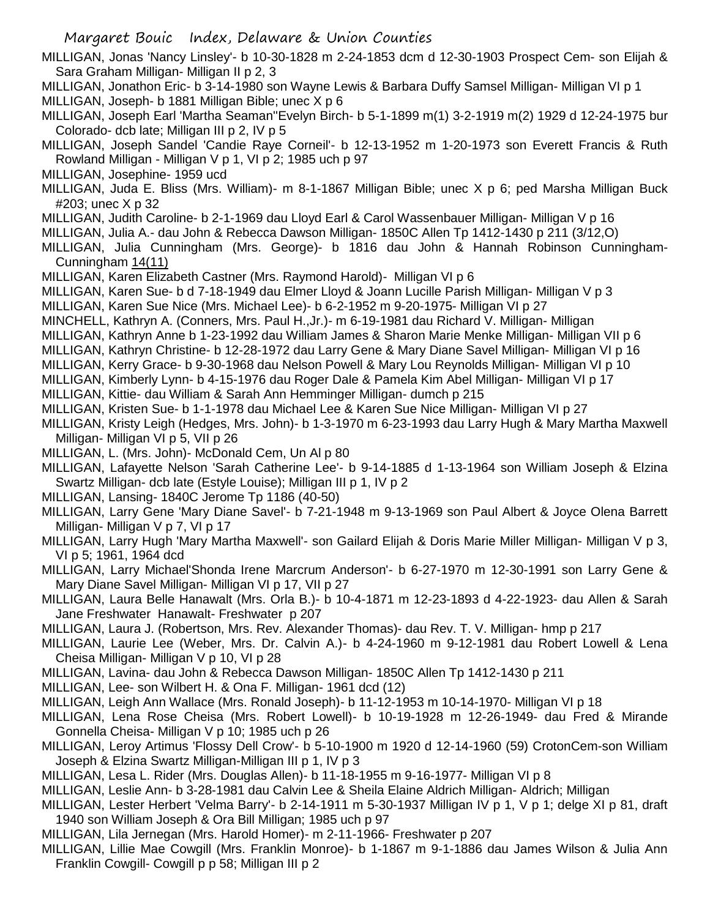MILLIGAN, Jonas 'Nancy Linsley'- b 10-30-1828 m 2-24-1853 dcm d 12-30-1903 Prospect Cem- son Elijah & Sara Graham Milligan- Milligan II p 2, 3

- MILLIGAN, Jonathon Eric- b 3-14-1980 son Wayne Lewis & Barbara Duffy Samsel Milligan- Milligan VI p 1 MILLIGAN, Joseph- b 1881 Milligan Bible; unec X p 6
- MILLIGAN, Joseph Earl 'Martha Seaman''Evelyn Birch- b 5-1-1899 m(1) 3-2-1919 m(2) 1929 d 12-24-1975 bur Colorado- dcb late; Milligan III p 2, IV p 5
- MILLIGAN, Joseph Sandel 'Candie Raye Corneil'- b 12-13-1952 m 1-20-1973 son Everett Francis & Ruth Rowland Milligan - Milligan V p 1, VI p 2; 1985 uch p 97
- MILLIGAN, Josephine- 1959 ucd
- MILLIGAN, Juda E. Bliss (Mrs. William)- m 8-1-1867 Milligan Bible; unec X p 6; ped Marsha Milligan Buck #203; unec X p 32
- MILLIGAN, Judith Caroline- b 2-1-1969 dau Lloyd Earl & Carol Wassenbauer Milligan- Milligan V p 16
- MILLIGAN, Julia A.- dau John & Rebecca Dawson Milligan- 1850C Allen Tp 1412-1430 p 211 (3/12,O)
- MILLIGAN, Julia Cunningham (Mrs. George)- b 1816 dau John & Hannah Robinson Cunningham-Cunningham 14(11)
- MILLIGAN, Karen Elizabeth Castner (Mrs. Raymond Harold)- Milligan VI p 6
- MILLIGAN, Karen Sue- b d 7-18-1949 dau Elmer Lloyd & Joann Lucille Parish Milligan- Milligan V p 3
- MILLIGAN, Karen Sue Nice (Mrs. Michael Lee)- b 6-2-1952 m 9-20-1975- Milligan VI p 27
- MINCHELL, Kathryn A. (Conners, Mrs. Paul H.,Jr.)- m 6-19-1981 dau Richard V. Milligan- Milligan
- MILLIGAN, Kathryn Anne b 1-23-1992 dau William James & Sharon Marie Menke Milligan- Milligan VII p 6
- MILLIGAN, Kathryn Christine- b 12-28-1972 dau Larry Gene & Mary Diane Savel Milligan- Milligan VI p 16
- MILLIGAN, Kerry Grace- b 9-30-1968 dau Nelson Powell & Mary Lou Reynolds Milligan- Milligan VI p 10
- MILLIGAN, Kimberly Lynn- b 4-15-1976 dau Roger Dale & Pamela Kim Abel Milligan- Milligan VI p 17
- MILLIGAN, Kittie- dau William & Sarah Ann Hemminger Milligan- dumch p 215
- MILLIGAN, Kristen Sue- b 1-1-1978 dau Michael Lee & Karen Sue Nice Milligan- Milligan VI p 27
- MILLIGAN, Kristy Leigh (Hedges, Mrs. John)- b 1-3-1970 m 6-23-1993 dau Larry Hugh & Mary Martha Maxwell Milligan- Milligan VI p 5, VII p 26
- MILLIGAN, L. (Mrs. John)- McDonald Cem, Un Al p 80
- MILLIGAN, Lafayette Nelson 'Sarah Catherine Lee'- b 9-14-1885 d 1-13-1964 son William Joseph & Elzina Swartz Milligan- dcb late (Estyle Louise); Milligan III p 1, IV p 2
- MILLIGAN, Lansing- 1840C Jerome Tp 1186 (40-50)
- MILLIGAN, Larry Gene 'Mary Diane Savel'- b 7-21-1948 m 9-13-1969 son Paul Albert & Joyce Olena Barrett Milligan- Milligan V p 7, VI p 17
- MILLIGAN, Larry Hugh 'Mary Martha Maxwell'- son Gailard Elijah & Doris Marie Miller Milligan- Milligan V p 3, VI p 5; 1961, 1964 dcd
- MILLIGAN, Larry Michael'Shonda Irene Marcrum Anderson'- b 6-27-1970 m 12-30-1991 son Larry Gene & Mary Diane Savel Milligan- Milligan VI p 17, VII p 27
- MILLIGAN, Laura Belle Hanawalt (Mrs. Orla B.)- b 10-4-1871 m 12-23-1893 d 4-22-1923- dau Allen & Sarah Jane Freshwater Hanawalt- Freshwater p 207
- MILLIGAN, Laura J. (Robertson, Mrs. Rev. Alexander Thomas)- dau Rev. T. V. Milligan- hmp p 217
- MILLIGAN, Laurie Lee (Weber, Mrs. Dr. Calvin A.)- b 4-24-1960 m 9-12-1981 dau Robert Lowell & Lena Cheisa Milligan- Milligan V p 10, VI p 28
- MILLIGAN, Lavina- dau John & Rebecca Dawson Milligan- 1850C Allen Tp 1412-1430 p 211
- MILLIGAN, Lee- son Wilbert H. & Ona F. Milligan- 1961 dcd (12)
- MILLIGAN, Leigh Ann Wallace (Mrs. Ronald Joseph)- b 11-12-1953 m 10-14-1970- Milligan VI p 18
- MILLIGAN, Lena Rose Cheisa (Mrs. Robert Lowell)- b 10-19-1928 m 12-26-1949- dau Fred & Mirande Gonnella Cheisa- Milligan V p 10; 1985 uch p 26
- MILLIGAN, Leroy Artimus 'Flossy Dell Crow'- b 5-10-1900 m 1920 d 12-14-1960 (59) CrotonCem-son William Joseph & Elzina Swartz Milligan-Milligan III p 1, IV p 3
- MILLIGAN, Lesa L. Rider (Mrs. Douglas Allen)- b 11-18-1955 m 9-16-1977- Milligan VI p 8
- MILLIGAN, Leslie Ann- b 3-28-1981 dau Calvin Lee & Sheila Elaine Aldrich Milligan- Aldrich; Milligan
- MILLIGAN, Lester Herbert 'Velma Barry'- b 2-14-1911 m 5-30-1937 Milligan IV p 1, V p 1; delge XI p 81, draft 1940 son William Joseph & Ora Bill Milligan; 1985 uch p 97
- MILLIGAN, Lila Jernegan (Mrs. Harold Homer)- m 2-11-1966- Freshwater p 207
- MILLIGAN, Lillie Mae Cowgill (Mrs. Franklin Monroe)- b 1-1867 m 9-1-1886 dau James Wilson & Julia Ann Franklin Cowgill- Cowgill p p 58; Milligan III p 2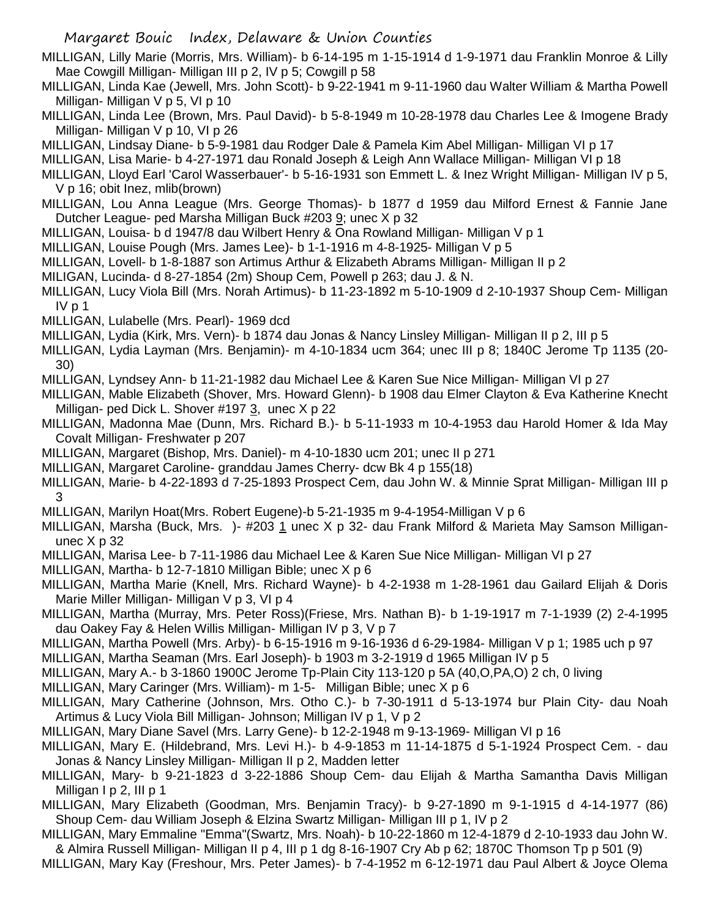- MILLIGAN, Lilly Marie (Morris, Mrs. William)- b 6-14-195 m 1-15-1914 d 1-9-1971 dau Franklin Monroe & Lilly Mae Cowgill Milligan- Milligan III p 2, IV p 5; Cowgill p 58
- MILLIGAN, Linda Kae (Jewell, Mrs. John Scott)- b 9-22-1941 m 9-11-1960 dau Walter William & Martha Powell Milligan- Milligan V p 5, VI p 10
- MILLIGAN, Linda Lee (Brown, Mrs. Paul David)- b 5-8-1949 m 10-28-1978 dau Charles Lee & Imogene Brady Milligan- Milligan V p 10, VI p 26
- MILLIGAN, Lindsay Diane- b 5-9-1981 dau Rodger Dale & Pamela Kim Abel Milligan- Milligan VI p 17
- MILLIGAN, Lisa Marie- b 4-27-1971 dau Ronald Joseph & Leigh Ann Wallace Milligan- Milligan VI p 18
- MILLIGAN, Lloyd Earl 'Carol Wasserbauer'- b 5-16-1931 son Emmett L. & Inez Wright Milligan- Milligan IV p 5, V p 16; obit Inez, mlib(brown)
- MILLIGAN, Lou Anna League (Mrs. George Thomas)- b 1877 d 1959 dau Milford Ernest & Fannie Jane Dutcher League- ped Marsha Milligan Buck #203 9; unec X p 32
- MILLIGAN, Louisa- b d 1947/8 dau Wilbert Henry & Ona Rowland Milligan- Milligan V p 1
- MILLIGAN, Louise Pough (Mrs. James Lee)- b 1-1-1916 m 4-8-1925- Milligan V p 5
- MILLIGAN, Lovell- b 1-8-1887 son Artimus Arthur & Elizabeth Abrams Milligan- Milligan II p 2
- MILIGAN, Lucinda- d 8-27-1854 (2m) Shoup Cem, Powell p 263; dau J. & N.
- MILLIGAN, Lucy Viola Bill (Mrs. Norah Artimus)- b 11-23-1892 m 5-10-1909 d 2-10-1937 Shoup Cem- Milligan IV p 1
- MILLIGAN, Lulabelle (Mrs. Pearl)- 1969 dcd
- MILLIGAN, Lydia (Kirk, Mrs. Vern)- b 1874 dau Jonas & Nancy Linsley Milligan- Milligan II p 2, III p 5
- MILLIGAN, Lydia Layman (Mrs. Benjamin)- m 4-10-1834 ucm 364; unec III p 8; 1840C Jerome Tp 1135 (20- 30)
- MILLIGAN, Lyndsey Ann- b 11-21-1982 dau Michael Lee & Karen Sue Nice Milligan- Milligan VI p 27
- MILLIGAN, Mable Elizabeth (Shover, Mrs. Howard Glenn)- b 1908 dau Elmer Clayton & Eva Katherine Knecht Milligan- ped Dick L. Shover #197 3, unec X p 22
- MILLIGAN, Madonna Mae (Dunn, Mrs. Richard B.)- b 5-11-1933 m 10-4-1953 dau Harold Homer & Ida May Covalt Milligan- Freshwater p 207
- MILLIGAN, Margaret (Bishop, Mrs. Daniel)- m 4-10-1830 ucm 201; unec II p 271
- MILLIGAN, Margaret Caroline- granddau James Cherry- dcw Bk 4 p 155(18)
- MILLIGAN, Marie- b 4-22-1893 d 7-25-1893 Prospect Cem, dau John W. & Minnie Sprat Milligan- Milligan III p 3
- MILLIGAN, Marilyn Hoat(Mrs. Robert Eugene)-b 5-21-1935 m 9-4-1954-Milligan V p 6
- MILLIGAN, Marsha (Buck, Mrs. )- #203 1 unec X p 32- dau Frank Milford & Marieta May Samson Milliganunec X p 32
- MILLIGAN, Marisa Lee- b 7-11-1986 dau Michael Lee & Karen Sue Nice Milligan- Milligan VI p 27
- MILLIGAN, Martha- b 12-7-1810 Milligan Bible; unec X p 6
- MILLIGAN, Martha Marie (Knell, Mrs. Richard Wayne)- b 4-2-1938 m 1-28-1961 dau Gailard Elijah & Doris Marie Miller Milligan- Milligan V p 3, VI p 4
- MILLIGAN, Martha (Murray, Mrs. Peter Ross)(Friese, Mrs. Nathan B)- b 1-19-1917 m 7-1-1939 (2) 2-4-1995 dau Oakey Fay & Helen Willis Milligan- Milligan IV p 3, V p 7
- MILLIGAN, Martha Powell (Mrs. Arby)- b 6-15-1916 m 9-16-1936 d 6-29-1984- Milligan V p 1; 1985 uch p 97
- MILLIGAN, Martha Seaman (Mrs. Earl Joseph)- b 1903 m 3-2-1919 d 1965 Milligan IV p 5
- MILLIGAN, Mary A.- b 3-1860 1900C Jerome Tp-Plain City 113-120 p 5A (40,O,PA,O) 2 ch, 0 living
- MILLIGAN, Mary Caringer (Mrs. William)- m 1-5- Milligan Bible; unec X p 6
- MILLIGAN, Mary Catherine (Johnson, Mrs. Otho C.)- b 7-30-1911 d 5-13-1974 bur Plain City- dau Noah Artimus & Lucy Viola Bill Milligan- Johnson; Milligan IV p 1, V p 2
- MILLIGAN, Mary Diane Savel (Mrs. Larry Gene)- b 12-2-1948 m 9-13-1969- Milligan VI p 16
- MILLIGAN, Mary E. (Hildebrand, Mrs. Levi H.)- b 4-9-1853 m 11-14-1875 d 5-1-1924 Prospect Cem. dau Jonas & Nancy Linsley Milligan- Milligan II p 2, Madden letter
- MILLIGAN, Mary- b 9-21-1823 d 3-22-1886 Shoup Cem- dau Elijah & Martha Samantha Davis Milligan Milligan I p 2, III p 1
- MILLIGAN, Mary Elizabeth (Goodman, Mrs. Benjamin Tracy)- b 9-27-1890 m 9-1-1915 d 4-14-1977 (86) Shoup Cem- dau William Joseph & Elzina Swartz Milligan- Milligan III p 1, IV p 2
- MILLIGAN, Mary Emmaline "Emma"(Swartz, Mrs. Noah)- b 10-22-1860 m 12-4-1879 d 2-10-1933 dau John W. & Almira Russell Milligan- Milligan II p 4, III p 1 dg 8-16-1907 Cry Ab p 62; 1870C Thomson Tp p 501 (9)
- MILLIGAN, Mary Kay (Freshour, Mrs. Peter James)- b 7-4-1952 m 6-12-1971 dau Paul Albert & Joyce Olema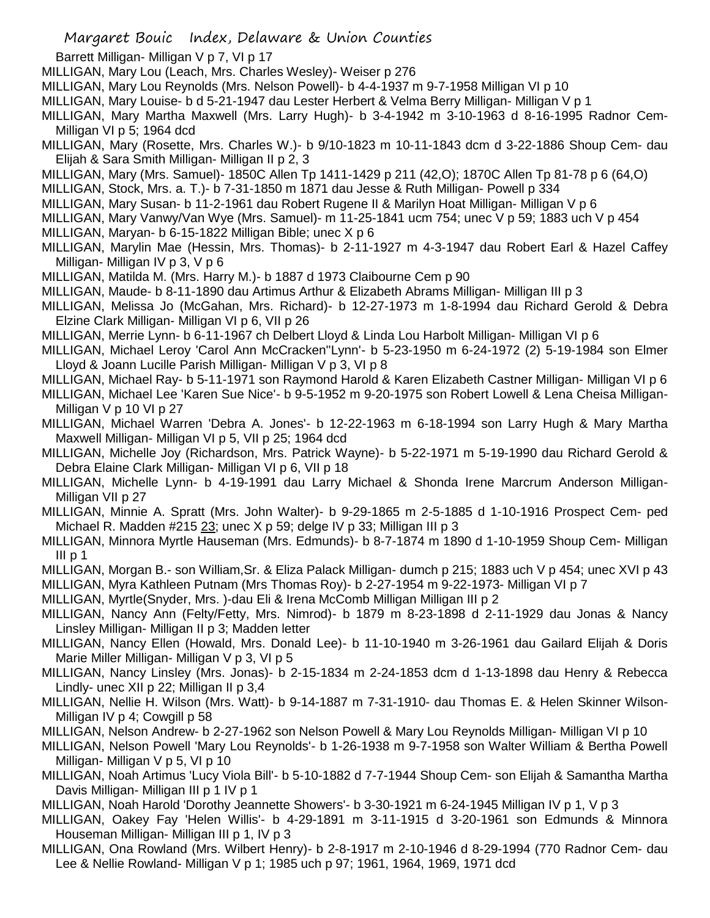- Barrett Milligan- Milligan V p 7, VI p 17
- MILLIGAN, Mary Lou (Leach, Mrs. Charles Wesley)- Weiser p 276
- MILLIGAN, Mary Lou Reynolds (Mrs. Nelson Powell)- b 4-4-1937 m 9-7-1958 Milligan VI p 10
- MILLIGAN, Mary Louise- b d 5-21-1947 dau Lester Herbert & Velma Berry Milligan- Milligan V p 1
- MILLIGAN, Mary Martha Maxwell (Mrs. Larry Hugh)- b 3-4-1942 m 3-10-1963 d 8-16-1995 Radnor Cem-Milligan VI p 5; 1964 dcd
- MILLIGAN, Mary (Rosette, Mrs. Charles W.)- b 9/10-1823 m 10-11-1843 dcm d 3-22-1886 Shoup Cem- dau Elijah & Sara Smith Milligan- Milligan II p 2, 3
- MILLIGAN, Mary (Mrs. Samuel)- 1850C Allen Tp 1411-1429 p 211 (42,O); 1870C Allen Tp 81-78 p 6 (64,O)
- MILLIGAN, Stock, Mrs. a. T.)- b 7-31-1850 m 1871 dau Jesse & Ruth Milligan- Powell p 334
- MILLIGAN, Mary Susan- b 11-2-1961 dau Robert Rugene II & Marilyn Hoat Milligan- Milligan V p 6
- MILLIGAN, Mary Vanwy/Van Wye (Mrs. Samuel)- m 11-25-1841 ucm 754; unec V p 59; 1883 uch V p 454
- MILLIGAN, Maryan- b 6-15-1822 Milligan Bible; unec X p 6
- MILLIGAN, Marylin Mae (Hessin, Mrs. Thomas)- b 2-11-1927 m 4-3-1947 dau Robert Earl & Hazel Caffey Milligan- Milligan IV p 3, V p 6
- MILLIGAN, Matilda M. (Mrs. Harry M.)- b 1887 d 1973 Claibourne Cem p 90
- MILLIGAN, Maude- b 8-11-1890 dau Artimus Arthur & Elizabeth Abrams Milligan- Milligan III p 3
- MILLIGAN, Melissa Jo (McGahan, Mrs. Richard)- b 12-27-1973 m 1-8-1994 dau Richard Gerold & Debra Elzine Clark Milligan- Milligan VI p 6, VII p 26
- MILLIGAN, Merrie Lynn- b 6-11-1967 ch Delbert Lloyd & Linda Lou Harbolt Milligan- Milligan VI p 6
- MILLIGAN, Michael Leroy 'Carol Ann McCracken''Lynn'- b 5-23-1950 m 6-24-1972 (2) 5-19-1984 son Elmer Lloyd & Joann Lucille Parish Milligan- Milligan V p 3, VI p 8
- MILLIGAN, Michael Ray- b 5-11-1971 son Raymond Harold & Karen Elizabeth Castner Milligan- Milligan VI p 6
- MILLIGAN, Michael Lee 'Karen Sue Nice'- b 9-5-1952 m 9-20-1975 son Robert Lowell & Lena Cheisa Milligan-Milligan V p 10 VI p 27
- MILLIGAN, Michael Warren 'Debra A. Jones'- b 12-22-1963 m 6-18-1994 son Larry Hugh & Mary Martha Maxwell Milligan- Milligan VI p 5, VII p 25; 1964 dcd
- MILLIGAN, Michelle Joy (Richardson, Mrs. Patrick Wayne)- b 5-22-1971 m 5-19-1990 dau Richard Gerold & Debra Elaine Clark Milligan- Milligan VI p 6, VII p 18
- MILLIGAN, Michelle Lynn- b 4-19-1991 dau Larry Michael & Shonda Irene Marcrum Anderson Milligan-Milligan VII p 27
- MILLIGAN, Minnie A. Spratt (Mrs. John Walter)- b 9-29-1865 m 2-5-1885 d 1-10-1916 Prospect Cem- ped Michael R. Madden #215 23; unec X p 59; delge IV p 33; Milligan III p 3
- MILLIGAN, Minnora Myrtle Hauseman (Mrs. Edmunds)- b 8-7-1874 m 1890 d 1-10-1959 Shoup Cem- Milligan III p 1
- MILLIGAN, Morgan B.- son William,Sr. & Eliza Palack Milligan- dumch p 215; 1883 uch V p 454; unec XVI p 43 MILLIGAN, Myra Kathleen Putnam (Mrs Thomas Roy)- b 2-27-1954 m 9-22-1973- Milligan VI p 7
- MILLIGAN, Myrtle(Snyder, Mrs. )-dau Eli & Irena McComb Milligan Milligan III p 2
- MILLIGAN, Nancy Ann (Felty/Fetty, Mrs. Nimrod)- b 1879 m 8-23-1898 d 2-11-1929 dau Jonas & Nancy Linsley Milligan- Milligan II p 3; Madden letter
- MILLIGAN, Nancy Ellen (Howald, Mrs. Donald Lee)- b 11-10-1940 m 3-26-1961 dau Gailard Elijah & Doris Marie Miller Milligan- Milligan V p 3, VI p 5
- MILLIGAN, Nancy Linsley (Mrs. Jonas)- b 2-15-1834 m 2-24-1853 dcm d 1-13-1898 dau Henry & Rebecca Lindly- unec XII p 22; Milligan II p 3,4
- MILLIGAN, Nellie H. Wilson (Mrs. Watt)- b 9-14-1887 m 7-31-1910- dau Thomas E. & Helen Skinner Wilson-Milligan IV p 4; Cowgill p 58
- MILLIGAN, Nelson Andrew- b 2-27-1962 son Nelson Powell & Mary Lou Reynolds Milligan- Milligan VI p 10
- MILLIGAN, Nelson Powell 'Mary Lou Reynolds'- b 1-26-1938 m 9-7-1958 son Walter William & Bertha Powell Milligan- Milligan V p 5, VI p 10
- MILLIGAN, Noah Artimus 'Lucy Viola Bill'- b 5-10-1882 d 7-7-1944 Shoup Cem- son Elijah & Samantha Martha Davis Milligan- Milligan III p 1 IV p 1
- MILLIGAN, Noah Harold 'Dorothy Jeannette Showers'- b 3-30-1921 m 6-24-1945 Milligan IV p 1, V p 3
- MILLIGAN, Oakey Fay 'Helen Willis'- b 4-29-1891 m 3-11-1915 d 3-20-1961 son Edmunds & Minnora Houseman Milligan- Milligan III p 1, IV p 3
- MILLIGAN, Ona Rowland (Mrs. Wilbert Henry)- b 2-8-1917 m 2-10-1946 d 8-29-1994 (770 Radnor Cem- dau Lee & Nellie Rowland- Milligan V p 1; 1985 uch p 97; 1961, 1964, 1969, 1971 dcd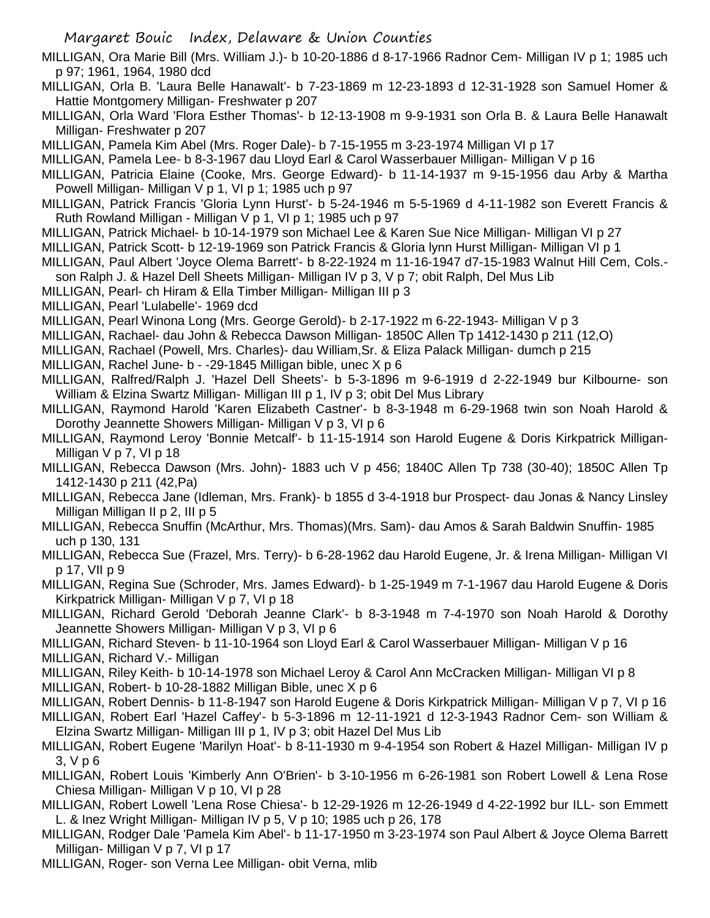MILLIGAN, Ora Marie Bill (Mrs. William J.)- b 10-20-1886 d 8-17-1966 Radnor Cem- Milligan IV p 1; 1985 uch p 97; 1961, 1964, 1980 dcd

MILLIGAN, Orla B. 'Laura Belle Hanawalt'- b 7-23-1869 m 12-23-1893 d 12-31-1928 son Samuel Homer & Hattie Montgomery Milligan- Freshwater p 207

MILLIGAN, Orla Ward 'Flora Esther Thomas'- b 12-13-1908 m 9-9-1931 son Orla B. & Laura Belle Hanawalt Milligan- Freshwater p 207

MILLIGAN, Pamela Kim Abel (Mrs. Roger Dale)- b 7-15-1955 m 3-23-1974 Milligan VI p 17

MILLIGAN, Pamela Lee- b 8-3-1967 dau Lloyd Earl & Carol Wasserbauer Milligan- Milligan V p 16

MILLIGAN, Patricia Elaine (Cooke, Mrs. George Edward)- b 11-14-1937 m 9-15-1956 dau Arby & Martha Powell Milligan- Milligan V p 1, VI p 1; 1985 uch p 97

MILLIGAN, Patrick Francis 'Gloria Lynn Hurst'- b 5-24-1946 m 5-5-1969 d 4-11-1982 son Everett Francis & Ruth Rowland Milligan - Milligan V p 1, VI p 1; 1985 uch p 97

MILLIGAN, Patrick Michael- b 10-14-1979 son Michael Lee & Karen Sue Nice Milligan- Milligan VI p 27

MILLIGAN, Patrick Scott- b 12-19-1969 son Patrick Francis & Gloria lynn Hurst Milligan- Milligan VI p 1

MILLIGAN, Paul Albert 'Joyce Olema Barrett'- b 8-22-1924 m 11-16-1947 d7-15-1983 Walnut Hill Cem, Cols.-

son Ralph J. & Hazel Dell Sheets Milligan- Milligan IV p 3, V p 7; obit Ralph, Del Mus Lib

MILLIGAN, Pearl- ch Hiram & Ella Timber Milligan- Milligan III p 3

MILLIGAN, Pearl 'Lulabelle'- 1969 dcd

MILLIGAN, Pearl Winona Long (Mrs. George Gerold)- b 2-17-1922 m 6-22-1943- Milligan V p 3

MILLIGAN, Rachael- dau John & Rebecca Dawson Milligan- 1850C Allen Tp 1412-1430 p 211 (12,O)

MILLIGAN, Rachael (Powell, Mrs. Charles)- dau William,Sr. & Eliza Palack Milligan- dumch p 215

MILLIGAN, Rachel June- b - -29-1845 Milligan bible, unec X p 6

MILLIGAN, Ralfred/Ralph J. 'Hazel Dell Sheets'- b 5-3-1896 m 9-6-1919 d 2-22-1949 bur Kilbourne- son William & Elzina Swartz Milligan- Milligan III p 1, IV p 3; obit Del Mus Library

MILLIGAN, Raymond Harold 'Karen Elizabeth Castner'- b 8-3-1948 m 6-29-1968 twin son Noah Harold & Dorothy Jeannette Showers Milligan- Milligan V p 3, VI p 6

MILLIGAN, Raymond Leroy 'Bonnie Metcalf'- b 11-15-1914 son Harold Eugene & Doris Kirkpatrick Milligan-Milligan V p 7, VI p 18

MILLIGAN, Rebecca Dawson (Mrs. John)- 1883 uch V p 456; 1840C Allen Tp 738 (30-40); 1850C Allen Tp 1412-1430 p 211 (42,Pa)

MILLIGAN, Rebecca Jane (Idleman, Mrs. Frank)- b 1855 d 3-4-1918 bur Prospect- dau Jonas & Nancy Linsley Milligan Milligan II p 2, III p 5

MILLIGAN, Rebecca Snuffin (McArthur, Mrs. Thomas)(Mrs. Sam)- dau Amos & Sarah Baldwin Snuffin- 1985 uch p 130, 131

MILLIGAN, Rebecca Sue (Frazel, Mrs. Terry)- b 6-28-1962 dau Harold Eugene, Jr. & Irena Milligan- Milligan VI p 17, VII p 9

MILLIGAN, Regina Sue (Schroder, Mrs. James Edward)- b 1-25-1949 m 7-1-1967 dau Harold Eugene & Doris Kirkpatrick Milligan- Milligan V p 7, VI p 18

MILLIGAN, Richard Gerold 'Deborah Jeanne Clark'- b 8-3-1948 m 7-4-1970 son Noah Harold & Dorothy Jeannette Showers Milligan- Milligan V p 3, VI p 6

MILLIGAN, Richard Steven- b 11-10-1964 son Lloyd Earl & Carol Wasserbauer Milligan- Milligan V p 16 MILLIGAN, Richard V.- Milligan

MILLIGAN, Riley Keith- b 10-14-1978 son Michael Leroy & Carol Ann McCracken Milligan- Milligan VI p 8

MILLIGAN, Robert- b 10-28-1882 Milligan Bible, unec X p 6

MILLIGAN, Robert Dennis- b 11-8-1947 son Harold Eugene & Doris Kirkpatrick Milligan- Milligan V p 7, VI p 16 MILLIGAN, Robert Earl 'Hazel Caffey'- b 5-3-1896 m 12-11-1921 d 12-3-1943 Radnor Cem- son William & Elzina Swartz Milligan- Milligan III p 1, IV p 3; obit Hazel Del Mus Lib

MILLIGAN, Robert Eugene 'Marilyn Hoat'- b 8-11-1930 m 9-4-1954 son Robert & Hazel Milligan- Milligan IV p 3, V p 6

MILLIGAN, Robert Louis 'Kimberly Ann O'Brien'- b 3-10-1956 m 6-26-1981 son Robert Lowell & Lena Rose Chiesa Milligan- Milligan V p 10, VI p 28

MILLIGAN, Robert Lowell 'Lena Rose Chiesa'- b 12-29-1926 m 12-26-1949 d 4-22-1992 bur ILL- son Emmett L. & Inez Wright Milligan- Milligan IV p 5, V p 10; 1985 uch p 26, 178

MILLIGAN, Rodger Dale 'Pamela Kim Abel'- b 11-17-1950 m 3-23-1974 son Paul Albert & Joyce Olema Barrett Milligan- Milligan V p 7, VI p 17

MILLIGAN, Roger- son Verna Lee Milligan- obit Verna, mlib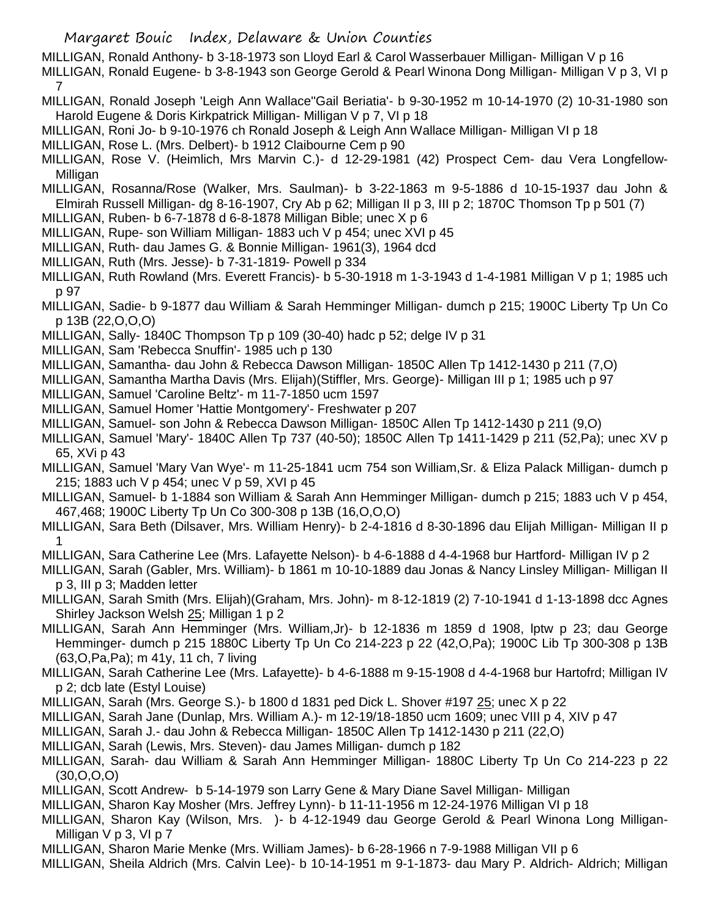MILLIGAN, Ronald Anthony- b 3-18-1973 son Lloyd Earl & Carol Wasserbauer Milligan- Milligan V p 16 MILLIGAN, Ronald Eugene- b 3-8-1943 son George Gerold & Pearl Winona Dong Milligan- Milligan V p 3, VI p 7

- MILLIGAN, Ronald Joseph 'Leigh Ann Wallace''Gail Beriatia'- b 9-30-1952 m 10-14-1970 (2) 10-31-1980 son Harold Eugene & Doris Kirkpatrick Milligan- Milligan V p 7, VI p 18
- MILLIGAN, Roni Jo- b 9-10-1976 ch Ronald Joseph & Leigh Ann Wallace Milligan- Milligan VI p 18
- MILLIGAN, Rose L. (Mrs. Delbert)- b 1912 Claibourne Cem p 90
- MILLIGAN, Rose V. (Heimlich, Mrs Marvin C.)- d 12-29-1981 (42) Prospect Cem- dau Vera Longfellow-Milligan
- MILLIGAN, Rosanna/Rose (Walker, Mrs. Saulman)- b 3-22-1863 m 9-5-1886 d 10-15-1937 dau John & Elmirah Russell Milligan- dg 8-16-1907, Cry Ab p 62; Milligan II p 3, III p 2; 1870C Thomson Tp p 501 (7)
- MILLIGAN, Ruben- b 6-7-1878 d 6-8-1878 Milligan Bible; unec X p 6
- MILLIGAN, Rupe- son William Milligan- 1883 uch V p 454; unec XVI p 45
- MILLIGAN, Ruth- dau James G. & Bonnie Milligan- 1961(3), 1964 dcd
- MILLIGAN, Ruth (Mrs. Jesse)- b 7-31-1819- Powell p 334
- MILLIGAN, Ruth Rowland (Mrs. Everett Francis)- b 5-30-1918 m 1-3-1943 d 1-4-1981 Milligan V p 1; 1985 uch p 97
- MILLIGAN, Sadie- b 9-1877 dau William & Sarah Hemminger Milligan- dumch p 215; 1900C Liberty Tp Un Co p 13B (22,O,O,O)
- MILLIGAN, Sally- 1840C Thompson Tp p 109 (30-40) hadc p 52; delge IV p 31
- MILLIGAN, Sam 'Rebecca Snuffin'- 1985 uch p 130
- MILLIGAN, Samantha- dau John & Rebecca Dawson Milligan- 1850C Allen Tp 1412-1430 p 211 (7,O)
- MILLIGAN, Samantha Martha Davis (Mrs. Elijah)(Stiffler, Mrs. George)- Milligan III p 1; 1985 uch p 97
- MILLIGAN, Samuel 'Caroline Beltz'- m 11-7-1850 ucm 1597
- MILLIGAN, Samuel Homer 'Hattie Montgomery'- Freshwater p 207
- MILLIGAN, Samuel- son John & Rebecca Dawson Milligan- 1850C Allen Tp 1412-1430 p 211 (9,O)
- MILLIGAN, Samuel 'Mary'- 1840C Allen Tp 737 (40-50); 1850C Allen Tp 1411-1429 p 211 (52,Pa); unec XV p 65, XVi p 43
- MILLIGAN, Samuel 'Mary Van Wye'- m 11-25-1841 ucm 754 son William,Sr. & Eliza Palack Milligan- dumch p 215; 1883 uch V p 454; unec V p 59, XVI p 45
- MILLIGAN, Samuel- b 1-1884 son William & Sarah Ann Hemminger Milligan- dumch p 215; 1883 uch V p 454, 467,468; 1900C Liberty Tp Un Co 300-308 p 13B (16,O,O,O)
- MILLIGAN, Sara Beth (Dilsaver, Mrs. William Henry)- b 2-4-1816 d 8-30-1896 dau Elijah Milligan- Milligan II p 1
- MILLIGAN, Sara Catherine Lee (Mrs. Lafayette Nelson)- b 4-6-1888 d 4-4-1968 bur Hartford- Milligan IV p 2
- MILLIGAN, Sarah (Gabler, Mrs. William)- b 1861 m 10-10-1889 dau Jonas & Nancy Linsley Milligan- Milligan II p 3, III p 3; Madden letter
- MILLIGAN, Sarah Smith (Mrs. Elijah)(Graham, Mrs. John)- m 8-12-1819 (2) 7-10-1941 d 1-13-1898 dcc Agnes Shirley Jackson Welsh 25; Milligan 1 p 2
- MILLIGAN, Sarah Ann Hemminger (Mrs. William,Jr)- b 12-1836 m 1859 d 1908, lptw p 23; dau George Hemminger- dumch p 215 1880C Liberty Tp Un Co 214-223 p 22 (42,O,Pa); 1900C Lib Tp 300-308 p 13B (63,O,Pa,Pa); m 41y, 11 ch, 7 living
- MILLIGAN, Sarah Catherine Lee (Mrs. Lafayette)- b 4-6-1888 m 9-15-1908 d 4-4-1968 bur Hartofrd; Milligan IV p 2; dcb late (Estyl Louise)
- MILLIGAN, Sarah (Mrs. George S.)- b 1800 d 1831 ped Dick L. Shover #197 25; unec X p 22
- MILLIGAN, Sarah Jane (Dunlap, Mrs. William A.)- m 12-19/18-1850 ucm 1609; unec VIII p 4, XIV p 47
- MILLIGAN, Sarah J.- dau John & Rebecca Milligan- 1850C Allen Tp 1412-1430 p 211 (22,O)
- MILLIGAN, Sarah (Lewis, Mrs. Steven)- dau James Milligan- dumch p 182
- MILLIGAN, Sarah- dau William & Sarah Ann Hemminger Milligan- 1880C Liberty Tp Un Co 214-223 p 22 (30,O,O,O)
- MILLIGAN, Scott Andrew- b 5-14-1979 son Larry Gene & Mary Diane Savel Milligan- Milligan
- MILLIGAN, Sharon Kay Mosher (Mrs. Jeffrey Lynn)- b 11-11-1956 m 12-24-1976 Milligan VI p 18
- MILLIGAN, Sharon Kay (Wilson, Mrs. )- b 4-12-1949 dau George Gerold & Pearl Winona Long Milligan-Milligan V p 3, VI p 7
- MILLIGAN, Sharon Marie Menke (Mrs. William James)- b 6-28-1966 n 7-9-1988 Milligan VII p 6
- MILLIGAN, Sheila Aldrich (Mrs. Calvin Lee)- b 10-14-1951 m 9-1-1873- dau Mary P. Aldrich- Aldrich; Milligan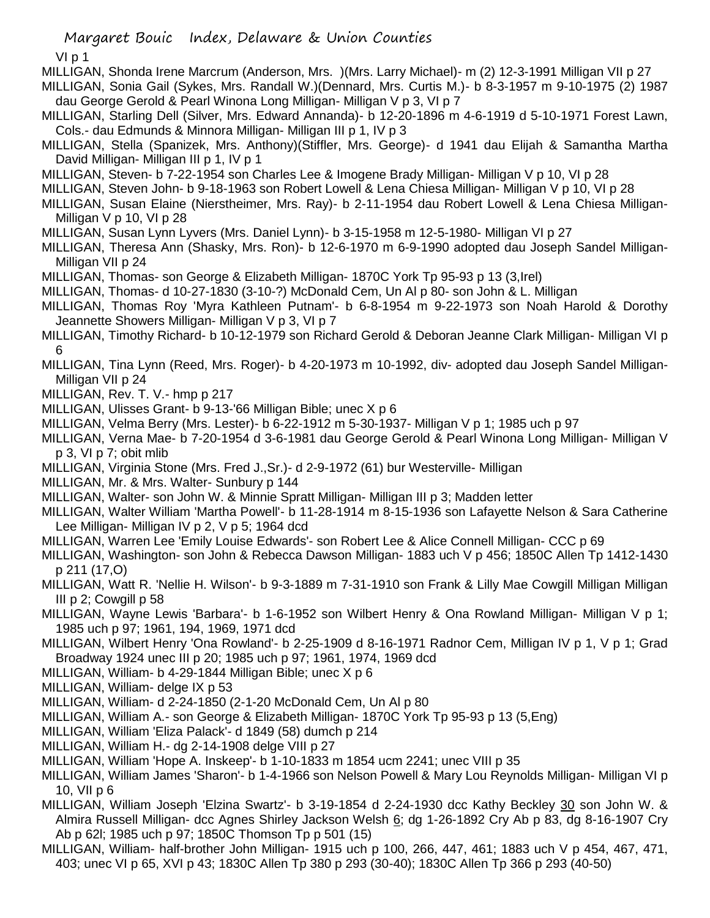VI p 1

MILLIGAN, Shonda Irene Marcrum (Anderson, Mrs. )(Mrs. Larry Michael)- m (2) 12-3-1991 Milligan VII p 27

MILLIGAN, Sonia Gail (Sykes, Mrs. Randall W.)(Dennard, Mrs. Curtis M.)- b 8-3-1957 m 9-10-1975 (2) 1987 dau George Gerold & Pearl Winona Long Milligan- Milligan V p 3, VI p 7

MILLIGAN, Starling Dell (Silver, Mrs. Edward Annanda)- b 12-20-1896 m 4-6-1919 d 5-10-1971 Forest Lawn, Cols.- dau Edmunds & Minnora Milligan- Milligan III p 1, IV p 3

- MILLIGAN, Stella (Spanizek, Mrs. Anthony)(Stiffler, Mrs. George)- d 1941 dau Elijah & Samantha Martha David Milligan- Milligan III p 1, IV p 1
- MILLIGAN, Steven- b 7-22-1954 son Charles Lee & Imogene Brady Milligan- Milligan V p 10, VI p 28
- MILLIGAN, Steven John- b 9-18-1963 son Robert Lowell & Lena Chiesa Milligan- Milligan V p 10, VI p 28
- MILLIGAN, Susan Elaine (Nierstheimer, Mrs. Ray)- b 2-11-1954 dau Robert Lowell & Lena Chiesa Milligan-Milligan V p 10, VI p 28
- MILLIGAN, Susan Lynn Lyvers (Mrs. Daniel Lynn)- b 3-15-1958 m 12-5-1980- Milligan VI p 27
- MILLIGAN, Theresa Ann (Shasky, Mrs. Ron)- b 12-6-1970 m 6-9-1990 adopted dau Joseph Sandel Milligan-Milligan VII p 24
- MILLIGAN, Thomas- son George & Elizabeth Milligan- 1870C York Tp 95-93 p 13 (3,Irel)
- MILLIGAN, Thomas- d 10-27-1830 (3-10-?) McDonald Cem, Un Al p 80- son John & L. Milligan
- MILLIGAN, Thomas Roy 'Myra Kathleen Putnam'- b 6-8-1954 m 9-22-1973 son Noah Harold & Dorothy Jeannette Showers Milligan- Milligan V p 3, VI p 7
- MILLIGAN, Timothy Richard- b 10-12-1979 son Richard Gerold & Deboran Jeanne Clark Milligan- Milligan VI p 6
- MILLIGAN, Tina Lynn (Reed, Mrs. Roger)- b 4-20-1973 m 10-1992, div- adopted dau Joseph Sandel Milligan-Milligan VII p 24
- MILLIGAN, Rev. T. V.- hmp p 217
- MILLIGAN, Ulisses Grant- b 9-13-'66 Milligan Bible; unec X p 6
- MILLIGAN, Velma Berry (Mrs. Lester)- b 6-22-1912 m 5-30-1937- Milligan V p 1; 1985 uch p 97
- MILLIGAN, Verna Mae- b 7-20-1954 d 3-6-1981 dau George Gerold & Pearl Winona Long Milligan- Milligan V p 3, VI p 7; obit mlib
- MILLIGAN, Virginia Stone (Mrs. Fred J.,Sr.)- d 2-9-1972 (61) bur Westerville- Milligan
- MILLIGAN, Mr. & Mrs. Walter- Sunbury p 144
- MILLIGAN, Walter- son John W. & Minnie Spratt Milligan- Milligan III p 3; Madden letter
- MILLIGAN, Walter William 'Martha Powell'- b 11-28-1914 m 8-15-1936 son Lafayette Nelson & Sara Catherine Lee Milligan- Milligan IV p 2, V p 5; 1964 dcd
- MILLIGAN, Warren Lee 'Emily Louise Edwards'- son Robert Lee & Alice Connell Milligan- CCC p 69
- MILLIGAN, Washington- son John & Rebecca Dawson Milligan- 1883 uch V p 456; 1850C Allen Tp 1412-1430 p 211 (17,O)
- MILLIGAN, Watt R. 'Nellie H. Wilson'- b 9-3-1889 m 7-31-1910 son Frank & Lilly Mae Cowgill Milligan Milligan III p 2; Cowgill p 58
- MILLIGAN, Wayne Lewis 'Barbara'- b 1-6-1952 son Wilbert Henry & Ona Rowland Milligan- Milligan V p 1; 1985 uch p 97; 1961, 194, 1969, 1971 dcd
- MILLIGAN, Wilbert Henry 'Ona Rowland'- b 2-25-1909 d 8-16-1971 Radnor Cem, Milligan IV p 1, V p 1; Grad Broadway 1924 unec III p 20; 1985 uch p 97; 1961, 1974, 1969 dcd
- MILLIGAN, William- b 4-29-1844 Milligan Bible; unec X p 6
- MILLIGAN, William- delge IX p 53
- MILLIGAN, William- d 2-24-1850 (2-1-20 McDonald Cem, Un Al p 80
- MILLIGAN, William A.- son George & Elizabeth Milligan- 1870C York Tp 95-93 p 13 (5,Eng)
- MILLIGAN, William 'Eliza Palack'- d 1849 (58) dumch p 214
- MILLIGAN, William H.- dg 2-14-1908 delge VIII p 27
- MILLIGAN, William 'Hope A. Inskeep'- b 1-10-1833 m 1854 ucm 2241; unec VIII p 35
- MILLIGAN, William James 'Sharon'- b 1-4-1966 son Nelson Powell & Mary Lou Reynolds Milligan- Milligan VI p 10, VII p 6
- MILLIGAN, William Joseph 'Elzina Swartz'- b 3-19-1854 d 2-24-1930 dcc Kathy Beckley 30 son John W. & Almira Russell Milligan- dcc Agnes Shirley Jackson Welsh 6; dg 1-26-1892 Cry Ab p 83, dg 8-16-1907 Cry Ab p 62l; 1985 uch p 97; 1850C Thomson Tp p 501 (15)
- MILLIGAN, William- half-brother John Milligan- 1915 uch p 100, 266, 447, 461; 1883 uch V p 454, 467, 471, 403; unec VI p 65, XVI p 43; 1830C Allen Tp 380 p 293 (30-40); 1830C Allen Tp 366 p 293 (40-50)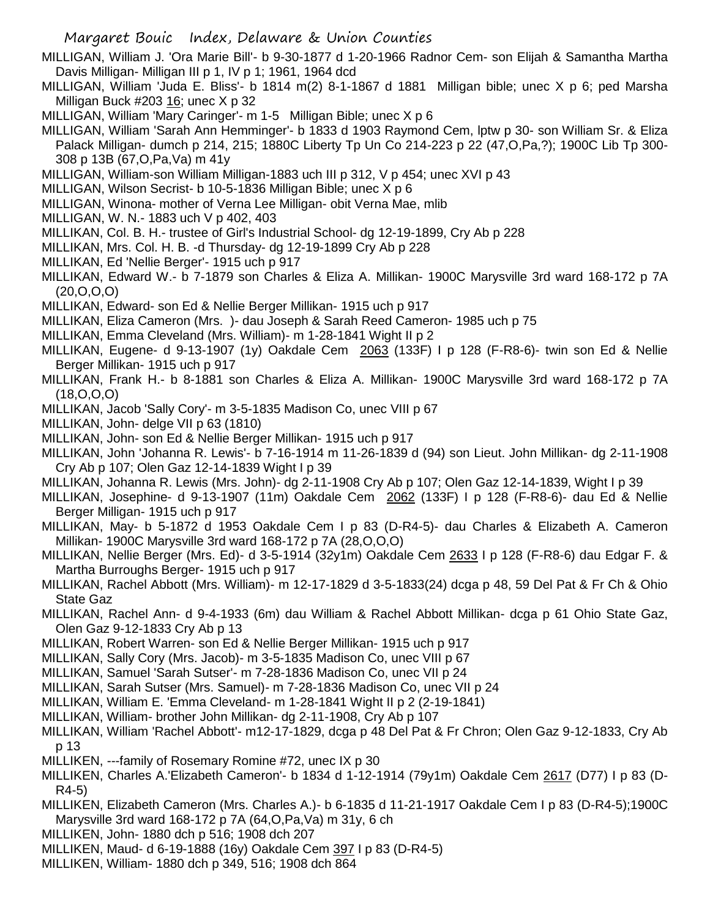- MILLIGAN, William J. 'Ora Marie Bill'- b 9-30-1877 d 1-20-1966 Radnor Cem- son Elijah & Samantha Martha Davis Milligan- Milligan III p 1, IV p 1; 1961, 1964 dcd
- MILLIGAN, William 'Juda E. Bliss'- b 1814 m(2) 8-1-1867 d 1881 Milligan bible; unec X p 6; ped Marsha Milligan Buck  $#203$  16; unec X p 32
- MILLIGAN, William 'Mary Caringer'- m 1-5 Milligan Bible; unec X p 6
- MILLIGAN, William 'Sarah Ann Hemminger'- b 1833 d 1903 Raymond Cem, lptw p 30- son William Sr. & Eliza Palack Milligan- dumch p 214, 215; 1880C Liberty Tp Un Co 214-223 p 22 (47,O,Pa,?); 1900C Lib Tp 300- 308 p 13B (67,O,Pa,Va) m 41y
- MILLIGAN, William-son William Milligan-1883 uch III p 312, V p 454; unec XVI p 43
- MILLIGAN, Wilson Secrist- b 10-5-1836 Milligan Bible; unec X p 6
- MILLIGAN, Winona- mother of Verna Lee Milligan- obit Verna Mae, mlib
- MILLIGAN, W. N.- 1883 uch V p 402, 403
- MILLIKAN, Col. B. H.- trustee of Girl's Industrial School- dg 12-19-1899, Cry Ab p 228
- MILLIKAN, Mrs. Col. H. B. -d Thursday- dg 12-19-1899 Cry Ab p 228
- MILLIKAN, Ed 'Nellie Berger'- 1915 uch p 917
- MILLIKAN, Edward W.- b 7-1879 son Charles & Eliza A. Millikan- 1900C Marysville 3rd ward 168-172 p 7A (20,O,O,O)
- MILLIKAN, Edward- son Ed & Nellie Berger Millikan- 1915 uch p 917
- MILLIKAN, Eliza Cameron (Mrs. )- dau Joseph & Sarah Reed Cameron- 1985 uch p 75
- MILLIKAN, Emma Cleveland (Mrs. William)- m 1-28-1841 Wight II p 2
- MILLIKAN, Eugene- d 9-13-1907 (1y) Oakdale Cem 2063 (133F) I p 128 (F-R8-6)- twin son Ed & Nellie Berger Millikan- 1915 uch p 917
- MILLIKAN, Frank H.- b 8-1881 son Charles & Eliza A. Millikan- 1900C Marysville 3rd ward 168-172 p 7A (18,O,O,O)
- MILLIKAN, Jacob 'Sally Cory'- m 3-5-1835 Madison Co, unec VIII p 67
- MILLIKAN, John- delge VII p 63 (1810)
- MILLIKAN, John- son Ed & Nellie Berger Millikan- 1915 uch p 917
- MILLIKAN, John 'Johanna R. Lewis'- b 7-16-1914 m 11-26-1839 d (94) son Lieut. John Millikan- dg 2-11-1908 Cry Ab p 107; Olen Gaz 12-14-1839 Wight I p 39
- MILLIKAN, Johanna R. Lewis (Mrs. John)- dg 2-11-1908 Cry Ab p 107; Olen Gaz 12-14-1839, Wight I p 39
- MILLIKAN, Josephine- d 9-13-1907 (11m) Oakdale Cem 2062 (133F) I p 128 (F-R8-6)- dau Ed & Nellie Berger Milligan- 1915 uch p 917
- MILLIKAN, May- b 5-1872 d 1953 Oakdale Cem I p 83 (D-R4-5)- dau Charles & Elizabeth A. Cameron Millikan- 1900C Marysville 3rd ward 168-172 p 7A (28,O,O,O)
- MILLIKAN, Nellie Berger (Mrs. Ed)- d 3-5-1914 (32y1m) Oakdale Cem 2633 I p 128 (F-R8-6) dau Edgar F. & Martha Burroughs Berger- 1915 uch p 917
- MILLIKAN, Rachel Abbott (Mrs. William)- m 12-17-1829 d 3-5-1833(24) dcga p 48, 59 Del Pat & Fr Ch & Ohio State Gaz
- MILLIKAN, Rachel Ann- d 9-4-1933 (6m) dau William & Rachel Abbott Millikan- dcga p 61 Ohio State Gaz, Olen Gaz 9-12-1833 Cry Ab p 13
- MILLIKAN, Robert Warren- son Ed & Nellie Berger Millikan- 1915 uch p 917
- MILLIKAN, Sally Cory (Mrs. Jacob)- m 3-5-1835 Madison Co, unec VIII p 67
- MILLIKAN, Samuel 'Sarah Sutser'- m 7-28-1836 Madison Co, unec VII p 24
- MILLIKAN, Sarah Sutser (Mrs. Samuel)- m 7-28-1836 Madison Co, unec VII p 24
- MILLIKAN, William E. 'Emma Cleveland- m 1-28-1841 Wight II p 2 (2-19-1841)
- MILLIKAN, William- brother John Millikan- dg 2-11-1908, Cry Ab p 107
- MILLIKAN, William 'Rachel Abbott'- m12-17-1829, dcga p 48 Del Pat & Fr Chron; Olen Gaz 9-12-1833, Cry Ab p 13
- MILLIKEN, ---family of Rosemary Romine #72, unec IX p 30
- MILLIKEN, Charles A.'Elizabeth Cameron'- b 1834 d 1-12-1914 (79y1m) Oakdale Cem 2617 (D77) I p 83 (D-R4-5)
- MILLIKEN, Elizabeth Cameron (Mrs. Charles A.)- b 6-1835 d 11-21-1917 Oakdale Cem I p 83 (D-R4-5);1900C Marysville 3rd ward 168-172 p 7A (64,O,Pa,Va) m 31y, 6 ch
- MILLIKEN, John- 1880 dch p 516; 1908 dch 207
- MILLIKEN, Maud- d 6-19-1888 (16y) Oakdale Cem 397 I p 83 (D-R4-5)
- MILLIKEN, William- 1880 dch p 349, 516; 1908 dch 864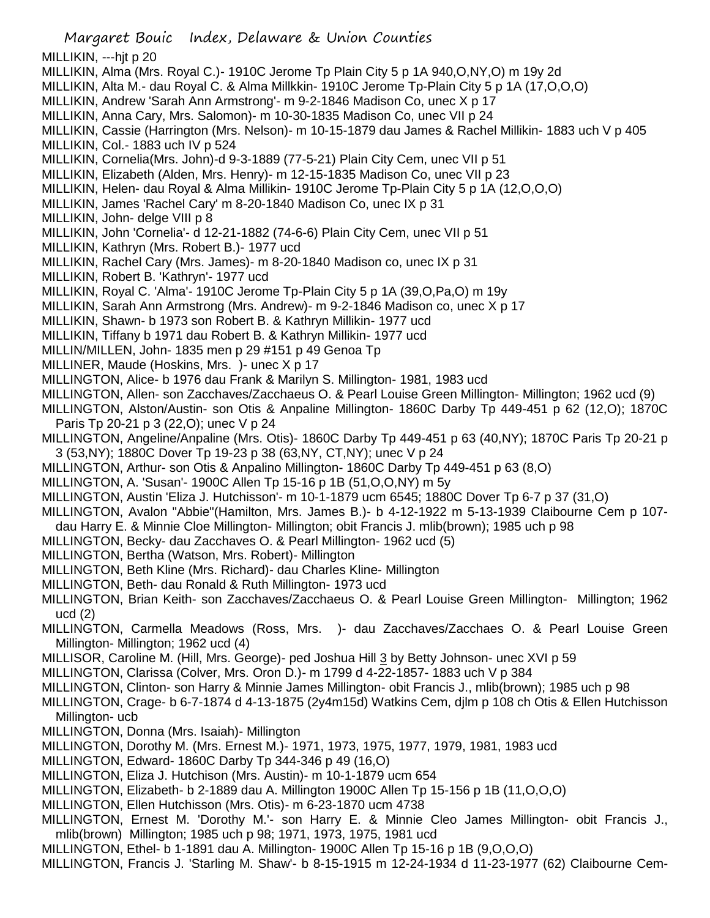Margaret Bouic Index, Delaware & Union Counties MILLIKIN, ---hjt p 20 MILLIKIN, Alma (Mrs. Royal C.)- 1910C Jerome Tp Plain City 5 p 1A 940,O,NY,O) m 19y 2d MILLIKIN, Alta M.- dau Royal C. & Alma Millkkin- 1910C Jerome Tp-Plain City 5 p 1A (17,O,O,O) MILLIKIN, Andrew 'Sarah Ann Armstrong'- m 9-2-1846 Madison Co, unec X p 17 MILLIKIN, Anna Cary, Mrs. Salomon)- m 10-30-1835 Madison Co, unec VII p 24 MILLIKIN, Cassie (Harrington (Mrs. Nelson)- m 10-15-1879 dau James & Rachel Millikin- 1883 uch V p 405 MILLIKIN, Col.- 1883 uch IV p 524 MILLIKIN, Cornelia(Mrs. John)-d 9-3-1889 (77-5-21) Plain City Cem, unec VII p 51 MILLIKIN, Elizabeth (Alden, Mrs. Henry)- m 12-15-1835 Madison Co, unec VII p 23 MILLIKIN, Helen- dau Royal & Alma Millikin- 1910C Jerome Tp-Plain City 5 p 1A (12,O,O,O) MILLIKIN, James 'Rachel Cary' m 8-20-1840 Madison Co, unec IX p 31 MILLIKIN, John- delge VIII p 8 MILLIKIN, John 'Cornelia'- d 12-21-1882 (74-6-6) Plain City Cem, unec VII p 51 MILLIKIN, Kathryn (Mrs. Robert B.)- 1977 ucd MILLIKIN, Rachel Cary (Mrs. James)- m 8-20-1840 Madison co, unec IX p 31 MILLIKIN, Robert B. 'Kathryn'- 1977 ucd MILLIKIN, Royal C. 'Alma'- 1910C Jerome Tp-Plain City 5 p 1A (39,O,Pa,O) m 19y MILLIKIN, Sarah Ann Armstrong (Mrs. Andrew)- m 9-2-1846 Madison co, unec X p 17 MILLIKIN, Shawn- b 1973 son Robert B. & Kathryn Millikin- 1977 ucd MILLIKIN, Tiffany b 1971 dau Robert B. & Kathryn Millikin- 1977 ucd MILLIN/MILLEN, John- 1835 men p 29 #151 p 49 Genoa Tp MILLINER, Maude (Hoskins, Mrs. )- unec X p 17 MILLINGTON, Alice- b 1976 dau Frank & Marilyn S. Millington- 1981, 1983 ucd MILLINGTON, Allen- son Zacchaves/Zacchaeus O. & Pearl Louise Green Millington- Millington; 1962 ucd (9) MILLINGTON, Alston/Austin- son Otis & Anpaline Millington- 1860C Darby Tp 449-451 p 62 (12,O); 1870C Paris Tp 20-21 p 3 (22,O); unec V p 24 MILLINGTON, Angeline/Anpaline (Mrs. Otis)- 1860C Darby Tp 449-451 p 63 (40,NY); 1870C Paris Tp 20-21 p 3 (53,NY); 1880C Dover Tp 19-23 p 38 (63,NY, CT,NY); unec V p 24 MILLINGTON, Arthur- son Otis & Anpalino Millington- 1860C Darby Tp 449-451 p 63 (8,O) MILLINGTON, A. 'Susan'- 1900C Allen Tp 15-16 p 1B (51,O,O,NY) m 5y MILLINGTON, Austin 'Eliza J. Hutchisson'- m 10-1-1879 ucm 6545; 1880C Dover Tp 6-7 p 37 (31,O) MILLINGTON, Avalon "Abbie"(Hamilton, Mrs. James B.)- b 4-12-1922 m 5-13-1939 Claibourne Cem p 107 dau Harry E. & Minnie Cloe Millington- Millington; obit Francis J. mlib(brown); 1985 uch p 98 MILLINGTON, Becky- dau Zacchaves O. & Pearl Millington- 1962 ucd (5) MILLINGTON, Bertha (Watson, Mrs. Robert)- Millington MILLINGTON, Beth Kline (Mrs. Richard)- dau Charles Kline- Millington MILLINGTON, Beth- dau Ronald & Ruth Millington- 1973 ucd MILLINGTON, Brian Keith- son Zacchaves/Zacchaeus O. & Pearl Louise Green Millington- Millington; 1962 ucd (2) MILLINGTON, Carmella Meadows (Ross, Mrs. )- dau Zacchaves/Zacchaes O. & Pearl Louise Green Millington- Millington; 1962 ucd (4) MILLISOR, Caroline M. (Hill, Mrs. George)- ped Joshua Hill 3 by Betty Johnson- unec XVI p 59 MILLINGTON, Clarissa (Colver, Mrs. Oron D.)- m 1799 d 4-22-1857- 1883 uch V p 384 MILLINGTON, Clinton- son Harry & Minnie James Millington- obit Francis J., mlib(brown); 1985 uch p 98 MILLINGTON, Crage- b 6-7-1874 d 4-13-1875 (2y4m15d) Watkins Cem, djlm p 108 ch Otis & Ellen Hutchisson Millington- ucb MILLINGTON, Donna (Mrs. Isaiah)- Millington MILLINGTON, Dorothy M. (Mrs. Ernest M.)- 1971, 1973, 1975, 1977, 1979, 1981, 1983 ucd MILLINGTON, Edward- 1860C Darby Tp 344-346 p 49 (16,O) MILLINGTON, Eliza J. Hutchison (Mrs. Austin)- m 10-1-1879 ucm 654 MILLINGTON, Elizabeth- b 2-1889 dau A. Millington 1900C Allen Tp 15-156 p 1B (11,O,O,O) MILLINGTON, Ellen Hutchisson (Mrs. Otis)- m 6-23-1870 ucm 4738

MILLINGTON, Ernest M. 'Dorothy M.'- son Harry E. & Minnie Cleo James Millington- obit Francis J., mlib(brown) Millington; 1985 uch p 98; 1971, 1973, 1975, 1981 ucd

MILLINGTON, Ethel- b 1-1891 dau A. Millington- 1900C Allen Tp 15-16 p 1B (9,O,O,O)

MILLINGTON, Francis J. 'Starling M. Shaw'- b 8-15-1915 m 12-24-1934 d 11-23-1977 (62) Claibourne Cem-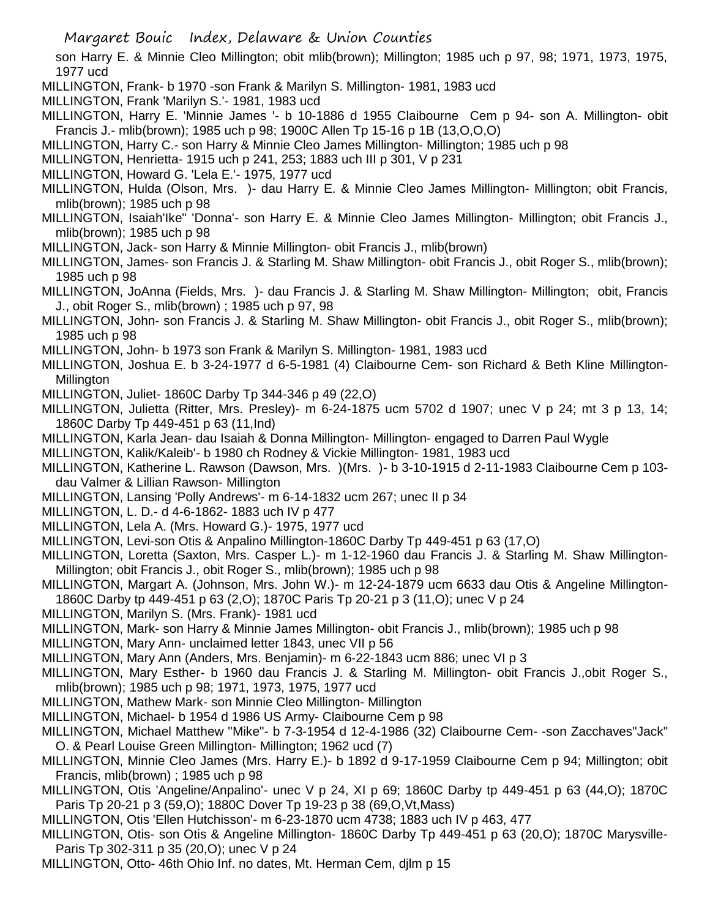son Harry E. & Minnie Cleo Millington; obit mlib(brown); Millington; 1985 uch p 97, 98; 1971, 1973, 1975, 1977 ucd

- MILLINGTON, Frank- b 1970 -son Frank & Marilyn S. Millington- 1981, 1983 ucd
- MILLINGTON, Frank 'Marilyn S.'- 1981, 1983 ucd
- MILLINGTON, Harry E. 'Minnie James '- b 10-1886 d 1955 Claibourne Cem p 94- son A. Millington- obit Francis J.- mlib(brown); 1985 uch p 98; 1900C Allen Tp 15-16 p 1B (13,O,O,O)
- MILLINGTON, Harry C.- son Harry & Minnie Cleo James Millington- Millington; 1985 uch p 98
- MILLINGTON, Henrietta- 1915 uch p 241, 253; 1883 uch III p 301, V p 231
- MILLINGTON, Howard G. 'Lela E.'- 1975, 1977 ucd
- MILLINGTON, Hulda (Olson, Mrs. )- dau Harry E. & Minnie Cleo James Millington- Millington; obit Francis, mlib(brown); 1985 uch p 98
- MILLINGTON, Isaiah'Ike" 'Donna'- son Harry E. & Minnie Cleo James Millington- Millington; obit Francis J., mlib(brown); 1985 uch p 98
- MILLINGTON, Jack- son Harry & Minnie Millington- obit Francis J., mlib(brown)
- MILLINGTON, James- son Francis J. & Starling M. Shaw Millington- obit Francis J., obit Roger S., mlib(brown); 1985 uch p 98
- MILLINGTON, JoAnna (Fields, Mrs. )- dau Francis J. & Starling M. Shaw Millington- Millington; obit, Francis J., obit Roger S., mlib(brown) ; 1985 uch p 97, 98
- MILLINGTON, John- son Francis J. & Starling M. Shaw Millington- obit Francis J., obit Roger S., mlib(brown); 1985 uch p 98
- MILLINGTON, John- b 1973 son Frank & Marilyn S. Millington- 1981, 1983 ucd
- MILLINGTON, Joshua E. b 3-24-1977 d 6-5-1981 (4) Claibourne Cem- son Richard & Beth Kline Millington-Millington
- MILLINGTON, Juliet- 1860C Darby Tp 344-346 p 49 (22,O)
- MILLINGTON, Julietta (Ritter, Mrs. Presley)- m 6-24-1875 ucm 5702 d 1907; unec V p 24; mt 3 p 13, 14; 1860C Darby Tp 449-451 p 63 (11,Ind)
- MILLINGTON, Karla Jean- dau Isaiah & Donna Millington- Millington- engaged to Darren Paul Wygle
- MILLINGTON, Kalik/Kaleib'- b 1980 ch Rodney & Vickie Millington- 1981, 1983 ucd
- MILLINGTON, Katherine L. Rawson (Dawson, Mrs. )(Mrs. )- b 3-10-1915 d 2-11-1983 Claibourne Cem p 103 dau Valmer & Lillian Rawson- Millington
- MILLINGTON, Lansing 'Polly Andrews'- m 6-14-1832 ucm 267; unec II p 34
- MILLINGTON, L. D.- d 4-6-1862- 1883 uch IV p 477
- MILLINGTON, Lela A. (Mrs. Howard G.)- 1975, 1977 ucd
- MILLINGTON, Levi-son Otis & Anpalino Millington-1860C Darby Tp 449-451 p 63 (17,O)
- MILLINGTON, Loretta (Saxton, Mrs. Casper L.)- m 1-12-1960 dau Francis J. & Starling M. Shaw Millington-Millington; obit Francis J., obit Roger S., mlib(brown); 1985 uch p 98
- MILLINGTON, Margart A. (Johnson, Mrs. John W.)- m 12-24-1879 ucm 6633 dau Otis & Angeline Millington-1860C Darby tp 449-451 p 63 (2,O); 1870C Paris Tp 20-21 p 3 (11,O); unec V p 24
- MILLINGTON, Marilyn S. (Mrs. Frank)- 1981 ucd
- MILLINGTON, Mark- son Harry & Minnie James Millington- obit Francis J., mlib(brown); 1985 uch p 98
- MILLINGTON, Mary Ann- unclaimed letter 1843, unec VII p 56
- MILLINGTON, Mary Ann (Anders, Mrs. Benjamin)- m 6-22-1843 ucm 886; unec VI p 3
- MILLINGTON, Mary Esther- b 1960 dau Francis J. & Starling M. Millington- obit Francis J.,obit Roger S., mlib(brown); 1985 uch p 98; 1971, 1973, 1975, 1977 ucd
- MILLINGTON, Mathew Mark- son Minnie Cleo Millington- Millington
- MILLINGTON, Michael- b 1954 d 1986 US Army- Claibourne Cem p 98
- MILLINGTON, Michael Matthew "Mike"- b 7-3-1954 d 12-4-1986 (32) Claibourne Cem- -son Zacchaves"Jack" O. & Pearl Louise Green Millington- Millington; 1962 ucd (7)
- MILLINGTON, Minnie Cleo James (Mrs. Harry E.)- b 1892 d 9-17-1959 Claibourne Cem p 94; Millington; obit Francis, mlib(brown) ; 1985 uch p 98
- MILLINGTON, Otis 'Angeline/Anpalino'- unec V p 24, XI p 69; 1860C Darby tp 449-451 p 63 (44,O); 1870C Paris Tp 20-21 p 3 (59,O); 1880C Dover Tp 19-23 p 38 (69,O,Vt,Mass)
- MILLINGTON, Otis 'Ellen Hutchisson'- m 6-23-1870 ucm 4738; 1883 uch IV p 463, 477
- MILLINGTON, Otis- son Otis & Angeline Millington- 1860C Darby Tp 449-451 p 63 (20,O); 1870C Marysville-Paris Tp 302-311 p 35 (20,O); unec V p 24
- MILLINGTON, Otto- 46th Ohio Inf. no dates, Mt. Herman Cem, djlm p 15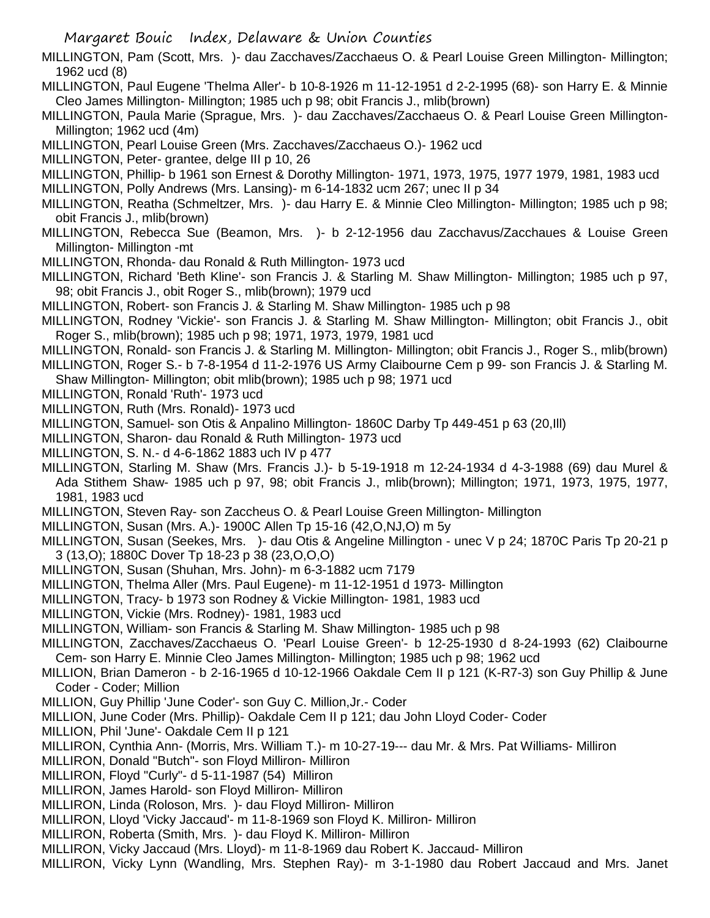- Margaret Bouic Index, Delaware & Union Counties
- MILLINGTON, Pam (Scott, Mrs. )- dau Zacchaves/Zacchaeus O. & Pearl Louise Green Millington- Millington; 1962 ucd (8)
- MILLINGTON, Paul Eugene 'Thelma Aller'- b 10-8-1926 m 11-12-1951 d 2-2-1995 (68)- son Harry E. & Minnie Cleo James Millington- Millington; 1985 uch p 98; obit Francis J., mlib(brown)
- MILLINGTON, Paula Marie (Sprague, Mrs. )- dau Zacchaves/Zacchaeus O. & Pearl Louise Green Millington-Millington; 1962 ucd (4m)
- MILLINGTON, Pearl Louise Green (Mrs. Zacchaves/Zacchaeus O.)- 1962 ucd
- MILLINGTON, Peter- grantee, delge III p 10, 26
- MILLINGTON, Phillip- b 1961 son Ernest & Dorothy Millington- 1971, 1973, 1975, 1977 1979, 1981, 1983 ucd
- MILLINGTON, Polly Andrews (Mrs. Lansing)- m 6-14-1832 ucm 267; unec II p 34
- MILLINGTON, Reatha (Schmeltzer, Mrs. )- dau Harry E. & Minnie Cleo Millington- Millington; 1985 uch p 98; obit Francis J., mlib(brown)
- MILLINGTON, Rebecca Sue (Beamon, Mrs. )- b 2-12-1956 dau Zacchavus/Zacchaues & Louise Green Millington- Millington -mt
- MILLINGTON, Rhonda- dau Ronald & Ruth Millington- 1973 ucd
- MILLINGTON, Richard 'Beth Kline'- son Francis J. & Starling M. Shaw Millington- Millington; 1985 uch p 97, 98; obit Francis J., obit Roger S., mlib(brown); 1979 ucd
- MILLINGTON, Robert- son Francis J. & Starling M. Shaw Millington- 1985 uch p 98
- MILLINGTON, Rodney 'Vickie'- son Francis J. & Starling M. Shaw Millington- Millington; obit Francis J., obit Roger S., mlib(brown); 1985 uch p 98; 1971, 1973, 1979, 1981 ucd
- MILLINGTON, Ronald- son Francis J. & Starling M. Millington- Millington; obit Francis J., Roger S., mlib(brown)
- MILLINGTON, Roger S.- b 7-8-1954 d 11-2-1976 US Army Claibourne Cem p 99- son Francis J. & Starling M. Shaw Millington- Millington; obit mlib(brown); 1985 uch p 98; 1971 ucd
- MILLINGTON, Ronald 'Ruth'- 1973 ucd
- MILLINGTON, Ruth (Mrs. Ronald)- 1973 ucd
- MILLINGTON, Samuel- son Otis & Anpalino Millington- 1860C Darby Tp 449-451 p 63 (20,Ill)
- MILLINGTON, Sharon- dau Ronald & Ruth Millington- 1973 ucd
- MILLINGTON, S. N.- d 4-6-1862 1883 uch IV p 477
- MILLINGTON, Starling M. Shaw (Mrs. Francis J.)- b 5-19-1918 m 12-24-1934 d 4-3-1988 (69) dau Murel & Ada Stithem Shaw- 1985 uch p 97, 98; obit Francis J., mlib(brown); Millington; 1971, 1973, 1975, 1977, 1981, 1983 ucd
- MILLINGTON, Steven Ray- son Zaccheus O. & Pearl Louise Green Millington- Millington
- MILLINGTON, Susan (Mrs. A.)- 1900C Allen Tp 15-16 (42,O,NJ,O) m 5y
- MILLINGTON, Susan (Seekes, Mrs. )- dau Otis & Angeline Millington unec V p 24; 1870C Paris Tp 20-21 p 3 (13,O); 1880C Dover Tp 18-23 p 38 (23,O,O,O)
- MILLINGTON, Susan (Shuhan, Mrs. John)- m 6-3-1882 ucm 7179
- MILLINGTON, Thelma Aller (Mrs. Paul Eugene)- m 11-12-1951 d 1973- Millington
- MILLINGTON, Tracy- b 1973 son Rodney & Vickie Millington- 1981, 1983 ucd
- MILLINGTON, Vickie (Mrs. Rodney)- 1981, 1983 ucd
- MILLINGTON, William- son Francis & Starling M. Shaw Millington- 1985 uch p 98
- MILLINGTON, Zacchaves/Zacchaeus O. 'Pearl Louise Green'- b 12-25-1930 d 8-24-1993 (62) Claibourne Cem- son Harry E. Minnie Cleo James Millington- Millington; 1985 uch p 98; 1962 ucd
- MILLION, Brian Dameron b 2-16-1965 d 10-12-1966 Oakdale Cem II p 121 (K-R7-3) son Guy Phillip & June Coder - Coder; Million
- MILLION, Guy Phillip 'June Coder'- son Guy C. Million,Jr.- Coder
- MILLION, June Coder (Mrs. Phillip)- Oakdale Cem II p 121; dau John Lloyd Coder- Coder
- MILLION, Phil 'June'- Oakdale Cem II p 121
- MILLIRON, Cynthia Ann- (Morris, Mrs. William T.)- m 10-27-19--- dau Mr. & Mrs. Pat Williams- Milliron
- MILLIRON, Donald "Butch"- son Floyd Milliron- Milliron
- MILLIRON, Floyd "Curly"- d 5-11-1987 (54) Milliron
- MILLIRON, James Harold- son Floyd Milliron- Milliron
- MILLIRON, Linda (Roloson, Mrs. )- dau Floyd Milliron- Milliron
- MILLIRON, Lloyd 'Vicky Jaccaud'- m 11-8-1969 son Floyd K. Milliron- Milliron
- MILLIRON, Roberta (Smith, Mrs. )- dau Floyd K. Milliron- Milliron
- MILLIRON, Vicky Jaccaud (Mrs. Lloyd)- m 11-8-1969 dau Robert K. Jaccaud- Milliron
- MILLIRON, Vicky Lynn (Wandling, Mrs. Stephen Ray)- m 3-1-1980 dau Robert Jaccaud and Mrs. Janet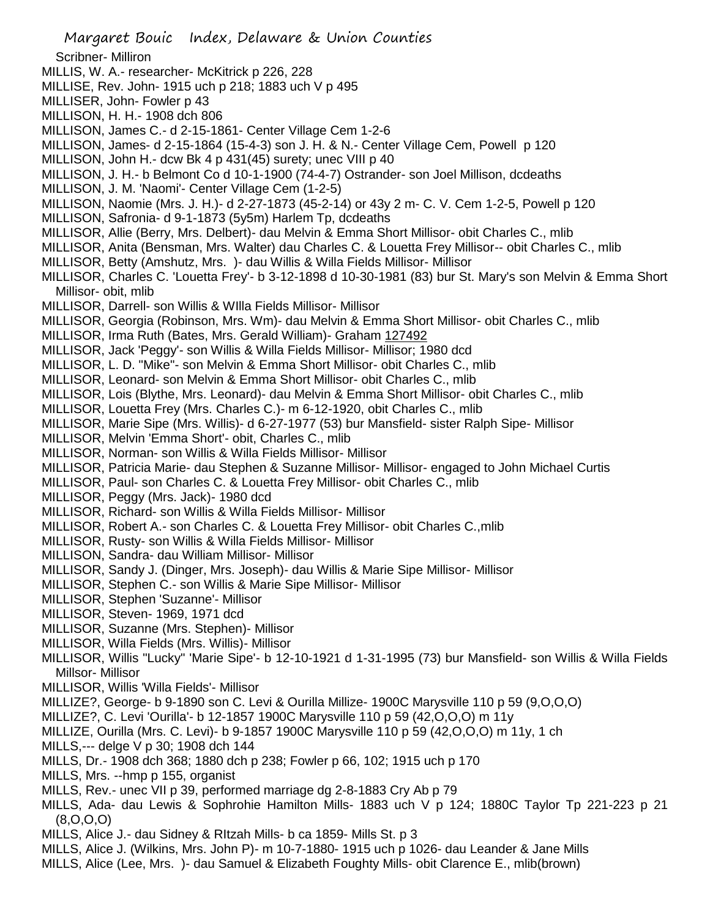Scribner- Milliron

- MILLIS, W. A.- researcher- McKitrick p 226, 228
- MILLISE, Rev. John- 1915 uch p 218; 1883 uch V p 495
- MILLISER, John- Fowler p 43
- MILLISON, H. H.- 1908 dch 806
- MILLISON, James C.- d 2-15-1861- Center Village Cem 1-2-6
- MILLISON, James- d 2-15-1864 (15-4-3) son J. H. & N.- Center Village Cem, Powell p 120
- MILLISON, John H.- dcw Bk 4 p 431(45) surety; unec VIII p 40
- MILLISON, J. H.- b Belmont Co d 10-1-1900 (74-4-7) Ostrander- son Joel Millison, dcdeaths
- MILLISON, J. M. 'Naomi'- Center Village Cem (1-2-5)
- MILLISON, Naomie (Mrs. J. H.)- d 2-27-1873 (45-2-14) or 43y 2 m- C. V. Cem 1-2-5, Powell p 120
- MILLISON, Safronia- d 9-1-1873 (5y5m) Harlem Tp, dcdeaths
- MILLISOR, Allie (Berry, Mrs. Delbert)- dau Melvin & Emma Short Millisor- obit Charles C., mlib
- MILLISOR, Anita (Bensman, Mrs. Walter) dau Charles C. & Louetta Frey Millisor-- obit Charles C., mlib
- MILLISOR, Betty (Amshutz, Mrs. )- dau Willis & Willa Fields Millisor- Millisor
- MILLISOR, Charles C. 'Louetta Frey'- b 3-12-1898 d 10-30-1981 (83) bur St. Mary's son Melvin & Emma Short Millisor- obit, mlib
- MILLISOR, Darrell- son Willis & WIlla Fields Millisor- Millisor
- MILLISOR, Georgia (Robinson, Mrs. Wm)- dau Melvin & Emma Short Millisor- obit Charles C., mlib
- MILLISOR, Irma Ruth (Bates, Mrs. Gerald William)- Graham 127492
- MILLISOR, Jack 'Peggy'- son Willis & Willa Fields Millisor- Millisor; 1980 dcd
- MILLISOR, L. D. "Mike"- son Melvin & Emma Short Millisor- obit Charles C., mlib
- MILLISOR, Leonard- son Melvin & Emma Short Millisor- obit Charles C., mlib
- MILLISOR, Lois (Blythe, Mrs. Leonard)- dau Melvin & Emma Short Millisor- obit Charles C., mlib
- MILLISOR, Louetta Frey (Mrs. Charles C.)- m 6-12-1920, obit Charles C., mlib
- MILLISOR, Marie Sipe (Mrs. Willis)- d 6-27-1977 (53) bur Mansfield- sister Ralph Sipe- Millisor
- MILLISOR, Melvin 'Emma Short'- obit, Charles C., mlib
- MILLISOR, Norman- son Willis & Willa Fields Millisor- Millisor
- MILLISOR, Patricia Marie- dau Stephen & Suzanne Millisor- Millisor- engaged to John Michael Curtis
- MILLISOR, Paul- son Charles C. & Louetta Frey Millisor- obit Charles C., mlib
- MILLISOR, Peggy (Mrs. Jack)- 1980 dcd
- MILLISOR, Richard- son Willis & Willa Fields Millisor- Millisor
- MILLISOR, Robert A.- son Charles C. & Louetta Frey Millisor- obit Charles C.,mlib
- MILLISOR, Rusty- son Willis & Willa Fields Millisor- Millisor
- MILLISON, Sandra- dau William Millisor- Millisor
- MILLISOR, Sandy J. (Dinger, Mrs. Joseph)- dau Willis & Marie Sipe Millisor- Millisor
- MILLISOR, Stephen C.- son Willis & Marie Sipe Millisor- Millisor
- MILLISOR, Stephen 'Suzanne'- Millisor
- MILLISOR, Steven- 1969, 1971 dcd
- MILLISOR, Suzanne (Mrs. Stephen)- Millisor
- MILLISOR, Willa Fields (Mrs. Willis)- Millisor
- MILLISOR, Willis "Lucky" 'Marie Sipe'- b 12-10-1921 d 1-31-1995 (73) bur Mansfield- son Willis & Willa Fields Millsor- Millisor
- MILLISOR, Willis 'Willa Fields'- Millisor
- MILLIZE?, George- b 9-1890 son C. Levi & Ourilla Millize- 1900C Marysville 110 p 59 (9,O,O,O)
- MILLIZE?, C. Levi 'Ourilla'- b 12-1857 1900C Marysville 110 p 59 (42,O,O,O) m 11y
- MILLIZE, Ourilla (Mrs. C. Levi)- b 9-1857 1900C Marysville 110 p 59 (42,O,O,O) m 11y, 1 ch
- MILLS,--- delge V p 30; 1908 dch 144
- MILLS, Dr.- 1908 dch 368; 1880 dch p 238; Fowler p 66, 102; 1915 uch p 170
- MILLS, Mrs. --hmp p 155, organist
- MILLS, Rev.- unec VII p 39, performed marriage dg 2-8-1883 Cry Ab p 79
- MILLS, Ada- dau Lewis & Sophrohie Hamilton Mills- 1883 uch V p 124; 1880C Taylor Tp 221-223 p 21  $(8,0,0,0)$
- MILLS, Alice J.- dau Sidney & RItzah Mills- b ca 1859- Mills St. p 3
- MILLS, Alice J. (Wilkins, Mrs. John P)- m 10-7-1880- 1915 uch p 1026- dau Leander & Jane Mills
- MILLS, Alice (Lee, Mrs. )- dau Samuel & Elizabeth Foughty Mills- obit Clarence E., mlib(brown)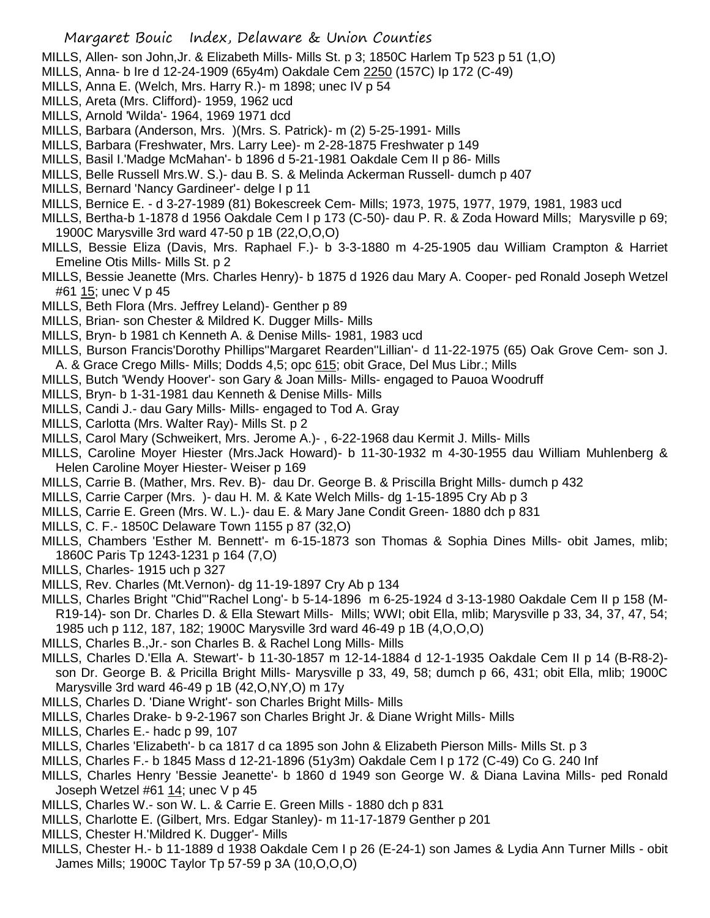- MILLS, Allen- son John,Jr. & Elizabeth Mills- Mills St. p 3; 1850C Harlem Tp 523 p 51 (1,O)
- MILLS, Anna- b Ire d 12-24-1909 (65y4m) Oakdale Cem 2250 (157C) Ip 172 (C-49)
- MILLS, Anna E. (Welch, Mrs. Harry R.)- m 1898; unec IV p 54
- MILLS, Areta (Mrs. Clifford)- 1959, 1962 ucd
- MILLS, Arnold 'Wilda'- 1964, 1969 1971 dcd
- MILLS, Barbara (Anderson, Mrs. )(Mrs. S. Patrick)- m (2) 5-25-1991- Mills
- MILLS, Barbara (Freshwater, Mrs. Larry Lee)- m 2-28-1875 Freshwater p 149
- MILLS, Basil I.'Madge McMahan'- b 1896 d 5-21-1981 Oakdale Cem II p 86- Mills
- MILLS, Belle Russell Mrs.W. S.)- dau B. S. & Melinda Ackerman Russell- dumch p 407
- MILLS, Bernard 'Nancy Gardineer'- delge I p 11
- MILLS, Bernice E. d 3-27-1989 (81) Bokescreek Cem- Mills; 1973, 1975, 1977, 1979, 1981, 1983 ucd
- MILLS, Bertha-b 1-1878 d 1956 Oakdale Cem I p 173 (C-50)- dau P. R. & Zoda Howard Mills; Marysville p 69; 1900C Marysville 3rd ward 47-50 p 1B (22,O,O,O)
- MILLS, Bessie Eliza (Davis, Mrs. Raphael F.)- b 3-3-1880 m 4-25-1905 dau William Crampton & Harriet Emeline Otis Mills- Mills St. p 2
- MILLS, Bessie Jeanette (Mrs. Charles Henry)- b 1875 d 1926 dau Mary A. Cooper- ped Ronald Joseph Wetzel #61 15; unec V p 45
- MILLS, Beth Flora (Mrs. Jeffrey Leland)- Genther p 89
- MILLS, Brian- son Chester & Mildred K. Dugger Mills- Mills
- MILLS, Bryn- b 1981 ch Kenneth A. & Denise Mills- 1981, 1983 ucd
- MILLS, Burson Francis'Dorothy Phillips''Margaret Rearden''Lillian'- d 11-22-1975 (65) Oak Grove Cem- son J. A. & Grace Crego Mills- Mills; Dodds 4,5; opc 615; obit Grace, Del Mus Libr.; Mills
- MILLS, Butch 'Wendy Hoover'- son Gary & Joan Mills- Mills- engaged to Pauoa Woodruff
- MILLS, Bryn- b 1-31-1981 dau Kenneth & Denise Mills- Mills
- MILLS, Candi J.- dau Gary Mills- Mills- engaged to Tod A. Gray
- MILLS, Carlotta (Mrs. Walter Ray)- Mills St. p 2
- MILLS, Carol Mary (Schweikert, Mrs. Jerome A.)- , 6-22-1968 dau Kermit J. Mills- Mills
- MILLS, Caroline Moyer Hiester (Mrs.Jack Howard)- b 11-30-1932 m 4-30-1955 dau William Muhlenberg & Helen Caroline Moyer Hiester- Weiser p 169
- MILLS, Carrie B. (Mather, Mrs. Rev. B)- dau Dr. George B. & Priscilla Bright Mills- dumch p 432
- MILLS, Carrie Carper (Mrs. )- dau H. M. & Kate Welch Mills- dg 1-15-1895 Cry Ab p 3
- MILLS, Carrie E. Green (Mrs. W. L.)- dau E. & Mary Jane Condit Green- 1880 dch p 831
- MILLS, C. F.- 1850C Delaware Town 1155 p 87 (32,O)
- MILLS, Chambers 'Esther M. Bennett'- m 6-15-1873 son Thomas & Sophia Dines Mills- obit James, mlib; 1860C Paris Tp 1243-1231 p 164 (7,O)
- MILLS, Charles- 1915 uch p 327
- MILLS, Rev. Charles (Mt.Vernon)- dg 11-19-1897 Cry Ab p 134
- MILLS, Charles Bright "Chid"'Rachel Long'- b 5-14-1896 m 6-25-1924 d 3-13-1980 Oakdale Cem II p 158 (M-R19-14)- son Dr. Charles D. & Ella Stewart Mills- Mills; WWI; obit Ella, mlib; Marysville p 33, 34, 37, 47, 54; 1985 uch p 112, 187, 182; 1900C Marysville 3rd ward 46-49 p 1B (4,O,O,O)
- MILLS, Charles B.,Jr.- son Charles B. & Rachel Long Mills- Mills
- MILLS, Charles D.'Ella A. Stewart'- b 11-30-1857 m 12-14-1884 d 12-1-1935 Oakdale Cem II p 14 (B-R8-2) son Dr. George B. & Pricilla Bright Mills- Marysville p 33, 49, 58; dumch p 66, 431; obit Ella, mlib; 1900C Marysville 3rd ward 46-49 p 1B (42,O,NY,O) m 17y
- MILLS, Charles D. 'Diane Wright'- son Charles Bright Mills- Mills
- MILLS, Charles Drake- b 9-2-1967 son Charles Bright Jr. & Diane Wright Mills- Mills
- MILLS, Charles E.- hadc p 99, 107
- MILLS, Charles 'Elizabeth'- b ca 1817 d ca 1895 son John & Elizabeth Pierson Mills- Mills St. p 3
- MILLS, Charles F.- b 1845 Mass d 12-21-1896 (51y3m) Oakdale Cem I p 172 (C-49) Co G. 240 Inf
- MILLS, Charles Henry 'Bessie Jeanette'- b 1860 d 1949 son George W. & Diana Lavina Mills- ped Ronald Joseph Wetzel #61  $14$ ; unec V p 45
- MILLS, Charles W.- son W. L. & Carrie E. Green Mills 1880 dch p 831
- MILLS, Charlotte E. (Gilbert, Mrs. Edgar Stanley)- m 11-17-1879 Genther p 201
- MILLS, Chester H.'Mildred K. Dugger'- Mills
- MILLS, Chester H.- b 11-1889 d 1938 Oakdale Cem I p 26 (E-24-1) son James & Lydia Ann Turner Mills obit James Mills; 1900C Taylor Tp 57-59 p 3A (10,O,O,O)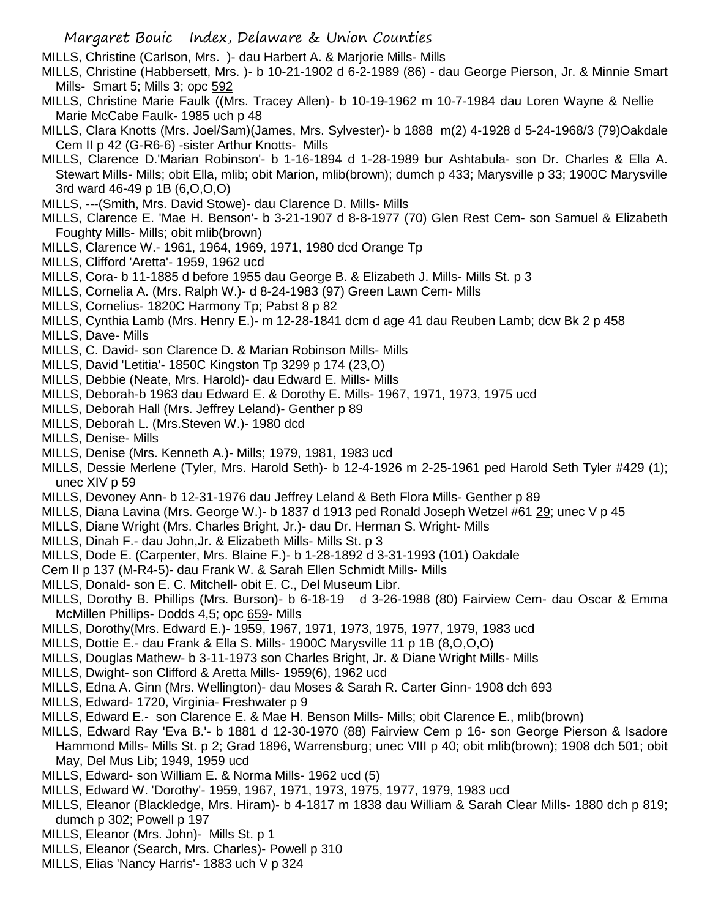MILLS, Christine (Carlson, Mrs. )- dau Harbert A. & Marjorie Mills- Mills

- MILLS, Christine (Habbersett, Mrs. )- b 10-21-1902 d 6-2-1989 (86) dau George Pierson, Jr. & Minnie Smart Mills- Smart 5; Mills 3; opc 592
- MILLS, Christine Marie Faulk ((Mrs. Tracey Allen)- b 10-19-1962 m 10-7-1984 dau Loren Wayne & Nellie Marie McCabe Faulk- 1985 uch p 48
- MILLS, Clara Knotts (Mrs. Joel/Sam)(James, Mrs. Sylvester)- b 1888 m(2) 4-1928 d 5-24-1968/3 (79)Oakdale Cem II p 42 (G-R6-6) -sister Arthur Knotts- Mills
- MILLS, Clarence D.'Marian Robinson'- b 1-16-1894 d 1-28-1989 bur Ashtabula- son Dr. Charles & Ella A. Stewart Mills- Mills; obit Ella, mlib; obit Marion, mlib(brown); dumch p 433; Marysville p 33; 1900C Marysville 3rd ward 46-49 p 1B (6,O,O,O)
- MILLS, ---(Smith, Mrs. David Stowe)- dau Clarence D. Mills- Mills
- MILLS, Clarence E. 'Mae H. Benson'- b 3-21-1907 d 8-8-1977 (70) Glen Rest Cem- son Samuel & Elizabeth Foughty Mills- Mills; obit mlib(brown)
- MILLS, Clarence W.- 1961, 1964, 1969, 1971, 1980 dcd Orange Tp
- MILLS, Clifford 'Aretta'- 1959, 1962 ucd
- MILLS, Cora- b 11-1885 d before 1955 dau George B. & Elizabeth J. Mills- Mills St. p 3
- MILLS, Cornelia A. (Mrs. Ralph W.)- d 8-24-1983 (97) Green Lawn Cem- Mills
- MILLS, Cornelius- 1820C Harmony Tp; Pabst 8 p 82
- MILLS, Cynthia Lamb (Mrs. Henry E.)- m 12-28-1841 dcm d age 41 dau Reuben Lamb; dcw Bk 2 p 458
- MILLS, Dave- Mills
- MILLS, C. David- son Clarence D. & Marian Robinson Mills- Mills
- MILLS, David 'Letitia'- 1850C Kingston Tp 3299 p 174 (23,O)
- MILLS, Debbie (Neate, Mrs. Harold)- dau Edward E. Mills- Mills
- MILLS, Deborah-b 1963 dau Edward E. & Dorothy E. Mills- 1967, 1971, 1973, 1975 ucd
- MILLS, Deborah Hall (Mrs. Jeffrey Leland)- Genther p 89
- MILLS, Deborah L. (Mrs.Steven W.)- 1980 dcd
- MILLS, Denise- Mills
- MILLS, Denise (Mrs. Kenneth A.)- Mills; 1979, 1981, 1983 ucd
- MILLS, Dessie Merlene (Tyler, Mrs. Harold Seth)- b 12-4-1926 m 2-25-1961 ped Harold Seth Tyler #429 (1); unec XIV p 59
- MILLS, Devoney Ann- b 12-31-1976 dau Jeffrey Leland & Beth Flora Mills- Genther p 89
- MILLS, Diana Lavina (Mrs. George W.)- b 1837 d 1913 ped Ronald Joseph Wetzel #61 29; unec V p 45
- MILLS, Diane Wright (Mrs. Charles Bright, Jr.)- dau Dr. Herman S. Wright- Mills
- MILLS, Dinah F.- dau John,Jr. & Elizabeth Mills- Mills St. p 3
- MILLS, Dode E. (Carpenter, Mrs. Blaine F.)- b 1-28-1892 d 3-31-1993 (101) Oakdale
- Cem II p 137 (M-R4-5)- dau Frank W. & Sarah Ellen Schmidt Mills- Mills
- MILLS, Donald- son E. C. Mitchell- obit E. C., Del Museum Libr.
- MILLS, Dorothy B. Phillips (Mrs. Burson)- b 6-18-19 d 3-26-1988 (80) Fairview Cem- dau Oscar & Emma McMillen Phillips- Dodds 4,5; opc 659- Mills
- MILLS, Dorothy(Mrs. Edward E.)- 1959, 1967, 1971, 1973, 1975, 1977, 1979, 1983 ucd
- MILLS, Dottie E.- dau Frank & Ella S. Mills- 1900C Marysville 11 p 1B (8,O,O,O)
- MILLS, Douglas Mathew- b 3-11-1973 son Charles Bright, Jr. & Diane Wright Mills- Mills
- MILLS, Dwight- son Clifford & Aretta Mills- 1959(6), 1962 ucd
- MILLS, Edna A. Ginn (Mrs. Wellington)- dau Moses & Sarah R. Carter Ginn- 1908 dch 693
- MILLS, Edward- 1720, Virginia- Freshwater p 9
- MILLS, Edward E.- son Clarence E. & Mae H. Benson Mills- Mills; obit Clarence E., mlib(brown)
- MILLS, Edward Ray 'Eva B.'- b 1881 d 12-30-1970 (88) Fairview Cem p 16- son George Pierson & Isadore Hammond Mills- Mills St. p 2; Grad 1896, Warrensburg; unec VIII p 40; obit mlib(brown); 1908 dch 501; obit May, Del Mus Lib; 1949, 1959 ucd
- MILLS, Edward- son William E. & Norma Mills- 1962 ucd (5)
- MILLS, Edward W. 'Dorothy'- 1959, 1967, 1971, 1973, 1975, 1977, 1979, 1983 ucd
- MILLS, Eleanor (Blackledge, Mrs. Hiram)- b 4-1817 m 1838 dau William & Sarah Clear Mills- 1880 dch p 819; dumch p 302; Powell p 197
- MILLS, Eleanor (Mrs. John)- Mills St. p 1
- MILLS, Eleanor (Search, Mrs. Charles)- Powell p 310
- MILLS, Elias 'Nancy Harris'- 1883 uch V p 324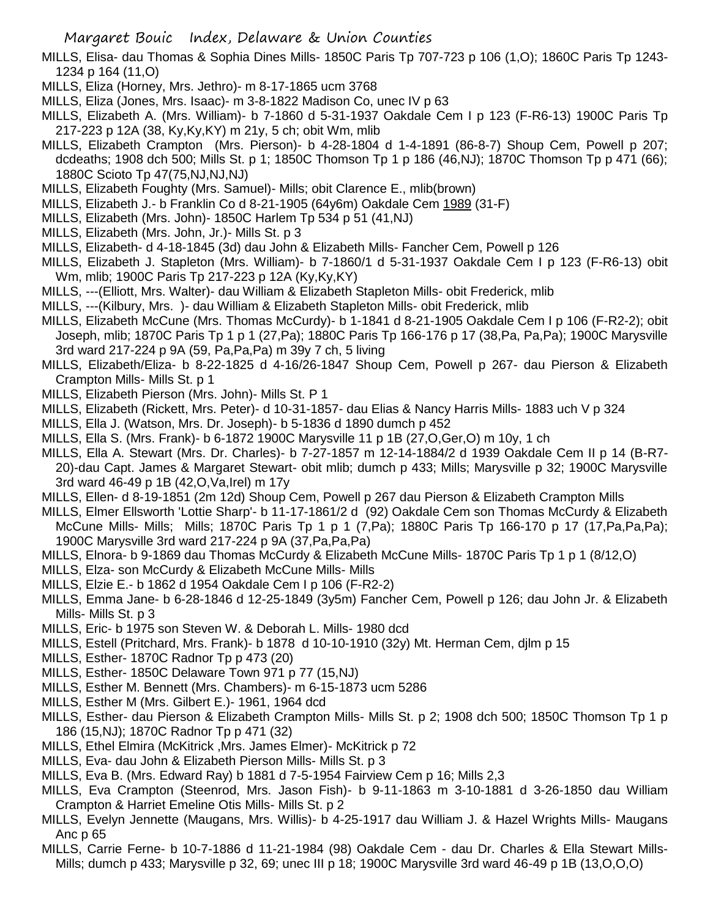- MILLS, Elisa- dau Thomas & Sophia Dines Mills- 1850C Paris Tp 707-723 p 106 (1,O); 1860C Paris Tp 1243- 1234 p 164 (11,O)
- MILLS, Eliza (Horney, Mrs. Jethro)- m 8-17-1865 ucm 3768
- MILLS, Eliza (Jones, Mrs. Isaac)- m 3-8-1822 Madison Co, unec IV p 63
- MILLS, Elizabeth A. (Mrs. William)- b 7-1860 d 5-31-1937 Oakdale Cem I p 123 (F-R6-13) 1900C Paris Tp 217-223 p 12A (38, Ky,Ky,KY) m 21y, 5 ch; obit Wm, mlib
- MILLS, Elizabeth Crampton (Mrs. Pierson)- b 4-28-1804 d 1-4-1891 (86-8-7) Shoup Cem, Powell p 207; dcdeaths; 1908 dch 500; Mills St. p 1; 1850C Thomson Tp 1 p 186 (46,NJ); 1870C Thomson Tp p 471 (66); 1880C Scioto Tp 47(75,NJ,NJ,NJ)
- MILLS, Elizabeth Foughty (Mrs. Samuel)- Mills; obit Clarence E., mlib(brown)
- MILLS, Elizabeth J.- b Franklin Co d 8-21-1905 (64y6m) Oakdale Cem 1989 (31-F)
- MILLS, Elizabeth (Mrs. John)- 1850C Harlem Tp 534 p 51 (41,NJ)
- MILLS, Elizabeth (Mrs. John, Jr.)- Mills St. p 3
- MILLS, Elizabeth- d 4-18-1845 (3d) dau John & Elizabeth Mills- Fancher Cem, Powell p 126
- MILLS, Elizabeth J. Stapleton (Mrs. William)- b 7-1860/1 d 5-31-1937 Oakdale Cem I p 123 (F-R6-13) obit Wm, mlib; 1900C Paris Tp 217-223 p 12A (Ky,Ky,KY)
- MILLS, ---(Elliott, Mrs. Walter)- dau William & Elizabeth Stapleton Mills- obit Frederick, mlib
- MILLS, ---(Kilbury, Mrs. )- dau William & Elizabeth Stapleton Mills- obit Frederick, mlib
- MILLS, Elizabeth McCune (Mrs. Thomas McCurdy)- b 1-1841 d 8-21-1905 Oakdale Cem I p 106 (F-R2-2); obit Joseph, mlib; 1870C Paris Tp 1 p 1 (27,Pa); 1880C Paris Tp 166-176 p 17 (38,Pa, Pa,Pa); 1900C Marysville 3rd ward 217-224 p 9A (59, Pa,Pa,Pa) m 39y 7 ch, 5 living
- MILLS, Elizabeth/Eliza- b 8-22-1825 d 4-16/26-1847 Shoup Cem, Powell p 267- dau Pierson & Elizabeth Crampton Mills- Mills St. p 1
- MILLS, Elizabeth Pierson (Mrs. John)- Mills St. P 1
- MILLS, Elizabeth (Rickett, Mrs. Peter)- d 10-31-1857- dau Elias & Nancy Harris Mills- 1883 uch V p 324
- MILLS, Ella J. (Watson, Mrs. Dr. Joseph)- b 5-1836 d 1890 dumch p 452
- MILLS, Ella S. (Mrs. Frank)- b 6-1872 1900C Marysville 11 p 1B (27,O,Ger,O) m 10y, 1 ch
- MILLS, Ella A. Stewart (Mrs. Dr. Charles)- b 7-27-1857 m 12-14-1884/2 d 1939 Oakdale Cem II p 14 (B-R7- 20)-dau Capt. James & Margaret Stewart- obit mlib; dumch p 433; Mills; Marysville p 32; 1900C Marysville 3rd ward 46-49 p 1B (42,O,Va,Irel) m 17y
- MILLS, Ellen- d 8-19-1851 (2m 12d) Shoup Cem, Powell p 267 dau Pierson & Elizabeth Crampton Mills
- MILLS, Elmer Ellsworth 'Lottie Sharp'- b 11-17-1861/2 d (92) Oakdale Cem son Thomas McCurdy & Elizabeth McCune Mills- Mills; Mills; 1870C Paris Tp 1 p 1 (7, Pa); 1880C Paris Tp 166-170 p 17 (17, Pa, Pa, Pa); 1900C Marysville 3rd ward 217-224 p 9A (37,Pa,Pa,Pa)
- MILLS, Elnora- b 9-1869 dau Thomas McCurdy & Elizabeth McCune Mills- 1870C Paris Tp 1 p 1 (8/12,O)
- MILLS, Elza- son McCurdy & Elizabeth McCune Mills- Mills
- MILLS, Elzie E.- b 1862 d 1954 Oakdale Cem I p 106 (F-R2-2)
- MILLS, Emma Jane- b 6-28-1846 d 12-25-1849 (3y5m) Fancher Cem, Powell p 126; dau John Jr. & Elizabeth Mills- Mills St. p 3
- MILLS, Eric- b 1975 son Steven W. & Deborah L. Mills- 1980 dcd
- MILLS, Estell (Pritchard, Mrs. Frank)- b 1878 d 10-10-1910 (32y) Mt. Herman Cem, djlm p 15
- MILLS, Esther- 1870C Radnor Tp p 473 (20)
- MILLS, Esther- 1850C Delaware Town 971 p 77 (15,NJ)
- MILLS, Esther M. Bennett (Mrs. Chambers)- m 6-15-1873 ucm 5286
- MILLS, Esther M (Mrs. Gilbert E.)- 1961, 1964 dcd
- MILLS, Esther- dau Pierson & Elizabeth Crampton Mills- Mills St. p 2; 1908 dch 500; 1850C Thomson Tp 1 p 186 (15,NJ); 1870C Radnor Tp p 471 (32)
- MILLS, Ethel Elmira (McKitrick ,Mrs. James Elmer)- McKitrick p 72
- MILLS, Eva- dau John & Elizabeth Pierson Mills- Mills St. p 3
- MILLS, Eva B. (Mrs. Edward Ray) b 1881 d 7-5-1954 Fairview Cem p 16; Mills 2,3
- MILLS, Eva Crampton (Steenrod, Mrs. Jason Fish)- b 9-11-1863 m 3-10-1881 d 3-26-1850 dau William Crampton & Harriet Emeline Otis Mills- Mills St. p 2
- MILLS, Evelyn Jennette (Maugans, Mrs. Willis)- b 4-25-1917 dau William J. & Hazel Wrights Mills- Maugans Anc p 65
- MILLS, Carrie Ferne- b 10-7-1886 d 11-21-1984 (98) Oakdale Cem dau Dr. Charles & Ella Stewart Mills-Mills; dumch p 433; Marysville p 32, 69; unec III p 18; 1900C Marysville 3rd ward 46-49 p 1B (13,O,O,O)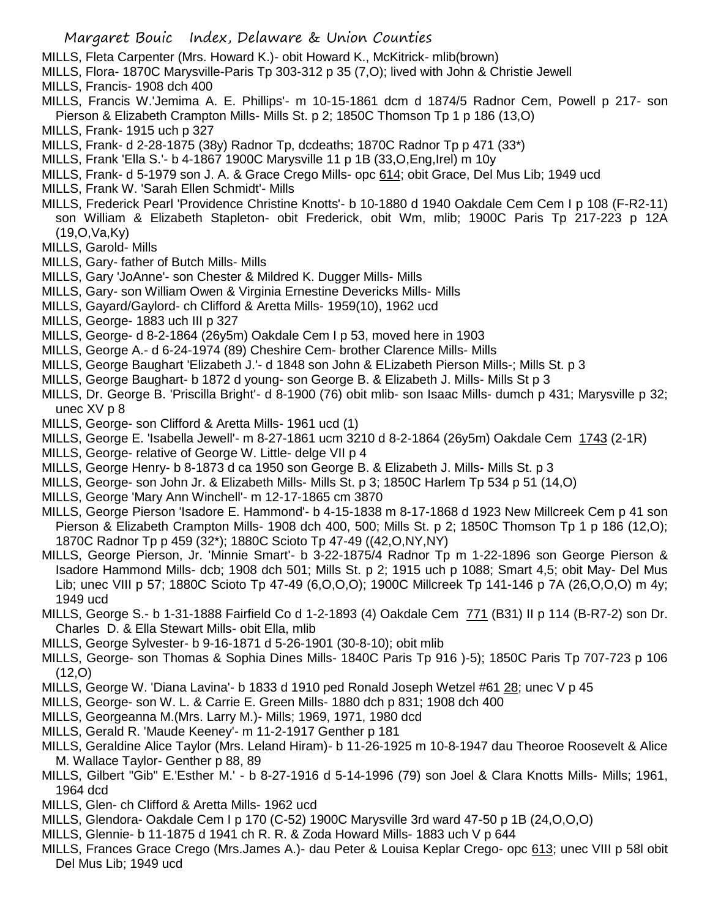- MILLS, Fleta Carpenter (Mrs. Howard K.)- obit Howard K., McKitrick- mlib(brown)
- MILLS, Flora- 1870C Marysville-Paris Tp 303-312 p 35 (7,O); lived with John & Christie Jewell
- MILLS, Francis- 1908 dch 400
- MILLS, Francis W.'Jemima A. E. Phillips'- m 10-15-1861 dcm d 1874/5 Radnor Cem, Powell p 217- son Pierson & Elizabeth Crampton Mills- Mills St. p 2; 1850C Thomson Tp 1 p 186 (13,O)
- MILLS, Frank- 1915 uch p 327
- MILLS, Frank- d 2-28-1875 (38y) Radnor Tp, dcdeaths; 1870C Radnor Tp p 471 (33\*)
- MILLS, Frank 'Ella S.'- b 4-1867 1900C Marysville 11 p 1B (33,O,Eng,Irel) m 10y
- MILLS, Frank- d 5-1979 son J. A. & Grace Crego Mills- opc 614; obit Grace, Del Mus Lib; 1949 ucd
- MILLS, Frank W. 'Sarah Ellen Schmidt'- Mills
- MILLS, Frederick Pearl 'Providence Christine Knotts'- b 10-1880 d 1940 Oakdale Cem Cem I p 108 (F-R2-11) son William & Elizabeth Stapleton- obit Frederick, obit Wm, mlib; 1900C Paris Tp 217-223 p 12A (19,O,Va,Ky)
- MILLS, Garold- Mills
- MILLS, Gary- father of Butch Mills- Mills
- MILLS, Gary 'JoAnne'- son Chester & Mildred K. Dugger Mills- Mills
- MILLS, Gary- son William Owen & Virginia Ernestine Devericks Mills- Mills
- MILLS, Gayard/Gaylord- ch Clifford & Aretta Mills- 1959(10), 1962 ucd
- MILLS, George- 1883 uch III p 327
- MILLS, George- d 8-2-1864 (26y5m) Oakdale Cem I p 53, moved here in 1903
- MILLS, George A.- d 6-24-1974 (89) Cheshire Cem- brother Clarence Mills- Mills
- MILLS, George Baughart 'Elizabeth J.'- d 1848 son John & ELizabeth Pierson Mills-; Mills St. p 3
- MILLS, George Baughart- b 1872 d young- son George B. & Elizabeth J. Mills- Mills St p 3
- MILLS, Dr. George B. 'Priscilla Bright'- d 8-1900 (76) obit mlib- son Isaac Mills- dumch p 431; Marysville p 32; unec XV p 8
- MILLS, George- son Clifford & Aretta Mills- 1961 ucd (1)
- MILLS, George E. 'Isabella Jewell'- m 8-27-1861 ucm 3210 d 8-2-1864 (26y5m) Oakdale Cem 1743 (2-1R)
- MILLS, George- relative of George W. Little- delge VII p 4
- MILLS, George Henry- b 8-1873 d ca 1950 son George B. & Elizabeth J. Mills- Mills St. p 3
- MILLS, George- son John Jr. & Elizabeth Mills- Mills St. p 3; 1850C Harlem Tp 534 p 51 (14,O)
- MILLS, George 'Mary Ann Winchell'- m 12-17-1865 cm 3870
- MILLS, George Pierson 'Isadore E. Hammond'- b 4-15-1838 m 8-17-1868 d 1923 New Millcreek Cem p 41 son Pierson & Elizabeth Crampton Mills- 1908 dch 400, 500; Mills St. p 2; 1850C Thomson Tp 1 p 186 (12,O); 1870C Radnor Tp p 459 (32\*); 1880C Scioto Tp 47-49 ((42,O,NY,NY)
- MILLS, George Pierson, Jr. 'Minnie Smart'- b 3-22-1875/4 Radnor Tp m 1-22-1896 son George Pierson & Isadore Hammond Mills- dcb; 1908 dch 501; Mills St. p 2; 1915 uch p 1088; Smart 4,5; obit May- Del Mus Lib; unec VIII p 57; 1880C Scioto Tp 47-49 (6,O,O,O); 1900C Millcreek Tp 141-146 p 7A (26,O,O,O) m 4y; 1949 ucd
- MILLS, George S.- b 1-31-1888 Fairfield Co d 1-2-1893 (4) Oakdale Cem 771 (B31) II p 114 (B-R7-2) son Dr. Charles D. & Ella Stewart Mills- obit Ella, mlib
- MILLS, George Sylvester- b 9-16-1871 d 5-26-1901 (30-8-10); obit mlib
- MILLS, George- son Thomas & Sophia Dines Mills- 1840C Paris Tp 916 )-5); 1850C Paris Tp 707-723 p 106 (12,O)
- MILLS, George W. 'Diana Lavina'- b 1833 d 1910 ped Ronald Joseph Wetzel #61 28; unec V p 45
- MILLS, George- son W. L. & Carrie E. Green Mills- 1880 dch p 831; 1908 dch 400
- MILLS, Georgeanna M.(Mrs. Larry M.)- Mills; 1969, 1971, 1980 dcd
- MILLS, Gerald R. 'Maude Keeney'- m 11-2-1917 Genther p 181
- MILLS, Geraldine Alice Taylor (Mrs. Leland Hiram)- b 11-26-1925 m 10-8-1947 dau Theoroe Roosevelt & Alice M. Wallace Taylor- Genther p 88, 89
- MILLS, Gilbert "Gib" E.'Esther M.' b 8-27-1916 d 5-14-1996 (79) son Joel & Clara Knotts Mills- Mills; 1961, 1964 dcd
- MILLS, Glen- ch Clifford & Aretta Mills- 1962 ucd
- MILLS, Glendora- Oakdale Cem I p 170 (C-52) 1900C Marysville 3rd ward 47-50 p 1B (24,O,O,O)
- MILLS, Glennie- b 11-1875 d 1941 ch R. R. & Zoda Howard Mills- 1883 uch V p 644
- MILLS, Frances Grace Crego (Mrs.James A.)- dau Peter & Louisa Keplar Crego- opc 613; unec VIII p 58l obit Del Mus Lib; 1949 ucd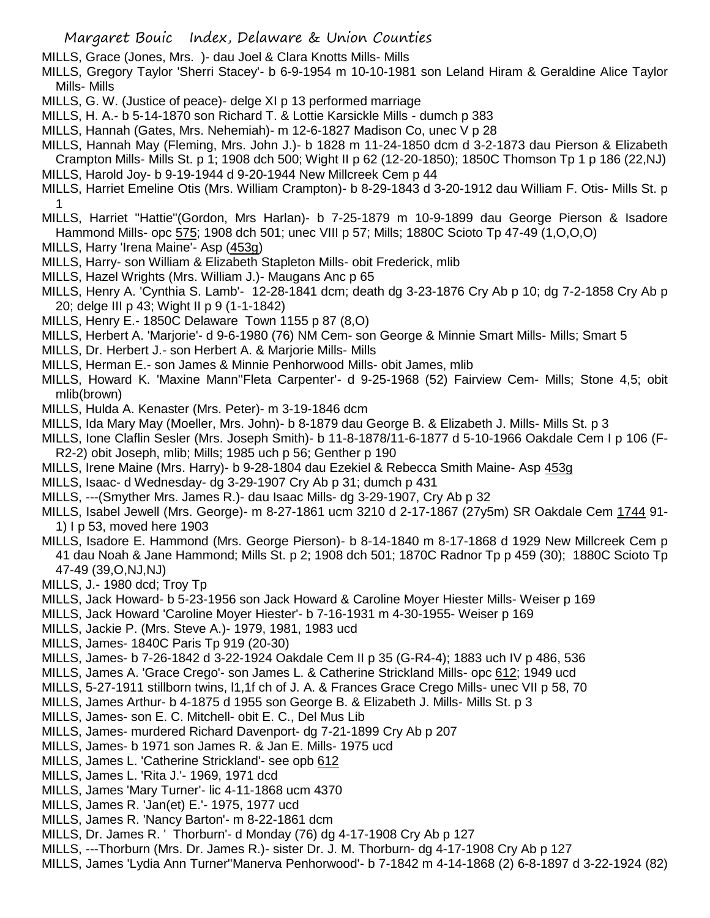- MILLS, Grace (Jones, Mrs. )- dau Joel & Clara Knotts Mills- Mills
- MILLS, Gregory Taylor 'Sherri Stacey'- b 6-9-1954 m 10-10-1981 son Leland Hiram & Geraldine Alice Taylor Mills- Mills
- MILLS, G. W. (Justice of peace)- delge XI p 13 performed marriage
- MILLS, H. A.- b 5-14-1870 son Richard T. & Lottie Karsickle Mills dumch p 383
- MILLS, Hannah (Gates, Mrs. Nehemiah)- m 12-6-1827 Madison Co, unec V p 28
- MILLS, Hannah May (Fleming, Mrs. John J.)- b 1828 m 11-24-1850 dcm d 3-2-1873 dau Pierson & Elizabeth Crampton Mills- Mills St. p 1; 1908 dch 500; Wight II p 62 (12-20-1850); 1850C Thomson Tp 1 p 186 (22,NJ)
- MILLS, Harold Joy- b 9-19-1944 d 9-20-1944 New Millcreek Cem p 44
- MILLS, Harriet Emeline Otis (Mrs. William Crampton)- b 8-29-1843 d 3-20-1912 dau William F. Otis- Mills St. p 1
- MILLS, Harriet "Hattie"(Gordon, Mrs Harlan)- b 7-25-1879 m 10-9-1899 dau George Pierson & Isadore Hammond Mills- opc 575; 1908 dch 501; unec VIII p 57; Mills; 1880C Scioto Tp 47-49 (1, O, O, O)
- MILLS, Harry 'Irena Maine'- Asp (453g)
- MILLS, Harry- son William & Elizabeth Stapleton Mills- obit Frederick, mlib
- MILLS, Hazel Wrights (Mrs. William J.)- Maugans Anc p 65
- MILLS, Henry A. 'Cynthia S. Lamb'- 12-28-1841 dcm; death dg 3-23-1876 Cry Ab p 10; dg 7-2-1858 Cry Ab p 20; delge III p 43; Wight II p 9 (1-1-1842)
- MILLS, Henry E.- 1850C Delaware Town 1155 p 87 (8,O)
- MILLS, Herbert A. 'Marjorie'- d 9-6-1980 (76) NM Cem- son George & Minnie Smart Mills- Mills; Smart 5
- MILLS, Dr. Herbert J.- son Herbert A. & Marjorie Mills- Mills
- MILLS, Herman E.- son James & Minnie Penhorwood Mills- obit James, mlib
- MILLS, Howard K. 'Maxine Mann''Fleta Carpenter'- d 9-25-1968 (52) Fairview Cem- Mills; Stone 4,5; obit mlib(brown)
- MILLS, Hulda A. Kenaster (Mrs. Peter)- m 3-19-1846 dcm
- MILLS, Ida Mary May (Moeller, Mrs. John)- b 8-1879 dau George B. & Elizabeth J. Mills- Mills St. p 3
- MILLS, Ione Claflin Sesler (Mrs. Joseph Smith)- b 11-8-1878/11-6-1877 d 5-10-1966 Oakdale Cem I p 106 (F-R2-2) obit Joseph, mlib; Mills; 1985 uch p 56; Genther p 190
- MILLS, Irene Maine (Mrs. Harry)- b 9-28-1804 dau Ezekiel & Rebecca Smith Maine- Asp 453g
- MILLS, Isaac- d Wednesday- dg 3-29-1907 Cry Ab p 31; dumch p 431
- MILLS, ---(Smyther Mrs. James R.)- dau Isaac Mills- dg 3-29-1907, Cry Ab p 32
- MILLS, Isabel Jewell (Mrs. George)- m 8-27-1861 ucm 3210 d 2-17-1867 (27y5m) SR Oakdale Cem 1744 91- 1) I p 53, moved here 1903
- MILLS, Isadore E. Hammond (Mrs. George Pierson)- b 8-14-1840 m 8-17-1868 d 1929 New Millcreek Cem p 41 dau Noah & Jane Hammond; Mills St. p 2; 1908 dch 501; 1870C Radnor Tp p 459 (30); 1880C Scioto Tp 47-49 (39,O,NJ,NJ)
- MILLS, J.- 1980 dcd; Troy Tp
- MILLS, Jack Howard- b 5-23-1956 son Jack Howard & Caroline Moyer Hiester Mills- Weiser p 169
- MILLS, Jack Howard 'Caroline Moyer Hiester'- b 7-16-1931 m 4-30-1955- Weiser p 169
- MILLS, Jackie P. (Mrs. Steve A.)- 1979, 1981, 1983 ucd
- MILLS, James- 1840C Paris Tp 919 (20-30)
- MILLS, James- b 7-26-1842 d 3-22-1924 Oakdale Cem II p 35 (G-R4-4); 1883 uch IV p 486, 536
- MILLS, James A. 'Grace Crego'- son James L. & Catherine Strickland Mills- opc 612; 1949 ucd
- MILLS, 5-27-1911 stillborn twins, l1,1f ch of J. A. & Frances Grace Crego Mills- unec VII p 58, 70
- MILLS, James Arthur- b 4-1875 d 1955 son George B. & Elizabeth J. Mills- Mills St. p 3
- MILLS, James- son E. C. Mitchell- obit E. C., Del Mus Lib
- MILLS, James- murdered Richard Davenport- dg 7-21-1899 Cry Ab p 207
- MILLS, James- b 1971 son James R. & Jan E. Mills- 1975 ucd
- MILLS, James L. 'Catherine Strickland'- see opb 612
- MILLS, James L. 'Rita J.'- 1969, 1971 dcd
- MILLS, James 'Mary Turner'- lic 4-11-1868 ucm 4370
- MILLS, James R. 'Jan(et) E.'- 1975, 1977 ucd
- MILLS, James R. 'Nancy Barton'- m 8-22-1861 dcm
- MILLS, Dr. James R. ' Thorburn'- d Monday (76) dg 4-17-1908 Cry Ab p 127
- MILLS, ---Thorburn (Mrs. Dr. James R.)- sister Dr. J. M. Thorburn- dg 4-17-1908 Cry Ab p 127
- MILLS, James 'Lydia Ann Turner''Manerva Penhorwood'- b 7-1842 m 4-14-1868 (2) 6-8-1897 d 3-22-1924 (82)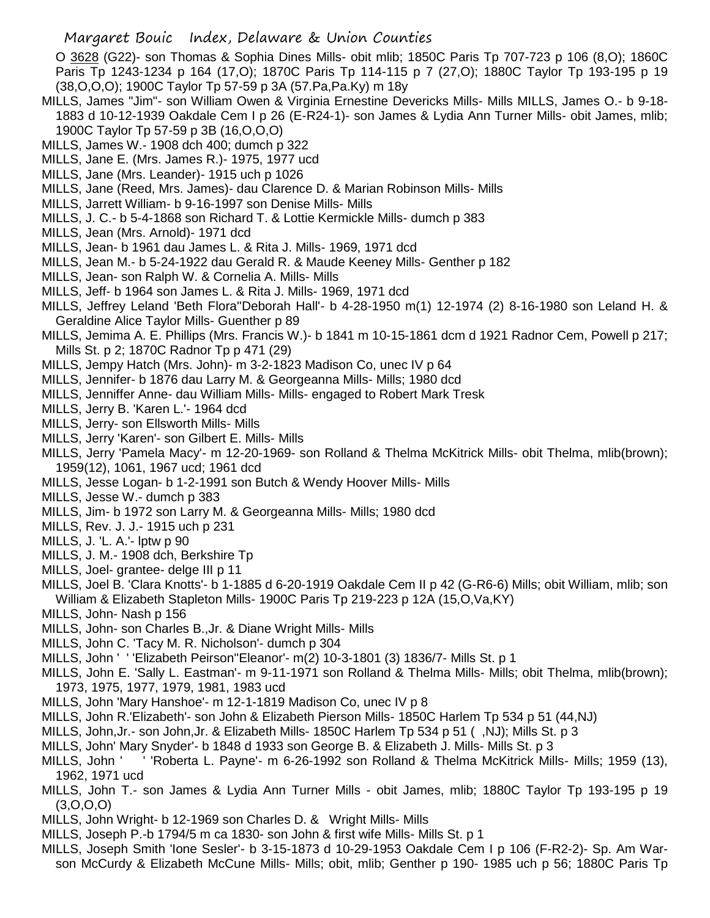O 3628 (G22)- son Thomas & Sophia Dines Mills- obit mlib; 1850C Paris Tp 707-723 p 106 (8,O); 1860C Paris Tp 1243-1234 p 164 (17,O); 1870C Paris Tp 114-115 p 7 (27,O); 1880C Taylor Tp 193-195 p 19 (38,O,O,O); 1900C Taylor Tp 57-59 p 3A (57.Pa,Pa.Ky) m 18y

- MILLS, James "Jim"- son William Owen & Virginia Ernestine Devericks Mills- Mills MILLS, James O.- b 9-18- 1883 d 10-12-1939 Oakdale Cem I p 26 (E-R24-1)- son James & Lydia Ann Turner Mills- obit James, mlib; 1900C Taylor Tp 57-59 p 3B (16,O,O,O)
- MILLS, James W.- 1908 dch 400; dumch p 322
- MILLS, Jane E. (Mrs. James R.)- 1975, 1977 ucd
- MILLS, Jane (Mrs. Leander)- 1915 uch p 1026
- MILLS, Jane (Reed, Mrs. James)- dau Clarence D. & Marian Robinson Mills- Mills
- MILLS, Jarrett William- b 9-16-1997 son Denise Mills- Mills
- MILLS, J. C.- b 5-4-1868 son Richard T. & Lottie Kermickle Mills- dumch p 383
- MILLS, Jean (Mrs. Arnold)- 1971 dcd
- MILLS, Jean- b 1961 dau James L. & Rita J. Mills- 1969, 1971 dcd
- MILLS, Jean M.- b 5-24-1922 dau Gerald R. & Maude Keeney Mills- Genther p 182
- MILLS, Jean- son Ralph W. & Cornelia A. Mills- Mills
- MILLS, Jeff- b 1964 son James L. & Rita J. Mills- 1969, 1971 dcd
- MILLS, Jeffrey Leland 'Beth Flora''Deborah Hall'- b 4-28-1950 m(1) 12-1974 (2) 8-16-1980 son Leland H. & Geraldine Alice Taylor Mills- Guenther p 89
- MILLS, Jemima A. E. Phillips (Mrs. Francis W.)- b 1841 m 10-15-1861 dcm d 1921 Radnor Cem, Powell p 217; Mills St. p 2; 1870C Radnor Tp p 471 (29)
- MILLS, Jempy Hatch (Mrs. John)- m 3-2-1823 Madison Co, unec IV p 64
- MILLS, Jennifer- b 1876 dau Larry M. & Georgeanna Mills- Mills; 1980 dcd
- MILLS, Jenniffer Anne- dau William Mills- Mills- engaged to Robert Mark Tresk
- MILLS, Jerry B. 'Karen L.'- 1964 dcd
- MILLS, Jerry- son Ellsworth Mills- Mills
- MILLS, Jerry 'Karen'- son Gilbert E. Mills- Mills
- MILLS, Jerry 'Pamela Macy'- m 12-20-1969- son Rolland & Thelma McKitrick Mills- obit Thelma, mlib(brown); 1959(12), 1061, 1967 ucd; 1961 dcd
- MILLS, Jesse Logan- b 1-2-1991 son Butch & Wendy Hoover Mills- Mills
- MILLS, Jesse W.- dumch p 383
- MILLS, Jim- b 1972 son Larry M. & Georgeanna Mills- Mills; 1980 dcd
- MILLS, Rev. J. J.- 1915 uch p 231
- MILLS, J. 'L. A.'- lptw p 90
- MILLS, J. M.- 1908 dch, Berkshire Tp
- MILLS, Joel- grantee- delge III p 11
- MILLS, Joel B. 'Clara Knotts'- b 1-1885 d 6-20-1919 Oakdale Cem II p 42 (G-R6-6) Mills; obit William, mlib; son William & Elizabeth Stapleton Mills- 1900C Paris Tp 219-223 p 12A (15,O,Va,KY)
- MILLS, John- Nash p 156
- MILLS, John- son Charles B.,Jr. & Diane Wright Mills- Mills
- MILLS, John C. 'Tacy M. R. Nicholson'- dumch p 304
- MILLS, John ' ' 'Elizabeth Peirson''Eleanor'- m(2) 10-3-1801 (3) 1836/7- Mills St. p 1
- MILLS, John E. 'Sally L. Eastman'- m 9-11-1971 son Rolland & Thelma Mills- Mills; obit Thelma, mlib(brown); 1973, 1975, 1977, 1979, 1981, 1983 ucd
- MILLS, John 'Mary Hanshoe'- m 12-1-1819 Madison Co, unec IV p 8
- MILLS, John R.'Elizabeth'- son John & Elizabeth Pierson Mills- 1850C Harlem Tp 534 p 51 (44,NJ)
- MILLS, John,Jr.- son John,Jr. & Elizabeth Mills- 1850C Harlem Tp 534 p 51 ( ,NJ); Mills St. p 3
- MILLS, John' Mary Snyder'- b 1848 d 1933 son George B. & Elizabeth J. Mills- Mills St. p 3
- MILLS, John ' ' 'Roberta L. Payne'- m 6-26-1992 son Rolland & Thelma McKitrick Mills- Mills; 1959 (13), 1962, 1971 ucd
- MILLS, John T.- son James & Lydia Ann Turner Mills obit James, mlib; 1880C Taylor Tp 193-195 p 19  $(3,0,0,0)$
- MILLS, John Wright- b 12-1969 son Charles D. & Wright Mills- Mills
- MILLS, Joseph P.-b 1794/5 m ca 1830- son John & first wife Mills- Mills St. p 1
- MILLS, Joseph Smith 'Ione Sesler'- b 3-15-1873 d 10-29-1953 Oakdale Cem I p 106 (F-R2-2)- Sp. Am Warson McCurdy & Elizabeth McCune Mills- Mills; obit, mlib; Genther p 190- 1985 uch p 56; 1880C Paris Tp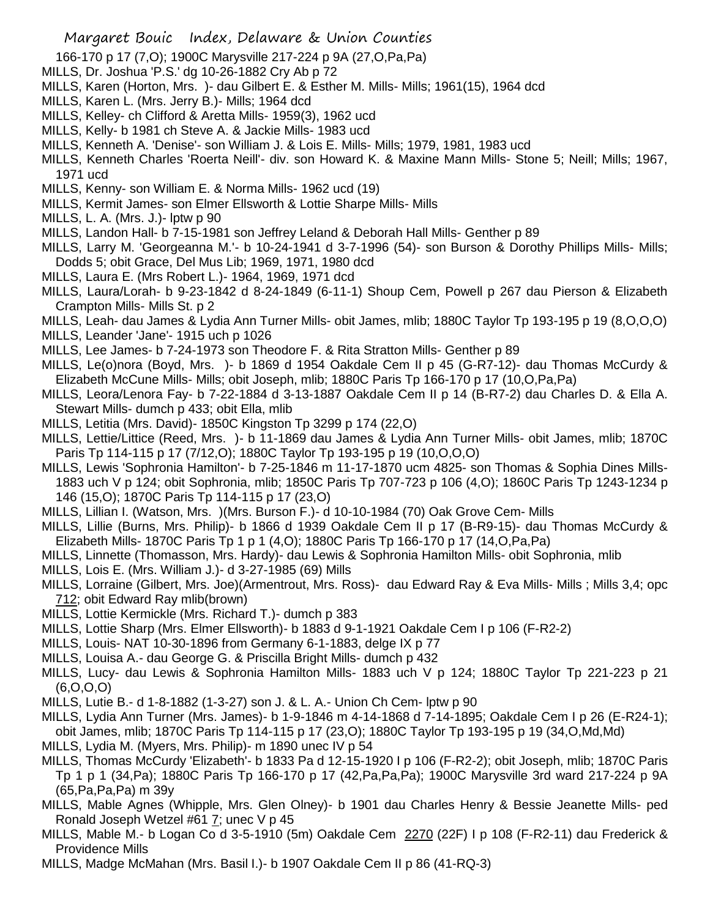166-170 p 17 (7,O); 1900C Marysville 217-224 p 9A (27,O,Pa,Pa)

- MILLS, Dr. Joshua 'P.S.' dg 10-26-1882 Cry Ab p 72
- MILLS, Karen (Horton, Mrs. )- dau Gilbert E. & Esther M. Mills- Mills; 1961(15), 1964 dcd
- MILLS, Karen L. (Mrs. Jerry B.)- Mills; 1964 dcd
- MILLS, Kelley- ch Clifford & Aretta Mills- 1959(3), 1962 ucd
- MILLS, Kelly- b 1981 ch Steve A. & Jackie Mills- 1983 ucd
- MILLS, Kenneth A. 'Denise'- son William J. & Lois E. Mills- Mills; 1979, 1981, 1983 ucd
- MILLS, Kenneth Charles 'Roerta Neill'- div. son Howard K. & Maxine Mann Mills- Stone 5; Neill; Mills; 1967, 1971 ucd
- MILLS, Kenny- son William E. & Norma Mills- 1962 ucd (19)
- MILLS, Kermit James- son Elmer Ellsworth & Lottie Sharpe Mills- Mills
- MILLS, L. A. (Mrs. J.)- lptw p 90
- MILLS, Landon Hall- b 7-15-1981 son Jeffrey Leland & Deborah Hall Mills- Genther p 89
- MILLS, Larry M. 'Georgeanna M.'- b 10-24-1941 d 3-7-1996 (54)- son Burson & Dorothy Phillips Mills- Mills; Dodds 5; obit Grace, Del Mus Lib; 1969, 1971, 1980 dcd
- MILLS, Laura E. (Mrs Robert L.)- 1964, 1969, 1971 dcd
- MILLS, Laura/Lorah- b 9-23-1842 d 8-24-1849 (6-11-1) Shoup Cem, Powell p 267 dau Pierson & Elizabeth Crampton Mills- Mills St. p 2
- MILLS, Leah- dau James & Lydia Ann Turner Mills- obit James, mlib; 1880C Taylor Tp 193-195 p 19 (8,O,O,O)
- MILLS, Leander 'Jane'- 1915 uch p 1026
- MILLS, Lee James- b 7-24-1973 son Theodore F. & Rita Stratton Mills- Genther p 89
- MILLS, Le(o)nora (Boyd, Mrs. )- b 1869 d 1954 Oakdale Cem II p 45 (G-R7-12)- dau Thomas McCurdy & Elizabeth McCune Mills- Mills; obit Joseph, mlib; 1880C Paris Tp 166-170 p 17 (10,O,Pa,Pa)
- MILLS, Leora/Lenora Fay- b 7-22-1884 d 3-13-1887 Oakdale Cem II p 14 (B-R7-2) dau Charles D. & Ella A. Stewart Mills- dumch p 433; obit Ella, mlib
- MILLS, Letitia (Mrs. David)- 1850C Kingston Tp 3299 p 174 (22,O)
- MILLS, Lettie/Littice (Reed, Mrs. )- b 11-1869 dau James & Lydia Ann Turner Mills- obit James, mlib; 1870C Paris Tp 114-115 p 17 (7/12,O); 1880C Taylor Tp 193-195 p 19 (10,O,O,O)
- MILLS, Lewis 'Sophronia Hamilton'- b 7-25-1846 m 11-17-1870 ucm 4825- son Thomas & Sophia Dines Mills-1883 uch V p 124; obit Sophronia, mlib; 1850C Paris Tp 707-723 p 106 (4,O); 1860C Paris Tp 1243-1234 p 146 (15,O); 1870C Paris Tp 114-115 p 17 (23,O)
- MILLS, Lillian I. (Watson, Mrs. )(Mrs. Burson F.)- d 10-10-1984 (70) Oak Grove Cem- Mills
- MILLS, Lillie (Burns, Mrs. Philip)- b 1866 d 1939 Oakdale Cem II p 17 (B-R9-15)- dau Thomas McCurdy & Elizabeth Mills- 1870C Paris Tp 1 p 1 (4,O); 1880C Paris Tp 166-170 p 17 (14,O,Pa,Pa)
- MILLS, Linnette (Thomasson, Mrs. Hardy)- dau Lewis & Sophronia Hamilton Mills- obit Sophronia, mlib
- MILLS, Lois E. (Mrs. William J.)- d 3-27-1985 (69) Mills
- MILLS, Lorraine (Gilbert, Mrs. Joe)(Armentrout, Mrs. Ross)- dau Edward Ray & Eva Mills- Mills ; Mills 3,4; opc 712; obit Edward Ray mlib(brown)
- MILLS, Lottie Kermickle (Mrs. Richard T.)- dumch p 383
- MILLS, Lottie Sharp (Mrs. Elmer Ellsworth)- b 1883 d 9-1-1921 Oakdale Cem I p 106 (F-R2-2)
- MILLS, Louis- NAT 10-30-1896 from Germany 6-1-1883, delge IX p 77
- MILLS, Louisa A.- dau George G. & Priscilla Bright Mills- dumch p 432
- MILLS, Lucy- dau Lewis & Sophronia Hamilton Mills- 1883 uch V p 124; 1880C Taylor Tp 221-223 p 21 (6,O,O,O)
- MILLS, Lutie B.- d 1-8-1882 (1-3-27) son J. & L. A.- Union Ch Cem- lptw p 90
- MILLS, Lydia Ann Turner (Mrs. James)- b 1-9-1846 m 4-14-1868 d 7-14-1895; Oakdale Cem I p 26 (E-R24-1); obit James, mlib; 1870C Paris Tp 114-115 p 17 (23,O); 1880C Taylor Tp 193-195 p 19 (34,O,Md,Md)
- MILLS, Lydia M. (Myers, Mrs. Philip)- m 1890 unec IV p 54
- MILLS, Thomas McCurdy 'Elizabeth'- b 1833 Pa d 12-15-1920 I p 106 (F-R2-2); obit Joseph, mlib; 1870C Paris Tp 1 p 1 (34,Pa); 1880C Paris Tp 166-170 p 17 (42,Pa,Pa,Pa); 1900C Marysville 3rd ward 217-224 p 9A (65,Pa,Pa,Pa) m 39y
- MILLS, Mable Agnes (Whipple, Mrs. Glen Olney)- b 1901 dau Charles Henry & Bessie Jeanette Mills- ped Ronald Joseph Wetzel #61  $\overline{I}$ ; unec V p 45
- MILLS, Mable M.- b Logan Co d 3-5-1910 (5m) Oakdale Cem 2270 (22F) I p 108 (F-R2-11) dau Frederick & Providence Mills
- MILLS, Madge McMahan (Mrs. Basil I.)- b 1907 Oakdale Cem II p 86 (41-RQ-3)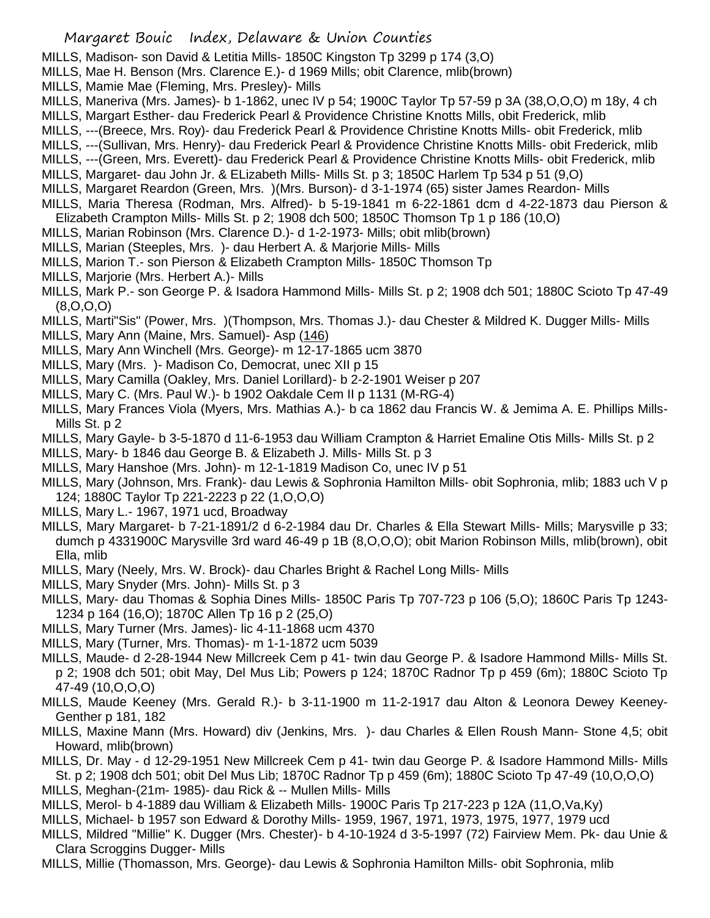MILLS, Madison- son David & Letitia Mills- 1850C Kingston Tp 3299 p 174 (3,O)

- MILLS, Mae H. Benson (Mrs. Clarence E.)- d 1969 Mills; obit Clarence, mlib(brown)
- MILLS, Mamie Mae (Fleming, Mrs. Presley)- Mills
- MILLS, Maneriva (Mrs. James)- b 1-1862, unec IV p 54; 1900C Taylor Tp 57-59 p 3A (38,O,O,O) m 18y, 4 ch
- MILLS, Margart Esther- dau Frederick Pearl & Providence Christine Knotts Mills, obit Frederick, mlib
- MILLS, ---(Breece, Mrs. Roy)- dau Frederick Pearl & Providence Christine Knotts Mills- obit Frederick, mlib
- MILLS, ---(Sullivan, Mrs. Henry)- dau Frederick Pearl & Providence Christine Knotts Mills- obit Frederick, mlib
- MILLS, ---(Green, Mrs. Everett)- dau Frederick Pearl & Providence Christine Knotts Mills- obit Frederick, mlib
- MILLS, Margaret- dau John Jr. & ELizabeth Mills- Mills St. p 3; 1850C Harlem Tp 534 p 51 (9,O)
- MILLS, Margaret Reardon (Green, Mrs. )(Mrs. Burson)- d 3-1-1974 (65) sister James Reardon- Mills
- MILLS, Maria Theresa (Rodman, Mrs. Alfred)- b 5-19-1841 m 6-22-1861 dcm d 4-22-1873 dau Pierson & Elizabeth Crampton Mills- Mills St. p 2; 1908 dch 500; 1850C Thomson Tp 1 p 186 (10,O)
- MILLS, Marian Robinson (Mrs. Clarence D.)- d 1-2-1973- Mills; obit mlib(brown)
- MILLS, Marian (Steeples, Mrs. )- dau Herbert A. & Marjorie Mills- Mills
- MILLS, Marion T.- son Pierson & Elizabeth Crampton Mills- 1850C Thomson Tp
- MILLS, Marjorie (Mrs. Herbert A.)- Mills
- MILLS, Mark P.- son George P. & Isadora Hammond Mills- Mills St. p 2; 1908 dch 501; 1880C Scioto Tp 47-49 (8,O,O,O)
- MILLS, Marti"Sis" (Power, Mrs. )(Thompson, Mrs. Thomas J.)- dau Chester & Mildred K. Dugger Mills- Mills
- MILLS, Mary Ann (Maine, Mrs. Samuel)- Asp (146)
- MILLS, Mary Ann Winchell (Mrs. George)- m 12-17-1865 ucm 3870
- MILLS, Mary (Mrs. )- Madison Co, Democrat, unec XII p 15
- MILLS, Mary Camilla (Oakley, Mrs. Daniel Lorillard)- b 2-2-1901 Weiser p 207
- MILLS, Mary C. (Mrs. Paul W.)- b 1902 Oakdale Cem II p 1131 (M-RG-4)
- MILLS, Mary Frances Viola (Myers, Mrs. Mathias A.)- b ca 1862 dau Francis W. & Jemima A. E. Phillips Mills-Mills St. p 2
- MILLS, Mary Gayle- b 3-5-1870 d 11-6-1953 dau William Crampton & Harriet Emaline Otis Mills- Mills St. p 2
- MILLS, Mary- b 1846 dau George B. & Elizabeth J. Mills- Mills St. p 3
- MILLS, Mary Hanshoe (Mrs. John)- m 12-1-1819 Madison Co, unec IV p 51
- MILLS, Mary (Johnson, Mrs. Frank)- dau Lewis & Sophronia Hamilton Mills- obit Sophronia, mlib; 1883 uch V p 124; 1880C Taylor Tp 221-2223 p 22 (1,O,O,O)
- MILLS, Mary L.- 1967, 1971 ucd, Broadway
- MILLS, Mary Margaret- b 7-21-1891/2 d 6-2-1984 dau Dr. Charles & Ella Stewart Mills- Mills; Marysville p 33; dumch p 4331900C Marysville 3rd ward 46-49 p 1B (8,O,O,O); obit Marion Robinson Mills, mlib(brown), obit Ella, mlib
- MILLS, Mary (Neely, Mrs. W. Brock)- dau Charles Bright & Rachel Long Mills- Mills
- MILLS, Mary Snyder (Mrs. John)- Mills St. p 3
- MILLS, Mary- dau Thomas & Sophia Dines Mills- 1850C Paris Tp 707-723 p 106 (5,O); 1860C Paris Tp 1243- 1234 p 164 (16,O); 1870C Allen Tp 16 p 2 (25,O)
- MILLS, Mary Turner (Mrs. James)- lic 4-11-1868 ucm 4370
- MILLS, Mary (Turner, Mrs. Thomas)- m 1-1-1872 ucm 5039
- MILLS, Maude- d 2-28-1944 New Millcreek Cem p 41- twin dau George P. & Isadore Hammond Mills- Mills St. p 2; 1908 dch 501; obit May, Del Mus Lib; Powers p 124; 1870C Radnor Tp p 459 (6m); 1880C Scioto Tp 47-49 (10,O,O,O)
- MILLS, Maude Keeney (Mrs. Gerald R.)- b 3-11-1900 m 11-2-1917 dau Alton & Leonora Dewey Keeney-Genther p 181, 182
- MILLS, Maxine Mann (Mrs. Howard) div (Jenkins, Mrs. )- dau Charles & Ellen Roush Mann- Stone 4,5; obit Howard, mlib(brown)
- MILLS, Dr. May d 12-29-1951 New Millcreek Cem p 41- twin dau George P. & Isadore Hammond Mills- Mills
- St. p 2; 1908 dch 501; obit Del Mus Lib; 1870C Radnor Tp p 459 (6m); 1880C Scioto Tp 47-49 (10,O,O,O) MILLS, Meghan-(21m- 1985)- dau Rick & -- Mullen Mills- Mills
- MILLS, Merol- b 4-1889 dau William & Elizabeth Mills- 1900C Paris Tp 217-223 p 12A (11,O,Va,Ky)
- MILLS, Michael- b 1957 son Edward & Dorothy Mills- 1959, 1967, 1971, 1973, 1975, 1977, 1979 ucd
- MILLS, Mildred "Millie" K. Dugger (Mrs. Chester)- b 4-10-1924 d 3-5-1997 (72) Fairview Mem. Pk- dau Unie & Clara Scroggins Dugger- Mills
- MILLS, Millie (Thomasson, Mrs. George)- dau Lewis & Sophronia Hamilton Mills- obit Sophronia, mlib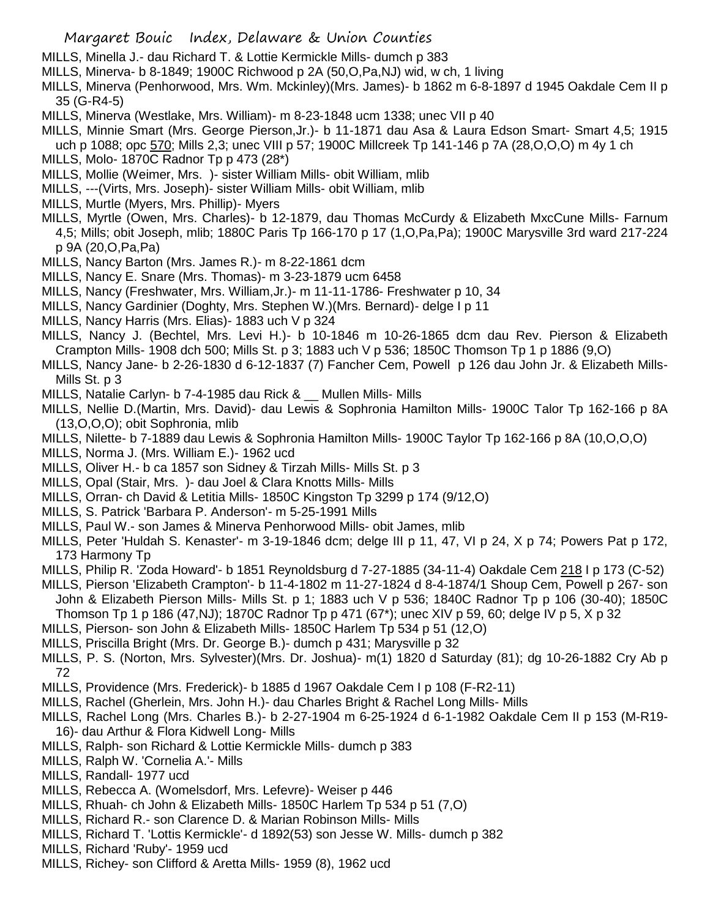- MILLS, Minella J.- dau Richard T. & Lottie Kermickle Mills- dumch p 383
- MILLS, Minerva- b 8-1849; 1900C Richwood p 2A (50,O,Pa,NJ) wid, w ch, 1 living
- MILLS, Minerva (Penhorwood, Mrs. Wm. Mckinley)(Mrs. James)- b 1862 m 6-8-1897 d 1945 Oakdale Cem II p 35 (G-R4-5)
- MILLS, Minerva (Westlake, Mrs. William)- m 8-23-1848 ucm 1338; unec VII p 40
- MILLS, Minnie Smart (Mrs. George Pierson,Jr.)- b 11-1871 dau Asa & Laura Edson Smart- Smart 4,5; 1915 uch p 1088; opc 570; Mills 2,3; unec VIII p 57; 1900C Millcreek Tp 141-146 p 7A (28, O, O, O) m 4y 1 ch
- MILLS, Molo- 1870C Radnor Tp p 473 (28\*)
- MILLS, Mollie (Weimer, Mrs. )- sister William Mills- obit William, mlib
- MILLS, ---(Virts, Mrs. Joseph)- sister William Mills- obit William, mlib
- MILLS, Murtle (Myers, Mrs. Phillip)- Myers
- MILLS, Myrtle (Owen, Mrs. Charles)- b 12-1879, dau Thomas McCurdy & Elizabeth MxcCune Mills- Farnum 4,5; Mills; obit Joseph, mlib; 1880C Paris Tp 166-170 p 17 (1,O,Pa,Pa); 1900C Marysville 3rd ward 217-224 p 9A (20,O,Pa,Pa)
- MILLS, Nancy Barton (Mrs. James R.)- m 8-22-1861 dcm
- MILLS, Nancy E. Snare (Mrs. Thomas)- m 3-23-1879 ucm 6458
- MILLS, Nancy (Freshwater, Mrs. William,Jr.)- m 11-11-1786- Freshwater p 10, 34
- MILLS, Nancy Gardinier (Doghty, Mrs. Stephen W.)(Mrs. Bernard)- delge I p 11
- MILLS, Nancy Harris (Mrs. Elias)- 1883 uch V p 324
- MILLS, Nancy J. (Bechtel, Mrs. Levi H.)- b 10-1846 m 10-26-1865 dcm dau Rev. Pierson & Elizabeth Crampton Mills- 1908 dch 500; Mills St. p 3; 1883 uch V p 536; 1850C Thomson Tp 1 p 1886 (9,O)
- MILLS, Nancy Jane- b 2-26-1830 d 6-12-1837 (7) Fancher Cem, Powell p 126 dau John Jr. & Elizabeth Mills-Mills St. p 3
- MILLS, Natalie Carlyn- b 7-4-1985 dau Rick & \_\_ Mullen Mills- Mills
- MILLS, Nellie D.(Martin, Mrs. David)- dau Lewis & Sophronia Hamilton Mills- 1900C Talor Tp 162-166 p 8A (13,O,O,O); obit Sophronia, mlib
- MILLS, Nilette- b 7-1889 dau Lewis & Sophronia Hamilton Mills- 1900C Taylor Tp 162-166 p 8A (10,O,O,O)
- MILLS, Norma J. (Mrs. William E.)- 1962 ucd
- MILLS, Oliver H.- b ca 1857 son Sidney & Tirzah Mills- Mills St. p 3
- MILLS, Opal (Stair, Mrs. )- dau Joel & Clara Knotts Mills- Mills
- MILLS, Orran- ch David & Letitia Mills- 1850C Kingston Tp 3299 p 174 (9/12,O)
- MILLS, S. Patrick 'Barbara P. Anderson'- m 5-25-1991 Mills
- MILLS, Paul W.- son James & Minerva Penhorwood Mills- obit James, mlib
- MILLS, Peter 'Huldah S. Kenaster'- m 3-19-1846 dcm; delge III p 11, 47, VI p 24, X p 74; Powers Pat p 172, 173 Harmony Tp
- MILLS, Philip R. 'Zoda Howard'- b 1851 Reynoldsburg d 7-27-1885 (34-11-4) Oakdale Cem 218 I p 173 (C-52)
- MILLS, Pierson 'Elizabeth Crampton'- b 11-4-1802 m 11-27-1824 d 8-4-1874/1 Shoup Cem, Powell p 267- son John & Elizabeth Pierson Mills- Mills St. p 1; 1883 uch V p 536; 1840C Radnor Tp p 106 (30-40); 1850C Thomson Tp 1 p 186 (47,NJ); 1870C Radnor Tp p 471 (67\*); unec XIV p 59, 60; delge IV p 5, X p 32
- MILLS, Pierson- son John & Elizabeth Mills- 1850C Harlem Tp 534 p 51 (12,O)
- MILLS, Priscilla Bright (Mrs. Dr. George B.)- dumch p 431; Marysville p 32
- MILLS, P. S. (Norton, Mrs. Sylvester)(Mrs. Dr. Joshua)- m(1) 1820 d Saturday (81); dg 10-26-1882 Cry Ab p 72
- MILLS, Providence (Mrs. Frederick)- b 1885 d 1967 Oakdale Cem I p 108 (F-R2-11)
- MILLS, Rachel (Gherlein, Mrs. John H.)- dau Charles Bright & Rachel Long Mills- Mills
- MILLS, Rachel Long (Mrs. Charles B.)- b 2-27-1904 m 6-25-1924 d 6-1-1982 Oakdale Cem II p 153 (M-R19- 16)- dau Arthur & Flora Kidwell Long- Mills
- MILLS, Ralph- son Richard & Lottie Kermickle Mills- dumch p 383
- MILLS, Ralph W. 'Cornelia A.'- Mills
- MILLS, Randall- 1977 ucd
- MILLS, Rebecca A. (Womelsdorf, Mrs. Lefevre)- Weiser p 446
- MILLS, Rhuah- ch John & Elizabeth Mills- 1850C Harlem Tp 534 p 51 (7,O)
- MILLS, Richard R.- son Clarence D. & Marian Robinson Mills- Mills
- MILLS, Richard T. 'Lottis Kermickle'- d 1892(53) son Jesse W. Mills- dumch p 382
- MILLS, Richard 'Ruby'- 1959 ucd
- MILLS, Richey- son Clifford & Aretta Mills- 1959 (8), 1962 ucd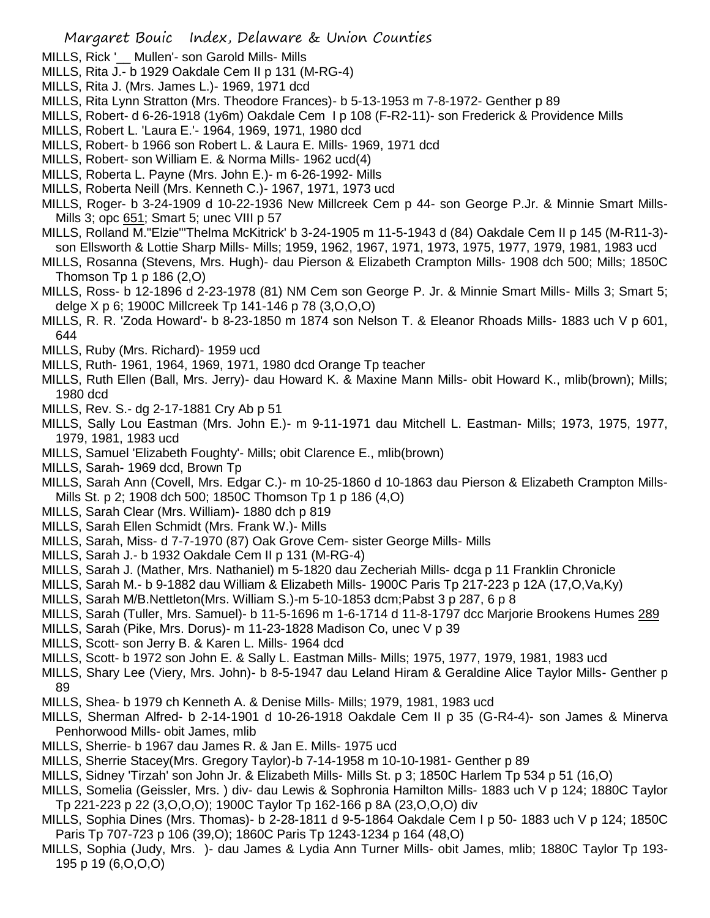- MILLS, Rick '\_\_ Mullen'- son Garold Mills- Mills
- MILLS, Rita J.- b 1929 Oakdale Cem II p 131 (M-RG-4)
- MILLS, Rita J. (Mrs. James L.)- 1969, 1971 dcd
- MILLS, Rita Lynn Stratton (Mrs. Theodore Frances)- b 5-13-1953 m 7-8-1972- Genther p 89
- MILLS, Robert- d 6-26-1918 (1y6m) Oakdale Cem I p 108 (F-R2-11)- son Frederick & Providence Mills
- MILLS, Robert L. 'Laura E.'- 1964, 1969, 1971, 1980 dcd
- MILLS, Robert- b 1966 son Robert L. & Laura E. Mills- 1969, 1971 dcd
- MILLS, Robert- son William E. & Norma Mills- 1962 ucd(4)
- MILLS, Roberta L. Payne (Mrs. John E.)- m 6-26-1992- Mills
- MILLS, Roberta Neill (Mrs. Kenneth C.)- 1967, 1971, 1973 ucd
- MILLS, Roger- b 3-24-1909 d 10-22-1936 New Millcreek Cem p 44- son George P.Jr. & Minnie Smart Mills-Mills 3; opc 651; Smart 5; unec VIII p 57
- MILLS, Rolland M."Elzie"'Thelma McKitrick' b 3-24-1905 m 11-5-1943 d (84) Oakdale Cem II p 145 (M-R11-3) son Ellsworth & Lottie Sharp Mills- Mills; 1959, 1962, 1967, 1971, 1973, 1975, 1977, 1979, 1981, 1983 ucd
- MILLS, Rosanna (Stevens, Mrs. Hugh)- dau Pierson & Elizabeth Crampton Mills- 1908 dch 500; Mills; 1850C Thomson  $Tp 1 p 186 (2,0)$
- MILLS, Ross- b 12-1896 d 2-23-1978 (81) NM Cem son George P. Jr. & Minnie Smart Mills- Mills 3; Smart 5; delge X p 6; 1900C Millcreek Tp 141-146 p 78 (3,O,O,O)
- MILLS, R. R. 'Zoda Howard'- b 8-23-1850 m 1874 son Nelson T. & Eleanor Rhoads Mills- 1883 uch V p 601, 644
- MILLS, Ruby (Mrs. Richard)- 1959 ucd
- MILLS, Ruth- 1961, 1964, 1969, 1971, 1980 dcd Orange Tp teacher
- MILLS, Ruth Ellen (Ball, Mrs. Jerry)- dau Howard K. & Maxine Mann Mills- obit Howard K., mlib(brown); Mills; 1980 dcd
- MILLS, Rev. S.- dg 2-17-1881 Cry Ab p 51
- MILLS, Sally Lou Eastman (Mrs. John E.)- m 9-11-1971 dau Mitchell L. Eastman- Mills; 1973, 1975, 1977, 1979, 1981, 1983 ucd
- MILLS, Samuel 'Elizabeth Foughty'- Mills; obit Clarence E., mlib(brown)
- MILLS, Sarah- 1969 dcd, Brown Tp
- MILLS, Sarah Ann (Covell, Mrs. Edgar C.)- m 10-25-1860 d 10-1863 dau Pierson & Elizabeth Crampton Mills-Mills St. p 2; 1908 dch 500; 1850C Thomson Tp 1 p 186 (4,O)
- MILLS, Sarah Clear (Mrs. William)- 1880 dch p 819
- MILLS, Sarah Ellen Schmidt (Mrs. Frank W.)- Mills
- MILLS, Sarah, Miss- d 7-7-1970 (87) Oak Grove Cem- sister George Mills- Mills
- MILLS, Sarah J.- b 1932 Oakdale Cem II p 131 (M-RG-4)
- MILLS, Sarah J. (Mather, Mrs. Nathaniel) m 5-1820 dau Zecheriah Mills- dcga p 11 Franklin Chronicle
- MILLS, Sarah M.- b 9-1882 dau William & Elizabeth Mills- 1900C Paris Tp 217-223 p 12A (17,O,Va,Ky)
- MILLS, Sarah M/B.Nettleton(Mrs. William S.)-m 5-10-1853 dcm;Pabst 3 p 287, 6 p 8
- MILLS, Sarah (Tuller, Mrs. Samuel)- b 11-5-1696 m 1-6-1714 d 11-8-1797 dcc Marjorie Brookens Humes 289
- MILLS, Sarah (Pike, Mrs. Dorus)- m 11-23-1828 Madison Co, unec V p 39
- MILLS, Scott- son Jerry B. & Karen L. Mills- 1964 dcd
- MILLS, Scott- b 1972 son John E. & Sally L. Eastman Mills- Mills; 1975, 1977, 1979, 1981, 1983 ucd
- MILLS, Shary Lee (Viery, Mrs. John)- b 8-5-1947 dau Leland Hiram & Geraldine Alice Taylor Mills- Genther p 89
- MILLS, Shea- b 1979 ch Kenneth A. & Denise Mills- Mills; 1979, 1981, 1983 ucd
- MILLS, Sherman Alfred- b 2-14-1901 d 10-26-1918 Oakdale Cem II p 35 (G-R4-4)- son James & Minerva Penhorwood Mills- obit James, mlib
- MILLS, Sherrie- b 1967 dau James R. & Jan E. Mills- 1975 ucd
- MILLS, Sherrie Stacey(Mrs. Gregory Taylor)-b 7-14-1958 m 10-10-1981- Genther p 89
- MILLS, Sidney 'Tirzah' son John Jr. & Elizabeth Mills- Mills St. p 3; 1850C Harlem Tp 534 p 51 (16,O)
- MILLS, Somelia (Geissler, Mrs. ) div- dau Lewis & Sophronia Hamilton Mills- 1883 uch V p 124; 1880C Taylor Tp 221-223 p 22 (3,O,O,O); 1900C Taylor Tp 162-166 p 8A (23,O,O,O) div
- MILLS, Sophia Dines (Mrs. Thomas)- b 2-28-1811 d 9-5-1864 Oakdale Cem I p 50- 1883 uch V p 124; 1850C Paris Tp 707-723 p 106 (39,O); 1860C Paris Tp 1243-1234 p 164 (48,O)
- MILLS, Sophia (Judy, Mrs. )- dau James & Lydia Ann Turner Mills- obit James, mlib; 1880C Taylor Tp 193- 195 p 19 (6,O,O,O)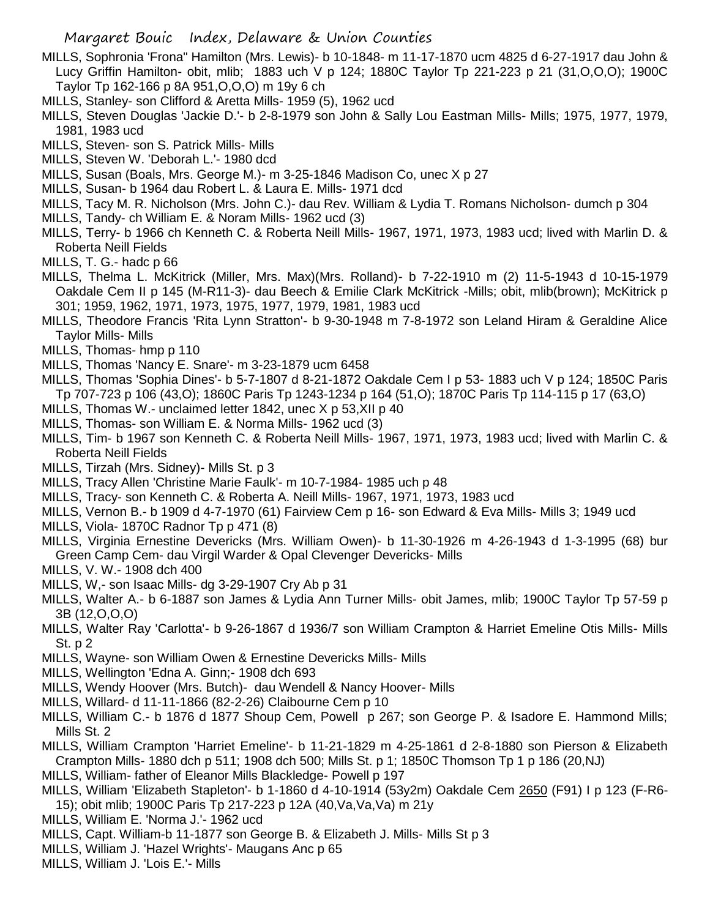- MILLS, Sophronia 'Frona" Hamilton (Mrs. Lewis)- b 10-1848- m 11-17-1870 ucm 4825 d 6-27-1917 dau John & Lucy Griffin Hamilton- obit, mlib; 1883 uch V p 124; 1880C Taylor Tp 221-223 p 21 (31,O,O,O); 1900C Taylor Tp 162-166 p 8A 951,O,O,O) m 19y 6 ch
- MILLS, Stanley- son Clifford & Aretta Mills- 1959 (5), 1962 ucd
- MILLS, Steven Douglas 'Jackie D.'- b 2-8-1979 son John & Sally Lou Eastman Mills- Mills; 1975, 1977, 1979, 1981, 1983 ucd
- MILLS, Steven- son S. Patrick Mills- Mills
- MILLS, Steven W. 'Deborah L.'- 1980 dcd
- MILLS, Susan (Boals, Mrs. George M.)- m 3-25-1846 Madison Co, unec X p 27
- MILLS, Susan- b 1964 dau Robert L. & Laura E. Mills- 1971 dcd
- MILLS, Tacy M. R. Nicholson (Mrs. John C.)- dau Rev. William & Lydia T. Romans Nicholson- dumch p 304
- MILLS, Tandy- ch William E. & Noram Mills- 1962 ucd (3)
- MILLS, Terry- b 1966 ch Kenneth C. & Roberta Neill Mills- 1967, 1971, 1973, 1983 ucd; lived with Marlin D. & Roberta Neill Fields
- MILLS, T. G.- hadc p 66
- MILLS, Thelma L. McKitrick (Miller, Mrs. Max)(Mrs. Rolland)- b 7-22-1910 m (2) 11-5-1943 d 10-15-1979 Oakdale Cem II p 145 (M-R11-3)- dau Beech & Emilie Clark McKitrick -Mills; obit, mlib(brown); McKitrick p 301; 1959, 1962, 1971, 1973, 1975, 1977, 1979, 1981, 1983 ucd
- MILLS, Theodore Francis 'Rita Lynn Stratton'- b 9-30-1948 m 7-8-1972 son Leland Hiram & Geraldine Alice Taylor Mills- Mills
- MILLS, Thomas- hmp p 110
- MILLS, Thomas 'Nancy E. Snare'- m 3-23-1879 ucm 6458
- MILLS, Thomas 'Sophia Dines'- b 5-7-1807 d 8-21-1872 Oakdale Cem I p 53- 1883 uch V p 124; 1850C Paris Tp 707-723 p 106 (43,O); 1860C Paris Tp 1243-1234 p 164 (51,O); 1870C Paris Tp 114-115 p 17 (63,O)
- MILLS, Thomas W.- unclaimed letter 1842, unec X p 53, XII p 40
- MILLS, Thomas- son William E. & Norma Mills- 1962 ucd (3)
- MILLS, Tim- b 1967 son Kenneth C. & Roberta Neill Mills- 1967, 1971, 1973, 1983 ucd; lived with Marlin C. & Roberta Neill Fields
- MILLS, Tirzah (Mrs. Sidney)- Mills St. p 3
- MILLS, Tracy Allen 'Christine Marie Faulk'- m 10-7-1984- 1985 uch p 48
- MILLS, Tracy- son Kenneth C. & Roberta A. Neill Mills- 1967, 1971, 1973, 1983 ucd
- MILLS, Vernon B.- b 1909 d 4-7-1970 (61) Fairview Cem p 16- son Edward & Eva Mills- Mills 3; 1949 ucd
- MILLS, Viola- 1870C Radnor Tp p 471 (8)
- MILLS, Virginia Ernestine Devericks (Mrs. William Owen)- b 11-30-1926 m 4-26-1943 d 1-3-1995 (68) bur Green Camp Cem- dau Virgil Warder & Opal Clevenger Devericks- Mills
- MILLS, V. W.- 1908 dch 400
- MILLS, W,- son Isaac Mills- dg 3-29-1907 Cry Ab p 31
- MILLS, Walter A.- b 6-1887 son James & Lydia Ann Turner Mills- obit James, mlib; 1900C Taylor Tp 57-59 p 3B (12,O,O,O)
- MILLS, Walter Ray 'Carlotta'- b 9-26-1867 d 1936/7 son William Crampton & Harriet Emeline Otis Mills- Mills St. p 2
- MILLS, Wayne- son William Owen & Ernestine Devericks Mills- Mills
- MILLS, Wellington 'Edna A. Ginn;- 1908 dch 693
- MILLS, Wendy Hoover (Mrs. Butch)- dau Wendell & Nancy Hoover- Mills
- MILLS, Willard- d 11-11-1866 (82-2-26) Claibourne Cem p 10
- MILLS, William C.- b 1876 d 1877 Shoup Cem, Powell p 267; son George P. & Isadore E. Hammond Mills; Mills St. 2
- MILLS, William Crampton 'Harriet Emeline'- b 11-21-1829 m 4-25-1861 d 2-8-1880 son Pierson & Elizabeth Crampton Mills- 1880 dch p 511; 1908 dch 500; Mills St. p 1; 1850C Thomson Tp 1 p 186 (20,NJ)
- MILLS, William- father of Eleanor Mills Blackledge- Powell p 197
- MILLS, William 'Elizabeth Stapleton'- b 1-1860 d 4-10-1914 (53y2m) Oakdale Cem 2650 (F91) I p 123 (F-R6- 15); obit mlib; 1900C Paris Tp 217-223 p 12A (40,Va,Va,Va) m 21y
- MILLS, William E. 'Norma J.'- 1962 ucd
- MILLS, Capt. William-b 11-1877 son George B. & Elizabeth J. Mills- Mills St p 3
- MILLS, William J. 'Hazel Wrights'- Maugans Anc p 65
- MILLS, William J. 'Lois E.'- Mills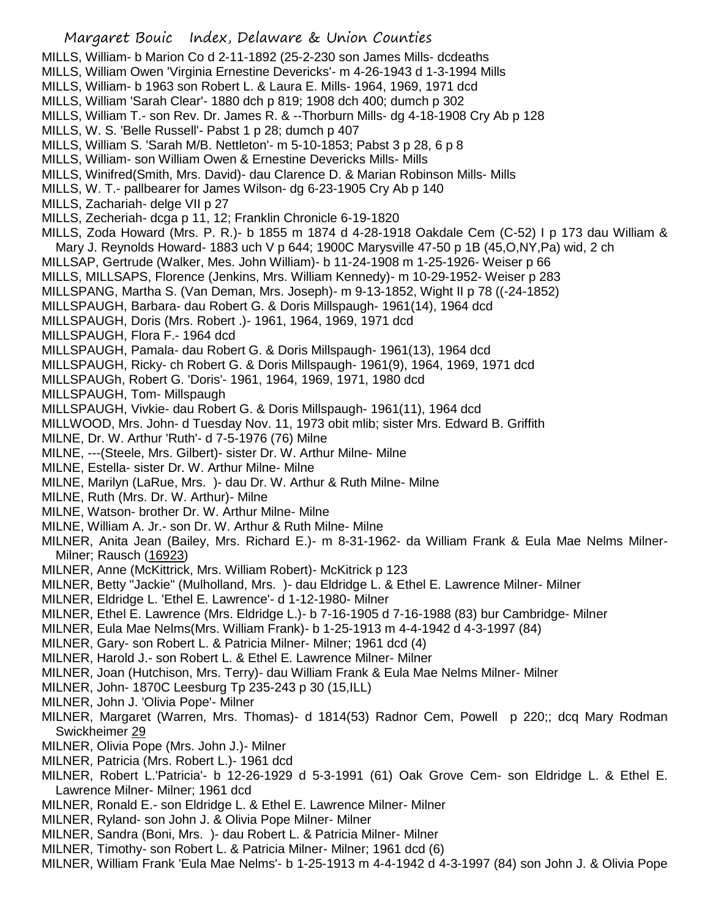- MILLS, William- b Marion Co d 2-11-1892 (25-2-230 son James Mills- dcdeaths
- MILLS, William Owen 'Virginia Ernestine Devericks'- m 4-26-1943 d 1-3-1994 Mills
- MILLS, William- b 1963 son Robert L. & Laura E. Mills- 1964, 1969, 1971 dcd
- MILLS, William 'Sarah Clear'- 1880 dch p 819; 1908 dch 400; dumch p 302
- MILLS, William T.- son Rev. Dr. James R. & --Thorburn Mills- dg 4-18-1908 Cry Ab p 128
- MILLS, W. S. 'Belle Russell'- Pabst 1 p 28; dumch p 407
- MILLS, William S. 'Sarah M/B. Nettleton'- m 5-10-1853; Pabst 3 p 28, 6 p 8
- MILLS, William- son William Owen & Ernestine Devericks Mills- Mills
- MILLS, Winifred(Smith, Mrs. David)- dau Clarence D. & Marian Robinson Mills- Mills
- MILLS, W. T.- pallbearer for James Wilson- dg 6-23-1905 Cry Ab p 140
- MILLS, Zachariah- delge VII p 27
- MILLS, Zecheriah- dcga p 11, 12; Franklin Chronicle 6-19-1820
- MILLS, Zoda Howard (Mrs. P. R.)- b 1855 m 1874 d 4-28-1918 Oakdale Cem (C-52) I p 173 dau William & Mary J. Reynolds Howard- 1883 uch V p 644; 1900C Marysville 47-50 p 1B (45,O,NY,Pa) wid, 2 ch
- MILLSAP, Gertrude (Walker, Mes. John William)- b 11-24-1908 m 1-25-1926- Weiser p 66
- MILLS, MILLSAPS, Florence (Jenkins, Mrs. William Kennedy)- m 10-29-1952- Weiser p 283
- MILLSPANG, Martha S. (Van Deman, Mrs. Joseph)- m 9-13-1852, Wight II p 78 ((-24-1852)
- MILLSPAUGH, Barbara- dau Robert G. & Doris Millspaugh- 1961(14), 1964 dcd
- MILLSPAUGH, Doris (Mrs. Robert .)- 1961, 1964, 1969, 1971 dcd
- MILLSPAUGH, Flora F.- 1964 dcd
- MILLSPAUGH, Pamala- dau Robert G. & Doris Millspaugh- 1961(13), 1964 dcd
- MILLSPAUGH, Ricky- ch Robert G. & Doris Millspaugh- 1961(9), 1964, 1969, 1971 dcd
- MILLSPAUGh, Robert G. 'Doris'- 1961, 1964, 1969, 1971, 1980 dcd
- MILLSPAUGH, Tom- Millspaugh
- MILLSPAUGH, Vivkie- dau Robert G. & Doris Millspaugh- 1961(11), 1964 dcd
- MILLWOOD, Mrs. John- d Tuesday Nov. 11, 1973 obit mlib; sister Mrs. Edward B. Griffith
- MILNE, Dr. W. Arthur 'Ruth'- d 7-5-1976 (76) Milne
- MILNE, ---(Steele, Mrs. Gilbert)- sister Dr. W. Arthur Milne- Milne
- MILNE, Estella- sister Dr. W. Arthur Milne- Milne
- MILNE, Marilyn (LaRue, Mrs. )- dau Dr. W. Arthur & Ruth Milne- Milne
- MILNE, Ruth (Mrs. Dr. W. Arthur)- Milne
- MILNE, Watson- brother Dr. W. Arthur Milne- Milne
- MILNE, William A. Jr.- son Dr. W. Arthur & Ruth Milne- Milne
- MILNER, Anita Jean (Bailey, Mrs. Richard E.)- m 8-31-1962- da William Frank & Eula Mae Nelms Milner-Milner; Rausch (16923)
- MILNER, Anne (McKittrick, Mrs. William Robert)- McKitrick p 123
- MILNER, Betty "Jackie" (Mulholland, Mrs. )- dau Eldridge L. & Ethel E. Lawrence Milner- Milner
- MILNER, Eldridge L. 'Ethel E. Lawrence'- d 1-12-1980- Milner
- MILNER, Ethel E. Lawrence (Mrs. Eldridge L.)- b 7-16-1905 d 7-16-1988 (83) bur Cambridge- Milner
- MILNER, Eula Mae Nelms(Mrs. William Frank)- b 1-25-1913 m 4-4-1942 d 4-3-1997 (84)
- MILNER, Gary- son Robert L. & Patricia Milner- Milner; 1961 dcd (4)
- MILNER, Harold J.- son Robert L. & Ethel E. Lawrence Milner- Milner
- MILNER, Joan (Hutchison, Mrs. Terry)- dau William Frank & Eula Mae Nelms Milner- Milner
- MILNER, John- 1870C Leesburg Tp 235-243 p 30 (15,ILL)
- MILNER, John J. 'Olivia Pope'- Milner
- MILNER, Margaret (Warren, Mrs. Thomas)- d 1814(53) Radnor Cem, Powell p 220;; dcq Mary Rodman Swickheimer 29
- MILNER, Olivia Pope (Mrs. John J.)- Milner
- MILNER, Patricia (Mrs. Robert L.)- 1961 dcd
- MILNER, Robert L.'Patricia'- b 12-26-1929 d 5-3-1991 (61) Oak Grove Cem- son Eldridge L. & Ethel E. Lawrence Milner- Milner; 1961 dcd
- MILNER, Ronald E.- son Eldridge L. & Ethel E. Lawrence Milner- Milner
- MILNER, Ryland- son John J. & Olivia Pope Milner- Milner
- MILNER, Sandra (Boni, Mrs. )- dau Robert L. & Patricia Milner- Milner
- MILNER, Timothy- son Robert L. & Patricia Milner- Milner; 1961 dcd (6)
- MILNER, William Frank 'Eula Mae Nelms'- b 1-25-1913 m 4-4-1942 d 4-3-1997 (84) son John J. & Olivia Pope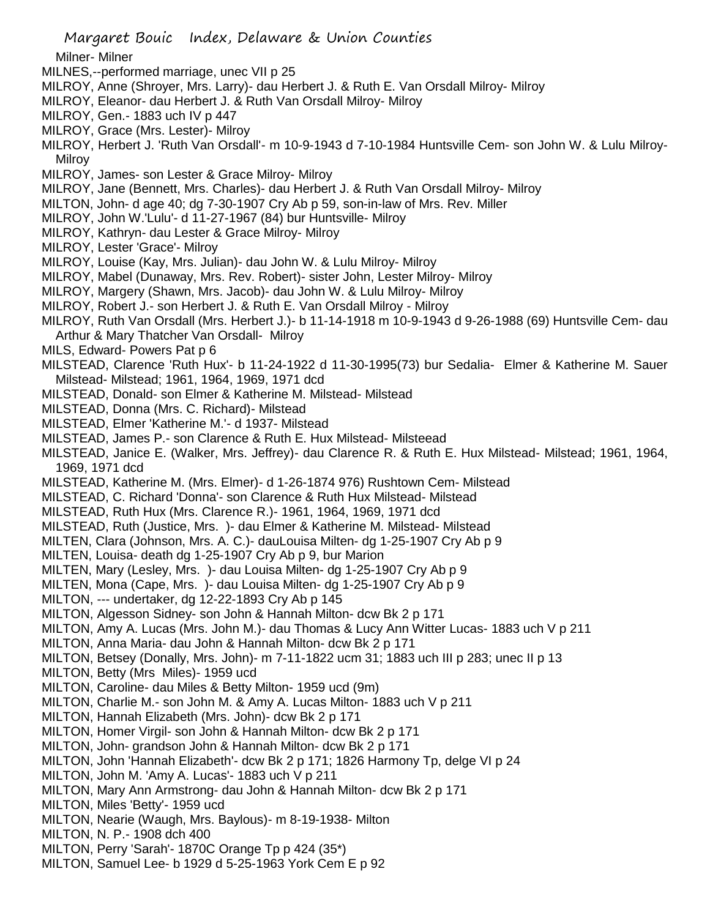Milner- Milner

- MILNES,--performed marriage, unec VII p 25
- MILROY, Anne (Shroyer, Mrs. Larry)- dau Herbert J. & Ruth E. Van Orsdall Milroy- Milroy
- MILROY, Eleanor- dau Herbert J. & Ruth Van Orsdall Milroy- Milroy
- MILROY, Gen.- 1883 uch IV p 447
- MILROY, Grace (Mrs. Lester)- Milroy
- MILROY, Herbert J. 'Ruth Van Orsdall'- m 10-9-1943 d 7-10-1984 Huntsville Cem- son John W. & Lulu Milroy-Milroy
- MILROY, James- son Lester & Grace Milroy- Milroy
- MILROY, Jane (Bennett, Mrs. Charles)- dau Herbert J. & Ruth Van Orsdall Milroy- Milroy
- MILTON, John- d age 40; dg 7-30-1907 Cry Ab p 59, son-in-law of Mrs. Rev. Miller
- MILROY, John W.'Lulu'- d 11-27-1967 (84) bur Huntsville- Milroy
- MILROY, Kathryn- dau Lester & Grace Milroy- Milroy
- MILROY, Lester 'Grace'- Milroy
- MILROY, Louise (Kay, Mrs. Julian)- dau John W. & Lulu Milroy- Milroy
- MILROY, Mabel (Dunaway, Mrs. Rev. Robert)- sister John, Lester Milroy- Milroy
- MILROY, Margery (Shawn, Mrs. Jacob)- dau John W. & Lulu Milroy- Milroy
- MILROY, Robert J.- son Herbert J. & Ruth E. Van Orsdall Milroy Milroy
- MILROY, Ruth Van Orsdall (Mrs. Herbert J.)- b 11-14-1918 m 10-9-1943 d 9-26-1988 (69) Huntsville Cem- dau Arthur & Mary Thatcher Van Orsdall- Milroy
- MILS, Edward- Powers Pat p 6
- MILSTEAD, Clarence 'Ruth Hux'- b 11-24-1922 d 11-30-1995(73) bur Sedalia- Elmer & Katherine M. Sauer Milstead- Milstead; 1961, 1964, 1969, 1971 dcd
- MILSTEAD, Donald- son Elmer & Katherine M. Milstead- Milstead
- MILSTEAD, Donna (Mrs. C. Richard)- Milstead
- MILSTEAD, Elmer 'Katherine M.'- d 1937- Milstead
- MILSTEAD, James P.- son Clarence & Ruth E. Hux Milstead- Milsteead
- MILSTEAD, Janice E. (Walker, Mrs. Jeffrey)- dau Clarence R. & Ruth E. Hux Milstead- Milstead; 1961, 1964, 1969, 1971 dcd
- MILSTEAD, Katherine M. (Mrs. Elmer)- d 1-26-1874 976) Rushtown Cem- Milstead
- MILSTEAD, C. Richard 'Donna'- son Clarence & Ruth Hux Milstead- Milstead
- MILSTEAD, Ruth Hux (Mrs. Clarence R.)- 1961, 1964, 1969, 1971 dcd
- MILSTEAD, Ruth (Justice, Mrs. )- dau Elmer & Katherine M. Milstead- Milstead
- MILTEN, Clara (Johnson, Mrs. A. C.)- dauLouisa Milten- dg 1-25-1907 Cry Ab p 9
- MILTEN, Louisa- death dg 1-25-1907 Cry Ab p 9, bur Marion
- MILTEN, Mary (Lesley, Mrs. )- dau Louisa Milten- dg 1-25-1907 Cry Ab p 9
- MILTEN, Mona (Cape, Mrs. )- dau Louisa Milten- dg 1-25-1907 Cry Ab p 9
- MILTON, --- undertaker, dg 12-22-1893 Cry Ab p 145
- MILTON, Algesson Sidney- son John & Hannah Milton- dcw Bk 2 p 171
- MILTON, Amy A. Lucas (Mrs. John M.)- dau Thomas & Lucy Ann Witter Lucas- 1883 uch V p 211
- MILTON, Anna Maria- dau John & Hannah Milton- dcw Bk 2 p 171
- MILTON, Betsey (Donally, Mrs. John)- m 7-11-1822 ucm 31; 1883 uch III p 283; unec II p 13
- MILTON, Betty (Mrs Miles)- 1959 ucd
- MILTON, Caroline- dau Miles & Betty Milton- 1959 ucd (9m)
- MILTON, Charlie M.- son John M. & Amy A. Lucas Milton- 1883 uch V p 211
- MILTON, Hannah Elizabeth (Mrs. John)- dcw Bk 2 p 171
- MILTON, Homer Virgil- son John & Hannah Milton- dcw Bk 2 p 171
- MILTON, John- grandson John & Hannah Milton- dcw Bk 2 p 171
- MILTON, John 'Hannah Elizabeth'- dcw Bk 2 p 171; 1826 Harmony Tp, delge VI p 24
- MILTON, John M. 'Amy A. Lucas'- 1883 uch V p 211
- MILTON, Mary Ann Armstrong- dau John & Hannah Milton- dcw Bk 2 p 171
- MILTON, Miles 'Betty'- 1959 ucd
- MILTON, Nearie (Waugh, Mrs. Baylous)- m 8-19-1938- Milton
- MILTON, N. P.- 1908 dch 400
- MILTON, Perry 'Sarah'- 1870C Orange Tp p 424 (35\*)
- MILTON, Samuel Lee- b 1929 d 5-25-1963 York Cem E p 92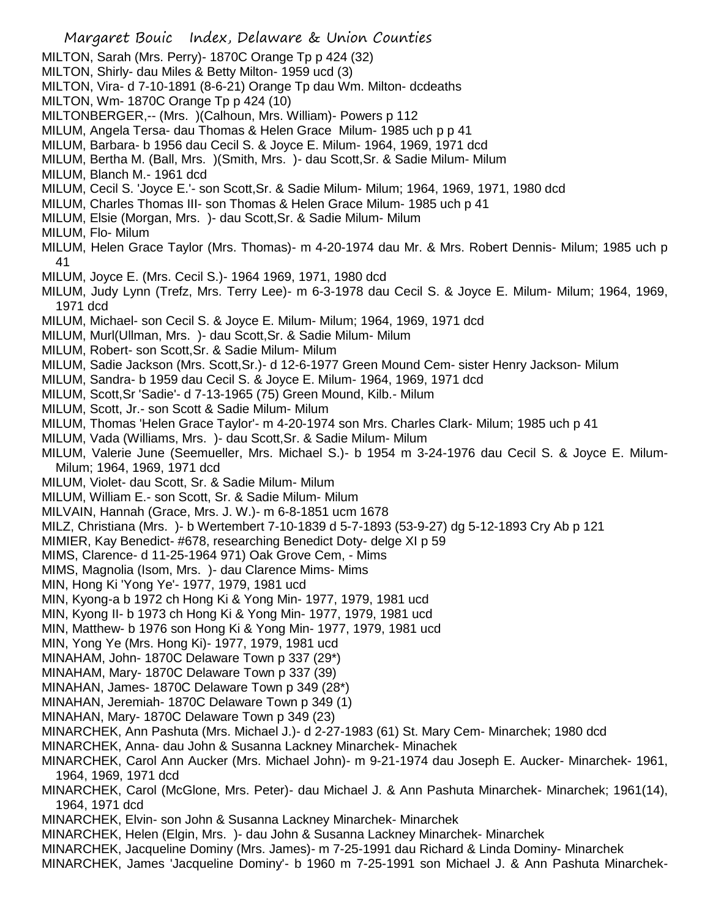Margaret Bouic Index, Delaware & Union Counties MILTON, Sarah (Mrs. Perry)- 1870C Orange Tp p 424 (32) MILTON, Shirly- dau Miles & Betty Milton- 1959 ucd (3) MILTON, Vira- d 7-10-1891 (8-6-21) Orange Tp dau Wm. Milton- dcdeaths MILTON, Wm- 1870C Orange Tp p 424 (10) MILTONBERGER,-- (Mrs. )(Calhoun, Mrs. William)- Powers p 112 MILUM, Angela Tersa- dau Thomas & Helen Grace Milum- 1985 uch p p 41 MILUM, Barbara- b 1956 dau Cecil S. & Joyce E. Milum- 1964, 1969, 1971 dcd MILUM, Bertha M. (Ball, Mrs. )(Smith, Mrs. )- dau Scott,Sr. & Sadie Milum- Milum MILUM, Blanch M.- 1961 dcd MILUM, Cecil S. 'Joyce E.'- son Scott,Sr. & Sadie Milum- Milum; 1964, 1969, 1971, 1980 dcd MILUM, Charles Thomas III- son Thomas & Helen Grace Milum- 1985 uch p 41 MILUM, Elsie (Morgan, Mrs. )- dau Scott,Sr. & Sadie Milum- Milum MILUM, Flo- Milum MILUM, Helen Grace Taylor (Mrs. Thomas)- m 4-20-1974 dau Mr. & Mrs. Robert Dennis- Milum; 1985 uch p 41 MILUM, Joyce E. (Mrs. Cecil S.)- 1964 1969, 1971, 1980 dcd MILUM, Judy Lynn (Trefz, Mrs. Terry Lee)- m 6-3-1978 dau Cecil S. & Joyce E. Milum- Milum; 1964, 1969, 1971 dcd MILUM, Michael- son Cecil S. & Joyce E. Milum- Milum; 1964, 1969, 1971 dcd MILUM, Murl(Ullman, Mrs. )- dau Scott,Sr. & Sadie Milum- Milum MILUM, Robert- son Scott,Sr. & Sadie Milum- Milum MILUM, Sadie Jackson (Mrs. Scott,Sr.)- d 12-6-1977 Green Mound Cem- sister Henry Jackson- Milum MILUM, Sandra- b 1959 dau Cecil S. & Joyce E. Milum- 1964, 1969, 1971 dcd MILUM, Scott,Sr 'Sadie'- d 7-13-1965 (75) Green Mound, Kilb.- Milum MILUM, Scott, Jr.- son Scott & Sadie Milum- Milum MILUM, Thomas 'Helen Grace Taylor'- m 4-20-1974 son Mrs. Charles Clark- Milum; 1985 uch p 41 MILUM, Vada (Williams, Mrs. )- dau Scott,Sr. & Sadie Milum- Milum MILUM, Valerie June (Seemueller, Mrs. Michael S.)- b 1954 m 3-24-1976 dau Cecil S. & Joyce E. Milum-Milum; 1964, 1969, 1971 dcd MILUM, Violet- dau Scott, Sr. & Sadie Milum- Milum MILUM, William E.- son Scott, Sr. & Sadie Milum- Milum MILVAIN, Hannah (Grace, Mrs. J. W.)- m 6-8-1851 ucm 1678 MILZ, Christiana (Mrs. )- b Wertembert 7-10-1839 d 5-7-1893 (53-9-27) dg 5-12-1893 Cry Ab p 121 MIMIER, Kay Benedict- #678, researching Benedict Doty- delge XI p 59 MIMS, Clarence- d 11-25-1964 971) Oak Grove Cem, - Mims MIMS, Magnolia (Isom, Mrs. )- dau Clarence Mims- Mims MIN, Hong Ki 'Yong Ye'- 1977, 1979, 1981 ucd MIN, Kyong-a b 1972 ch Hong Ki & Yong Min- 1977, 1979, 1981 ucd MIN, Kyong II- b 1973 ch Hong Ki & Yong Min- 1977, 1979, 1981 ucd MIN, Matthew- b 1976 son Hong Ki & Yong Min- 1977, 1979, 1981 ucd MIN, Yong Ye (Mrs. Hong Ki)- 1977, 1979, 1981 ucd MINAHAM, John- 1870C Delaware Town p 337 (29\*) MINAHAM, Mary- 1870C Delaware Town p 337 (39) MINAHAN, James- 1870C Delaware Town p 349 (28\*) MINAHAN, Jeremiah- 1870C Delaware Town p 349 (1) MINAHAN, Mary- 1870C Delaware Town p 349 (23) MINARCHEK, Ann Pashuta (Mrs. Michael J.)- d 2-27-1983 (61) St. Mary Cem- Minarchek; 1980 dcd MINARCHEK, Anna- dau John & Susanna Lackney Minarchek- Minachek MINARCHEK, Carol Ann Aucker (Mrs. Michael John)- m 9-21-1974 dau Joseph E. Aucker- Minarchek- 1961, 1964, 1969, 1971 dcd MINARCHEK, Carol (McGlone, Mrs. Peter)- dau Michael J. & Ann Pashuta Minarchek- Minarchek; 1961(14), 1964, 1971 dcd MINARCHEK, Elvin- son John & Susanna Lackney Minarchek- Minarchek MINARCHEK, Helen (Elgin, Mrs. )- dau John & Susanna Lackney Minarchek- Minarchek MINARCHEK, Jacqueline Dominy (Mrs. James)- m 7-25-1991 dau Richard & Linda Dominy- Minarchek MINARCHEK, James 'Jacqueline Dominy'- b 1960 m 7-25-1991 son Michael J. & Ann Pashuta Minarchek-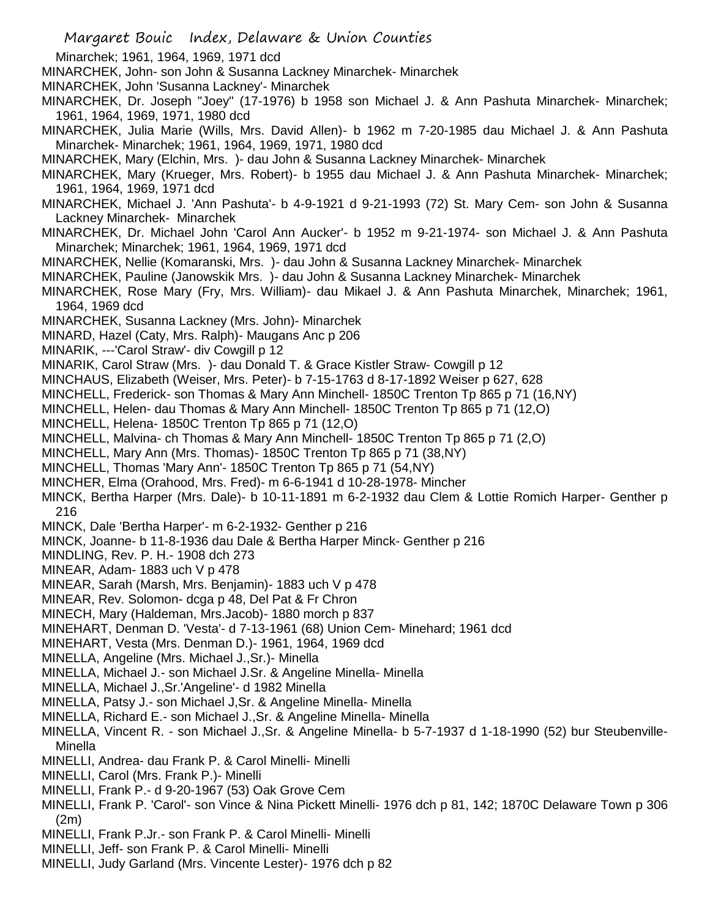Minarchek; 1961, 1964, 1969, 1971 dcd MINARCHEK, John- son John & Susanna Lackney Minarchek- Minarchek MINARCHEK, John 'Susanna Lackney'- Minarchek MINARCHEK, Dr. Joseph "Joey" (17-1976) b 1958 son Michael J. & Ann Pashuta Minarchek- Minarchek; 1961, 1964, 1969, 1971, 1980 dcd MINARCHEK, Julia Marie (Wills, Mrs. David Allen)- b 1962 m 7-20-1985 dau Michael J. & Ann Pashuta Minarchek- Minarchek; 1961, 1964, 1969, 1971, 1980 dcd MINARCHEK, Mary (Elchin, Mrs. )- dau John & Susanna Lackney Minarchek- Minarchek MINARCHEK, Mary (Krueger, Mrs. Robert)- b 1955 dau Michael J. & Ann Pashuta Minarchek- Minarchek; 1961, 1964, 1969, 1971 dcd MINARCHEK, Michael J. 'Ann Pashuta'- b 4-9-1921 d 9-21-1993 (72) St. Mary Cem- son John & Susanna Lackney Minarchek- Minarchek MINARCHEK, Dr. Michael John 'Carol Ann Aucker'- b 1952 m 9-21-1974- son Michael J. & Ann Pashuta Minarchek; Minarchek; 1961, 1964, 1969, 1971 dcd MINARCHEK, Nellie (Komaranski, Mrs. )- dau John & Susanna Lackney Minarchek- Minarchek MINARCHEK, Pauline (Janowskik Mrs. )- dau John & Susanna Lackney Minarchek- Minarchek MINARCHEK, Rose Mary (Fry, Mrs. William)- dau Mikael J. & Ann Pashuta Minarchek, Minarchek; 1961, 1964, 1969 dcd MINARCHEK, Susanna Lackney (Mrs. John)- Minarchek MINARD, Hazel (Caty, Mrs. Ralph)- Maugans Anc p 206 MINARIK, ---'Carol Straw'- div Cowgill p 12 MINARIK, Carol Straw (Mrs. )- dau Donald T. & Grace Kistler Straw- Cowgill p 12 MINCHAUS, Elizabeth (Weiser, Mrs. Peter)- b 7-15-1763 d 8-17-1892 Weiser p 627, 628 MINCHELL, Frederick- son Thomas & Mary Ann Minchell- 1850C Trenton Tp 865 p 71 (16,NY) MINCHELL, Helen- dau Thomas & Mary Ann Minchell- 1850C Trenton Tp 865 p 71 (12,O) MINCHELL, Helena- 1850C Trenton Tp 865 p 71 (12,O) MINCHELL, Malvina- ch Thomas & Mary Ann Minchell- 1850C Trenton Tp 865 p 71 (2,O) MINCHELL, Mary Ann (Mrs. Thomas)- 1850C Trenton Tp 865 p 71 (38,NY) MINCHELL, Thomas 'Mary Ann'- 1850C Trenton Tp 865 p 71 (54,NY) MINCHER, Elma (Orahood, Mrs. Fred)- m 6-6-1941 d 10-28-1978- Mincher MINCK, Bertha Harper (Mrs. Dale)- b 10-11-1891 m 6-2-1932 dau Clem & Lottie Romich Harper- Genther p 216 MINCK, Dale 'Bertha Harper'- m 6-2-1932- Genther p 216 MINCK, Joanne- b 11-8-1936 dau Dale & Bertha Harper Minck- Genther p 216 MINDLING, Rev. P. H.- 1908 dch 273 MINEAR, Adam- 1883 uch V p 478 MINEAR, Sarah (Marsh, Mrs. Benjamin)- 1883 uch V p 478 MINEAR, Rev. Solomon- dcga p 48, Del Pat & Fr Chron MINECH, Mary (Haldeman, Mrs.Jacob)- 1880 morch p 837 MINEHART, Denman D. 'Vesta'- d 7-13-1961 (68) Union Cem- Minehard; 1961 dcd MINEHART, Vesta (Mrs. Denman D.)- 1961, 1964, 1969 dcd MINELLA, Angeline (Mrs. Michael J.,Sr.)- Minella MINELLA, Michael J.- son Michael J.Sr. & Angeline Minella- Minella MINELLA, Michael J.,Sr.'Angeline'- d 1982 Minella MINELLA, Patsy J.- son Michael J,Sr. & Angeline Minella- Minella MINELLA, Richard E.- son Michael J.,Sr. & Angeline Minella- Minella MINELLA, Vincent R. - son Michael J.,Sr. & Angeline Minella- b 5-7-1937 d 1-18-1990 (52) bur Steubenville-Minella MINELLI, Andrea- dau Frank P. & Carol Minelli- Minelli MINELLI, Carol (Mrs. Frank P.)- Minelli MINELLI, Frank P.- d 9-20-1967 (53) Oak Grove Cem MINELLI, Frank P. 'Carol'- son Vince & Nina Pickett Minelli- 1976 dch p 81, 142; 1870C Delaware Town p 306 (2m)

- MINELLI, Frank P.Jr.- son Frank P. & Carol Minelli- Minelli
- MINELLI, Jeff- son Frank P. & Carol Minelli- Minelli
- MINELLI, Judy Garland (Mrs. Vincente Lester)- 1976 dch p 82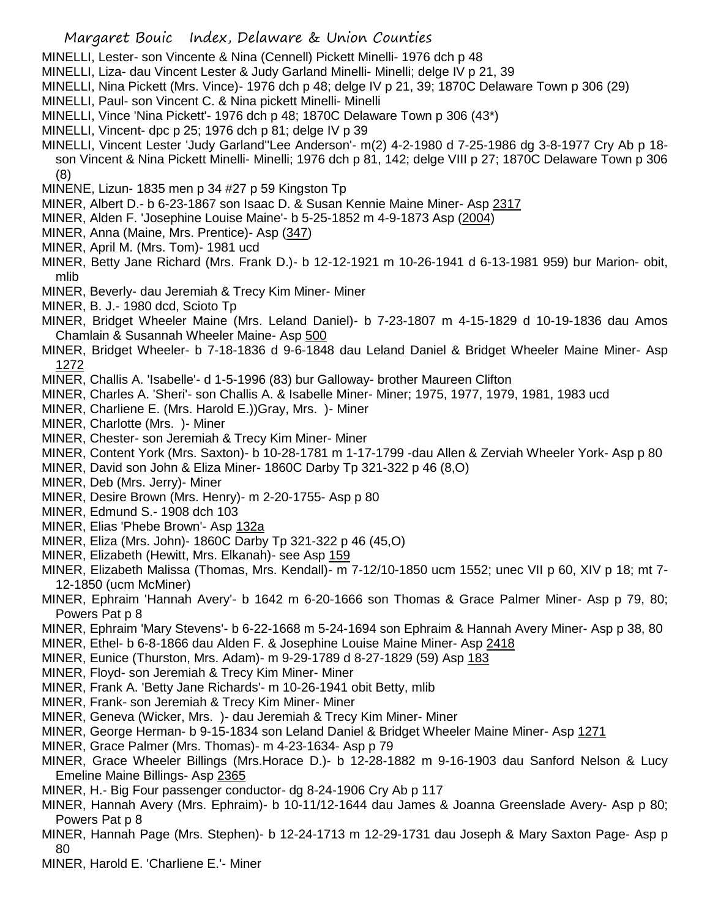- MINELLI, Lester- son Vincente & Nina (Cennell) Pickett Minelli- 1976 dch p 48
- MINELLI, Liza- dau Vincent Lester & Judy Garland Minelli- Minelli; delge IV p 21, 39
- MINELLI, Nina Pickett (Mrs. Vince)- 1976 dch p 48; delge IV p 21, 39; 1870C Delaware Town p 306 (29)
- MINELLI, Paul- son Vincent C. & Nina pickett Minelli- Minelli
- MINELLI, Vince 'Nina Pickett'- 1976 dch p 48; 1870C Delaware Town p 306 (43\*)
- MINELLI, Vincent- dpc p 25; 1976 dch p 81; delge IV p 39
- MINELLI, Vincent Lester 'Judy Garland''Lee Anderson'- m(2) 4-2-1980 d 7-25-1986 dg 3-8-1977 Cry Ab p 18 son Vincent & Nina Pickett Minelli- Minelli; 1976 dch p 81, 142; delge VIII p 27; 1870C Delaware Town p 306 (8)
- MINENE, Lizun- 1835 men p 34 #27 p 59 Kingston Tp
- MINER, Albert D.- b 6-23-1867 son Isaac D. & Susan Kennie Maine Miner- Asp 2317
- MINER, Alden F. 'Josephine Louise Maine'- b 5-25-1852 m 4-9-1873 Asp (2004)
- MINER, Anna (Maine, Mrs. Prentice)- Asp (347)
- MINER, April M. (Mrs. Tom)- 1981 ucd
- MINER, Betty Jane Richard (Mrs. Frank D.)- b 12-12-1921 m 10-26-1941 d 6-13-1981 959) bur Marion- obit, mlib
- MINER, Beverly- dau Jeremiah & Trecy Kim Miner- Miner
- MINER, B. J.- 1980 dcd, Scioto Tp
- MINER, Bridget Wheeler Maine (Mrs. Leland Daniel)- b 7-23-1807 m 4-15-1829 d 10-19-1836 dau Amos Chamlain & Susannah Wheeler Maine- Asp 500
- MINER, Bridget Wheeler- b 7-18-1836 d 9-6-1848 dau Leland Daniel & Bridget Wheeler Maine Miner- Asp 1272
- MINER, Challis A. 'Isabelle'- d 1-5-1996 (83) bur Galloway- brother Maureen Clifton
- MINER, Charles A. 'Sheri'- son Challis A. & Isabelle Miner- Miner; 1975, 1977, 1979, 1981, 1983 ucd
- MINER, Charliene E. (Mrs. Harold E.))Gray, Mrs. )- Miner
- MINER, Charlotte (Mrs. )- Miner
- MINER, Chester- son Jeremiah & Trecy Kim Miner- Miner
- MINER, Content York (Mrs. Saxton)- b 10-28-1781 m 1-17-1799 -dau Allen & Zerviah Wheeler York- Asp p 80
- MINER, David son John & Eliza Miner- 1860C Darby Tp 321-322 p 46 (8,O)
- MINER, Deb (Mrs. Jerry)- Miner
- MINER, Desire Brown (Mrs. Henry)- m 2-20-1755- Asp p 80
- MINER, Edmund S.- 1908 dch 103
- MINER, Elias 'Phebe Brown'- Asp 132a
- MINER, Eliza (Mrs. John)- 1860C Darby Tp 321-322 p 46 (45,O)
- MINER, Elizabeth (Hewitt, Mrs. Elkanah)- see Asp 159
- MINER, Elizabeth Malissa (Thomas, Mrs. Kendall)- m 7-12/10-1850 ucm 1552; unec VII p 60, XIV p 18; mt 7- 12-1850 (ucm McMiner)
- MINER, Ephraim 'Hannah Avery'- b 1642 m 6-20-1666 son Thomas & Grace Palmer Miner- Asp p 79, 80; Powers Pat p 8
- MINER, Ephraim 'Mary Stevens'- b 6-22-1668 m 5-24-1694 son Ephraim & Hannah Avery Miner- Asp p 38, 80
- MINER, Ethel- b 6-8-1866 dau Alden F. & Josephine Louise Maine Miner- Asp 2418
- MINER, Eunice (Thurston, Mrs. Adam)- m 9-29-1789 d 8-27-1829 (59) Asp 183
- MINER, Floyd- son Jeremiah & Trecy Kim Miner- Miner
- MINER, Frank A. 'Betty Jane Richards'- m 10-26-1941 obit Betty, mlib
- MINER, Frank- son Jeremiah & Trecy Kim Miner- Miner
- MINER, Geneva (Wicker, Mrs. )- dau Jeremiah & Trecy Kim Miner- Miner
- MINER, George Herman- b 9-15-1834 son Leland Daniel & Bridget Wheeler Maine Miner- Asp 1271
- MINER, Grace Palmer (Mrs. Thomas)- m 4-23-1634- Asp p 79
- MINER, Grace Wheeler Billings (Mrs.Horace D.)- b 12-28-1882 m 9-16-1903 dau Sanford Nelson & Lucy Emeline Maine Billings- Asp 2365
- MINER, H.- Big Four passenger conductor- dg 8-24-1906 Cry Ab p 117
- MINER, Hannah Avery (Mrs. Ephraim)- b 10-11/12-1644 dau James & Joanna Greenslade Avery- Asp p 80; Powers Pat p 8
- MINER, Hannah Page (Mrs. Stephen)- b 12-24-1713 m 12-29-1731 dau Joseph & Mary Saxton Page- Asp p 80
- MINER, Harold E. 'Charliene E.'- Miner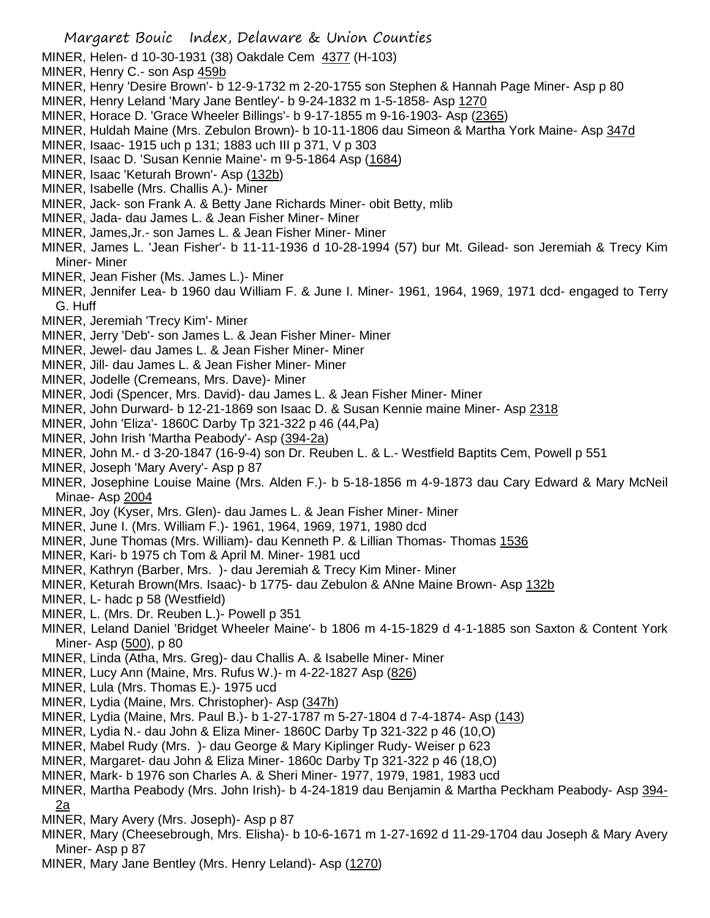- MINER, Helen- d 10-30-1931 (38) Oakdale Cem 4377 (H-103)
- MINER, Henry C.- son Asp 459b
- MINER, Henry 'Desire Brown'- b 12-9-1732 m 2-20-1755 son Stephen & Hannah Page Miner- Asp p 80
- MINER, Henry Leland 'Mary Jane Bentley'- b 9-24-1832 m 1-5-1858- Asp 1270
- MINER, Horace D. 'Grace Wheeler Billings'- b 9-17-1855 m 9-16-1903- Asp (2365)
- MINER, Huldah Maine (Mrs. Zebulon Brown)- b 10-11-1806 dau Simeon & Martha York Maine- Asp 347d
- MINER, Isaac- 1915 uch p 131; 1883 uch III p 371, V p 303
- MINER, Isaac D. 'Susan Kennie Maine'- m 9-5-1864 Asp (1684)
- MINER, Isaac 'Keturah Brown'- Asp (132b)
- MINER, Isabelle (Mrs. Challis A.)- Miner
- MINER, Jack- son Frank A. & Betty Jane Richards Miner- obit Betty, mlib
- MINER, Jada- dau James L. & Jean Fisher Miner- Miner
- MINER, James,Jr.- son James L. & Jean Fisher Miner- Miner
- MINER, James L. 'Jean Fisher'- b 11-11-1936 d 10-28-1994 (57) bur Mt. Gilead- son Jeremiah & Trecy Kim Miner- Miner
- MINER, Jean Fisher (Ms. James L.)- Miner
- MINER, Jennifer Lea- b 1960 dau William F. & June I. Miner- 1961, 1964, 1969, 1971 dcd- engaged to Terry G. Huff
- MINER, Jeremiah 'Trecy Kim'- Miner
- MINER, Jerry 'Deb'- son James L. & Jean Fisher Miner- Miner
- MINER, Jewel- dau James L. & Jean Fisher Miner- Miner
- MINER, Jill- dau James L. & Jean Fisher Miner- Miner
- MINER, Jodelle (Cremeans, Mrs. Dave)- Miner
- MINER, Jodi (Spencer, Mrs. David)- dau James L. & Jean Fisher Miner- Miner
- MINER, John Durward- b 12-21-1869 son Isaac D. & Susan Kennie maine Miner- Asp 2318
- MINER, John 'Eliza'- 1860C Darby Tp 321-322 p 46 (44,Pa)
- MINER, John Irish 'Martha Peabody'- Asp (394-2a)
- MINER, John M.- d 3-20-1847 (16-9-4) son Dr. Reuben L. & L.- Westfield Baptits Cem, Powell p 551
- MINER, Joseph 'Mary Avery'- Asp p 87
- MINER, Josephine Louise Maine (Mrs. Alden F.)- b 5-18-1856 m 4-9-1873 dau Cary Edward & Mary McNeil Minae- Asp 2004
- MINER, Joy (Kyser, Mrs. Glen)- dau James L. & Jean Fisher Miner- Miner
- MINER, June I. (Mrs. William F.)- 1961, 1964, 1969, 1971, 1980 dcd
- MINER, June Thomas (Mrs. William)- dau Kenneth P. & Lillian Thomas- Thomas 1536
- MINER, Kari- b 1975 ch Tom & April M. Miner- 1981 ucd
- MINER, Kathryn (Barber, Mrs. )- dau Jeremiah & Trecy Kim Miner- Miner
- MINER, Keturah Brown(Mrs. Isaac)- b 1775- dau Zebulon & ANne Maine Brown- Asp 132b
- MINER, L- hadc p 58 (Westfield)
- MINER, L. (Mrs. Dr. Reuben L.)- Powell p 351
- MINER, Leland Daniel 'Bridget Wheeler Maine'- b 1806 m 4-15-1829 d 4-1-1885 son Saxton & Content York Miner- Asp (500), p 80
- MINER, Linda (Atha, Mrs. Greg)- dau Challis A. & Isabelle Miner- Miner
- MINER, Lucy Ann (Maine, Mrs. Rufus W.)- m 4-22-1827 Asp (826)
- MINER, Lula (Mrs. Thomas E.)- 1975 ucd
- MINER, Lydia (Maine, Mrs. Christopher)- Asp (347h)
- MINER, Lydia (Maine, Mrs. Paul B.)- b 1-27-1787 m 5-27-1804 d 7-4-1874- Asp (143)
- MINER, Lydia N.- dau John & Eliza Miner- 1860C Darby Tp 321-322 p 46 (10,O)
- MINER, Mabel Rudy (Mrs. )- dau George & Mary Kiplinger Rudy- Weiser p 623
- MINER, Margaret- dau John & Eliza Miner- 1860c Darby Tp 321-322 p 46 (18,O)
- MINER, Mark- b 1976 son Charles A. & Sheri Miner- 1977, 1979, 1981, 1983 ucd
- MINER, Martha Peabody (Mrs. John Irish)- b 4-24-1819 dau Benjamin & Martha Peckham Peabody- Asp 394- 2a
- MINER, Mary Avery (Mrs. Joseph)- Asp p 87
- MINER, Mary (Cheesebrough, Mrs. Elisha)- b 10-6-1671 m 1-27-1692 d 11-29-1704 dau Joseph & Mary Avery Miner- Asp p 87
- MINER, Mary Jane Bentley (Mrs. Henry Leland)- Asp (1270)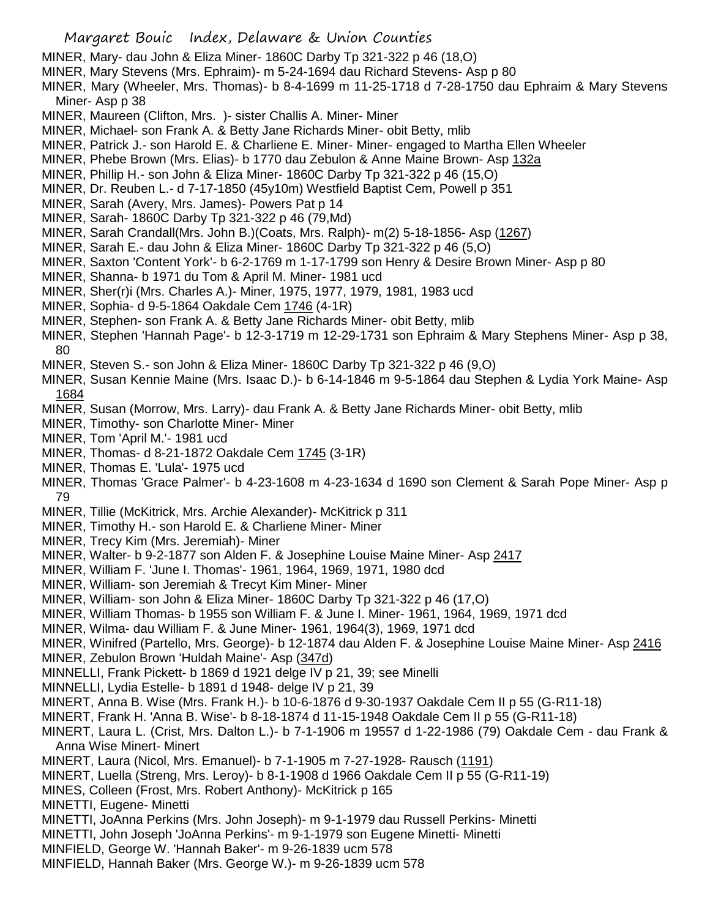- MINER, Mary- dau John & Eliza Miner- 1860C Darby Tp 321-322 p 46 (18,O)
- MINER, Mary Stevens (Mrs. Ephraim)- m 5-24-1694 dau Richard Stevens- Asp p 80
- MINER, Mary (Wheeler, Mrs. Thomas)- b 8-4-1699 m 11-25-1718 d 7-28-1750 dau Ephraim & Mary Stevens Miner- Asp p 38
- MINER, Maureen (Clifton, Mrs. )- sister Challis A. Miner- Miner
- MINER, Michael- son Frank A. & Betty Jane Richards Miner- obit Betty, mlib
- MINER, Patrick J.- son Harold E. & Charliene E. Miner- Miner- engaged to Martha Ellen Wheeler
- MINER, Phebe Brown (Mrs. Elias)- b 1770 dau Zebulon & Anne Maine Brown- Asp 132a
- MINER, Phillip H.- son John & Eliza Miner- 1860C Darby Tp 321-322 p 46 (15,O)
- MINER, Dr. Reuben L.- d 7-17-1850 (45y10m) Westfield Baptist Cem, Powell p 351
- MINER, Sarah (Avery, Mrs. James)- Powers Pat p 14
- MINER, Sarah- 1860C Darby Tp 321-322 p 46 (79,Md)
- MINER, Sarah Crandall(Mrs. John B.)(Coats, Mrs. Ralph)- m(2) 5-18-1856- Asp (1267)
- MINER, Sarah E.- dau John & Eliza Miner- 1860C Darby Tp 321-322 p 46 (5,O)
- MINER, Saxton 'Content York'- b 6-2-1769 m 1-17-1799 son Henry & Desire Brown Miner- Asp p 80
- MINER, Shanna- b 1971 du Tom & April M. Miner- 1981 ucd
- MINER, Sher(r)i (Mrs. Charles A.)- Miner, 1975, 1977, 1979, 1981, 1983 ucd
- MINER, Sophia- d 9-5-1864 Oakdale Cem 1746 (4-1R)
- MINER, Stephen- son Frank A. & Betty Jane Richards Miner- obit Betty, mlib
- MINER, Stephen 'Hannah Page'- b 12-3-1719 m 12-29-1731 son Ephraim & Mary Stephens Miner- Asp p 38, 80
- MINER, Steven S.- son John & Eliza Miner- 1860C Darby Tp 321-322 p 46 (9,O)
- MINER, Susan Kennie Maine (Mrs. Isaac D.)- b 6-14-1846 m 9-5-1864 dau Stephen & Lydia York Maine- Asp 1684
- MINER, Susan (Morrow, Mrs. Larry)- dau Frank A. & Betty Jane Richards Miner- obit Betty, mlib
- MINER, Timothy- son Charlotte Miner- Miner
- MINER, Tom 'April M.'- 1981 ucd
- MINER, Thomas- d 8-21-1872 Oakdale Cem 1745 (3-1R)
- MINER, Thomas E. 'Lula'- 1975 ucd
- MINER, Thomas 'Grace Palmer'- b 4-23-1608 m 4-23-1634 d 1690 son Clement & Sarah Pope Miner- Asp p 79
- MINER, Tillie (McKitrick, Mrs. Archie Alexander)- McKitrick p 311
- MINER, Timothy H.- son Harold E. & Charliene Miner- Miner
- MINER, Trecy Kim (Mrs. Jeremiah)- Miner
- MINER, Walter- b 9-2-1877 son Alden F. & Josephine Louise Maine Miner- Asp 2417
- MINER, William F. 'June I. Thomas'- 1961, 1964, 1969, 1971, 1980 dcd
- MINER, William- son Jeremiah & Trecyt Kim Miner- Miner
- MINER, William- son John & Eliza Miner- 1860C Darby Tp 321-322 p 46 (17,O)
- MINER, William Thomas- b 1955 son William F. & June I. Miner- 1961, 1964, 1969, 1971 dcd
- MINER, Wilma- dau William F. & June Miner- 1961, 1964(3), 1969, 1971 dcd
- MINER, Winifred (Partello, Mrs. George)- b 12-1874 dau Alden F. & Josephine Louise Maine Miner- Asp 2416 MINER, Zebulon Brown 'Huldah Maine'- Asp (347d)
- MINNELLI, Frank Pickett- b 1869 d 1921 delge IV p 21, 39; see Minelli
- MINNELLI, Lydia Estelle- b 1891 d 1948- delge IV p 21, 39
- MINERT, Anna B. Wise (Mrs. Frank H.)- b 10-6-1876 d 9-30-1937 Oakdale Cem II p 55 (G-R11-18)
- MINERT, Frank H. 'Anna B. Wise'- b 8-18-1874 d 11-15-1948 Oakdale Cem II p 55 (G-R11-18)
- MINERT, Laura L. (Crist, Mrs. Dalton L.)- b 7-1-1906 m 19557 d 1-22-1986 (79) Oakdale Cem dau Frank & Anna Wise Minert- Minert
- MINERT, Laura (Nicol, Mrs. Emanuel)- b 7-1-1905 m 7-27-1928- Rausch (1191)
- MINERT, Luella (Streng, Mrs. Leroy)- b 8-1-1908 d 1966 Oakdale Cem II p 55 (G-R11-19)
- MINES, Colleen (Frost, Mrs. Robert Anthony)- McKitrick p 165
- MINETTI, Eugene- Minetti
- MINETTI, JoAnna Perkins (Mrs. John Joseph)- m 9-1-1979 dau Russell Perkins- Minetti
- MINETTI, John Joseph 'JoAnna Perkins'- m 9-1-1979 son Eugene Minetti- Minetti
- MINFIELD, George W. 'Hannah Baker'- m 9-26-1839 ucm 578
- MINFIELD, Hannah Baker (Mrs. George W.)- m 9-26-1839 ucm 578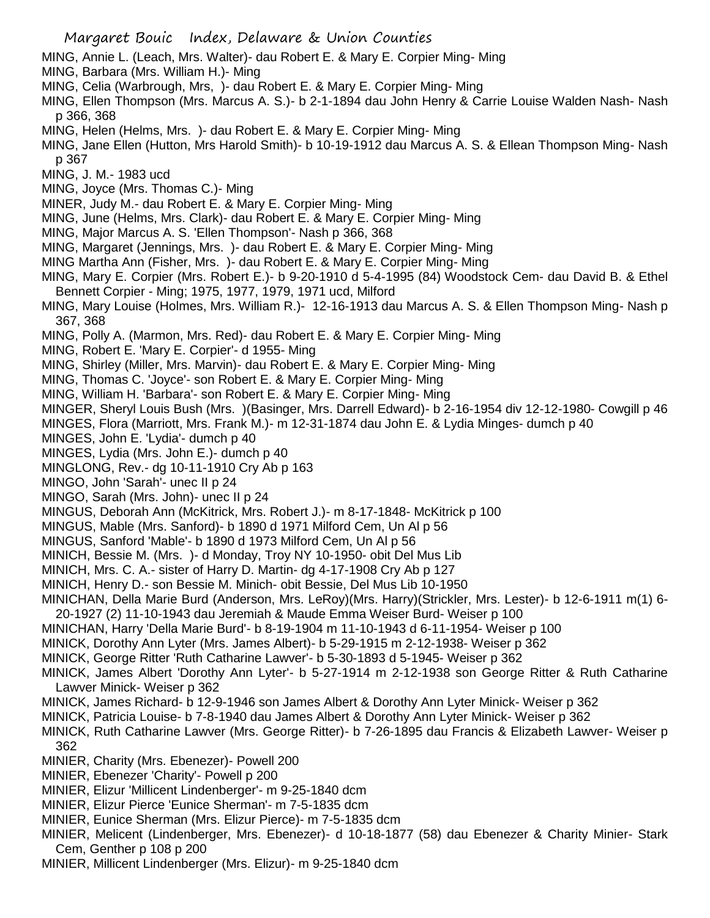- MING, Annie L. (Leach, Mrs. Walter)- dau Robert E. & Mary E. Corpier Ming- Ming
- MING, Barbara (Mrs. William H.)- Ming
- MING, Celia (Warbrough, Mrs, )- dau Robert E. & Mary E. Corpier Ming- Ming
- MING, Ellen Thompson (Mrs. Marcus A. S.)- b 2-1-1894 dau John Henry & Carrie Louise Walden Nash- Nash p 366, 368
- MING, Helen (Helms, Mrs. )- dau Robert E. & Mary E. Corpier Ming- Ming
- MING, Jane Ellen (Hutton, Mrs Harold Smith)- b 10-19-1912 dau Marcus A. S. & Ellean Thompson Ming- Nash p 367
- MING, J. M.- 1983 ucd
- MING, Joyce (Mrs. Thomas C.)- Ming
- MINER, Judy M.- dau Robert E. & Mary E. Corpier Ming- Ming
- MING, June (Helms, Mrs. Clark)- dau Robert E. & Mary E. Corpier Ming- Ming
- MING, Major Marcus A. S. 'Ellen Thompson'- Nash p 366, 368
- MING, Margaret (Jennings, Mrs. )- dau Robert E. & Mary E. Corpier Ming- Ming
- MING Martha Ann (Fisher, Mrs. )- dau Robert E. & Mary E. Corpier Ming- Ming
- MING, Mary E. Corpier (Mrs. Robert E.)- b 9-20-1910 d 5-4-1995 (84) Woodstock Cem- dau David B. & Ethel Bennett Corpier - Ming; 1975, 1977, 1979, 1971 ucd, Milford
- MING, Mary Louise (Holmes, Mrs. William R.)- 12-16-1913 dau Marcus A. S. & Ellen Thompson Ming- Nash p 367, 368
- MING, Polly A. (Marmon, Mrs. Red)- dau Robert E. & Mary E. Corpier Ming- Ming
- MING, Robert E. 'Mary E. Corpier'- d 1955- Ming
- MING, Shirley (Miller, Mrs. Marvin)- dau Robert E. & Mary E. Corpier Ming- Ming
- MING, Thomas C. 'Joyce'- son Robert E. & Mary E. Corpier Ming- Ming
- MING, William H. 'Barbara'- son Robert E. & Mary E. Corpier Ming- Ming
- MINGER, Sheryl Louis Bush (Mrs. )(Basinger, Mrs. Darrell Edward)- b 2-16-1954 div 12-12-1980- Cowgill p 46
- MINGES, Flora (Marriott, Mrs. Frank M.)- m 12-31-1874 dau John E. & Lydia Minges- dumch p 40
- MINGES, John E. 'Lydia'- dumch p 40
- MINGES, Lydia (Mrs. John E.)- dumch p 40
- MINGLONG, Rev.- dg 10-11-1910 Cry Ab p 163
- MINGO, John 'Sarah'- unec II p 24
- MINGO, Sarah (Mrs. John)- unec II p 24
- MINGUS, Deborah Ann (McKitrick, Mrs. Robert J.)- m 8-17-1848- McKitrick p 100
- MINGUS, Mable (Mrs. Sanford)- b 1890 d 1971 Milford Cem, Un Al p 56
- MINGUS, Sanford 'Mable'- b 1890 d 1973 Milford Cem, Un Al p 56
- MINICH, Bessie M. (Mrs. )- d Monday, Troy NY 10-1950- obit Del Mus Lib
- MINICH, Mrs. C. A.- sister of Harry D. Martin- dg 4-17-1908 Cry Ab p 127
- MINICH, Henry D.- son Bessie M. Minich- obit Bessie, Del Mus Lib 10-1950
- MINICHAN, Della Marie Burd (Anderson, Mrs. LeRoy)(Mrs. Harry)(Strickler, Mrs. Lester)- b 12-6-1911 m(1) 6- 20-1927 (2) 11-10-1943 dau Jeremiah & Maude Emma Weiser Burd- Weiser p 100
- MINICHAN, Harry 'Della Marie Burd'- b 8-19-1904 m 11-10-1943 d 6-11-1954- Weiser p 100
- MINICK, Dorothy Ann Lyter (Mrs. James Albert)- b 5-29-1915 m 2-12-1938- Weiser p 362
- MINICK, George Ritter 'Ruth Catharine Lawver'- b 5-30-1893 d 5-1945- Weiser p 362
- MINICK, James Albert 'Dorothy Ann Lyter'- b 5-27-1914 m 2-12-1938 son George Ritter & Ruth Catharine Lawver Minick- Weiser p 362
- MINICK, James Richard- b 12-9-1946 son James Albert & Dorothy Ann Lyter Minick- Weiser p 362
- MINICK, Patricia Louise- b 7-8-1940 dau James Albert & Dorothy Ann Lyter Minick- Weiser p 362
- MINICK, Ruth Catharine Lawver (Mrs. George Ritter)- b 7-26-1895 dau Francis & Elizabeth Lawver- Weiser p 362
- MINIER, Charity (Mrs. Ebenezer)- Powell 200
- MINIER, Ebenezer 'Charity'- Powell p 200
- MINIER, Elizur 'Millicent Lindenberger'- m 9-25-1840 dcm
- MINIER, Elizur Pierce 'Eunice Sherman'- m 7-5-1835 dcm
- MINIER, Eunice Sherman (Mrs. Elizur Pierce)- m 7-5-1835 dcm
- MINIER, Melicent (Lindenberger, Mrs. Ebenezer)- d 10-18-1877 (58) dau Ebenezer & Charity Minier- Stark Cem, Genther p 108 p 200
- MINIER, Millicent Lindenberger (Mrs. Elizur)- m 9-25-1840 dcm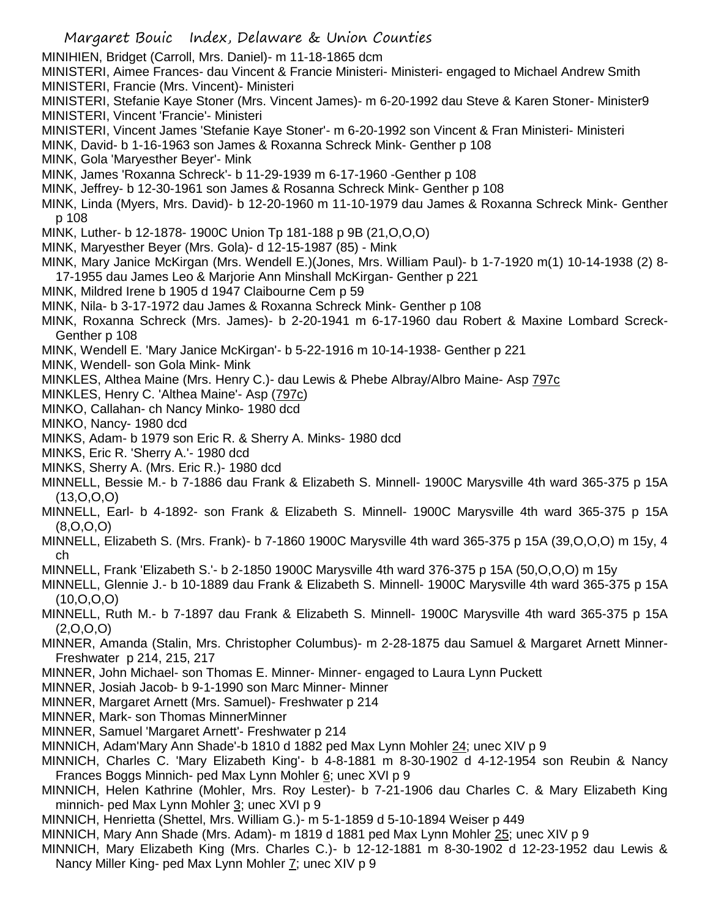- Margaret Bouic Index, Delaware & Union Counties MINIHIEN, Bridget (Carroll, Mrs. Daniel)- m 11-18-1865 dcm MINISTERI, Aimee Frances- dau Vincent & Francie Ministeri- Ministeri- engaged to Michael Andrew Smith MINISTERI, Francie (Mrs. Vincent)- Ministeri MINISTERI, Stefanie Kaye Stoner (Mrs. Vincent James)- m 6-20-1992 dau Steve & Karen Stoner- Minister9 MINISTERI, Vincent 'Francie'- Ministeri MINISTERI, Vincent James 'Stefanie Kaye Stoner'- m 6-20-1992 son Vincent & Fran Ministeri- Ministeri MINK, David- b 1-16-1963 son James & Roxanna Schreck Mink- Genther p 108 MINK, Gola 'Maryesther Beyer'- Mink MINK, James 'Roxanna Schreck'- b 11-29-1939 m 6-17-1960 -Genther p 108 MINK, Jeffrey- b 12-30-1961 son James & Rosanna Schreck Mink- Genther p 108 MINK, Linda (Myers, Mrs. David)- b 12-20-1960 m 11-10-1979 dau James & Roxanna Schreck Mink- Genther p 108 MINK, Luther- b 12-1878- 1900C Union Tp 181-188 p 9B (21,O,O,O) MINK, Maryesther Beyer (Mrs. Gola)- d 12-15-1987 (85) - Mink MINK, Mary Janice McKirgan (Mrs. Wendell E.)(Jones, Mrs. William Paul)- b 1-7-1920 m(1) 10-14-1938 (2) 8- 17-1955 dau James Leo & Marjorie Ann Minshall McKirgan- Genther p 221 MINK, Mildred Irene b 1905 d 1947 Claibourne Cem p 59 MINK, Nila- b 3-17-1972 dau James & Roxanna Schreck Mink- Genther p 108 MINK, Roxanna Schreck (Mrs. James)- b 2-20-1941 m 6-17-1960 dau Robert & Maxine Lombard Screck-Genther p 108 MINK, Wendell E. 'Mary Janice McKirgan'- b 5-22-1916 m 10-14-1938- Genther p 221 MINK, Wendell- son Gola Mink- Mink MINKLES, Althea Maine (Mrs. Henry C.)- dau Lewis & Phebe Albray/Albro Maine- Asp 797c MINKLES, Henry C. 'Althea Maine'- Asp (797c) MINKO, Callahan- ch Nancy Minko- 1980 dcd MINKO, Nancy- 1980 dcd MINKS, Adam- b 1979 son Eric R. & Sherry A. Minks- 1980 dcd MINKS, Eric R. 'Sherry A.'- 1980 dcd MINKS, Sherry A. (Mrs. Eric R.)- 1980 dcd MINNELL, Bessie M.- b 7-1886 dau Frank & Elizabeth S. Minnell- 1900C Marysville 4th ward 365-375 p 15A (13,O,O,O) MINNELL, Earl- b 4-1892- son Frank & Elizabeth S. Minnell- 1900C Marysville 4th ward 365-375 p 15A (8,O,O,O) MINNELL, Elizabeth S. (Mrs. Frank)- b 7-1860 1900C Marysville 4th ward 365-375 p 15A (39,O,O,O) m 15y, 4 ch MINNELL, Frank 'Elizabeth S.'- b 2-1850 1900C Marysville 4th ward 376-375 p 15A (50,O,O,O) m 15y MINNELL, Glennie J.- b 10-1889 dau Frank & Elizabeth S. Minnell- 1900C Marysville 4th ward 365-375 p 15A (10,O,O,O) MINNELL, Ruth M.- b 7-1897 dau Frank & Elizabeth S. Minnell- 1900C Marysville 4th ward 365-375 p 15A  $(2,0,0,0)$ MINNER, Amanda (Stalin, Mrs. Christopher Columbus)- m 2-28-1875 dau Samuel & Margaret Arnett Minner-Freshwater p 214, 215, 217 MINNER, John Michael- son Thomas E. Minner- Minner- engaged to Laura Lynn Puckett MINNER, Josiah Jacob- b 9-1-1990 son Marc Minner- Minner MINNER, Margaret Arnett (Mrs. Samuel)- Freshwater p 214 MINNER, Mark- son Thomas MinnerMinner
- MINNER, Samuel 'Margaret Arnett'- Freshwater p 214
- MINNICH, Adam'Mary Ann Shade'-b 1810 d 1882 ped Max Lynn Mohler 24; unec XIV p 9
- MINNICH, Charles C. 'Mary Elizabeth King'- b 4-8-1881 m 8-30-1902 d 4-12-1954 son Reubin & Nancy Frances Boggs Minnich- ped Max Lynn Mohler 6; unec XVI p 9
- MINNICH, Helen Kathrine (Mohler, Mrs. Roy Lester)- b 7-21-1906 dau Charles C. & Mary Elizabeth King minnich- ped Max Lynn Mohler 3; unec XVI p 9
- MINNICH, Henrietta (Shettel, Mrs. William G.)- m 5-1-1859 d 5-10-1894 Weiser p 449
- MINNICH, Mary Ann Shade (Mrs. Adam)- m 1819 d 1881 ped Max Lynn Mohler 25; unec XIV p 9
- MINNICH, Mary Elizabeth King (Mrs. Charles C.)- b 12-12-1881 m 8-30-1902 d 12-23-1952 dau Lewis & Nancy Miller King- ped Max Lynn Mohler 7; unec XIV p 9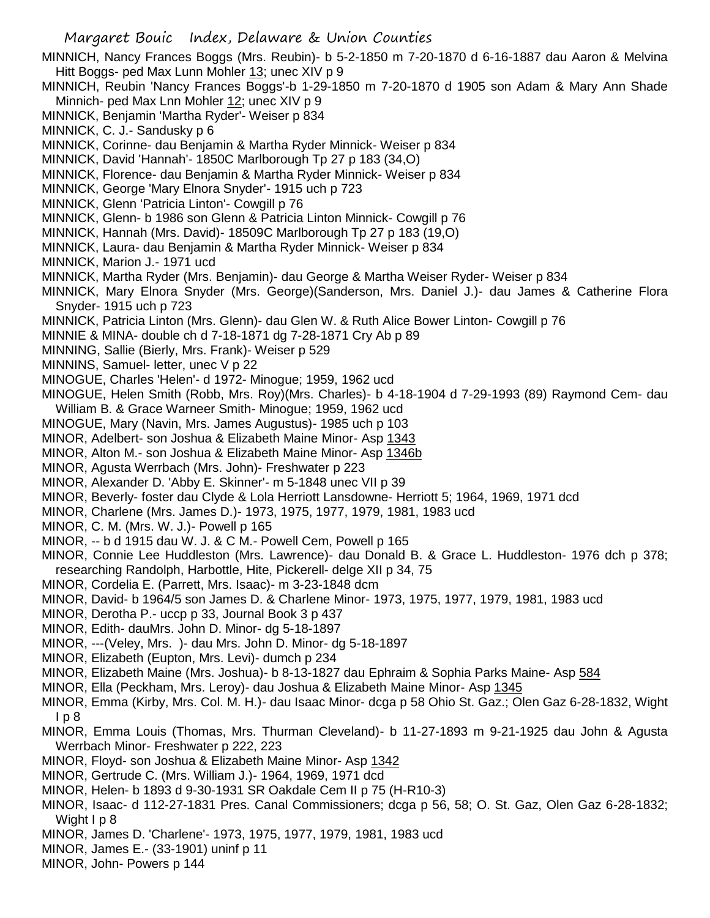- MINNICH, Nancy Frances Boggs (Mrs. Reubin)- b 5-2-1850 m 7-20-1870 d 6-16-1887 dau Aaron & Melvina Hitt Boggs- ped Max Lunn Mohler 13; unec XIV p 9
- MINNICH, Reubin 'Nancy Frances Boggs'-b 1-29-1850 m 7-20-1870 d 1905 son Adam & Mary Ann Shade Minnich- ped Max Lnn Mohler 12; unec XIV p 9
- MINNICK, Benjamin 'Martha Ryder'- Weiser p 834
- MINNICK, C. J.- Sandusky p 6
- MINNICK, Corinne- dau Benjamin & Martha Ryder Minnick- Weiser p 834
- MINNICK, David 'Hannah'- 1850C Marlborough Tp 27 p 183 (34,O)
- MINNICK, Florence- dau Benjamin & Martha Ryder Minnick- Weiser p 834
- MINNICK, George 'Mary Elnora Snyder'- 1915 uch p 723
- MINNICK, Glenn 'Patricia Linton'- Cowgill p 76
- MINNICK, Glenn- b 1986 son Glenn & Patricia Linton Minnick- Cowgill p 76
- MINNICK, Hannah (Mrs. David)- 18509C Marlborough Tp 27 p 183 (19,O)
- MINNICK, Laura- dau Benjamin & Martha Ryder Minnick- Weiser p 834
- MINNICK, Marion J.- 1971 ucd
- MINNICK, Martha Ryder (Mrs. Benjamin)- dau George & Martha Weiser Ryder- Weiser p 834
- MINNICK, Mary Elnora Snyder (Mrs. George)(Sanderson, Mrs. Daniel J.)- dau James & Catherine Flora Snyder- 1915 uch p 723
- MINNICK, Patricia Linton (Mrs. Glenn)- dau Glen W. & Ruth Alice Bower Linton- Cowgill p 76
- MINNIE & MINA- double ch d 7-18-1871 dg 7-28-1871 Cry Ab p 89
- MINNING, Sallie (Bierly, Mrs. Frank)- Weiser p 529
- MINNINS, Samuel- letter, unec V p 22
- MINOGUE, Charles 'Helen'- d 1972- Minogue; 1959, 1962 ucd
- MINOGUE, Helen Smith (Robb, Mrs. Roy)(Mrs. Charles)- b 4-18-1904 d 7-29-1993 (89) Raymond Cem- dau William B. & Grace Warneer Smith- Minogue; 1959, 1962 ucd
- MINOGUE, Mary (Navin, Mrs. James Augustus)- 1985 uch p 103
- MINOR, Adelbert- son Joshua & Elizabeth Maine Minor- Asp 1343
- MINOR, Alton M.- son Joshua & Elizabeth Maine Minor- Asp 1346b
- MINOR, Agusta Werrbach (Mrs. John)- Freshwater p 223
- MINOR, Alexander D. 'Abby E. Skinner'- m 5-1848 unec VII p 39
- MINOR, Beverly- foster dau Clyde & Lola Herriott Lansdowne- Herriott 5; 1964, 1969, 1971 dcd
- MINOR, Charlene (Mrs. James D.)- 1973, 1975, 1977, 1979, 1981, 1983 ucd
- MINOR, C. M. (Mrs. W. J.)- Powell p 165
- MINOR, -- b d 1915 dau W. J. & C M.- Powell Cem, Powell p 165
- MINOR, Connie Lee Huddleston (Mrs. Lawrence)- dau Donald B. & Grace L. Huddleston- 1976 dch p 378; researching Randolph, Harbottle, Hite, Pickerell- delge XII p 34, 75
- MINOR, Cordelia E. (Parrett, Mrs. Isaac)- m 3-23-1848 dcm
- MINOR, David- b 1964/5 son James D. & Charlene Minor- 1973, 1975, 1977, 1979, 1981, 1983 ucd
- MINOR, Derotha P.- uccp p 33, Journal Book 3 p 437
- MINOR, Edith- dauMrs. John D. Minor- dg 5-18-1897
- MINOR, ---(Veley, Mrs. )- dau Mrs. John D. Minor- dg 5-18-1897
- MINOR, Elizabeth (Eupton, Mrs. Levi)- dumch p 234
- MINOR, Elizabeth Maine (Mrs. Joshua)- b 8-13-1827 dau Ephraim & Sophia Parks Maine- Asp 584
- MINOR, Ella (Peckham, Mrs. Leroy)- dau Joshua & Elizabeth Maine Minor- Asp 1345
- MINOR, Emma (Kirby, Mrs. Col. M. H.)- dau Isaac Minor- dcga p 58 Ohio St. Gaz.; Olen Gaz 6-28-1832, Wight  $lp8$
- MINOR, Emma Louis (Thomas, Mrs. Thurman Cleveland)- b 11-27-1893 m 9-21-1925 dau John & Agusta Werrbach Minor- Freshwater p 222, 223
- MINOR, Floyd- son Joshua & Elizabeth Maine Minor- Asp 1342
- MINOR, Gertrude C. (Mrs. William J.)- 1964, 1969, 1971 dcd
- MINOR, Helen- b 1893 d 9-30-1931 SR Oakdale Cem II p 75 (H-R10-3)
- MINOR, Isaac- d 112-27-1831 Pres. Canal Commissioners; dcga p 56, 58; O. St. Gaz, Olen Gaz 6-28-1832; Wight I p 8
- MINOR, James D. 'Charlene'- 1973, 1975, 1977, 1979, 1981, 1983 ucd
- MINOR, James E.- (33-1901) uninf p 11
- MINOR, John- Powers p 144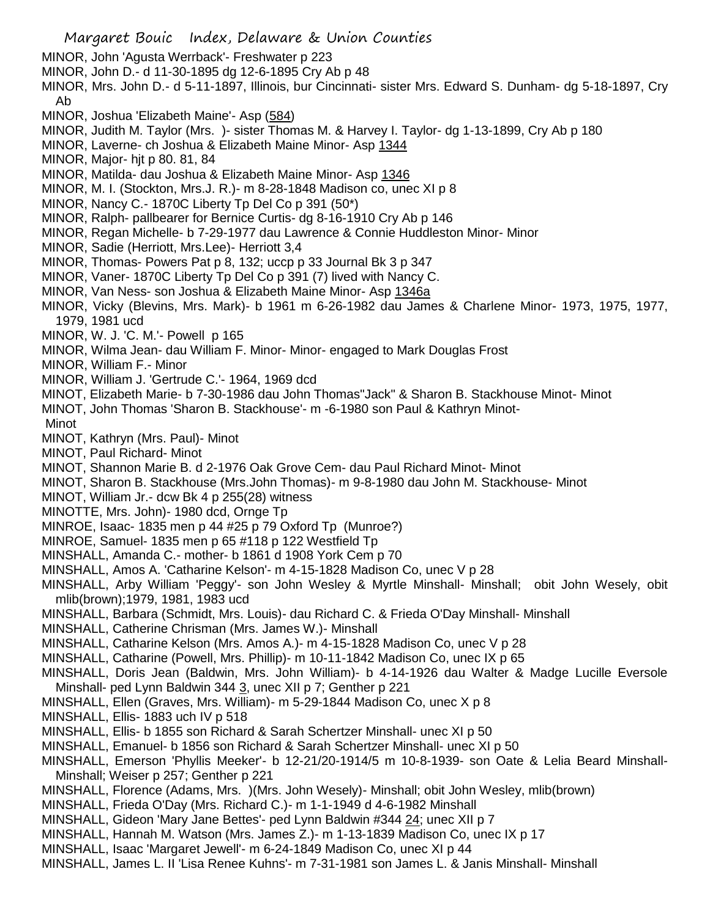- MINOR, John 'Agusta Werrback'- Freshwater p 223
- MINOR, John D.- d 11-30-1895 dg 12-6-1895 Cry Ab p 48
- MINOR, Mrs. John D.- d 5-11-1897, Illinois, bur Cincinnati- sister Mrs. Edward S. Dunham- dg 5-18-1897, Cry Ab
- MINOR, Joshua 'Elizabeth Maine'- Asp (584)
- MINOR, Judith M. Taylor (Mrs. )- sister Thomas M. & Harvey I. Taylor- dg 1-13-1899, Cry Ab p 180
- MINOR, Laverne- ch Joshua & Elizabeth Maine Minor- Asp 1344
- MINOR, Major- hjt p 80. 81, 84
- MINOR, Matilda- dau Joshua & Elizabeth Maine Minor- Asp 1346
- MINOR, M. I. (Stockton, Mrs.J. R.)- m 8-28-1848 Madison co, unec XI p 8
- MINOR, Nancy C.- 1870C Liberty Tp Del Co p 391 (50\*)
- MINOR, Ralph- pallbearer for Bernice Curtis- dg 8-16-1910 Cry Ab p 146
- MINOR, Regan Michelle- b 7-29-1977 dau Lawrence & Connie Huddleston Minor- Minor
- MINOR, Sadie (Herriott, Mrs.Lee)- Herriott 3,4
- MINOR, Thomas- Powers Pat p 8, 132; uccp p 33 Journal Bk 3 p 347
- MINOR, Vaner- 1870C Liberty Tp Del Co p 391 (7) lived with Nancy C.
- MINOR, Van Ness- son Joshua & Elizabeth Maine Minor- Asp 1346a
- MINOR, Vicky (Blevins, Mrs. Mark)- b 1961 m 6-26-1982 dau James & Charlene Minor- 1973, 1975, 1977, 1979, 1981 ucd
- MINOR, W. J. 'C. M.'- Powell p 165
- MINOR, Wilma Jean- dau William F. Minor- Minor- engaged to Mark Douglas Frost
- MINOR, William F.- Minor
- MINOR, William J. 'Gertrude C.'- 1964, 1969 dcd
- MINOT, Elizabeth Marie- b 7-30-1986 dau John Thomas"Jack" & Sharon B. Stackhouse Minot- Minot
- MINOT, John Thomas 'Sharon B. Stackhouse'- m -6-1980 son Paul & Kathryn Minot-
- Minot
- MINOT, Kathryn (Mrs. Paul)- Minot
- MINOT, Paul Richard- Minot
- MINOT, Shannon Marie B. d 2-1976 Oak Grove Cem- dau Paul Richard Minot- Minot
- MINOT, Sharon B. Stackhouse (Mrs.John Thomas)- m 9-8-1980 dau John M. Stackhouse- Minot
- MINOT, William Jr.- dcw Bk 4 p 255(28) witness
- MINOTTE, Mrs. John)- 1980 dcd, Ornge Tp
- MINROE, Isaac- 1835 men p 44 #25 p 79 Oxford Tp (Munroe?)
- MINROE, Samuel- 1835 men p 65 #118 p 122 Westfield Tp
- MINSHALL, Amanda C.- mother- b 1861 d 1908 York Cem p 70
- MINSHALL, Amos A. 'Catharine Kelson'- m 4-15-1828 Madison Co, unec V p 28
- MINSHALL, Arby William 'Peggy'- son John Wesley & Myrtle Minshall- Minshall; obit John Wesely, obit mlib(brown);1979, 1981, 1983 ucd
- MINSHALL, Barbara (Schmidt, Mrs. Louis)- dau Richard C. & Frieda O'Day Minshall- Minshall
- MINSHALL, Catherine Chrisman (Mrs. James W.)- Minshall
- MINSHALL, Catharine Kelson (Mrs. Amos A.)- m 4-15-1828 Madison Co, unec V p 28
- MINSHALL, Catharine (Powell, Mrs. Phillip)- m 10-11-1842 Madison Co, unec IX p 65
- MINSHALL, Doris Jean (Baldwin, Mrs. John William)- b 4-14-1926 dau Walter & Madge Lucille Eversole Minshall- ped Lynn Baldwin 344 3, unec XII p 7; Genther p 221
- MINSHALL, Ellen (Graves, Mrs. William)- m 5-29-1844 Madison Co, unec X p 8
- MINSHALL, Ellis- 1883 uch IV p 518
- MINSHALL, Ellis- b 1855 son Richard & Sarah Schertzer Minshall- unec XI p 50
- MINSHALL, Emanuel- b 1856 son Richard & Sarah Schertzer Minshall- unec XI p 50
- MINSHALL, Emerson 'Phyllis Meeker'- b 12-21/20-1914/5 m 10-8-1939- son Oate & Lelia Beard Minshall-Minshall; Weiser p 257; Genther p 221
- MINSHALL, Florence (Adams, Mrs. )(Mrs. John Wesely)- Minshall; obit John Wesley, mlib(brown)
- MINSHALL, Frieda O'Day (Mrs. Richard C.)- m 1-1-1949 d 4-6-1982 Minshall
- MINSHALL, Gideon 'Mary Jane Bettes'- ped Lynn Baldwin #344 24; unec XII p 7
- MINSHALL, Hannah M. Watson (Mrs. James Z.)- m 1-13-1839 Madison Co, unec IX p 17
- MINSHALL, Isaac 'Margaret Jewell'- m 6-24-1849 Madison Co, unec XI p 44
- MINSHALL, James L. II 'Lisa Renee Kuhns'- m 7-31-1981 son James L. & Janis Minshall- Minshall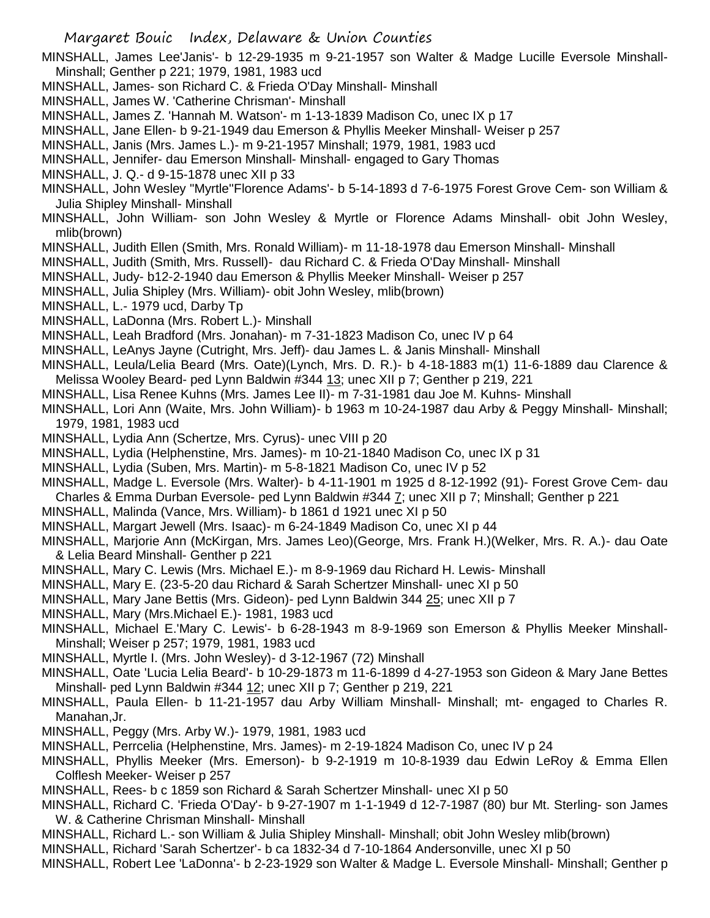MINSHALL, James Lee'Janis'- b 12-29-1935 m 9-21-1957 son Walter & Madge Lucille Eversole Minshall-Minshall; Genther p 221; 1979, 1981, 1983 ucd

- MINSHALL, James- son Richard C. & Frieda O'Day Minshall- Minshall
- MINSHALL, James W. 'Catherine Chrisman'- Minshall
- MINSHALL, James Z. 'Hannah M. Watson'- m 1-13-1839 Madison Co, unec IX p 17
- MINSHALL, Jane Ellen- b 9-21-1949 dau Emerson & Phyllis Meeker Minshall- Weiser p 257
- MINSHALL, Janis (Mrs. James L.)- m 9-21-1957 Minshall; 1979, 1981, 1983 ucd
- MINSHALL, Jennifer- dau Emerson Minshall- Minshall- engaged to Gary Thomas
- MINSHALL, J. Q.- d 9-15-1878 unec XII p 33
- MINSHALL, John Wesley "Myrtle''Florence Adams'- b 5-14-1893 d 7-6-1975 Forest Grove Cem- son William & Julia Shipley Minshall- Minshall
- MINSHALL, John William- son John Wesley & Myrtle or Florence Adams Minshall- obit John Wesley, mlib(brown)
- MINSHALL, Judith Ellen (Smith, Mrs. Ronald William)- m 11-18-1978 dau Emerson Minshall- Minshall
- MINSHALL, Judith (Smith, Mrs. Russell)- dau Richard C. & Frieda O'Day Minshall- Minshall
- MINSHALL, Judy- b12-2-1940 dau Emerson & Phyllis Meeker Minshall- Weiser p 257
- MINSHALL, Julia Shipley (Mrs. William)- obit John Wesley, mlib(brown)
- MINSHALL, L.- 1979 ucd, Darby Tp
- MINSHALL, LaDonna (Mrs. Robert L.)- Minshall
- MINSHALL, Leah Bradford (Mrs. Jonahan)- m 7-31-1823 Madison Co, unec IV p 64
- MINSHALL, LeAnys Jayne (Cutright, Mrs. Jeff)- dau James L. & Janis Minshall- Minshall
- MINSHALL, Leula/Lelia Beard (Mrs. Oate)(Lynch, Mrs. D. R.)- b 4-18-1883 m(1) 11-6-1889 dau Clarence & Melissa Wooley Beard- ped Lynn Baldwin #344 13; unec XII p 7; Genther p 219, 221
- MINSHALL, Lisa Renee Kuhns (Mrs. James Lee II)- m 7-31-1981 dau Joe M. Kuhns- Minshall
- MINSHALL, Lori Ann (Waite, Mrs. John William)- b 1963 m 10-24-1987 dau Arby & Peggy Minshall- Minshall; 1979, 1981, 1983 ucd
- MINSHALL, Lydia Ann (Schertze, Mrs. Cyrus)- unec VIII p 20
- MINSHALL, Lydia (Helphenstine, Mrs. James)- m 10-21-1840 Madison Co, unec IX p 31
- MINSHALL, Lydia (Suben, Mrs. Martin)- m 5-8-1821 Madison Co, unec IV p 52
- MINSHALL, Madge L. Eversole (Mrs. Walter)- b 4-11-1901 m 1925 d 8-12-1992 (91)- Forest Grove Cem- dau Charles & Emma Durban Eversole- ped Lynn Baldwin #344 7; unec XII p 7; Minshall; Genther p 221
- MINSHALL, Malinda (Vance, Mrs. William)- b 1861 d 1921 unec XI p 50
- MINSHALL, Margart Jewell (Mrs. Isaac)- m 6-24-1849 Madison Co, unec XI p 44
- MINSHALL, Marjorie Ann (McKirgan, Mrs. James Leo)(George, Mrs. Frank H.)(Welker, Mrs. R. A.)- dau Oate & Lelia Beard Minshall- Genther p 221
- MINSHALL, Mary C. Lewis (Mrs. Michael E.)- m 8-9-1969 dau Richard H. Lewis- Minshall
- MINSHALL, Mary E. (23-5-20 dau Richard & Sarah Schertzer Minshall- unec XI p 50
- MINSHALL, Mary Jane Bettis (Mrs. Gideon)- ped Lynn Baldwin 344 25; unec XII p 7
- MINSHALL, Mary (Mrs.Michael E.)- 1981, 1983 ucd
- MINSHALL, Michael E.'Mary C. Lewis'- b 6-28-1943 m 8-9-1969 son Emerson & Phyllis Meeker Minshall-Minshall; Weiser p 257; 1979, 1981, 1983 ucd
- MINSHALL, Myrtle I. (Mrs. John Wesley)- d 3-12-1967 (72) Minshall
- MINSHALL, Oate 'Lucia Lelia Beard'- b 10-29-1873 m 11-6-1899 d 4-27-1953 son Gideon & Mary Jane Bettes Minshall- ped Lynn Baldwin #344 12; unec XII p 7; Genther p 219, 221
- MINSHALL, Paula Ellen- b 11-21-1957 dau Arby William Minshall- Minshall; mt- engaged to Charles R. Manahan,Jr.
- MINSHALL, Peggy (Mrs. Arby W.)- 1979, 1981, 1983 ucd
- MINSHALL, Perrcelia (Helphenstine, Mrs. James)- m 2-19-1824 Madison Co, unec IV p 24
- MINSHALL, Phyllis Meeker (Mrs. Emerson)- b 9-2-1919 m 10-8-1939 dau Edwin LeRoy & Emma Ellen Colflesh Meeker- Weiser p 257
- MINSHALL, Rees- b c 1859 son Richard & Sarah Schertzer Minshall- unec XI p 50
- MINSHALL, Richard C. 'Frieda O'Day'- b 9-27-1907 m 1-1-1949 d 12-7-1987 (80) bur Mt. Sterling- son James W. & Catherine Chrisman Minshall- Minshall
- MINSHALL, Richard L.- son William & Julia Shipley Minshall- Minshall; obit John Wesley mlib(brown)
- MINSHALL, Richard 'Sarah Schertzer'- b ca 1832-34 d 7-10-1864 Andersonville, unec XI p 50
- MINSHALL, Robert Lee 'LaDonna'- b 2-23-1929 son Walter & Madge L. Eversole Minshall- Minshall; Genther p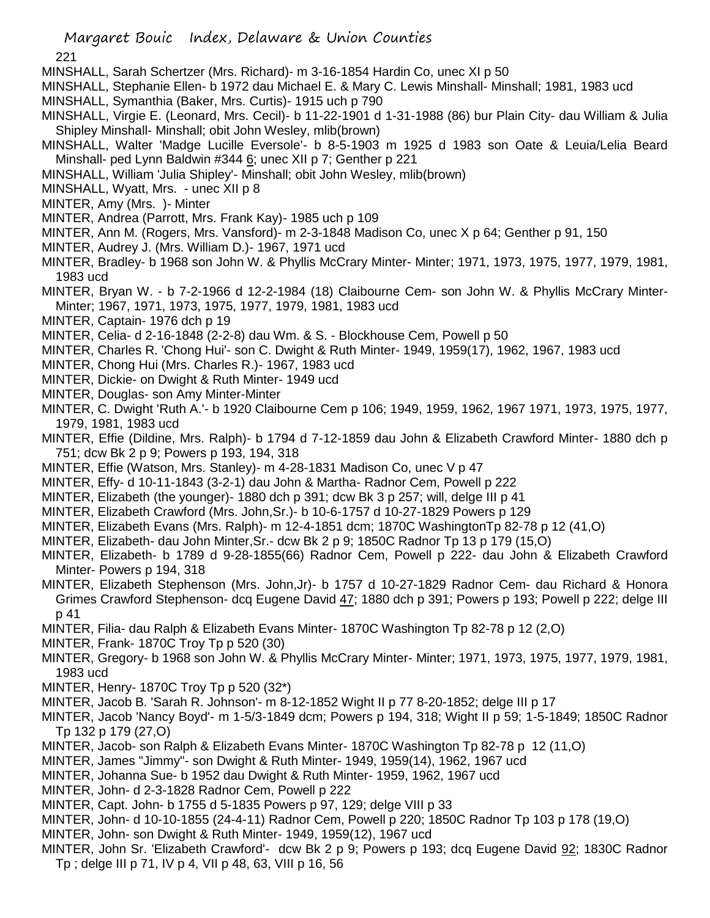221

- MINSHALL, Sarah Schertzer (Mrs. Richard)- m 3-16-1854 Hardin Co, unec XI p 50
- MINSHALL, Stephanie Ellen- b 1972 dau Michael E. & Mary C. Lewis Minshall- Minshall; 1981, 1983 ucd
- MINSHALL, Symanthia (Baker, Mrs. Curtis)- 1915 uch p 790
- MINSHALL, Virgie E. (Leonard, Mrs. Cecil)- b 11-22-1901 d 1-31-1988 (86) bur Plain City- dau William & Julia Shipley Minshall- Minshall; obit John Wesley, mlib(brown)
- MINSHALL, Walter 'Madge Lucille Eversole'- b 8-5-1903 m 1925 d 1983 son Oate & Leuia/Lelia Beard Minshall- ped Lynn Baldwin #344 6; unec XII p 7; Genther p 221
- MINSHALL, William 'Julia Shipley'- Minshall; obit John Wesley, mlib(brown)
- MINSHALL, Wyatt, Mrs. unec XII p 8
- MINTER, Amy (Mrs. )- Minter
- MINTER, Andrea (Parrott, Mrs. Frank Kay)- 1985 uch p 109
- MINTER, Ann M. (Rogers, Mrs. Vansford)- m 2-3-1848 Madison Co, unec X p 64; Genther p 91, 150
- MINTER, Audrey J. (Mrs. William D.)- 1967, 1971 ucd
- MINTER, Bradley- b 1968 son John W. & Phyllis McCrary Minter- Minter; 1971, 1973, 1975, 1977, 1979, 1981, 1983 ucd
- MINTER, Bryan W. b 7-2-1966 d 12-2-1984 (18) Claibourne Cem- son John W. & Phyllis McCrary Minter-Minter; 1967, 1971, 1973, 1975, 1977, 1979, 1981, 1983 ucd
- MINTER, Captain- 1976 dch p 19
- MINTER, Celia- d 2-16-1848 (2-2-8) dau Wm. & S. Blockhouse Cem, Powell p 50
- MINTER, Charles R. 'Chong Hui'- son C. Dwight & Ruth Minter- 1949, 1959(17), 1962, 1967, 1983 ucd
- MINTER, Chong Hui (Mrs. Charles R.)- 1967, 1983 ucd
- MINTER, Dickie- on Dwight & Ruth Minter- 1949 ucd
- MINTER, Douglas- son Amy Minter-Minter
- MINTER, C. Dwight 'Ruth A.'- b 1920 Claibourne Cem p 106; 1949, 1959, 1962, 1967 1971, 1973, 1975, 1977, 1979, 1981, 1983 ucd
- MINTER, Effie (Dildine, Mrs. Ralph)- b 1794 d 7-12-1859 dau John & Elizabeth Crawford Minter- 1880 dch p 751; dcw Bk 2 p 9; Powers p 193, 194, 318
- MINTER, Effie (Watson, Mrs. Stanley)- m 4-28-1831 Madison Co, unec V p 47
- MINTER, Effy- d 10-11-1843 (3-2-1) dau John & Martha- Radnor Cem, Powell p 222
- MINTER, Elizabeth (the younger)- 1880 dch p 391; dcw Bk 3 p 257; will, delge III p 41
- MINTER, Elizabeth Crawford (Mrs. John,Sr.)- b 10-6-1757 d 10-27-1829 Powers p 129
- MINTER, Elizabeth Evans (Mrs. Ralph)- m 12-4-1851 dcm; 1870C WashingtonTp 82-78 p 12 (41,O)
- MINTER, Elizabeth- dau John Minter,Sr.- dcw Bk 2 p 9; 1850C Radnor Tp 13 p 179 (15,O)
- MINTER, Elizabeth- b 1789 d 9-28-1855(66) Radnor Cem, Powell p 222- dau John & Elizabeth Crawford Minter- Powers p 194, 318
- MINTER, Elizabeth Stephenson (Mrs. John,Jr)- b 1757 d 10-27-1829 Radnor Cem- dau Richard & Honora Grimes Crawford Stephenson- dcq Eugene David 47; 1880 dch p 391; Powers p 193; Powell p 222; delge III p 41
- MINTER, Filia- dau Ralph & Elizabeth Evans Minter- 1870C Washington Tp 82-78 p 12 (2,O)
- MINTER, Frank- 1870C Troy Tp p 520 (30)
- MINTER, Gregory- b 1968 son John W. & Phyllis McCrary Minter- Minter; 1971, 1973, 1975, 1977, 1979, 1981, 1983 ucd
- MINTER, Henry- 1870C Troy Tp p 520 (32\*)
- MINTER, Jacob B. 'Sarah R. Johnson'- m 8-12-1852 Wight II p 77 8-20-1852; delge III p 17
- MINTER, Jacob 'Nancy Boyd'- m 1-5/3-1849 dcm; Powers p 194, 318; Wight II p 59; 1-5-1849; 1850C Radnor Tp 132 p 179 (27,O)
- MINTER, Jacob- son Ralph & Elizabeth Evans Minter- 1870C Washington Tp 82-78 p 12 (11,O)
- MINTER, James "Jimmy"- son Dwight & Ruth Minter- 1949, 1959(14), 1962, 1967 ucd
- MINTER, Johanna Sue- b 1952 dau Dwight & Ruth Minter- 1959, 1962, 1967 ucd
- MINTER, John- d 2-3-1828 Radnor Cem, Powell p 222
- MINTER, Capt. John- b 1755 d 5-1835 Powers p 97, 129; delge VIII p 33
- MINTER, John- d 10-10-1855 (24-4-11) Radnor Cem, Powell p 220; 1850C Radnor Tp 103 p 178 (19,O)
- MINTER, John- son Dwight & Ruth Minter- 1949, 1959(12), 1967 ucd
- MINTER, John Sr. 'Elizabeth Crawford'- dcw Bk 2 p 9; Powers p 193; dcq Eugene David 92; 1830C Radnor Tp ; delge III p 71, IV p 4, VII p 48, 63, VIII p 16, 56

Margaret Bouic Index, Delaware & Union Counties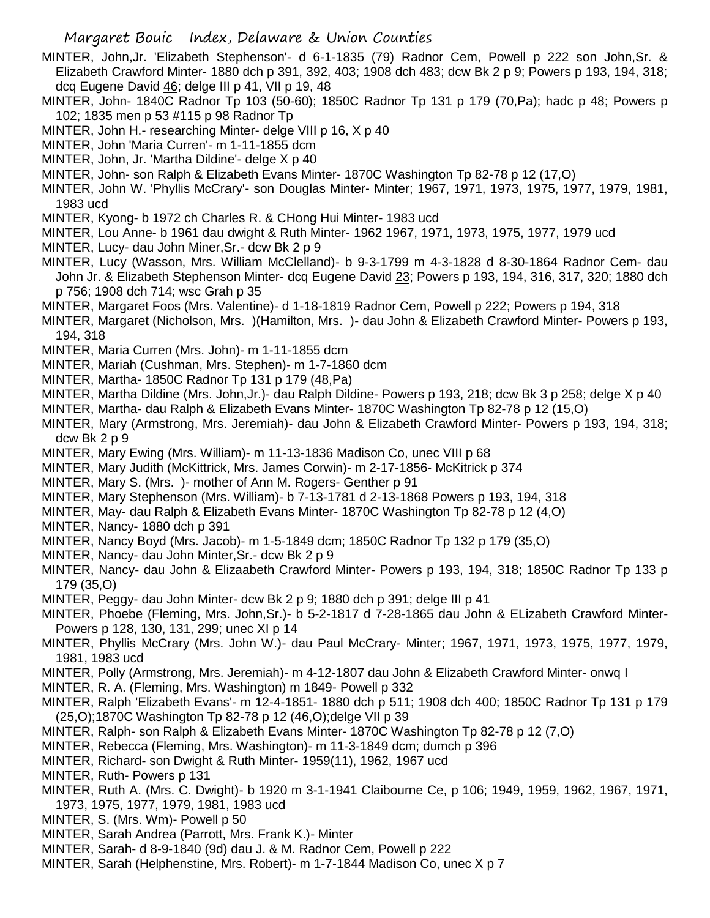- MINTER, John,Jr. 'Elizabeth Stephenson'- d 6-1-1835 (79) Radnor Cem, Powell p 222 son John,Sr. & Elizabeth Crawford Minter- 1880 dch p 391, 392, 403; 1908 dch 483; dcw Bk 2 p 9; Powers p 193, 194, 318; dcq Eugene David 46; delge III p 41, VII p 19, 48
- MINTER, John- 1840C Radnor Tp 103 (50-60); 1850C Radnor Tp 131 p 179 (70,Pa); hadc p 48; Powers p 102; 1835 men p 53 #115 p 98 Radnor Tp
- MINTER, John H.- researching Minter- delge VIII p 16, X p 40
- MINTER, John 'Maria Curren'- m 1-11-1855 dcm
- MINTER, John, Jr. 'Martha Dildine'- delge X p 40
- MINTER, John- son Ralph & Elizabeth Evans Minter- 1870C Washington Tp 82-78 p 12 (17,O)
- MINTER, John W. 'Phyllis McCrary'- son Douglas Minter- Minter; 1967, 1971, 1973, 1975, 1977, 1979, 1981, 1983 ucd
- MINTER, Kyong- b 1972 ch Charles R. & CHong Hui Minter- 1983 ucd
- MINTER, Lou Anne- b 1961 dau dwight & Ruth Minter- 1962 1967, 1971, 1973, 1975, 1977, 1979 ucd
- MINTER, Lucy- dau John Miner,Sr.- dcw Bk 2 p 9
- MINTER, Lucy (Wasson, Mrs. William McClelland)- b 9-3-1799 m 4-3-1828 d 8-30-1864 Radnor Cem- dau John Jr. & Elizabeth Stephenson Minter- dcq Eugene David 23; Powers p 193, 194, 316, 317, 320; 1880 dch p 756; 1908 dch 714; wsc Grah p 35
- MINTER, Margaret Foos (Mrs. Valentine)- d 1-18-1819 Radnor Cem, Powell p 222; Powers p 194, 318
- MINTER, Margaret (Nicholson, Mrs. )(Hamilton, Mrs. )- dau John & Elizabeth Crawford Minter- Powers p 193, 194, 318
- MINTER, Maria Curren (Mrs. John)- m 1-11-1855 dcm
- MINTER, Mariah (Cushman, Mrs. Stephen)- m 1-7-1860 dcm
- MINTER, Martha- 1850C Radnor Tp 131 p 179 (48,Pa)
- MINTER, Martha Dildine (Mrs. John,Jr.)- dau Ralph Dildine- Powers p 193, 218; dcw Bk 3 p 258; delge X p 40
- MINTER, Martha- dau Ralph & Elizabeth Evans Minter- 1870C Washington Tp 82-78 p 12 (15,O)
- MINTER, Mary (Armstrong, Mrs. Jeremiah)- dau John & Elizabeth Crawford Minter- Powers p 193, 194, 318; dcw Bk 2 p 9
- MINTER, Mary Ewing (Mrs. William)- m 11-13-1836 Madison Co, unec VIII p 68
- MINTER, Mary Judith (McKittrick, Mrs. James Corwin)- m 2-17-1856- McKitrick p 374
- MINTER, Mary S. (Mrs. )- mother of Ann M. Rogers- Genther p 91
- MINTER, Mary Stephenson (Mrs. William)- b 7-13-1781 d 2-13-1868 Powers p 193, 194, 318
- MINTER, May- dau Ralph & Elizabeth Evans Minter- 1870C Washington Tp 82-78 p 12 (4,O)
- MINTER, Nancy- 1880 dch p 391
- MINTER, Nancy Boyd (Mrs. Jacob)- m 1-5-1849 dcm; 1850C Radnor Tp 132 p 179 (35,O)
- MINTER, Nancy- dau John Minter,Sr.- dcw Bk 2 p 9
- MINTER, Nancy- dau John & Elizaabeth Crawford Minter- Powers p 193, 194, 318; 1850C Radnor Tp 133 p 179 (35,O)
- MINTER, Peggy- dau John Minter- dcw Bk 2 p 9; 1880 dch p 391; delge III p 41
- MINTER, Phoebe (Fleming, Mrs. John,Sr.)- b 5-2-1817 d 7-28-1865 dau John & ELizabeth Crawford Minter-Powers p 128, 130, 131, 299; unec XI p 14
- MINTER, Phyllis McCrary (Mrs. John W.)- dau Paul McCrary- Minter; 1967, 1971, 1973, 1975, 1977, 1979, 1981, 1983 ucd
- MINTER, Polly (Armstrong, Mrs. Jeremiah)- m 4-12-1807 dau John & Elizabeth Crawford Minter- onwq I
- MINTER, R. A. (Fleming, Mrs. Washington) m 1849- Powell p 332
- MINTER, Ralph 'Elizabeth Evans'- m 12-4-1851- 1880 dch p 511; 1908 dch 400; 1850C Radnor Tp 131 p 179 (25,O);1870C Washington Tp 82-78 p 12 (46,O);delge VII p 39
- MINTER, Ralph- son Ralph & Elizabeth Evans Minter- 1870C Washington Tp 82-78 p 12 (7,O)
- MINTER, Rebecca (Fleming, Mrs. Washington)- m 11-3-1849 dcm; dumch p 396
- MINTER, Richard- son Dwight & Ruth Minter- 1959(11), 1962, 1967 ucd
- MINTER, Ruth- Powers p 131
- MINTER, Ruth A. (Mrs. C. Dwight)- b 1920 m 3-1-1941 Claibourne Ce, p 106; 1949, 1959, 1962, 1967, 1971, 1973, 1975, 1977, 1979, 1981, 1983 ucd
- MINTER, S. (Mrs. Wm)- Powell p 50
- MINTER, Sarah Andrea (Parrott, Mrs. Frank K.)- Minter
- MINTER, Sarah- d 8-9-1840 (9d) dau J. & M. Radnor Cem, Powell p 222
- MINTER, Sarah (Helphenstine, Mrs. Robert)- m 1-7-1844 Madison Co, unec X p 7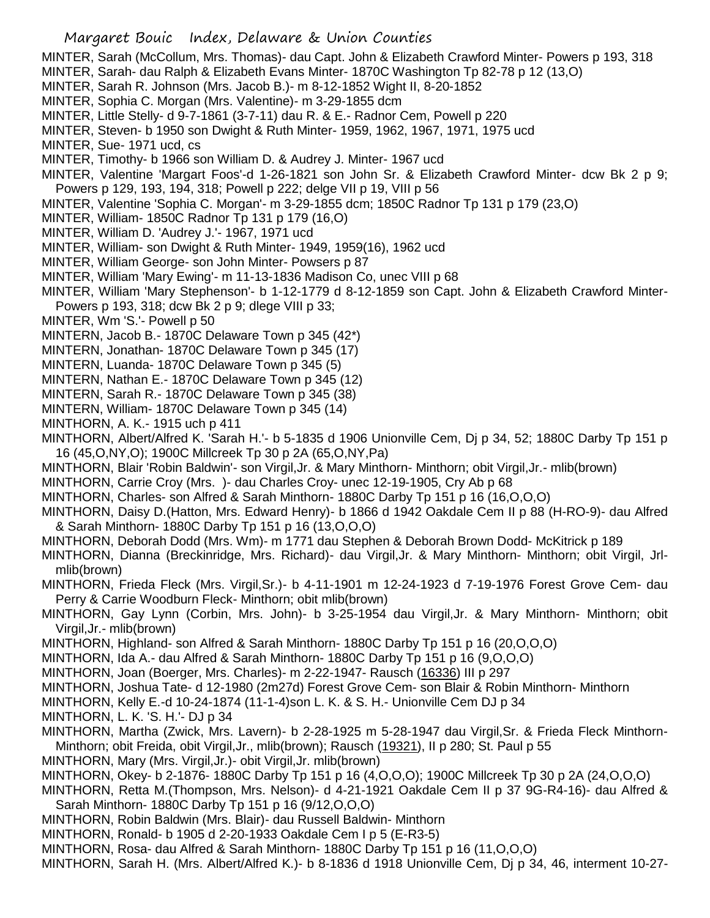- MINTER, Sarah (McCollum, Mrs. Thomas)- dau Capt. John & Elizabeth Crawford Minter- Powers p 193, 318
- MINTER, Sarah- dau Ralph & Elizabeth Evans Minter- 1870C Washington Tp 82-78 p 12 (13,O)
- MINTER, Sarah R. Johnson (Mrs. Jacob B.)- m 8-12-1852 Wight II, 8-20-1852
- MINTER, Sophia C. Morgan (Mrs. Valentine)- m 3-29-1855 dcm
- MINTER, Little Stelly- d 9-7-1861 (3-7-11) dau R. & E.- Radnor Cem, Powell p 220
- MINTER, Steven- b 1950 son Dwight & Ruth Minter- 1959, 1962, 1967, 1971, 1975 ucd
- MINTER, Sue- 1971 ucd, cs
- MINTER, Timothy- b 1966 son William D. & Audrey J. Minter- 1967 ucd
- MINTER, Valentine 'Margart Foos'-d 1-26-1821 son John Sr. & Elizabeth Crawford Minter- dcw Bk 2 p 9; Powers p 129, 193, 194, 318; Powell p 222; delge VII p 19, VIII p 56
- MINTER, Valentine 'Sophia C. Morgan'- m 3-29-1855 dcm; 1850C Radnor Tp 131 p 179 (23,O)
- MINTER, William- 1850C Radnor Tp 131 p 179 (16,O)
- MINTER, William D. 'Audrey J.'- 1967, 1971 ucd
- MINTER, William- son Dwight & Ruth Minter- 1949, 1959(16), 1962 ucd
- MINTER, William George- son John Minter- Powsers p 87
- MINTER, William 'Mary Ewing'- m 11-13-1836 Madison Co, unec VIII p 68
- MINTER, William 'Mary Stephenson'- b 1-12-1779 d 8-12-1859 son Capt. John & Elizabeth Crawford Minter-Powers p 193, 318; dcw Bk 2 p 9; dlege VIII p 33;
- MINTER, Wm 'S.'- Powell p 50
- MINTERN, Jacob B.- 1870C Delaware Town p 345 (42\*)
- MINTERN, Jonathan- 1870C Delaware Town p 345 (17)
- MINTERN, Luanda- 1870C Delaware Town p 345 (5)
- MINTERN, Nathan E.- 1870C Delaware Town p 345 (12)
- MINTERN, Sarah R.- 1870C Delaware Town p 345 (38)
- MINTERN, William- 1870C Delaware Town p 345 (14)
- MINTHORN, A. K.- 1915 uch p 411
- MINTHORN, Albert/Alfred K. 'Sarah H.'- b 5-1835 d 1906 Unionville Cem, Dj p 34, 52; 1880C Darby Tp 151 p 16 (45,O,NY,O); 1900C Millcreek Tp 30 p 2A (65,O,NY,Pa)
- MINTHORN, Blair 'Robin Baldwin'- son Virgil,Jr. & Mary Minthorn- Minthorn; obit Virgil,Jr.- mlib(brown)
- MINTHORN, Carrie Croy (Mrs. )- dau Charles Croy- unec 12-19-1905, Cry Ab p 68
- MINTHORN, Charles- son Alfred & Sarah Minthorn- 1880C Darby Tp 151 p 16 (16,O,O,O)
- MINTHORN, Daisy D.(Hatton, Mrs. Edward Henry)- b 1866 d 1942 Oakdale Cem II p 88 (H-RO-9)- dau Alfred & Sarah Minthorn- 1880C Darby Tp 151 p 16 (13,O,O,O)
- MINTHORN, Deborah Dodd (Mrs. Wm)- m 1771 dau Stephen & Deborah Brown Dodd- McKitrick p 189
- MINTHORN, Dianna (Breckinridge, Mrs. Richard)- dau Virgil,Jr. & Mary Minthorn- Minthorn; obit Virgil, Jrlmlib(brown)
- MINTHORN, Frieda Fleck (Mrs. Virgil,Sr.)- b 4-11-1901 m 12-24-1923 d 7-19-1976 Forest Grove Cem- dau Perry & Carrie Woodburn Fleck- Minthorn; obit mlib(brown)
- MINTHORN, Gay Lynn (Corbin, Mrs. John)- b 3-25-1954 dau Virgil,Jr. & Mary Minthorn- Minthorn; obit Virgil,Jr.- mlib(brown)
- MINTHORN, Highland- son Alfred & Sarah Minthorn- 1880C Darby Tp 151 p 16 (20,O,O,O)
- MINTHORN, Ida A.- dau Alfred & Sarah Minthorn- 1880C Darby Tp 151 p 16 (9,O,O,O)
- MINTHORN, Joan (Boerger, Mrs. Charles)- m 2-22-1947- Rausch (16336) III p 297
- MINTHORN, Joshua Tate- d 12-1980 (2m27d) Forest Grove Cem- son Blair & Robin Minthorn- Minthorn
- MINTHORN, Kelly E.-d 10-24-1874 (11-1-4)son L. K. & S. H.- Unionville Cem DJ p 34
- MINTHORN, L. K. 'S. H.'- DJ p 34
- MINTHORN, Martha (Zwick, Mrs. Lavern)- b 2-28-1925 m 5-28-1947 dau Virgil,Sr. & Frieda Fleck Minthorn-Minthorn; obit Freida, obit Virgil,Jr., mlib(brown); Rausch (19321), II p 280; St. Paul p 55
- MINTHORN, Mary (Mrs. Virgil,Jr.)- obit Virgil,Jr. mlib(brown)
- MINTHORN, Okey- b 2-1876- 1880C Darby Tp 151 p 16 (4,O,O,O); 1900C Millcreek Tp 30 p 2A (24,O,O,O)
- MINTHORN, Retta M.(Thompson, Mrs. Nelson)- d 4-21-1921 Oakdale Cem II p 37 9G-R4-16)- dau Alfred & Sarah Minthorn- 1880C Darby Tp 151 p 16 (9/12,O,O,O)
- MINTHORN, Robin Baldwin (Mrs. Blair)- dau Russell Baldwin- Minthorn
- MINTHORN, Ronald- b 1905 d 2-20-1933 Oakdale Cem I p 5 (E-R3-5)
- MINTHORN, Rosa- dau Alfred & Sarah Minthorn- 1880C Darby Tp 151 p 16 (11,O,O,O)
- MINTHORN, Sarah H. (Mrs. Albert/Alfred K.)- b 8-1836 d 1918 Unionville Cem, Dj p 34, 46, interment 10-27-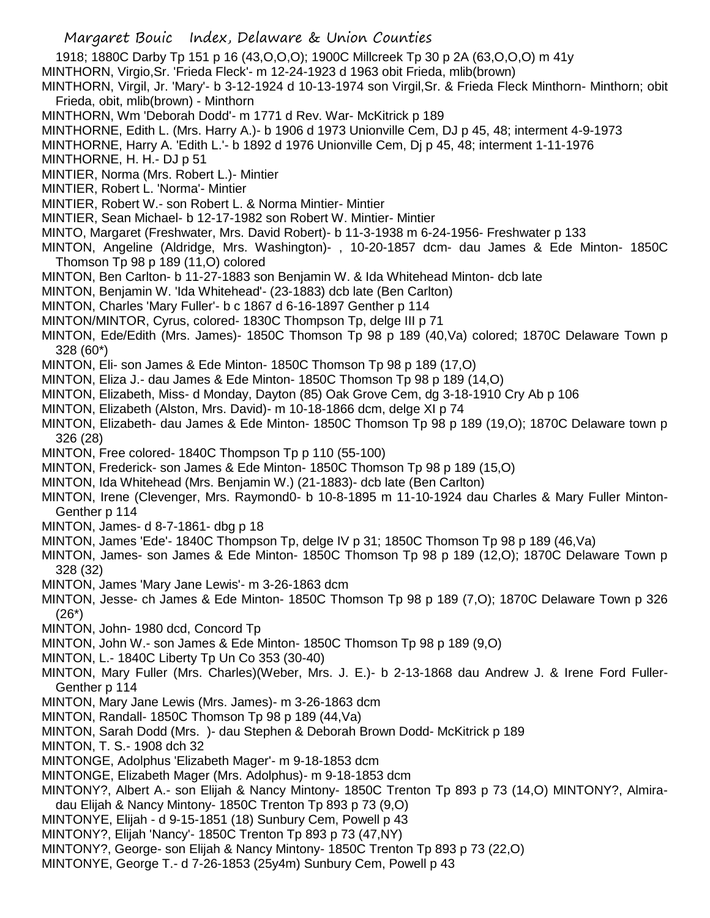1918; 1880C Darby Tp 151 p 16 (43,O,O,O); 1900C Millcreek Tp 30 p 2A (63,O,O,O) m 41y

MINTHORN, Virgio,Sr. 'Frieda Fleck'- m 12-24-1923 d 1963 obit Frieda, mlib(brown)

MINTHORN, Virgil, Jr. 'Mary'- b 3-12-1924 d 10-13-1974 son Virgil,Sr. & Frieda Fleck Minthorn- Minthorn; obit Frieda, obit, mlib(brown) - Minthorn

MINTHORN, Wm 'Deborah Dodd'- m 1771 d Rev. War- McKitrick p 189

MINTHORNE, Edith L. (Mrs. Harry A.)- b 1906 d 1973 Unionville Cem, DJ p 45, 48; interment 4-9-1973

MINTHORNE, Harry A. 'Edith L.'- b 1892 d 1976 Unionville Cem, Dj p 45, 48; interment 1-11-1976

MINTHORNE, H. H.- DJ p 51

MINTIER, Norma (Mrs. Robert L.)- Mintier

MINTIER, Robert L. 'Norma'- Mintier

MINTIER, Robert W.- son Robert L. & Norma Mintier- Mintier

MINTIER, Sean Michael- b 12-17-1982 son Robert W. Mintier- Mintier

MINTO, Margaret (Freshwater, Mrs. David Robert)- b 11-3-1938 m 6-24-1956- Freshwater p 133

MINTON, Angeline (Aldridge, Mrs. Washington)- , 10-20-1857 dcm- dau James & Ede Minton- 1850C Thomson Tp 98 p 189 (11,O) colored

MINTON, Ben Carlton- b 11-27-1883 son Benjamin W. & Ida Whitehead Minton- dcb late

MINTON, Benjamin W. 'Ida Whitehead'- (23-1883) dcb late (Ben Carlton)

MINTON, Charles 'Mary Fuller'- b c 1867 d 6-16-1897 Genther p 114

MINTON/MINTOR, Cyrus, colored- 1830C Thompson Tp, delge III p 71

MINTON, Ede/Edith (Mrs. James)- 1850C Thomson Tp 98 p 189 (40,Va) colored; 1870C Delaware Town p 328 (60\*)

MINTON, Eli- son James & Ede Minton- 1850C Thomson Tp 98 p 189 (17,O)

MINTON, Eliza J.- dau James & Ede Minton- 1850C Thomson Tp 98 p 189 (14,O)

- MINTON, Elizabeth, Miss- d Monday, Dayton (85) Oak Grove Cem, dg 3-18-1910 Cry Ab p 106
- MINTON, Elizabeth (Alston, Mrs. David)- m 10-18-1866 dcm, delge XI p 74
- MINTON, Elizabeth- dau James & Ede Minton- 1850C Thomson Tp 98 p 189 (19,O); 1870C Delaware town p 326 (28)
- MINTON, Free colored- 1840C Thompson Tp p 110 (55-100)

MINTON, Frederick- son James & Ede Minton- 1850C Thomson Tp 98 p 189 (15,O)

MINTON, Ida Whitehead (Mrs. Benjamin W.) (21-1883)- dcb late (Ben Carlton)

MINTON, Irene (Clevenger, Mrs. Raymond0- b 10-8-1895 m 11-10-1924 dau Charles & Mary Fuller Minton-Genther p 114

MINTON, James- d 8-7-1861- dbg p 18

MINTON, James 'Ede'- 1840C Thompson Tp, delge IV p 31; 1850C Thomson Tp 98 p 189 (46,Va)

MINTON, James- son James & Ede Minton- 1850C Thomson Tp 98 p 189 (12,O); 1870C Delaware Town p 328 (32)

MINTON, James 'Mary Jane Lewis'- m 3-26-1863 dcm

MINTON, Jesse- ch James & Ede Minton- 1850C Thomson Tp 98 p 189 (7,O); 1870C Delaware Town p 326 (26\*)

MINTON, John- 1980 dcd, Concord Tp

MINTON, John W.- son James & Ede Minton- 1850C Thomson Tp 98 p 189 (9,O)

MINTON, L.- 1840C Liberty Tp Un Co 353 (30-40)

MINTON, Mary Fuller (Mrs. Charles)(Weber, Mrs. J. E.)- b 2-13-1868 dau Andrew J. & Irene Ford Fuller-Genther p 114

- MINTON, Mary Jane Lewis (Mrs. James)- m 3-26-1863 dcm
- MINTON, Randall- 1850C Thomson Tp 98 p 189 (44,Va)

MINTON, Sarah Dodd (Mrs. )- dau Stephen & Deborah Brown Dodd- McKitrick p 189

MINTON, T. S.- 1908 dch 32

MINTONGE, Adolphus 'Elizabeth Mager'- m 9-18-1853 dcm

MINTONGE, Elizabeth Mager (Mrs. Adolphus)- m 9-18-1853 dcm

MINTONY?, Albert A.- son Elijah & Nancy Mintony- 1850C Trenton Tp 893 p 73 (14,O) MINTONY?, Almiradau Elijah & Nancy Mintony- 1850C Trenton Tp 893 p 73 (9,O)

MINTONYE, Elijah - d 9-15-1851 (18) Sunbury Cem, Powell p 43

MINTONY?, Elijah 'Nancy'- 1850C Trenton Tp 893 p 73 (47,NY)

MINTONY?, George- son Elijah & Nancy Mintony- 1850C Trenton Tp 893 p 73 (22,O)

MINTONYE, George T.- d 7-26-1853 (25y4m) Sunbury Cem, Powell p 43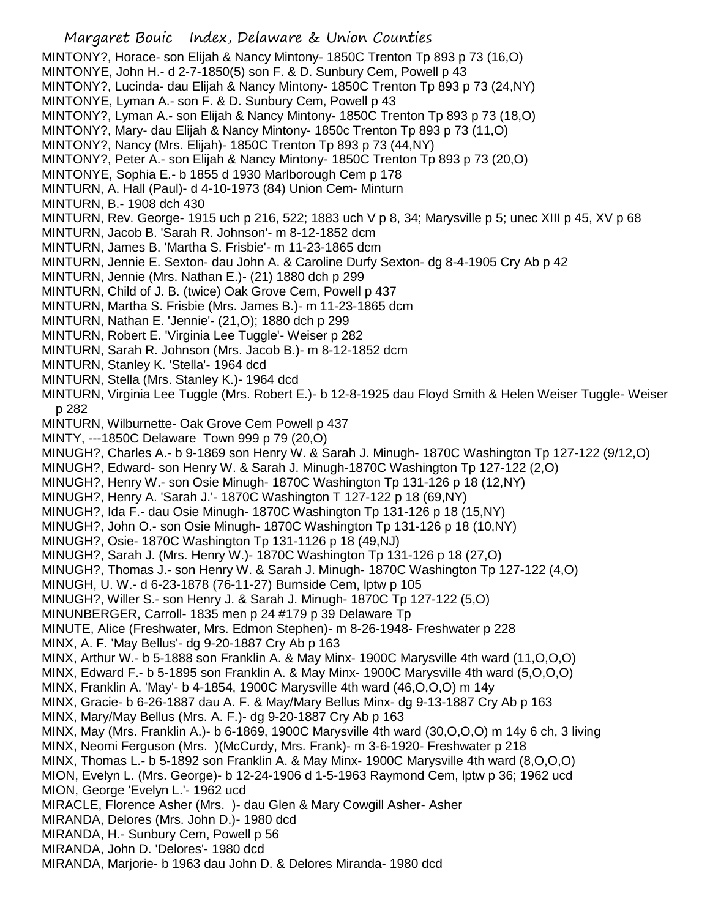Margaret Bouic Index, Delaware & Union Counties MINTONY?, Horace- son Elijah & Nancy Mintony- 1850C Trenton Tp 893 p 73 (16,O) MINTONYE, John H.- d 2-7-1850(5) son F. & D. Sunbury Cem, Powell p 43 MINTONY?, Lucinda- dau Elijah & Nancy Mintony- 1850C Trenton Tp 893 p 73 (24,NY) MINTONYE, Lyman A.- son F. & D. Sunbury Cem, Powell p 43 MINTONY?, Lyman A.- son Elijah & Nancy Mintony- 1850C Trenton Tp 893 p 73 (18,O) MINTONY?, Mary- dau Elijah & Nancy Mintony- 1850c Trenton Tp 893 p 73 (11,O) MINTONY?, Nancy (Mrs. Elijah)- 1850C Trenton Tp 893 p 73 (44,NY) MINTONY?, Peter A.- son Elijah & Nancy Mintony- 1850C Trenton Tp 893 p 73 (20,O) MINTONYE, Sophia E.- b 1855 d 1930 Marlborough Cem p 178 MINTURN, A. Hall (Paul)- d 4-10-1973 (84) Union Cem- Minturn MINTURN, B.- 1908 dch 430 MINTURN, Rev. George- 1915 uch p 216, 522; 1883 uch V p 8, 34; Marysville p 5; unec XIII p 45, XV p 68 MINTURN, Jacob B. 'Sarah R. Johnson'- m 8-12-1852 dcm MINTURN, James B. 'Martha S. Frisbie'- m 11-23-1865 dcm MINTURN, Jennie E. Sexton- dau John A. & Caroline Durfy Sexton- dg 8-4-1905 Cry Ab p 42 MINTURN, Jennie (Mrs. Nathan E.)- (21) 1880 dch p 299 MINTURN, Child of J. B. (twice) Oak Grove Cem, Powell p 437 MINTURN, Martha S. Frisbie (Mrs. James B.)- m 11-23-1865 dcm MINTURN, Nathan E. 'Jennie'- (21,O); 1880 dch p 299 MINTURN, Robert E. 'Virginia Lee Tuggle'- Weiser p 282 MINTURN, Sarah R. Johnson (Mrs. Jacob B.)- m 8-12-1852 dcm MINTURN, Stanley K. 'Stella'- 1964 dcd MINTURN, Stella (Mrs. Stanley K.)- 1964 dcd MINTURN, Virginia Lee Tuggle (Mrs. Robert E.)- b 12-8-1925 dau Floyd Smith & Helen Weiser Tuggle- Weiser p 282 MINTURN, Wilburnette- Oak Grove Cem Powell p 437 MINTY, ---1850C Delaware Town 999 p 79 (20,O) MINUGH?, Charles A.- b 9-1869 son Henry W. & Sarah J. Minugh- 1870C Washington Tp 127-122 (9/12,O) MINUGH?, Edward- son Henry W. & Sarah J. Minugh-1870C Washington Tp 127-122 (2,O) MINUGH?, Henry W.- son Osie Minugh- 1870C Washington Tp 131-126 p 18 (12,NY) MINUGH?, Henry A. 'Sarah J.'- 1870C Washington T 127-122 p 18 (69,NY) MINUGH?, Ida F.- dau Osie Minugh- 1870C Washington Tp 131-126 p 18 (15,NY) MINUGH?, John O.- son Osie Minugh- 1870C Washington Tp 131-126 p 18 (10,NY) MINUGH?, Osie- 1870C Washington Tp 131-1126 p 18 (49,NJ) MINUGH?, Sarah J. (Mrs. Henry W.)- 1870C Washington Tp 131-126 p 18 (27,O) MINUGH?, Thomas J.- son Henry W. & Sarah J. Minugh- 1870C Washington Tp 127-122 (4,O) MINUGH, U. W.- d 6-23-1878 (76-11-27) Burnside Cem, lptw p 105 MINUGH?, Willer S.- son Henry J. & Sarah J. Minugh- 1870C Tp 127-122 (5,O) MINUNBERGER, Carroll- 1835 men p 24 #179 p 39 Delaware Tp MINUTE, Alice (Freshwater, Mrs. Edmon Stephen)- m 8-26-1948- Freshwater p 228 MINX, A. F. 'May Bellus'- dg 9-20-1887 Cry Ab p 163 MINX, Arthur W.- b 5-1888 son Franklin A. & May Minx- 1900C Marysville 4th ward (11,O,O,O) MINX, Edward F.- b 5-1895 son Franklin A. & May Minx- 1900C Marysville 4th ward (5,O,O,O) MINX, Franklin A. 'May'- b 4-1854, 1900C Marysville 4th ward (46,O,O,O) m 14y MINX, Gracie- b 6-26-1887 dau A. F. & May/Mary Bellus Minx- dg 9-13-1887 Cry Ab p 163 MINX, Mary/May Bellus (Mrs. A. F.)- dg 9-20-1887 Cry Ab p 163 MINX, May (Mrs. Franklin A.)- b 6-1869, 1900C Marysville 4th ward (30,O,O,O) m 14y 6 ch, 3 living MINX, Neomi Ferguson (Mrs. )(McCurdy, Mrs. Frank)- m 3-6-1920- Freshwater p 218 MINX, Thomas L.- b 5-1892 son Franklin A. & May Minx- 1900C Marysville 4th ward (8,O,O,O) MION, Evelyn L. (Mrs. George)- b 12-24-1906 d 1-5-1963 Raymond Cem, lptw p 36; 1962 ucd MION, George 'Evelyn L.'- 1962 ucd MIRACLE, Florence Asher (Mrs. )- dau Glen & Mary Cowgill Asher- Asher MIRANDA, Delores (Mrs. John D.)- 1980 dcd MIRANDA, H.- Sunbury Cem, Powell p 56 MIRANDA, John D. 'Delores'- 1980 dcd MIRANDA, Marjorie- b 1963 dau John D. & Delores Miranda- 1980 dcd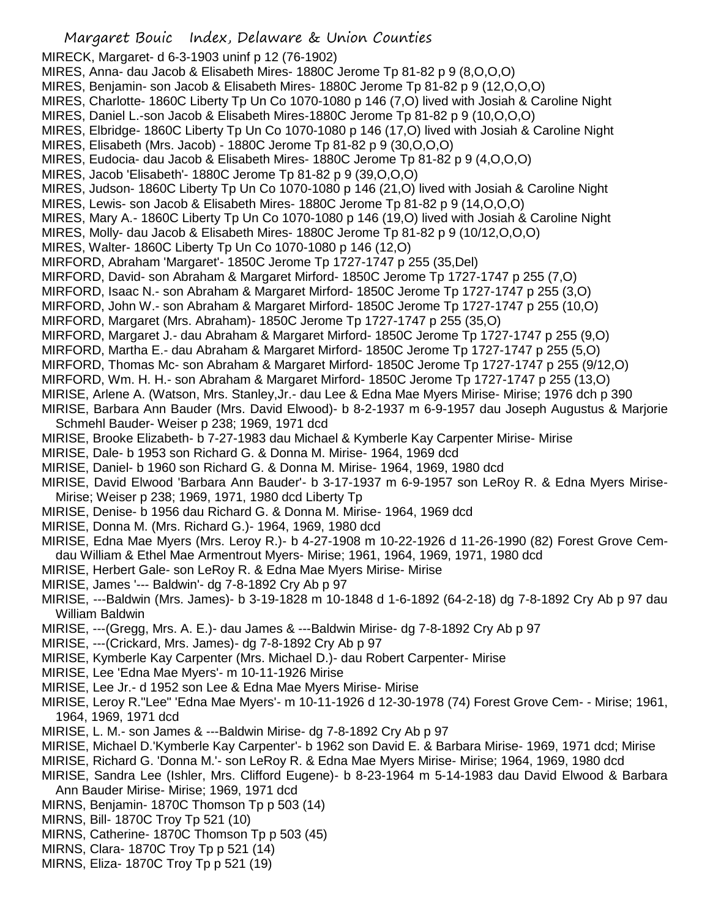MIRECK, Margaret- d 6-3-1903 uninf p 12 (76-1902)

- MIRES, Anna- dau Jacob & Elisabeth Mires- 1880C Jerome Tp 81-82 p 9 (8,O,O,O)
- MIRES, Benjamin- son Jacob & Elisabeth Mires- 1880C Jerome Tp 81-82 p 9 (12,O,O,O)
- MIRES, Charlotte- 1860C Liberty Tp Un Co 1070-1080 p 146 (7,O) lived with Josiah & Caroline Night
- MIRES, Daniel L.-son Jacob & Elisabeth Mires-1880C Jerome Tp 81-82 p 9 (10,O,O,O)
- MIRES, Elbridge- 1860C Liberty Tp Un Co 1070-1080 p 146 (17,O) lived with Josiah & Caroline Night
- MIRES, Elisabeth (Mrs. Jacob) 1880C Jerome Tp 81-82 p 9 (30,O,O,O)
- MIRES, Eudocia- dau Jacob & Elisabeth Mires- 1880C Jerome Tp 81-82 p 9 (4,O,O,O)
- MIRES, Jacob 'Elisabeth'- 1880C Jerome Tp 81-82 p 9 (39,O,O,O)
- MIRES, Judson- 1860C Liberty Tp Un Co 1070-1080 p 146 (21,O) lived with Josiah & Caroline Night
- MIRES, Lewis- son Jacob & Elisabeth Mires- 1880C Jerome Tp 81-82 p 9 (14,O,O,O)
- MIRES, Mary A.- 1860C Liberty Tp Un Co 1070-1080 p 146 (19,O) lived with Josiah & Caroline Night
- MIRES, Molly- dau Jacob & Elisabeth Mires- 1880C Jerome Tp 81-82 p 9 (10/12,O,O,O)
- MIRES, Walter- 1860C Liberty Tp Un Co 1070-1080 p 146 (12,O)
- MIRFORD, Abraham 'Margaret'- 1850C Jerome Tp 1727-1747 p 255 (35,Del)
- MIRFORD, David- son Abraham & Margaret Mirford- 1850C Jerome Tp 1727-1747 p 255 (7,O)
- MIRFORD, Isaac N.- son Abraham & Margaret Mirford- 1850C Jerome Tp 1727-1747 p 255 (3,O)
- MIRFORD, John W.- son Abraham & Margaret Mirford- 1850C Jerome Tp 1727-1747 p 255 (10,O)
- MIRFORD, Margaret (Mrs. Abraham)- 1850C Jerome Tp 1727-1747 p 255 (35,O)
- MIRFORD, Margaret J.- dau Abraham & Margaret Mirford- 1850C Jerome Tp 1727-1747 p 255 (9,O)
- MIRFORD, Martha E.- dau Abraham & Margaret Mirford- 1850C Jerome Tp 1727-1747 p 255 (5,O)
- MIRFORD, Thomas Mc- son Abraham & Margaret Mirford- 1850C Jerome Tp 1727-1747 p 255 (9/12,O)
- MIRFORD, Wm. H. H.- son Abraham & Margaret Mirford- 1850C Jerome Tp 1727-1747 p 255 (13,O)
- MIRISE, Arlene A. (Watson, Mrs. Stanley,Jr.- dau Lee & Edna Mae Myers Mirise- Mirise; 1976 dch p 390
- MIRISE, Barbara Ann Bauder (Mrs. David Elwood)- b 8-2-1937 m 6-9-1957 dau Joseph Augustus & Marjorie Schmehl Bauder- Weiser p 238; 1969, 1971 dcd
- MIRISE, Brooke Elizabeth- b 7-27-1983 dau Michael & Kymberle Kay Carpenter Mirise- Mirise
- MIRISE, Dale- b 1953 son Richard G. & Donna M. Mirise- 1964, 1969 dcd
- MIRISE, Daniel- b 1960 son Richard G. & Donna M. Mirise- 1964, 1969, 1980 dcd
- MIRISE, David Elwood 'Barbara Ann Bauder'- b 3-17-1937 m 6-9-1957 son LeRoy R. & Edna Myers Mirise-Mirise; Weiser p 238; 1969, 1971, 1980 dcd Liberty Tp
- MIRISE, Denise- b 1956 dau Richard G. & Donna M. Mirise- 1964, 1969 dcd
- MIRISE, Donna M. (Mrs. Richard G.)- 1964, 1969, 1980 dcd
- MIRISE, Edna Mae Myers (Mrs. Leroy R.)- b 4-27-1908 m 10-22-1926 d 11-26-1990 (82) Forest Grove Cemdau William & Ethel Mae Armentrout Myers- Mirise; 1961, 1964, 1969, 1971, 1980 dcd
- MIRISE, Herbert Gale- son LeRoy R. & Edna Mae Myers Mirise- Mirise
- MIRISE, James '--- Baldwin'- dg 7-8-1892 Cry Ab p 97
- MIRISE, ---Baldwin (Mrs. James)- b 3-19-1828 m 10-1848 d 1-6-1892 (64-2-18) dg 7-8-1892 Cry Ab p 97 dau William Baldwin
- MIRISE, ---(Gregg, Mrs. A. E.)- dau James & ---Baldwin Mirise- dg 7-8-1892 Cry Ab p 97
- MIRISE, ---(Crickard, Mrs. James)- dg 7-8-1892 Cry Ab p 97
- MIRISE, Kymberle Kay Carpenter (Mrs. Michael D.)- dau Robert Carpenter- Mirise
- MIRISE, Lee 'Edna Mae Myers'- m 10-11-1926 Mirise
- MIRISE, Lee Jr.- d 1952 son Lee & Edna Mae Myers Mirise- Mirise
- MIRISE, Leroy R."Lee" 'Edna Mae Myers'- m 10-11-1926 d 12-30-1978 (74) Forest Grove Cem- Mirise; 1961, 1964, 1969, 1971 dcd
- MIRISE, L. M.- son James & ---Baldwin Mirise- dg 7-8-1892 Cry Ab p 97
- MIRISE, Michael D.'Kymberle Kay Carpenter'- b 1962 son David E. & Barbara Mirise- 1969, 1971 dcd; Mirise
- MIRISE, Richard G. 'Donna M.'- son LeRoy R. & Edna Mae Myers Mirise- Mirise; 1964, 1969, 1980 dcd
- MIRISE, Sandra Lee (Ishler, Mrs. Clifford Eugene)- b 8-23-1964 m 5-14-1983 dau David Elwood & Barbara Ann Bauder Mirise- Mirise; 1969, 1971 dcd
- MIRNS, Benjamin- 1870C Thomson Tp p 503 (14)
- MIRNS, Bill- 1870C Troy Tp 521 (10)
- MIRNS, Catherine- 1870C Thomson Tp p 503 (45)
- MIRNS, Clara- 1870C Troy Tp p 521 (14)
- MIRNS, Eliza- 1870C Troy Tp p 521 (19)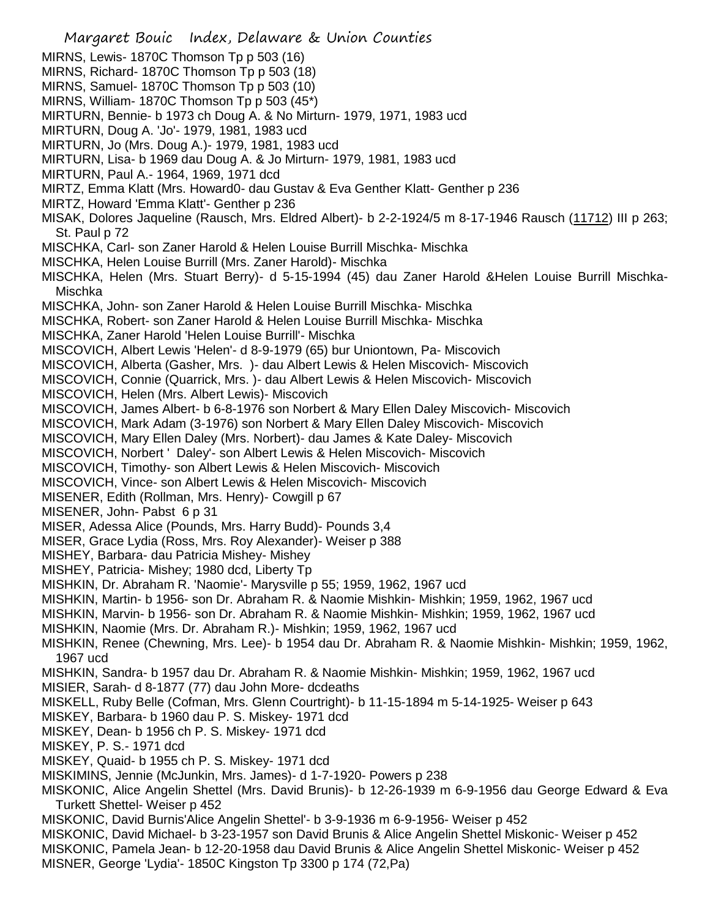Margaret Bouic Index, Delaware & Union Counties MIRNS, Lewis- 1870C Thomson Tp p 503 (16) MIRNS, Richard- 1870C Thomson Tp p 503 (18) MIRNS, Samuel- 1870C Thomson Tp p 503 (10) MIRNS, William- 1870C Thomson Tp p 503 (45\*) MIRTURN, Bennie- b 1973 ch Doug A. & No Mirturn- 1979, 1971, 1983 ucd MIRTURN, Doug A. 'Jo'- 1979, 1981, 1983 ucd MIRTURN, Jo (Mrs. Doug A.)- 1979, 1981, 1983 ucd MIRTURN, Lisa- b 1969 dau Doug A. & Jo Mirturn- 1979, 1981, 1983 ucd MIRTURN, Paul A.- 1964, 1969, 1971 dcd MIRTZ, Emma Klatt (Mrs. Howard0- dau Gustav & Eva Genther Klatt- Genther p 236 MIRTZ, Howard 'Emma Klatt'- Genther p 236 MISAK, Dolores Jaqueline (Rausch, Mrs. Eldred Albert)- b 2-2-1924/5 m 8-17-1946 Rausch (11712) III p 263; St. Paul p 72 MISCHKA, Carl- son Zaner Harold & Helen Louise Burrill Mischka- Mischka MISCHKA, Helen Louise Burrill (Mrs. Zaner Harold)- Mischka MISCHKA, Helen (Mrs. Stuart Berry)- d 5-15-1994 (45) dau Zaner Harold &Helen Louise Burrill Mischka-Mischka MISCHKA, John- son Zaner Harold & Helen Louise Burrill Mischka- Mischka MISCHKA, Robert- son Zaner Harold & Helen Louise Burrill Mischka- Mischka MISCHKA, Zaner Harold 'Helen Louise Burrill'- Mischka MISCOVICH, Albert Lewis 'Helen'- d 8-9-1979 (65) bur Uniontown, Pa- Miscovich MISCOVICH, Alberta (Gasher, Mrs. )- dau Albert Lewis & Helen Miscovich- Miscovich MISCOVICH, Connie (Quarrick, Mrs. )- dau Albert Lewis & Helen Miscovich- Miscovich MISCOVICH, Helen (Mrs. Albert Lewis)- Miscovich MISCOVICH, James Albert- b 6-8-1976 son Norbert & Mary Ellen Daley Miscovich- Miscovich MISCOVICH, Mark Adam (3-1976) son Norbert & Mary Ellen Daley Miscovich- Miscovich MISCOVICH, Mary Ellen Daley (Mrs. Norbert)- dau James & Kate Daley- Miscovich MISCOVICH, Norbert ' Daley'- son Albert Lewis & Helen Miscovich- Miscovich MISCOVICH, Timothy- son Albert Lewis & Helen Miscovich- Miscovich MISCOVICH, Vince- son Albert Lewis & Helen Miscovich- Miscovich MISENER, Edith (Rollman, Mrs. Henry)- Cowgill p 67 MISENER, John- Pabst 6 p 31 MISER, Adessa Alice (Pounds, Mrs. Harry Budd)- Pounds 3,4 MISER, Grace Lydia (Ross, Mrs. Roy Alexander)- Weiser p 388 MISHEY, Barbara- dau Patricia Mishey- Mishey MISHEY, Patricia- Mishey; 1980 dcd, Liberty Tp MISHKIN, Dr. Abraham R. 'Naomie'- Marysville p 55; 1959, 1962, 1967 ucd MISHKIN, Martin- b 1956- son Dr. Abraham R. & Naomie Mishkin- Mishkin; 1959, 1962, 1967 ucd MISHKIN, Marvin- b 1956- son Dr. Abraham R. & Naomie Mishkin- Mishkin; 1959, 1962, 1967 ucd MISHKIN, Naomie (Mrs. Dr. Abraham R.)- Mishkin; 1959, 1962, 1967 ucd MISHKIN, Renee (Chewning, Mrs. Lee)- b 1954 dau Dr. Abraham R. & Naomie Mishkin- Mishkin; 1959, 1962, 1967 ucd MISHKIN, Sandra- b 1957 dau Dr. Abraham R. & Naomie Mishkin- Mishkin; 1959, 1962, 1967 ucd MISIER, Sarah- d 8-1877 (77) dau John More- dcdeaths MISKELL, Ruby Belle (Cofman, Mrs. Glenn Courtright)- b 11-15-1894 m 5-14-1925- Weiser p 643 MISKEY, Barbara- b 1960 dau P. S. Miskey- 1971 dcd MISKEY, Dean- b 1956 ch P. S. Miskey- 1971 dcd MISKEY, P. S.- 1971 dcd MISKEY, Quaid- b 1955 ch P. S. Miskey- 1971 dcd MISKIMINS, Jennie (McJunkin, Mrs. James)- d 1-7-1920- Powers p 238 MISKONIC, Alice Angelin Shettel (Mrs. David Brunis)- b 12-26-1939 m 6-9-1956 dau George Edward & Eva Turkett Shettel- Weiser p 452 MISKONIC, David Burnis'Alice Angelin Shettel'- b 3-9-1936 m 6-9-1956- Weiser p 452 MISKONIC, David Michael- b 3-23-1957 son David Brunis & Alice Angelin Shettel Miskonic- Weiser p 452 MISKONIC, Pamela Jean- b 12-20-1958 dau David Brunis & Alice Angelin Shettel Miskonic- Weiser p 452 MISNER, George 'Lydia'- 1850C Kingston Tp 3300 p 174 (72,Pa)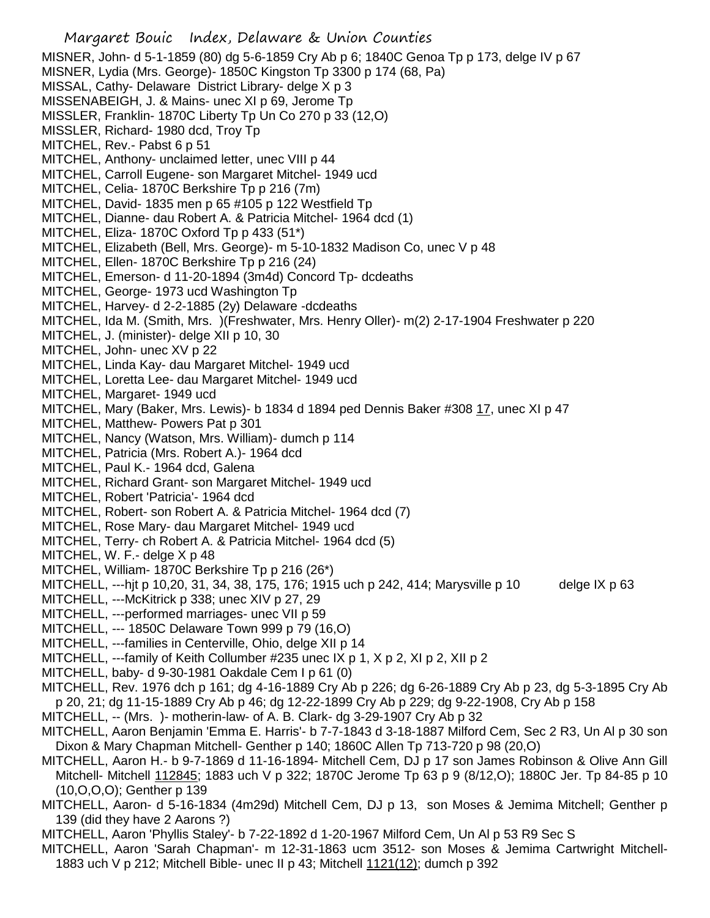Margaret Bouic Index, Delaware & Union Counties MISNER, John- d 5-1-1859 (80) dg 5-6-1859 Cry Ab p 6; 1840C Genoa Tp p 173, delge IV p 67 MISNER, Lydia (Mrs. George)- 1850C Kingston Tp 3300 p 174 (68, Pa) MISSAL, Cathy- Delaware District Library- delge X p 3 MISSENABEIGH, J. & Mains- unec XI p 69, Jerome Tp MISSLER, Franklin- 1870C Liberty Tp Un Co 270 p 33 (12,O) MISSLER, Richard- 1980 dcd, Troy Tp MITCHEL, Rev.- Pabst 6 p 51 MITCHEL, Anthony- unclaimed letter, unec VIII p 44 MITCHEL, Carroll Eugene- son Margaret Mitchel- 1949 ucd MITCHEL, Celia- 1870C Berkshire Tp p 216 (7m) MITCHEL, David- 1835 men p 65 #105 p 122 Westfield Tp MITCHEL, Dianne- dau Robert A. & Patricia Mitchel- 1964 dcd (1) MITCHEL, Eliza- 1870C Oxford Tp p 433 (51\*) MITCHEL, Elizabeth (Bell, Mrs. George)- m 5-10-1832 Madison Co, unec V p 48 MITCHEL, Ellen- 1870C Berkshire Tp p 216 (24) MITCHEL, Emerson- d 11-20-1894 (3m4d) Concord Tp- dcdeaths MITCHEL, George- 1973 ucd Washington Tp MITCHEL, Harvey- d 2-2-1885 (2y) Delaware -dcdeaths MITCHEL, Ida M. (Smith, Mrs. )(Freshwater, Mrs. Henry Oller)- m(2) 2-17-1904 Freshwater p 220 MITCHEL, J. (minister)- delge XII p 10, 30 MITCHEL, John- unec XV p 22 MITCHEL, Linda Kay- dau Margaret Mitchel- 1949 ucd MITCHEL, Loretta Lee- dau Margaret Mitchel- 1949 ucd MITCHEL, Margaret- 1949 ucd MITCHEL, Mary (Baker, Mrs. Lewis)- b 1834 d 1894 ped Dennis Baker #308 17, unec XI p 47 MITCHEL, Matthew- Powers Pat p 301 MITCHEL, Nancy (Watson, Mrs. William)- dumch p 114 MITCHEL, Patricia (Mrs. Robert A.)- 1964 dcd MITCHEL, Paul K.- 1964 dcd, Galena MITCHEL, Richard Grant- son Margaret Mitchel- 1949 ucd MITCHEL, Robert 'Patricia'- 1964 dcd MITCHEL, Robert- son Robert A. & Patricia Mitchel- 1964 dcd (7) MITCHEL, Rose Mary- dau Margaret Mitchel- 1949 ucd MITCHEL, Terry- ch Robert A. & Patricia Mitchel- 1964 dcd (5) MITCHEL, W. F.- delge X p 48 MITCHEL, William- 1870C Berkshire Tp p 216 (26\*) MITCHELL, ---hjt p 10,20, 31, 34, 38, 175, 176; 1915 uch p 242, 414; Marysville p 10 delge IX p 63 MITCHELL, ---McKitrick p 338; unec XIV p 27, 29 MITCHELL, ---performed marriages- unec VII p 59 MITCHELL, --- 1850C Delaware Town 999 p 79 (16,O) MITCHELL, ---families in Centerville, Ohio, delge XII p 14 MITCHELL, ---family of Keith Collumber #235 unec IX p 1, X p 2, XI p 2, XII p 2 MITCHELL, baby- d 9-30-1981 Oakdale Cem I p 61 (0) MITCHELL, Rev. 1976 dch p 161; dg 4-16-1889 Cry Ab p 226; dg 6-26-1889 Cry Ab p 23, dg 5-3-1895 Cry Ab p 20, 21; dg 11-15-1889 Cry Ab p 46; dg 12-22-1899 Cry Ab p 229; dg 9-22-1908, Cry Ab p 158 MITCHELL, -- (Mrs. )- motherin-law- of A. B. Clark- dg 3-29-1907 Cry Ab p 32 MITCHELL, Aaron Benjamin 'Emma E. Harris'- b 7-7-1843 d 3-18-1887 Milford Cem, Sec 2 R3, Un Al p 30 son Dixon & Mary Chapman Mitchell- Genther p 140; 1860C Allen Tp 713-720 p 98 (20,O) MITCHELL, Aaron H.- b 9-7-1869 d 11-16-1894- Mitchell Cem, DJ p 17 son James Robinson & Olive Ann Gill Mitchell- Mitchell 112845; 1883 uch V p 322; 1870C Jerome Tp 63 p 9 (8/12,O); 1880C Jer. Tp 84-85 p 10 (10,O,O,O); Genther p 139 MITCHELL, Aaron- d 5-16-1834 (4m29d) Mitchell Cem, DJ p 13, son Moses & Jemima Mitchell; Genther p 139 (did they have 2 Aarons ?) MITCHELL, Aaron 'Phyllis Staley'- b 7-22-1892 d 1-20-1967 Milford Cem, Un Al p 53 R9 Sec S MITCHELL, Aaron 'Sarah Chapman'- m 12-31-1863 ucm 3512- son Moses & Jemima Cartwright Mitchell-

1883 uch V p 212; Mitchell Bible- unec II p 43; Mitchell 1121(12); dumch p 392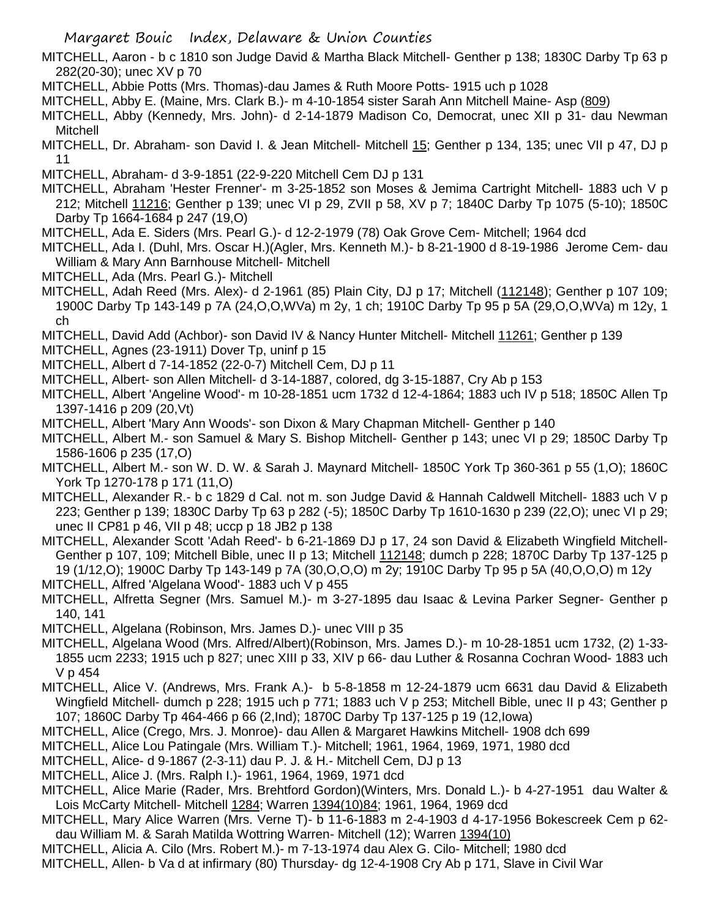MITCHELL, Aaron - b c 1810 son Judge David & Martha Black Mitchell- Genther p 138; 1830C Darby Tp 63 p 282(20-30); unec XV p 70

- MITCHELL, Abbie Potts (Mrs. Thomas)-dau James & Ruth Moore Potts- 1915 uch p 1028
- MITCHELL, Abby E. (Maine, Mrs. Clark B.)- m 4-10-1854 sister Sarah Ann Mitchell Maine- Asp (809)
- MITCHELL, Abby (Kennedy, Mrs. John)- d 2-14-1879 Madison Co, Democrat, unec XII p 31- dau Newman Mitchell
- MITCHELL, Dr. Abraham- son David I. & Jean Mitchell- Mitchell 15; Genther p 134, 135; unec VII p 47, DJ p 11
- MITCHELL, Abraham- d 3-9-1851 (22-9-220 Mitchell Cem DJ p 131
- MITCHELL, Abraham 'Hester Frenner'- m 3-25-1852 son Moses & Jemima Cartright Mitchell- 1883 uch V p 212; Mitchell 11216; Genther p 139; unec VI p 29, ZVII p 58, XV p 7; 1840C Darby Tp 1075 (5-10); 1850C Darby Tp 1664-1684 p 247 (19,O)
- MITCHELL, Ada E. Siders (Mrs. Pearl G.)- d 12-2-1979 (78) Oak Grove Cem- Mitchell; 1964 dcd
- MITCHELL, Ada I. (Duhl, Mrs. Oscar H.)(Agler, Mrs. Kenneth M.)- b 8-21-1900 d 8-19-1986 Jerome Cem- dau William & Mary Ann Barnhouse Mitchell- Mitchell
- MITCHELL, Ada (Mrs. Pearl G.)- Mitchell
- MITCHELL, Adah Reed (Mrs. Alex)- d 2-1961 (85) Plain City, DJ p 17; Mitchell (112148); Genther p 107 109; 1900C Darby Tp 143-149 p 7A (24,O,O,WVa) m 2y, 1 ch; 1910C Darby Tp 95 p 5A (29,O,O,WVa) m 12y, 1 ch
- MITCHELL, David Add (Achbor)- son David IV & Nancy Hunter Mitchell- Mitchell 11261; Genther p 139
- MITCHELL, Agnes (23-1911) Dover Tp, uninf p 15
- MITCHELL, Albert d 7-14-1852 (22-0-7) Mitchell Cem, DJ p 11
- MITCHELL, Albert- son Allen Mitchell- d 3-14-1887, colored, dg 3-15-1887, Cry Ab p 153
- MITCHELL, Albert 'Angeline Wood'- m 10-28-1851 ucm 1732 d 12-4-1864; 1883 uch IV p 518; 1850C Allen Tp 1397-1416 p 209 (20,Vt)
- MITCHELL, Albert 'Mary Ann Woods'- son Dixon & Mary Chapman Mitchell- Genther p 140
- MITCHELL, Albert M.- son Samuel & Mary S. Bishop Mitchell- Genther p 143; unec VI p 29; 1850C Darby Tp 1586-1606 p 235 (17,O)
- MITCHELL, Albert M.- son W. D. W. & Sarah J. Maynard Mitchell- 1850C York Tp 360-361 p 55 (1,O); 1860C York Tp 1270-178 p 171 (11,O)
- MITCHELL, Alexander R.- b c 1829 d Cal. not m. son Judge David & Hannah Caldwell Mitchell- 1883 uch V p 223; Genther p 139; 1830C Darby Tp 63 p 282 (-5); 1850C Darby Tp 1610-1630 p 239 (22,O); unec VI p 29; unec II CP81 p 46, VII p 48; uccp p 18 JB2 p 138
- MITCHELL, Alexander Scott 'Adah Reed'- b 6-21-1869 DJ p 17, 24 son David & Elizabeth Wingfield Mitchell-Genther p 107, 109; Mitchell Bible, unec II p 13; Mitchell 112148; dumch p 228; 1870C Darby Tp 137-125 p 19 (1/12,O); 1900C Darby Tp 143-149 p 7A (30,O,O,O) m 2y; 1910C Darby Tp 95 p 5A (40,O,O,O) m 12y MITCHELL, Alfred 'Algelana Wood'- 1883 uch V p 455
- MITCHELL, Alfretta Segner (Mrs. Samuel M.)- m 3-27-1895 dau Isaac & Levina Parker Segner- Genther p 140, 141
- MITCHELL, Algelana (Robinson, Mrs. James D.)- unec VIII p 35
- MITCHELL, Algelana Wood (Mrs. Alfred/Albert)(Robinson, Mrs. James D.)- m 10-28-1851 ucm 1732, (2) 1-33- 1855 ucm 2233; 1915 uch p 827; unec XIII p 33, XIV p 66- dau Luther & Rosanna Cochran Wood- 1883 uch V p 454
- MITCHELL, Alice V. (Andrews, Mrs. Frank A.)- b 5-8-1858 m 12-24-1879 ucm 6631 dau David & Elizabeth Wingfield Mitchell- dumch p 228; 1915 uch p 771; 1883 uch V p 253; Mitchell Bible, unec II p 43; Genther p 107; 1860C Darby Tp 464-466 p 66 (2,Ind); 1870C Darby Tp 137-125 p 19 (12,Iowa)
- MITCHELL, Alice (Crego, Mrs. J. Monroe)- dau Allen & Margaret Hawkins Mitchell- 1908 dch 699
- MITCHELL, Alice Lou Patingale (Mrs. William T.)- Mitchell; 1961, 1964, 1969, 1971, 1980 dcd
- MITCHELL, Alice- d 9-1867 (2-3-11) dau P. J. & H.- Mitchell Cem, DJ p 13
- MITCHELL, Alice J. (Mrs. Ralph I.)- 1961, 1964, 1969, 1971 dcd
- MITCHELL, Alice Marie (Rader, Mrs. Brehtford Gordon)(Winters, Mrs. Donald L.)- b 4-27-1951 dau Walter & Lois McCarty Mitchell- Mitchell 1284; Warren 1394(10)84; 1961, 1964, 1969 dcd
- MITCHELL, Mary Alice Warren (Mrs. Verne T)- b 11-6-1883 m 2-4-1903 d 4-17-1956 Bokescreek Cem p 62 dau William M. & Sarah Matilda Wottring Warren- Mitchell (12); Warren 1394(10)
- MITCHELL, Alicia A. Cilo (Mrs. Robert M.)- m 7-13-1974 dau Alex G. Cilo- Mitchell; 1980 dcd
- MITCHELL, Allen- b Va d at infirmary (80) Thursday- dg 12-4-1908 Cry Ab p 171, Slave in Civil War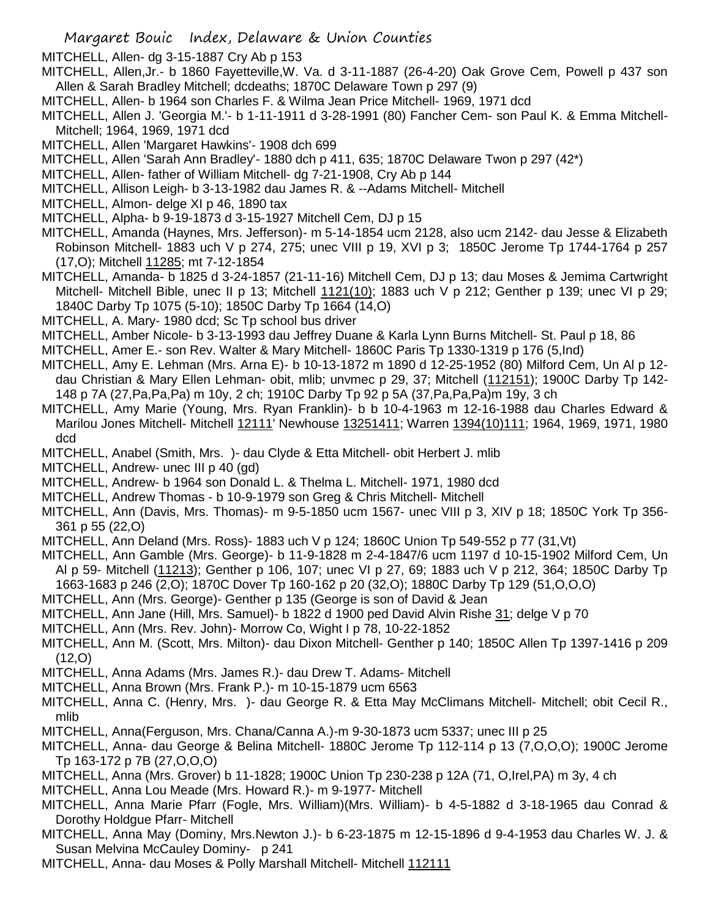MITCHELL, Allen- dg 3-15-1887 Cry Ab p 153

MITCHELL, Allen,Jr.- b 1860 Fayetteville,W. Va. d 3-11-1887 (26-4-20) Oak Grove Cem, Powell p 437 son Allen & Sarah Bradley Mitchell; dcdeaths; 1870C Delaware Town p 297 (9)

MITCHELL, Allen- b 1964 son Charles F. & Wilma Jean Price Mitchell- 1969, 1971 dcd

MITCHELL, Allen J. 'Georgia M.'- b 1-11-1911 d 3-28-1991 (80) Fancher Cem- son Paul K. & Emma Mitchell-Mitchell; 1964, 1969, 1971 dcd

MITCHELL, Allen 'Margaret Hawkins'- 1908 dch 699

MITCHELL, Allen 'Sarah Ann Bradley'- 1880 dch p 411, 635; 1870C Delaware Twon p 297 (42\*)

MITCHELL, Allen- father of William Mitchell- dg 7-21-1908, Cry Ab p 144

MITCHELL, Allison Leigh- b 3-13-1982 dau James R. & --Adams Mitchell- Mitchell

MITCHELL, Almon- delge XI p 46, 1890 tax

MITCHELL, Alpha- b 9-19-1873 d 3-15-1927 Mitchell Cem, DJ p 15

MITCHELL, Amanda (Haynes, Mrs. Jefferson)- m 5-14-1854 ucm 2128, also ucm 2142- dau Jesse & Elizabeth Robinson Mitchell- 1883 uch V p 274, 275; unec VIII p 19, XVI p 3; 1850C Jerome Tp 1744-1764 p 257 (17,O); Mitchell 11285; mt 7-12-1854

MITCHELL, Amanda- b 1825 d 3-24-1857 (21-11-16) Mitchell Cem, DJ p 13; dau Moses & Jemima Cartwright Mitchell- Mitchell Bible, unec II p 13; Mitchell 1121(10); 1883 uch V p 212; Genther p 139; unec VI p 29; 1840C Darby Tp 1075 (5-10); 1850C Darby Tp 1664 (14,O)

MITCHELL, A. Mary- 1980 dcd; Sc Tp school bus driver

MITCHELL, Amber Nicole- b 3-13-1993 dau Jeffrey Duane & Karla Lynn Burns Mitchell- St. Paul p 18, 86

MITCHELL, Amer E.- son Rev. Walter & Mary Mitchell- 1860C Paris Tp 1330-1319 p 176 (5,Ind)

- MITCHELL, Amy E. Lehman (Mrs. Arna E)- b 10-13-1872 m 1890 d 12-25-1952 (80) Milford Cem, Un Al p 12 dau Christian & Mary Ellen Lehman- obit, mlib; unvmec p 29, 37; Mitchell (112151); 1900C Darby Tp 142- 148 p 7A (27,Pa,Pa,Pa) m 10y, 2 ch; 1910C Darby Tp 92 p 5A (37,Pa,Pa,Pa)m 19y, 3 ch
- MITCHELL, Amy Marie (Young, Mrs. Ryan Franklin)- b b 10-4-1963 m 12-16-1988 dau Charles Edward & Marilou Jones Mitchell- Mitchell 12111' Newhouse 13251411; Warren 1394(10)111; 1964, 1969, 1971, 1980 dcd

MITCHELL, Anabel (Smith, Mrs. )- dau Clyde & Etta Mitchell- obit Herbert J. mlib

MITCHELL, Andrew- unec III p 40 (gd)

MITCHELL, Andrew- b 1964 son Donald L. & Thelma L. Mitchell- 1971, 1980 dcd

MITCHELL, Andrew Thomas - b 10-9-1979 son Greg & Chris Mitchell- Mitchell

MITCHELL, Ann (Davis, Mrs. Thomas)- m 9-5-1850 ucm 1567- unec VIII p 3, XIV p 18; 1850C York Tp 356- 361 p 55 (22,O)

MITCHELL, Ann Deland (Mrs. Ross)- 1883 uch V p 124; 1860C Union Tp 549-552 p 77 (31,Vt)

MITCHELL, Ann Gamble (Mrs. George)- b 11-9-1828 m 2-4-1847/6 ucm 1197 d 10-15-1902 Milford Cem, Un Al p 59- Mitchell (11213); Genther p 106, 107; unec VI p 27, 69; 1883 uch V p 212, 364; 1850C Darby Tp 1663-1683 p 246 (2,O); 1870C Dover Tp 160-162 p 20 (32,O); 1880C Darby Tp 129 (51,O,O,O)

MITCHELL, Ann (Mrs. George)- Genther p 135 (George is son of David & Jean

MITCHELL, Ann Jane (Hill, Mrs. Samuel)- b 1822 d 1900 ped David Alvin Rishe 31; delge V p 70

MITCHELL, Ann (Mrs. Rev. John) - Morrow Co, Wight I p 78, 10-22-1852

MITCHELL, Ann M. (Scott, Mrs. Milton)- dau Dixon Mitchell- Genther p 140; 1850C Allen Tp 1397-1416 p 209  $(12, 0)$ 

MITCHELL, Anna Adams (Mrs. James R.)- dau Drew T. Adams- Mitchell

- MITCHELL, Anna Brown (Mrs. Frank P.)- m 10-15-1879 ucm 6563
- MITCHELL, Anna C. (Henry, Mrs. )- dau George R. & Etta May McClimans Mitchell- Mitchell; obit Cecil R., mlib
- MITCHELL, Anna(Ferguson, Mrs. Chana/Canna A.)-m 9-30-1873 ucm 5337; unec III p 25

MITCHELL, Anna- dau George & Belina Mitchell- 1880C Jerome Tp 112-114 p 13 (7,O,O,O); 1900C Jerome Tp 163-172 p 7B (27,O,O,O)

MITCHELL, Anna (Mrs. Grover) b 11-1828; 1900C Union Tp 230-238 p 12A (71, O,Irel,PA) m 3y, 4 ch

MITCHELL, Anna Lou Meade (Mrs. Howard R.)- m 9-1977- Mitchell

MITCHELL, Anna Marie Pfarr (Fogle, Mrs. William)(Mrs. William)- b 4-5-1882 d 3-18-1965 dau Conrad & Dorothy Holdgue Pfarr- Mitchell

MITCHELL, Anna May (Dominy, Mrs.Newton J.)- b 6-23-1875 m 12-15-1896 d 9-4-1953 dau Charles W. J. & Susan Melvina McCauley Dominy- p 241

MITCHELL, Anna- dau Moses & Polly Marshall Mitchell- Mitchell 112111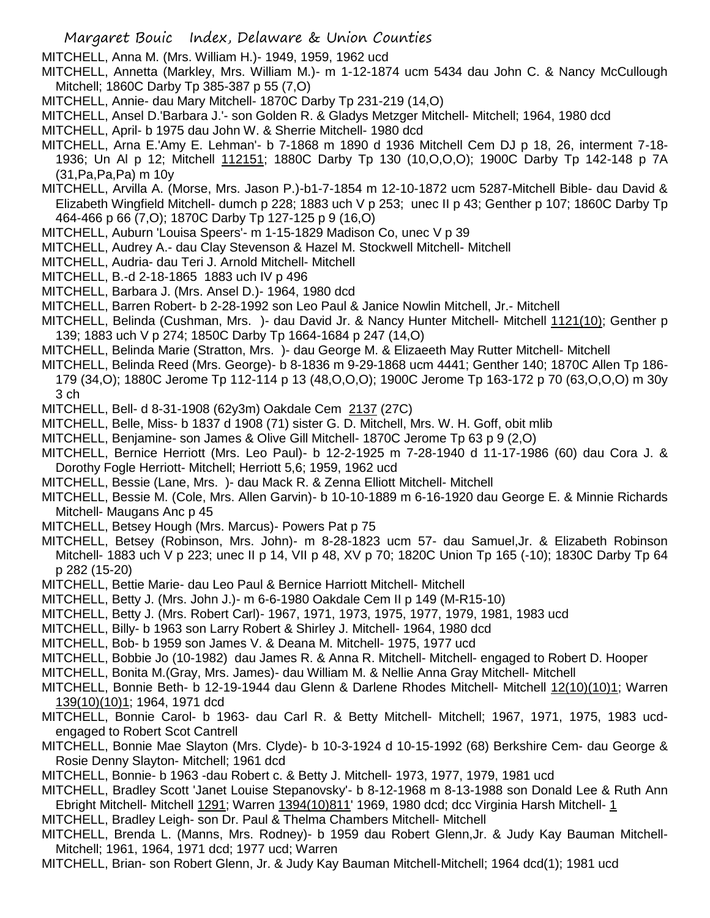MITCHELL, Anna M. (Mrs. William H.)- 1949, 1959, 1962 ucd

- MITCHELL, Annetta (Markley, Mrs. William M.)- m 1-12-1874 ucm 5434 dau John C. & Nancy McCullough Mitchell; 1860C Darby Tp 385-387 p 55 (7,O)
- MITCHELL, Annie- dau Mary Mitchell- 1870C Darby Tp 231-219 (14,O)
- MITCHELL, Ansel D.'Barbara J.'- son Golden R. & Gladys Metzger Mitchell- Mitchell; 1964, 1980 dcd
- MITCHELL, April- b 1975 dau John W. & Sherrie Mitchell- 1980 dcd
- MITCHELL, Arna E.'Amy E. Lehman'- b 7-1868 m 1890 d 1936 Mitchell Cem DJ p 18, 26, interment 7-18- 1936; Un Al p 12; Mitchell 112151; 1880C Darby Tp 130 (10,O,O,O); 1900C Darby Tp 142-148 p 7A (31,Pa,Pa,Pa) m 10y
- MITCHELL, Arvilla A. (Morse, Mrs. Jason P.)-b1-7-1854 m 12-10-1872 ucm 5287-Mitchell Bible- dau David & Elizabeth Wingfield Mitchell- dumch p 228; 1883 uch V p 253; unec II p 43; Genther p 107; 1860C Darby Tp 464-466 p 66 (7,O); 1870C Darby Tp 127-125 p 9 (16,O)
- MITCHELL, Auburn 'Louisa Speers'- m 1-15-1829 Madison Co, unec V p 39
- MITCHELL, Audrey A.- dau Clay Stevenson & Hazel M. Stockwell Mitchell- Mitchell
- MITCHELL, Audria- dau Teri J. Arnold Mitchell- Mitchell
- MITCHELL, B.-d 2-18-1865 1883 uch IV p 496
- MITCHELL, Barbara J. (Mrs. Ansel D.)- 1964, 1980 dcd
- MITCHELL, Barren Robert- b 2-28-1992 son Leo Paul & Janice Nowlin Mitchell, Jr.- Mitchell
- MITCHELL, Belinda (Cushman, Mrs. )- dau David Jr. & Nancy Hunter Mitchell- Mitchell 1121(10); Genther p 139; 1883 uch V p 274; 1850C Darby Tp 1664-1684 p 247 (14,O)
- MITCHELL, Belinda Marie (Stratton, Mrs. )- dau George M. & Elizaeeth May Rutter Mitchell- Mitchell
- MITCHELL, Belinda Reed (Mrs. George)- b 8-1836 m 9-29-1868 ucm 4441; Genther 140; 1870C Allen Tp 186- 179 (34,O); 1880C Jerome Tp 112-114 p 13 (48,O,O,O); 1900C Jerome Tp 163-172 p 70 (63,O,O,O) m 30y
- 3 ch MITCHELL, Bell- d 8-31-1908 (62y3m) Oakdale Cem 2137 (27C)
- MITCHELL, Belle, Miss- b 1837 d 1908 (71) sister G. D. Mitchell, Mrs. W. H. Goff, obit mlib
- MITCHELL, Benjamine- son James & Olive Gill Mitchell- 1870C Jerome Tp 63 p 9 (2,O)
- MITCHELL, Bernice Herriott (Mrs. Leo Paul)- b 12-2-1925 m 7-28-1940 d 11-17-1986 (60) dau Cora J. & Dorothy Fogle Herriott- Mitchell; Herriott 5,6; 1959, 1962 ucd
- MITCHELL, Bessie (Lane, Mrs. )- dau Mack R. & Zenna Elliott Mitchell- Mitchell
- MITCHELL, Bessie M. (Cole, Mrs. Allen Garvin)- b 10-10-1889 m 6-16-1920 dau George E. & Minnie Richards Mitchell- Maugans Anc p 45
- MITCHELL, Betsey Hough (Mrs. Marcus)- Powers Pat p 75
- MITCHELL, Betsey (Robinson, Mrs. John)- m 8-28-1823 ucm 57- dau Samuel,Jr. & Elizabeth Robinson Mitchell- 1883 uch V p 223; unec II p 14, VII p 48, XV p 70; 1820C Union Tp 165 (-10); 1830C Darby Tp 64 p 282 (15-20)
- MITCHELL, Bettie Marie- dau Leo Paul & Bernice Harriott Mitchell- Mitchell
- MITCHELL, Betty J. (Mrs. John J.)- m 6-6-1980 Oakdale Cem II p 149 (M-R15-10)
- MITCHELL, Betty J. (Mrs. Robert Carl)- 1967, 1971, 1973, 1975, 1977, 1979, 1981, 1983 ucd
- MITCHELL, Billy- b 1963 son Larry Robert & Shirley J. Mitchell- 1964, 1980 dcd
- MITCHELL, Bob- b 1959 son James V. & Deana M. Mitchell- 1975, 1977 ucd
- MITCHELL, Bobbie Jo (10-1982) dau James R. & Anna R. Mitchell- Mitchell- engaged to Robert D. Hooper
- MITCHELL, Bonita M.(Gray, Mrs. James)- dau William M. & Nellie Anna Gray Mitchell- Mitchell
- MITCHELL, Bonnie Beth- b 12-19-1944 dau Glenn & Darlene Rhodes Mitchell- Mitchell 12(10)(10)1; Warren 139(10)(10)1; 1964, 1971 dcd
- MITCHELL, Bonnie Carol- b 1963- dau Carl R. & Betty Mitchell- Mitchell; 1967, 1971, 1975, 1983 ucdengaged to Robert Scot Cantrell
- MITCHELL, Bonnie Mae Slayton (Mrs. Clyde)- b 10-3-1924 d 10-15-1992 (68) Berkshire Cem- dau George & Rosie Denny Slayton- Mitchell; 1961 dcd
- MITCHELL, Bonnie- b 1963 -dau Robert c. & Betty J. Mitchell- 1973, 1977, 1979, 1981 ucd
- MITCHELL, Bradley Scott 'Janet Louise Stepanovsky'- b 8-12-1968 m 8-13-1988 son Donald Lee & Ruth Ann Ebright Mitchell- Mitchell 1291; Warren 1394(10)811' 1969, 1980 dcd; dcc Virginia Harsh Mitchell- 1
- MITCHELL, Bradley Leigh- son Dr. Paul & Thelma Chambers Mitchell- Mitchell
- MITCHELL, Brenda L. (Manns, Mrs. Rodney)- b 1959 dau Robert Glenn,Jr. & Judy Kay Bauman Mitchell-Mitchell; 1961, 1964, 1971 dcd; 1977 ucd; Warren
- MITCHELL, Brian- son Robert Glenn, Jr. & Judy Kay Bauman Mitchell-Mitchell; 1964 dcd(1); 1981 ucd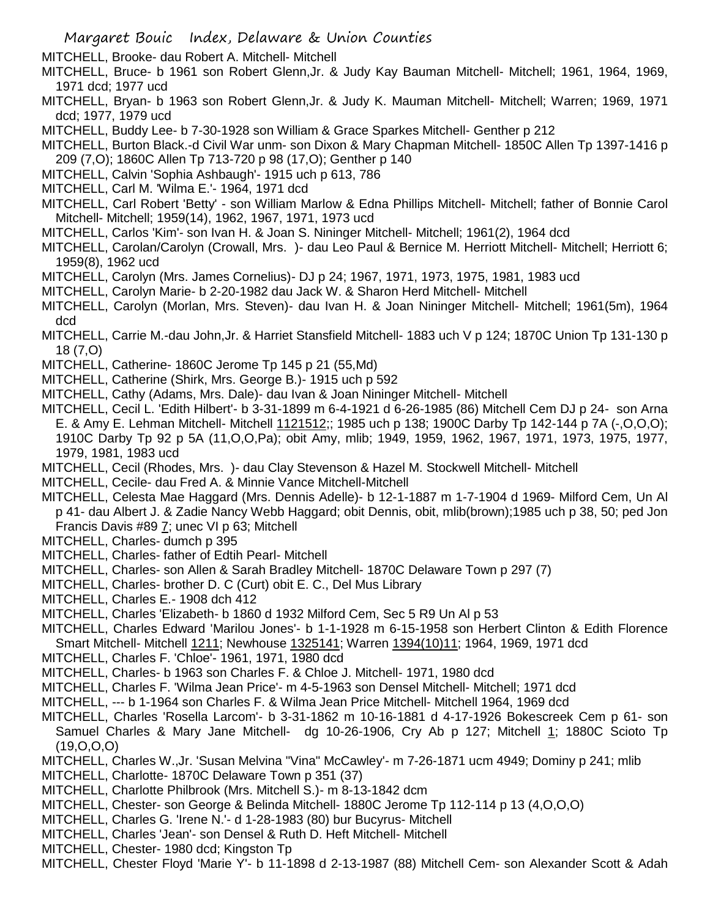MITCHELL, Brooke- dau Robert A. Mitchell- Mitchell

- MITCHELL, Bruce- b 1961 son Robert Glenn,Jr. & Judy Kay Bauman Mitchell- Mitchell; 1961, 1964, 1969, 1971 dcd; 1977 ucd
- MITCHELL, Bryan- b 1963 son Robert Glenn,Jr. & Judy K. Mauman Mitchell- Mitchell; Warren; 1969, 1971 dcd; 1977, 1979 ucd
- MITCHELL, Buddy Lee- b 7-30-1928 son William & Grace Sparkes Mitchell- Genther p 212
- MITCHELL, Burton Black.-d Civil War unm- son Dixon & Mary Chapman Mitchell- 1850C Allen Tp 1397-1416 p 209 (7,O); 1860C Allen Tp 713-720 p 98 (17,O); Genther p 140
- MITCHELL, Calvin 'Sophia Ashbaugh'- 1915 uch p 613, 786
- MITCHELL, Carl M. 'Wilma E.'- 1964, 1971 dcd
- MITCHELL, Carl Robert 'Betty' son William Marlow & Edna Phillips Mitchell- Mitchell; father of Bonnie Carol Mitchell- Mitchell; 1959(14), 1962, 1967, 1971, 1973 ucd
- MITCHELL, Carlos 'Kim'- son Ivan H. & Joan S. Nininger Mitchell- Mitchell; 1961(2), 1964 dcd
- MITCHELL, Carolan/Carolyn (Crowall, Mrs. )- dau Leo Paul & Bernice M. Herriott Mitchell- Mitchell; Herriott 6; 1959(8), 1962 ucd
- MITCHELL, Carolyn (Mrs. James Cornelius)- DJ p 24; 1967, 1971, 1973, 1975, 1981, 1983 ucd
- MITCHELL, Carolyn Marie- b 2-20-1982 dau Jack W. & Sharon Herd Mitchell- Mitchell
- MITCHELL, Carolyn (Morlan, Mrs. Steven)- dau Ivan H. & Joan Nininger Mitchell- Mitchell; 1961(5m), 1964 dcd
- MITCHELL, Carrie M.-dau John,Jr. & Harriet Stansfield Mitchell- 1883 uch V p 124; 1870C Union Tp 131-130 p 18 (7,O)
- MITCHELL, Catherine- 1860C Jerome Tp 145 p 21 (55,Md)
- MITCHELL, Catherine (Shirk, Mrs. George B.)- 1915 uch p 592
- MITCHELL, Cathy (Adams, Mrs. Dale)- dau Ivan & Joan Nininger Mitchell- Mitchell
- MITCHELL, Cecil L. 'Edith Hilbert'- b 3-31-1899 m 6-4-1921 d 6-26-1985 (86) Mitchell Cem DJ p 24- son Arna E. & Amy E. Lehman Mitchell- Mitchell 1121512;; 1985 uch p 138; 1900C Darby Tp 142-144 p 7A (-,O,O,O); 1910C Darby Tp 92 p 5A (11,O,O,Pa); obit Amy, mlib; 1949, 1959, 1962, 1967, 1971, 1973, 1975, 1977, 1979, 1981, 1983 ucd
- MITCHELL, Cecil (Rhodes, Mrs. )- dau Clay Stevenson & Hazel M. Stockwell Mitchell- Mitchell
- MITCHELL, Cecile- dau Fred A. & Minnie Vance Mitchell-Mitchell
- MITCHELL, Celesta Mae Haggard (Mrs. Dennis Adelle)- b 12-1-1887 m 1-7-1904 d 1969- Milford Cem, Un Al p 41- dau Albert J. & Zadie Nancy Webb Haggard; obit Dennis, obit, mlib(brown);1985 uch p 38, 50; ped Jon Francis Davis #89 7; unec VI p 63; Mitchell
- MITCHELL, Charles- dumch p 395
- MITCHELL, Charles- father of Edtih Pearl- Mitchell
- MITCHELL, Charles- son Allen & Sarah Bradley Mitchell- 1870C Delaware Town p 297 (7)
- MITCHELL, Charles- brother D. C (Curt) obit E. C., Del Mus Library
- MITCHELL, Charles E.- 1908 dch 412
- MITCHELL, Charles 'Elizabeth- b 1860 d 1932 Milford Cem, Sec 5 R9 Un Al p 53
- MITCHELL, Charles Edward 'Marilou Jones'- b 1-1-1928 m 6-15-1958 son Herbert Clinton & Edith Florence Smart Mitchell- Mitchell 1211; Newhouse 1325141; Warren 1394(10)11; 1964, 1969, 1971 dcd
- MITCHELL, Charles F. 'Chloe'- 1961, 1971, 1980 dcd
- MITCHELL, Charles- b 1963 son Charles F. & Chloe J. Mitchell- 1971, 1980 dcd
- MITCHELL, Charles F. 'Wilma Jean Price'- m 4-5-1963 son Densel Mitchell- Mitchell; 1971 dcd
- MITCHELL, --- b 1-1964 son Charles F. & Wilma Jean Price Mitchell- Mitchell 1964, 1969 dcd
- MITCHELL, Charles 'Rosella Larcom'- b 3-31-1862 m 10-16-1881 d 4-17-1926 Bokescreek Cem p 61- son
- Samuel Charles & Mary Jane Mitchell- dg 10-26-1906, Cry Ab p 127; Mitchell 1; 1880C Scioto Tp (19,O,O,O)
- MITCHELL, Charles W.,Jr. 'Susan Melvina "Vina" McCawley'- m 7-26-1871 ucm 4949; Dominy p 241; mlib
- MITCHELL, Charlotte- 1870C Delaware Town p 351 (37)
- MITCHELL, Charlotte Philbrook (Mrs. Mitchell S.)- m 8-13-1842 dcm
- MITCHELL, Chester- son George & Belinda Mitchell- 1880C Jerome Tp 112-114 p 13 (4,O,O,O)
- MITCHELL, Charles G. 'Irene N.'- d 1-28-1983 (80) bur Bucyrus- Mitchell
- MITCHELL, Charles 'Jean'- son Densel & Ruth D. Heft Mitchell- Mitchell
- MITCHELL, Chester- 1980 dcd; Kingston Tp
- MITCHELL, Chester Floyd 'Marie Y'- b 11-1898 d 2-13-1987 (88) Mitchell Cem- son Alexander Scott & Adah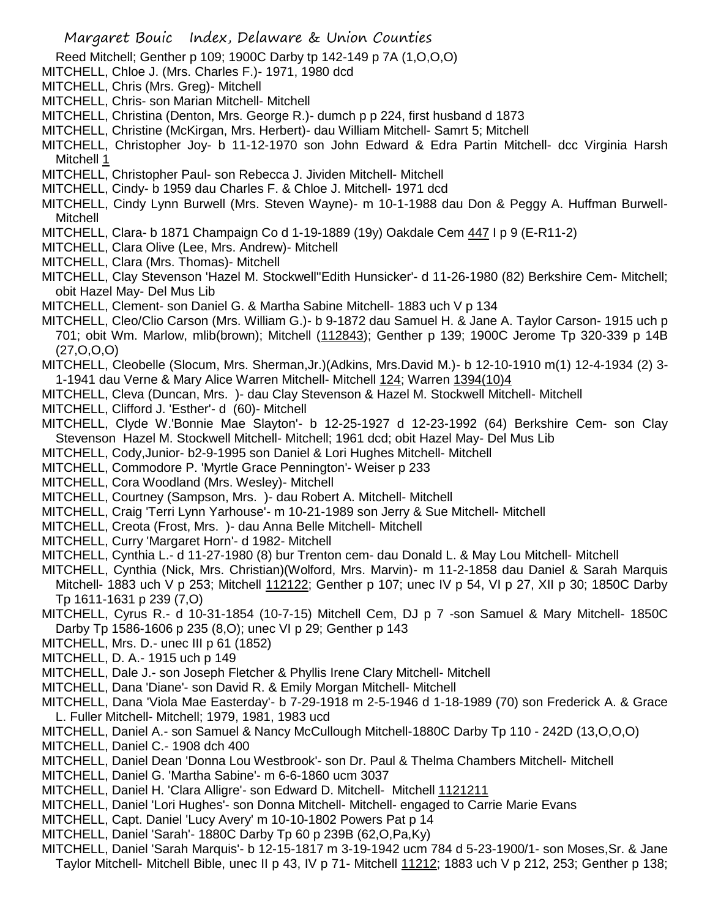Reed Mitchell; Genther p 109; 1900C Darby tp 142-149 p 7A (1,O,O,O)

- MITCHELL, Chloe J. (Mrs. Charles F.)- 1971, 1980 dcd
- MITCHELL, Chris (Mrs. Greg)- Mitchell
- MITCHELL, Chris- son Marian Mitchell- Mitchell
- MITCHELL, Christina (Denton, Mrs. George R.)- dumch p p 224, first husband d 1873

MITCHELL, Christine (McKirgan, Mrs. Herbert)- dau William Mitchell- Samrt 5; Mitchell

MITCHELL, Christopher Joy- b 11-12-1970 son John Edward & Edra Partin Mitchell- dcc Virginia Harsh Mitchell 1

- MITCHELL, Christopher Paul- son Rebecca J. Jividen Mitchell- Mitchell
- MITCHELL, Cindy- b 1959 dau Charles F. & Chloe J. Mitchell- 1971 dcd
- MITCHELL, Cindy Lynn Burwell (Mrs. Steven Wayne)- m 10-1-1988 dau Don & Peggy A. Huffman Burwell-Mitchell
- MITCHELL, Clara- b 1871 Champaign Co d 1-19-1889 (19y) Oakdale Cem 447 I p 9 (E-R11-2)
- MITCHELL, Clara Olive (Lee, Mrs. Andrew)- Mitchell
- MITCHELL, Clara (Mrs. Thomas)- Mitchell

MITCHELL, Clay Stevenson 'Hazel M. Stockwell''Edith Hunsicker'- d 11-26-1980 (82) Berkshire Cem- Mitchell; obit Hazel May- Del Mus Lib

- MITCHELL, Clement- son Daniel G. & Martha Sabine Mitchell- 1883 uch V p 134
- MITCHELL, Cleo/Clio Carson (Mrs. William G.)- b 9-1872 dau Samuel H. & Jane A. Taylor Carson- 1915 uch p 701; obit Wm. Marlow, mlib(brown); Mitchell (112843); Genther p 139; 1900C Jerome Tp 320-339 p 14B (27,O,O,O)
- MITCHELL, Cleobelle (Slocum, Mrs. Sherman,Jr.)(Adkins, Mrs.David M.)- b 12-10-1910 m(1) 12-4-1934 (2) 3- 1-1941 dau Verne & Mary Alice Warren Mitchell- Mitchell 124; Warren 1394(10)4
- MITCHELL, Cleva (Duncan, Mrs. )- dau Clay Stevenson & Hazel M. Stockwell Mitchell- Mitchell
- MITCHELL, Clifford J. 'Esther'- d (60)- Mitchell
- MITCHELL, Clyde W.'Bonnie Mae Slayton'- b 12-25-1927 d 12-23-1992 (64) Berkshire Cem- son Clay Stevenson Hazel M. Stockwell Mitchell- Mitchell; 1961 dcd; obit Hazel May- Del Mus Lib
- MITCHELL, Cody,Junior- b2-9-1995 son Daniel & Lori Hughes Mitchell- Mitchell
- MITCHELL, Commodore P. 'Myrtle Grace Pennington'- Weiser p 233
- MITCHELL, Cora Woodland (Mrs. Wesley)- Mitchell
- MITCHELL, Courtney (Sampson, Mrs. )- dau Robert A. Mitchell- Mitchell
- MITCHELL, Craig 'Terri Lynn Yarhouse'- m 10-21-1989 son Jerry & Sue Mitchell- Mitchell
- MITCHELL, Creota (Frost, Mrs. )- dau Anna Belle Mitchell- Mitchell
- MITCHELL, Curry 'Margaret Horn'- d 1982- Mitchell
- MITCHELL, Cynthia L.- d 11-27-1980 (8) bur Trenton cem- dau Donald L. & May Lou Mitchell- Mitchell
- MITCHELL, Cynthia (Nick, Mrs. Christian)(Wolford, Mrs. Marvin)- m 11-2-1858 dau Daniel & Sarah Marquis Mitchell- 1883 uch V p 253; Mitchell 112122; Genther p 107; unec IV p 54, VI p 27, XII p 30; 1850C Darby Tp 1611-1631 p 239 (7,O)
- MITCHELL, Cyrus R.- d 10-31-1854 (10-7-15) Mitchell Cem, DJ p 7 -son Samuel & Mary Mitchell- 1850C Darby Tp 1586-1606 p 235 (8,O); unec VI p 29; Genther p 143
- MITCHELL, Mrs. D.- unec III p 61 (1852)
- MITCHELL, D. A.- 1915 uch p 149
- MITCHELL, Dale J.- son Joseph Fletcher & Phyllis Irene Clary Mitchell- Mitchell
- MITCHELL, Dana 'Diane'- son David R. & Emily Morgan Mitchell- Mitchell
- MITCHELL, Dana 'Viola Mae Easterday'- b 7-29-1918 m 2-5-1946 d 1-18-1989 (70) son Frederick A. & Grace L. Fuller Mitchell- Mitchell; 1979, 1981, 1983 ucd
- MITCHELL, Daniel A.- son Samuel & Nancy McCullough Mitchell-1880C Darby Tp 110 242D (13,O,O,O)
- MITCHELL, Daniel C.- 1908 dch 400
- MITCHELL, Daniel Dean 'Donna Lou Westbrook'- son Dr. Paul & Thelma Chambers Mitchell- Mitchell
- MITCHELL, Daniel G. 'Martha Sabine'- m 6-6-1860 ucm 3037
- MITCHELL, Daniel H. 'Clara Alligre'- son Edward D. Mitchell- Mitchell 1121211
- MITCHELL, Daniel 'Lori Hughes'- son Donna Mitchell- Mitchell- engaged to Carrie Marie Evans
- MITCHELL, Capt. Daniel 'Lucy Avery' m 10-10-1802 Powers Pat p 14
- MITCHELL, Daniel 'Sarah'- 1880C Darby Tp 60 p 239B (62,O,Pa,Ky)
- MITCHELL, Daniel 'Sarah Marquis'- b 12-15-1817 m 3-19-1942 ucm 784 d 5-23-1900/1- son Moses,Sr. & Jane Taylor Mitchell- Mitchell Bible, unec II p 43, IV p 71- Mitchell 11212; 1883 uch V p 212, 253; Genther p 138;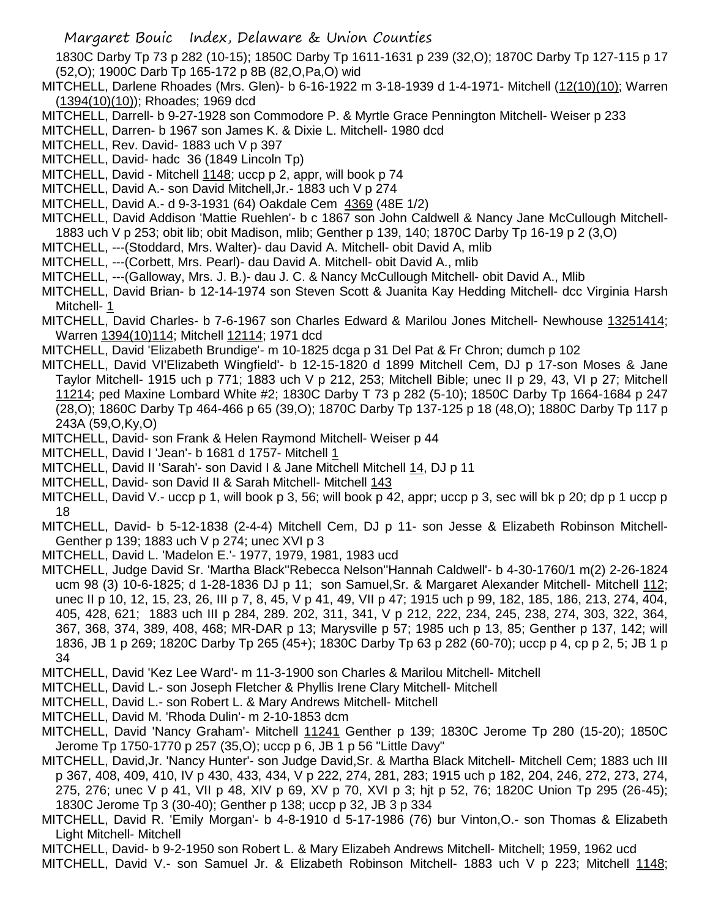1830C Darby Tp 73 p 282 (10-15); 1850C Darby Tp 1611-1631 p 239 (32,O); 1870C Darby Tp 127-115 p 17 (52,O); 1900C Darb Tp 165-172 p 8B (82,O,Pa,O) wid

- MITCHELL, Darlene Rhoades (Mrs. Glen)- b 6-16-1922 m 3-18-1939 d 1-4-1971- Mitchell (12(10)(10); Warren (1394(10)(10)); Rhoades; 1969 dcd
- MITCHELL, Darrell- b 9-27-1928 son Commodore P. & Myrtle Grace Pennington Mitchell- Weiser p 233
- MITCHELL, Darren- b 1967 son James K. & Dixie L. Mitchell- 1980 dcd
- MITCHELL, Rev. David- 1883 uch V p 397
- MITCHELL, David- hadc 36 (1849 Lincoln Tp)
- MITCHELL, David Mitchell 1148; uccp p 2, appr, will book p 74
- MITCHELL, David A.- son David Mitchell,Jr.- 1883 uch V p 274
- MITCHELL, David A.- d 9-3-1931 (64) Oakdale Cem 4369 (48E 1/2)
- MITCHELL, David Addison 'Mattie Ruehlen'- b c 1867 son John Caldwell & Nancy Jane McCullough Mitchell-1883 uch V p 253; obit lib; obit Madison, mlib; Genther p 139, 140; 1870C Darby Tp 16-19 p 2 (3,O)
- MITCHELL, ---(Stoddard, Mrs. Walter)- dau David A. Mitchell- obit David A, mlib
- MITCHELL, ---(Corbett, Mrs. Pearl)- dau David A. Mitchell- obit David A., mlib
- MITCHELL, ---(Galloway, Mrs. J. B.)- dau J. C. & Nancy McCullough Mitchell- obit David A., Mlib
- MITCHELL, David Brian- b 12-14-1974 son Steven Scott & Juanita Kay Hedding Mitchell- dcc Virginia Harsh Mitchell- 1
- MITCHELL, David Charles- b 7-6-1967 son Charles Edward & Marilou Jones Mitchell- Newhouse 13251414; Warren 1394(10)114; Mitchell 12114; 1971 dcd
- MITCHELL, David 'Elizabeth Brundige'- m 10-1825 dcga p 31 Del Pat & Fr Chron; dumch p 102
- MITCHELL, David VI'Elizabeth Wingfield'- b 12-15-1820 d 1899 Mitchell Cem, DJ p 17-son Moses & Jane Taylor Mitchell- 1915 uch p 771; 1883 uch V p 212, 253; Mitchell Bible; unec II p 29, 43, VI p 27; Mitchell 11214; ped Maxine Lombard White #2; 1830C Darby T 73 p 282 (5-10); 1850C Darby Tp 1664-1684 p 247 (28,O); 1860C Darby Tp 464-466 p 65 (39,O); 1870C Darby Tp 137-125 p 18 (48,O); 1880C Darby Tp 117 p 243A (59,O,Ky,O)
- MITCHELL, David- son Frank & Helen Raymond Mitchell- Weiser p 44
- MITCHELL, David I 'Jean'- b 1681 d 1757- Mitchell 1
- MITCHELL, David II 'Sarah'- son David I & Jane Mitchell Mitchell 14, DJ p 11
- MITCHELL, David- son David II & Sarah Mitchell- Mitchell 143
- MITCHELL, David V.- uccp p 1, will book p 3, 56; will book p 42, appr; uccp p 3, sec will bk p 20; dp p 1 uccp p 18
- MITCHELL, David- b 5-12-1838 (2-4-4) Mitchell Cem, DJ p 11- son Jesse & Elizabeth Robinson Mitchell-Genther p 139; 1883 uch V p 274; unec XVI p 3
- MITCHELL, David L. 'Madelon E.'- 1977, 1979, 1981, 1983 ucd
- MITCHELL, Judge David Sr. 'Martha Black''Rebecca Nelson''Hannah Caldwell'- b 4-30-1760/1 m(2) 2-26-1824 ucm 98 (3) 10-6-1825; d 1-28-1836 DJ p 11; son Samuel, Sr. & Margaret Alexander Mitchell- Mitchell 112; unec II p 10, 12, 15, 23, 26, III p 7, 8, 45, V p 41, 49, VII p 47; 1915 uch p 99, 182, 185, 186, 213, 274, 404, 405, 428, 621; 1883 uch III p 284, 289. 202, 311, 341, V p 212, 222, 234, 245, 238, 274, 303, 322, 364, 367, 368, 374, 389, 408, 468; MR-DAR p 13; Marysville p 57; 1985 uch p 13, 85; Genther p 137, 142; will 1836, JB 1 p 269; 1820C Darby Tp 265 (45+); 1830C Darby Tp 63 p 282 (60-70); uccp p 4, cp p 2, 5; JB 1 p 34
- MITCHELL, David 'Kez Lee Ward'- m 11-3-1900 son Charles & Marilou Mitchell- Mitchell
- MITCHELL, David L.- son Joseph Fletcher & Phyllis Irene Clary Mitchell- Mitchell
- MITCHELL, David L.- son Robert L. & Mary Andrews Mitchell- Mitchell
- MITCHELL, David M. 'Rhoda Dulin'- m 2-10-1853 dcm
- MITCHELL, David 'Nancy Graham'- Mitchell 11241 Genther p 139; 1830C Jerome Tp 280 (15-20); 1850C Jerome Tp 1750-1770 p 257 (35,O); uccp p 6, JB 1 p 56 "Little Davy"
- MITCHELL, David,Jr. 'Nancy Hunter'- son Judge David,Sr. & Martha Black Mitchell- Mitchell Cem; 1883 uch III p 367, 408, 409, 410, IV p 430, 433, 434, V p 222, 274, 281, 283; 1915 uch p 182, 204, 246, 272, 273, 274, 275, 276; unec V p 41, VII p 48, XIV p 69, XV p 70, XVI p 3; hjt p 52, 76; 1820C Union Tp 295 (26-45); 1830C Jerome Tp 3 (30-40); Genther p 138; uccp p 32, JB 3 p 334
- MITCHELL, David R. 'Emily Morgan'- b 4-8-1910 d 5-17-1986 (76) bur Vinton,O.- son Thomas & Elizabeth Light Mitchell- Mitchell
- MITCHELL, David- b 9-2-1950 son Robert L. & Mary Elizabeh Andrews Mitchell- Mitchell; 1959, 1962 ucd
- MITCHELL, David V.- son Samuel Jr. & Elizabeth Robinson Mitchell- 1883 uch V p 223; Mitchell 1148;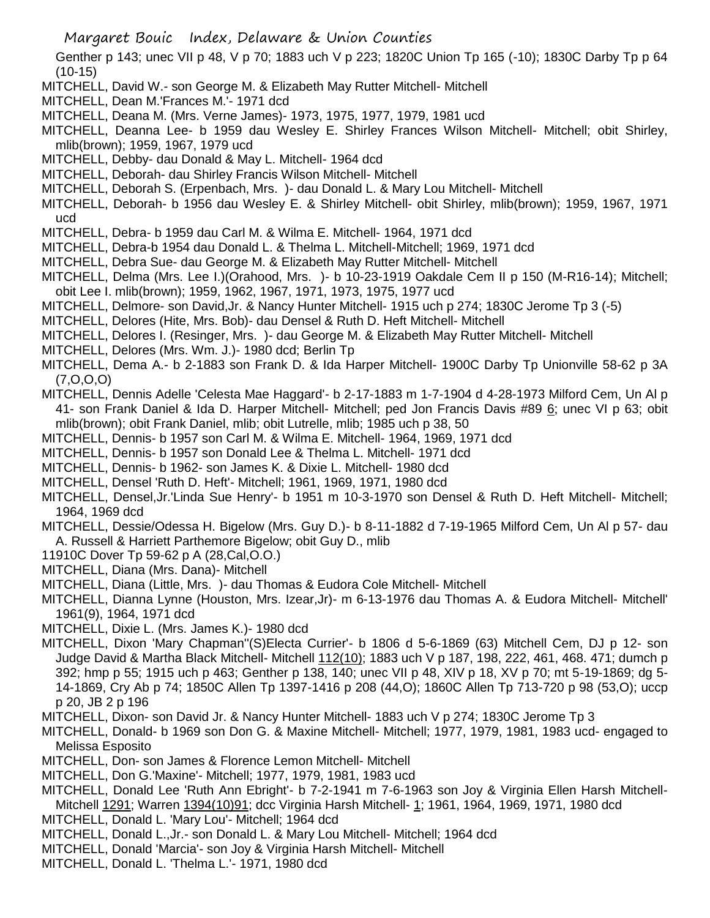Genther p 143; unec VII p 48, V p 70; 1883 uch V p 223; 1820C Union Tp 165 (-10); 1830C Darby Tp p 64 (10-15)

- MITCHELL, David W.- son George M. & Elizabeth May Rutter Mitchell- Mitchell
- MITCHELL, Dean M.'Frances M.'- 1971 dcd
- MITCHELL, Deana M. (Mrs. Verne James)- 1973, 1975, 1977, 1979, 1981 ucd
- MITCHELL, Deanna Lee- b 1959 dau Wesley E. Shirley Frances Wilson Mitchell- Mitchell; obit Shirley, mlib(brown); 1959, 1967, 1979 ucd
- MITCHELL, Debby- dau Donald & May L. Mitchell- 1964 dcd
- MITCHELL, Deborah- dau Shirley Francis Wilson Mitchell- Mitchell
- MITCHELL, Deborah S. (Erpenbach, Mrs. )- dau Donald L. & Mary Lou Mitchell- Mitchell
- MITCHELL, Deborah- b 1956 dau Wesley E. & Shirley Mitchell- obit Shirley, mlib(brown); 1959, 1967, 1971 ucd
- MITCHELL, Debra- b 1959 dau Carl M. & Wilma E. Mitchell- 1964, 1971 dcd
- MITCHELL, Debra-b 1954 dau Donald L. & Thelma L. Mitchell-Mitchell; 1969, 1971 dcd
- MITCHELL, Debra Sue- dau George M. & Elizabeth May Rutter Mitchell- Mitchell
- MITCHELL, Delma (Mrs. Lee I.)(Orahood, Mrs. )- b 10-23-1919 Oakdale Cem II p 150 (M-R16-14); Mitchell; obit Lee I. mlib(brown); 1959, 1962, 1967, 1971, 1973, 1975, 1977 ucd
- MITCHELL, Delmore- son David,Jr. & Nancy Hunter Mitchell- 1915 uch p 274; 1830C Jerome Tp 3 (-5)
- MITCHELL, Delores (Hite, Mrs. Bob)- dau Densel & Ruth D. Heft Mitchell- Mitchell
- MITCHELL, Delores I. (Resinger, Mrs. )- dau George M. & Elizabeth May Rutter Mitchell- Mitchell
- MITCHELL, Delores (Mrs. Wm. J.)- 1980 dcd; Berlin Tp
- MITCHELL, Dema A.- b 2-1883 son Frank D. & Ida Harper Mitchell- 1900C Darby Tp Unionville 58-62 p 3A (7,O,O,O)
- MITCHELL, Dennis Adelle 'Celesta Mae Haggard'- b 2-17-1883 m 1-7-1904 d 4-28-1973 Milford Cem, Un Al p 41- son Frank Daniel & Ida D. Harper Mitchell- Mitchell; ped Jon Francis Davis #89 6; unec VI p 63; obit mlib(brown); obit Frank Daniel, mlib; obit Lutrelle, mlib; 1985 uch p 38, 50
- MITCHELL, Dennis- b 1957 son Carl M. & Wilma E. Mitchell- 1964, 1969, 1971 dcd
- MITCHELL, Dennis- b 1957 son Donald Lee & Thelma L. Mitchell- 1971 dcd
- MITCHELL, Dennis- b 1962- son James K. & Dixie L. Mitchell- 1980 dcd
- MITCHELL, Densel 'Ruth D. Heft'- Mitchell; 1961, 1969, 1971, 1980 dcd
- MITCHELL, Densel,Jr.'Linda Sue Henry'- b 1951 m 10-3-1970 son Densel & Ruth D. Heft Mitchell- Mitchell; 1964, 1969 dcd
- MITCHELL, Dessie/Odessa H. Bigelow (Mrs. Guy D.)- b 8-11-1882 d 7-19-1965 Milford Cem, Un Al p 57- dau A. Russell & Harriett Parthemore Bigelow; obit Guy D., mlib
- 11910C Dover Tp 59-62 p A (28,Cal,O.O.)
- MITCHELL, Diana (Mrs. Dana)- Mitchell
- MITCHELL, Diana (Little, Mrs. )- dau Thomas & Eudora Cole Mitchell- Mitchell
- MITCHELL, Dianna Lynne (Houston, Mrs. Izear,Jr)- m 6-13-1976 dau Thomas A. & Eudora Mitchell- Mitchell' 1961(9), 1964, 1971 dcd
- MITCHELL, Dixie L. (Mrs. James K.)- 1980 dcd
- MITCHELL, Dixon 'Mary Chapman''(S)Electa Currier'- b 1806 d 5-6-1869 (63) Mitchell Cem, DJ p 12- son Judge David & Martha Black Mitchell- Mitchell 112(10); 1883 uch V p 187, 198, 222, 461, 468. 471; dumch p 392; hmp p 55; 1915 uch p 463; Genther p 138, 140; unec VII p 48, XIV p 18, XV p 70; mt 5-19-1869; dg 5- 14-1869, Cry Ab p 74; 1850C Allen Tp 1397-1416 p 208 (44,O); 1860C Allen Tp 713-720 p 98 (53,O); uccp p 20, JB 2 p 196
- MITCHELL, Dixon- son David Jr. & Nancy Hunter Mitchell- 1883 uch V p 274; 1830C Jerome Tp 3
- MITCHELL, Donald- b 1969 son Don G. & Maxine Mitchell- Mitchell; 1977, 1979, 1981, 1983 ucd- engaged to Melissa Esposito
- MITCHELL, Don- son James & Florence Lemon Mitchell- Mitchell
- MITCHELL, Don G.'Maxine'- Mitchell; 1977, 1979, 1981, 1983 ucd
- MITCHELL, Donald Lee 'Ruth Ann Ebright'- b 7-2-1941 m 7-6-1963 son Joy & Virginia Ellen Harsh Mitchell-Mitchell 1291; Warren 1394(10)91; dcc Virginia Harsh Mitchell- 1; 1961, 1964, 1969, 1971, 1980 dcd
- MITCHELL, Donald L. 'Mary Lou'- Mitchell; 1964 dcd
- MITCHELL, Donald L.,Jr.- son Donald L. & Mary Lou Mitchell- Mitchell; 1964 dcd
- MITCHELL, Donald 'Marcia'- son Joy & Virginia Harsh Mitchell- Mitchell
- MITCHELL, Donald L. 'Thelma L.'- 1971, 1980 dcd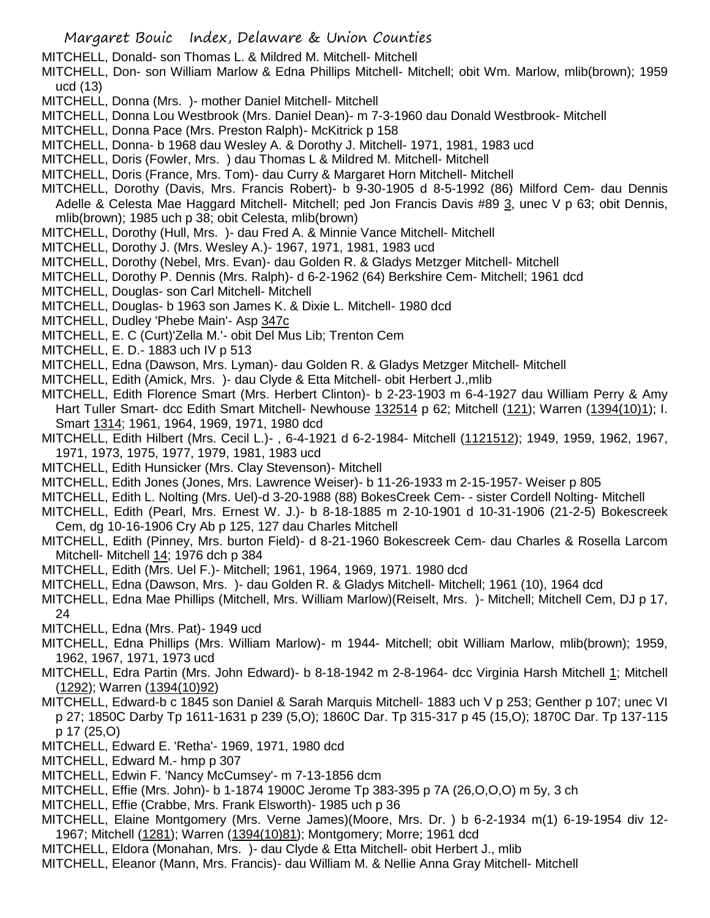MITCHELL, Donald- son Thomas L. & Mildred M. Mitchell- Mitchell

- MITCHELL, Don- son William Marlow & Edna Phillips Mitchell- Mitchell; obit Wm. Marlow, mlib(brown); 1959 ucd (13)
- MITCHELL, Donna (Mrs. )- mother Daniel Mitchell- Mitchell
- MITCHELL, Donna Lou Westbrook (Mrs. Daniel Dean)- m 7-3-1960 dau Donald Westbrook- Mitchell
- MITCHELL, Donna Pace (Mrs. Preston Ralph)- McKitrick p 158
- MITCHELL, Donna- b 1968 dau Wesley A. & Dorothy J. Mitchell- 1971, 1981, 1983 ucd
- MITCHELL, Doris (Fowler, Mrs. ) dau Thomas L & Mildred M. Mitchell- Mitchell
- MITCHELL, Doris (France, Mrs. Tom)- dau Curry & Margaret Horn Mitchell- Mitchell
- MITCHELL, Dorothy (Davis, Mrs. Francis Robert)- b 9-30-1905 d 8-5-1992 (86) Milford Cem- dau Dennis Adelle & Celesta Mae Haggard Mitchell- Mitchell; ped Jon Francis Davis #89 3, unec V p 63; obit Dennis, mlib(brown); 1985 uch p 38; obit Celesta, mlib(brown)
- MITCHELL, Dorothy (Hull, Mrs. )- dau Fred A. & Minnie Vance Mitchell- Mitchell
- MITCHELL, Dorothy J. (Mrs. Wesley A.)- 1967, 1971, 1981, 1983 ucd
- MITCHELL, Dorothy (Nebel, Mrs. Evan)- dau Golden R. & Gladys Metzger Mitchell- Mitchell
- MITCHELL, Dorothy P. Dennis (Mrs. Ralph)- d 6-2-1962 (64) Berkshire Cem- Mitchell; 1961 dcd
- MITCHELL, Douglas- son Carl Mitchell- Mitchell
- MITCHELL, Douglas- b 1963 son James K. & Dixie L. Mitchell- 1980 dcd
- MITCHELL, Dudley 'Phebe Main'- Asp 347c
- MITCHELL, E. C (Curt)'Zella M.'- obit Del Mus Lib; Trenton Cem
- MITCHELL, E. D.- 1883 uch IV p 513
- MITCHELL, Edna (Dawson, Mrs. Lyman)- dau Golden R. & Gladys Metzger Mitchell- Mitchell
- MITCHELL, Edith (Amick, Mrs. )- dau Clyde & Etta Mitchell- obit Herbert J.,mlib
- MITCHELL, Edith Florence Smart (Mrs. Herbert Clinton)- b 2-23-1903 m 6-4-1927 dau William Perry & Amy Hart Tuller Smart- dcc Edith Smart Mitchell- Newhouse 132514 p 62; Mitchell (121); Warren (1394(10)1); I. Smart 1314; 1961, 1964, 1969, 1971, 1980 dcd
- MITCHELL, Edith Hilbert (Mrs. Cecil L.)-, 6-4-1921 d 6-2-1984- Mitchell (1121512); 1949, 1959, 1962, 1967, 1971, 1973, 1975, 1977, 1979, 1981, 1983 ucd
- MITCHELL, Edith Hunsicker (Mrs. Clay Stevenson)- Mitchell
- MITCHELL, Edith Jones (Jones, Mrs. Lawrence Weiser)- b 11-26-1933 m 2-15-1957- Weiser p 805
- MITCHELL, Edith L. Nolting (Mrs. Uel)-d 3-20-1988 (88) BokesCreek Cem- sister Cordell Nolting- Mitchell
- MITCHELL, Edith (Pearl, Mrs. Ernest W. J.)- b 8-18-1885 m 2-10-1901 d 10-31-1906 (21-2-5) Bokescreek Cem, dg 10-16-1906 Cry Ab p 125, 127 dau Charles Mitchell
- MITCHELL, Edith (Pinney, Mrs. burton Field)- d 8-21-1960 Bokescreek Cem- dau Charles & Rosella Larcom Mitchell- Mitchell 14; 1976 dch p 384
- MITCHELL, Edith (Mrs. Uel F.)- Mitchell; 1961, 1964, 1969, 1971. 1980 dcd
- MITCHELL, Edna (Dawson, Mrs. )- dau Golden R. & Gladys Mitchell- Mitchell; 1961 (10), 1964 dcd
- MITCHELL, Edna Mae Phillips (Mitchell, Mrs. William Marlow)(Reiselt, Mrs. )- Mitchell; Mitchell Cem, DJ p 17, 24
- MITCHELL, Edna (Mrs. Pat)- 1949 ucd
- MITCHELL, Edna Phillips (Mrs. William Marlow)- m 1944- Mitchell; obit William Marlow, mlib(brown); 1959, 1962, 1967, 1971, 1973 ucd
- MITCHELL, Edra Partin (Mrs. John Edward)- b 8-18-1942 m 2-8-1964- dcc Virginia Harsh Mitchell 1; Mitchell (1292); Warren (1394(10)92)
- MITCHELL, Edward-b c 1845 son Daniel & Sarah Marquis Mitchell- 1883 uch V p 253; Genther p 107; unec VI p 27; 1850C Darby Tp 1611-1631 p 239 (5,O); 1860C Dar. Tp 315-317 p 45 (15,O); 1870C Dar. Tp 137-115 p 17 (25,O)
- MITCHELL, Edward E. 'Retha'- 1969, 1971, 1980 dcd
- MITCHELL, Edward M.- hmp p 307
- MITCHELL, Edwin F. 'Nancy McCumsey'- m 7-13-1856 dcm
- MITCHELL, Effie (Mrs. John)- b 1-1874 1900C Jerome Tp 383-395 p 7A (26,O,O,O) m 5y, 3 ch
- MITCHELL, Effie (Crabbe, Mrs. Frank Elsworth)- 1985 uch p 36
- MITCHELL, Elaine Montgomery (Mrs. Verne James)(Moore, Mrs. Dr. ) b 6-2-1934 m(1) 6-19-1954 div 12- 1967; Mitchell (1281); Warren (1394(10)81); Montgomery; Morre; 1961 dcd
- MITCHELL, Eldora (Monahan, Mrs. )- dau Clyde & Etta Mitchell- obit Herbert J., mlib
- MITCHELL, Eleanor (Mann, Mrs. Francis)- dau William M. & Nellie Anna Gray Mitchell- Mitchell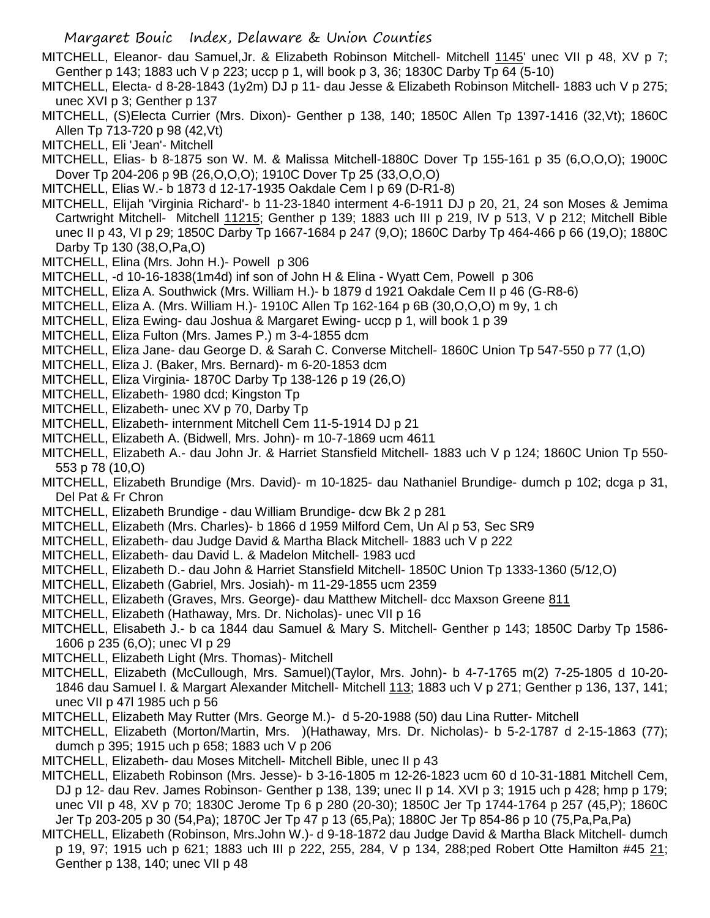MITCHELL, Eleanor- dau Samuel,Jr. & Elizabeth Robinson Mitchell- Mitchell 1145' unec VII p 48, XV p 7; Genther p 143; 1883 uch V p 223; uccp p 1, will book p 3, 36; 1830C Darby Tp 64 (5-10)

MITCHELL, Electa- d 8-28-1843 (1y2m) DJ p 11- dau Jesse & Elizabeth Robinson Mitchell- 1883 uch V p 275; unec XVI p 3; Genther p 137

MITCHELL, (S)Electa Currier (Mrs. Dixon)- Genther p 138, 140; 1850C Allen Tp 1397-1416 (32,Vt); 1860C Allen Tp 713-720 p 98 (42,Vt)

- MITCHELL, Eli 'Jean'- Mitchell
- MITCHELL, Elias- b 8-1875 son W. M. & Malissa Mitchell-1880C Dover Tp 155-161 p 35 (6,O,O,O); 1900C Dover Tp 204-206 p 9B (26,O,O,O); 1910C Dover Tp 25 (33,O,O,O)
- MITCHELL, Elias W.- b 1873 d 12-17-1935 Oakdale Cem I p 69 (D-R1-8)
- MITCHELL, Elijah 'Virginia Richard'- b 11-23-1840 interment 4-6-1911 DJ p 20, 21, 24 son Moses & Jemima Cartwright Mitchell- Mitchell 11215; Genther p 139; 1883 uch III p 219, IV p 513, V p 212; Mitchell Bible unec II p 43, VI p 29; 1850C Darby Tp 1667-1684 p 247 (9,O); 1860C Darby Tp 464-466 p 66 (19,O); 1880C Darby Tp 130 (38,O,Pa,O)
- MITCHELL, Elina (Mrs. John H.)- Powell p 306
- MITCHELL, -d 10-16-1838(1m4d) inf son of John H & Elina Wyatt Cem, Powell p 306
- MITCHELL, Eliza A. Southwick (Mrs. William H.)- b 1879 d 1921 Oakdale Cem II p 46 (G-R8-6)
- MITCHELL, Eliza A. (Mrs. William H.)- 1910C Allen Tp 162-164 p 6B (30,O,O,O) m 9y, 1 ch
- MITCHELL, Eliza Ewing- dau Joshua & Margaret Ewing- uccp p 1, will book 1 p 39
- MITCHELL, Eliza Fulton (Mrs. James P.) m 3-4-1855 dcm

MITCHELL, Eliza Jane- dau George D. & Sarah C. Converse Mitchell- 1860C Union Tp 547-550 p 77 (1,O)

- MITCHELL, Eliza J. (Baker, Mrs. Bernard)- m 6-20-1853 dcm
- MITCHELL, Eliza Virginia- 1870C Darby Tp 138-126 p 19 (26,O)
- MITCHELL, Elizabeth- 1980 dcd; Kingston Tp
- MITCHELL, Elizabeth- unec XV p 70, Darby Tp
- MITCHELL, Elizabeth- internment Mitchell Cem 11-5-1914 DJ p 21
- MITCHELL, Elizabeth A. (Bidwell, Mrs. John)- m 10-7-1869 ucm 4611
- MITCHELL, Elizabeth A.- dau John Jr. & Harriet Stansfield Mitchell- 1883 uch V p 124; 1860C Union Tp 550- 553 p 78 (10,O)
- MITCHELL, Elizabeth Brundige (Mrs. David)- m 10-1825- dau Nathaniel Brundige- dumch p 102; dcga p 31, Del Pat & Fr Chron
- MITCHELL, Elizabeth Brundige dau William Brundige- dcw Bk 2 p 281
- MITCHELL, Elizabeth (Mrs. Charles)- b 1866 d 1959 Milford Cem, Un Al p 53, Sec SR9
- MITCHELL, Elizabeth- dau Judge David & Martha Black Mitchell- 1883 uch V p 222
- MITCHELL, Elizabeth- dau David L. & Madelon Mitchell- 1983 ucd
- MITCHELL, Elizabeth D.- dau John & Harriet Stansfield Mitchell- 1850C Union Tp 1333-1360 (5/12,O)
- MITCHELL, Elizabeth (Gabriel, Mrs. Josiah)- m 11-29-1855 ucm 2359
- MITCHELL, Elizabeth (Graves, Mrs. George)- dau Matthew Mitchell- dcc Maxson Greene 811
- MITCHELL, Elizabeth (Hathaway, Mrs. Dr. Nicholas)- unec VII p 16
- MITCHELL, Elisabeth J.- b ca 1844 dau Samuel & Mary S. Mitchell- Genther p 143; 1850C Darby Tp 1586- 1606 p 235 (6,O); unec VI p 29
- MITCHELL, Elizabeth Light (Mrs. Thomas)- Mitchell
- MITCHELL, Elizabeth (McCullough, Mrs. Samuel)(Taylor, Mrs. John)- b 4-7-1765 m(2) 7-25-1805 d 10-20- 1846 dau Samuel I. & Margart Alexander Mitchell- Mitchell 113; 1883 uch V p 271; Genther p 136, 137, 141; unec VII p 47l 1985 uch p 56
- MITCHELL, Elizabeth May Rutter (Mrs. George M.)- d 5-20-1988 (50) dau Lina Rutter- Mitchell
- MITCHELL, Elizabeth (Morton/Martin, Mrs. )(Hathaway, Mrs. Dr. Nicholas)- b 5-2-1787 d 2-15-1863 (77); dumch p 395; 1915 uch p 658; 1883 uch V p 206
- MITCHELL, Elizabeth- dau Moses Mitchell- Mitchell Bible, unec II p 43
- MITCHELL, Elizabeth Robinson (Mrs. Jesse)- b 3-16-1805 m 12-26-1823 ucm 60 d 10-31-1881 Mitchell Cem, DJ p 12- dau Rev. James Robinson- Genther p 138, 139; unec II p 14. XVI p 3; 1915 uch p 428; hmp p 179; unec VII p 48, XV p 70; 1830C Jerome Tp 6 p 280 (20-30); 1850C Jer Tp 1744-1764 p 257 (45,P); 1860C Jer Tp 203-205 p 30 (54,Pa); 1870C Jer Tp 47 p 13 (65,Pa); 1880C Jer Tp 854-86 p 10 (75,Pa,Pa,Pa)
- MITCHELL, Elizabeth (Robinson, Mrs.John W.)- d 9-18-1872 dau Judge David & Martha Black Mitchell- dumch p 19, 97; 1915 uch p 621; 1883 uch III p 222, 255, 284, V p 134, 288;ped Robert Otte Hamilton #45 21; Genther p 138, 140; unec VII p 48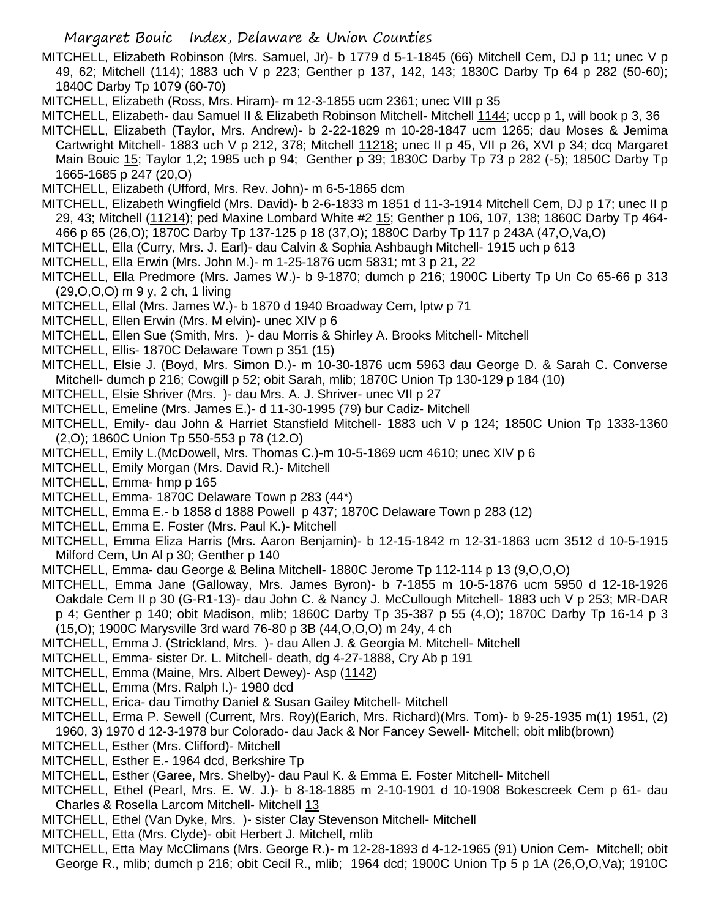- MITCHELL, Elizabeth Robinson (Mrs. Samuel, Jr)- b 1779 d 5-1-1845 (66) Mitchell Cem, DJ p 11; unec V p 49, 62; Mitchell (114); 1883 uch V p 223; Genther p 137, 142, 143; 1830C Darby Tp 64 p 282 (50-60); 1840C Darby Tp 1079 (60-70)
- MITCHELL, Elizabeth (Ross, Mrs. Hiram)- m 12-3-1855 ucm 2361; unec VIII p 35
- MITCHELL, Elizabeth- dau Samuel II & Elizabeth Robinson Mitchell- Mitchell 1144; uccp p 1, will book p 3, 36
- MITCHELL, Elizabeth (Taylor, Mrs. Andrew)- b 2-22-1829 m 10-28-1847 ucm 1265; dau Moses & Jemima Cartwright Mitchell- 1883 uch V p 212, 378; Mitchell 11218; unec II p 45, VII p 26, XVI p 34; dcq Margaret Main Bouic 15; Taylor 1,2; 1985 uch p 94; Genther p 39; 1830C Darby Tp 73 p 282 (-5); 1850C Darby Tp 1665-1685 p 247 (20,O)
- MITCHELL, Elizabeth (Ufford, Mrs. Rev. John)- m 6-5-1865 dcm
- MITCHELL, Elizabeth Wingfield (Mrs. David)- b 2-6-1833 m 1851 d 11-3-1914 Mitchell Cem, DJ p 17; unec II p 29, 43; Mitchell (11214); ped Maxine Lombard White #2 15; Genther p 106, 107, 138; 1860C Darby Tp 464- 466 p 65 (26,O); 1870C Darby Tp 137-125 p 18 (37,O); 1880C Darby Tp 117 p 243A (47,O,Va,O)
- MITCHELL, Ella (Curry, Mrs. J. Earl)- dau Calvin & Sophia Ashbaugh Mitchell- 1915 uch p 613
- MITCHELL, Ella Erwin (Mrs. John M.)- m 1-25-1876 ucm 5831; mt 3 p 21, 22
- MITCHELL, Ella Predmore (Mrs. James W.)- b 9-1870; dumch p 216; 1900C Liberty Tp Un Co 65-66 p 313 (29,O,O,O) m 9 y, 2 ch, 1 living
- MITCHELL, Ellal (Mrs. James W.)- b 1870 d 1940 Broadway Cem, lptw p 71
- MITCHELL, Ellen Erwin (Mrs. M elvin)- unec XIV p 6
- MITCHELL, Ellen Sue (Smith, Mrs. )- dau Morris & Shirley A. Brooks Mitchell- Mitchell
- MITCHELL, Ellis- 1870C Delaware Town p 351 (15)
- MITCHELL, Elsie J. (Boyd, Mrs. Simon D.)- m 10-30-1876 ucm 5963 dau George D. & Sarah C. Converse Mitchell- dumch p 216; Cowgill p 52; obit Sarah, mlib; 1870C Union Tp 130-129 p 184 (10)
- MITCHELL, Elsie Shriver (Mrs. )- dau Mrs. A. J. Shriver- unec VII p 27
- MITCHELL, Emeline (Mrs. James E.)- d 11-30-1995 (79) bur Cadiz- Mitchell
- MITCHELL, Emily- dau John & Harriet Stansfield Mitchell- 1883 uch V p 124; 1850C Union Tp 1333-1360 (2,O); 1860C Union Tp 550-553 p 78 (12.O)
- MITCHELL, Emily L.(McDowell, Mrs. Thomas C.)-m 10-5-1869 ucm 4610; unec XIV p 6
- MITCHELL, Emily Morgan (Mrs. David R.)- Mitchell
- MITCHELL, Emma- hmp p 165
- MITCHELL, Emma- 1870C Delaware Town p 283 (44\*)
- MITCHELL, Emma E.- b 1858 d 1888 Powell p 437; 1870C Delaware Town p 283 (12)
- MITCHELL, Emma E. Foster (Mrs. Paul K.)- Mitchell
- MITCHELL, Emma Eliza Harris (Mrs. Aaron Benjamin)- b 12-15-1842 m 12-31-1863 ucm 3512 d 10-5-1915 Milford Cem, Un Al p 30; Genther p 140
- MITCHELL, Emma- dau George & Belina Mitchell- 1880C Jerome Tp 112-114 p 13 (9,O,O,O)
- MITCHELL, Emma Jane (Galloway, Mrs. James Byron)- b 7-1855 m 10-5-1876 ucm 5950 d 12-18-1926 Oakdale Cem II p 30 (G-R1-13)- dau John C. & Nancy J. McCullough Mitchell- 1883 uch V p 253; MR-DAR p 4; Genther p 140; obit Madison, mlib; 1860C Darby Tp 35-387 p 55 (4,O); 1870C Darby Tp 16-14 p 3
- (15,O); 1900C Marysville 3rd ward 76-80 p 3B (44,O,O,O) m 24y, 4 ch
- MITCHELL, Emma J. (Strickland, Mrs. )- dau Allen J. & Georgia M. Mitchell- Mitchell
- MITCHELL, Emma- sister Dr. L. Mitchell- death, dg 4-27-1888, Cry Ab p 191
- MITCHELL, Emma (Maine, Mrs. Albert Dewey)- Asp (1142)
- MITCHELL, Emma (Mrs. Ralph I.)- 1980 dcd
- MITCHELL, Erica- dau Timothy Daniel & Susan Gailey Mitchell- Mitchell
- MITCHELL, Erma P. Sewell (Current, Mrs. Roy)(Earich, Mrs. Richard)(Mrs. Tom)- b 9-25-1935 m(1) 1951, (2)
- 1960, 3) 1970 d 12-3-1978 bur Colorado- dau Jack & Nor Fancey Sewell- Mitchell; obit mlib(brown)
- MITCHELL, Esther (Mrs. Clifford)- Mitchell
- MITCHELL, Esther E.- 1964 dcd, Berkshire Tp
- MITCHELL, Esther (Garee, Mrs. Shelby)- dau Paul K. & Emma E. Foster Mitchell- Mitchell
- MITCHELL, Ethel (Pearl, Mrs. E. W. J.)- b 8-18-1885 m 2-10-1901 d 10-1908 Bokescreek Cem p 61- dau Charles & Rosella Larcom Mitchell- Mitchell 13
- MITCHELL, Ethel (Van Dyke, Mrs. )- sister Clay Stevenson Mitchell- Mitchell
- MITCHELL, Etta (Mrs. Clyde)- obit Herbert J. Mitchell, mlib
- MITCHELL, Etta May McClimans (Mrs. George R.)- m 12-28-1893 d 4-12-1965 (91) Union Cem- Mitchell; obit George R., mlib; dumch p 216; obit Cecil R., mlib; 1964 dcd; 1900C Union Tp 5 p 1A (26,O,O,Va); 1910C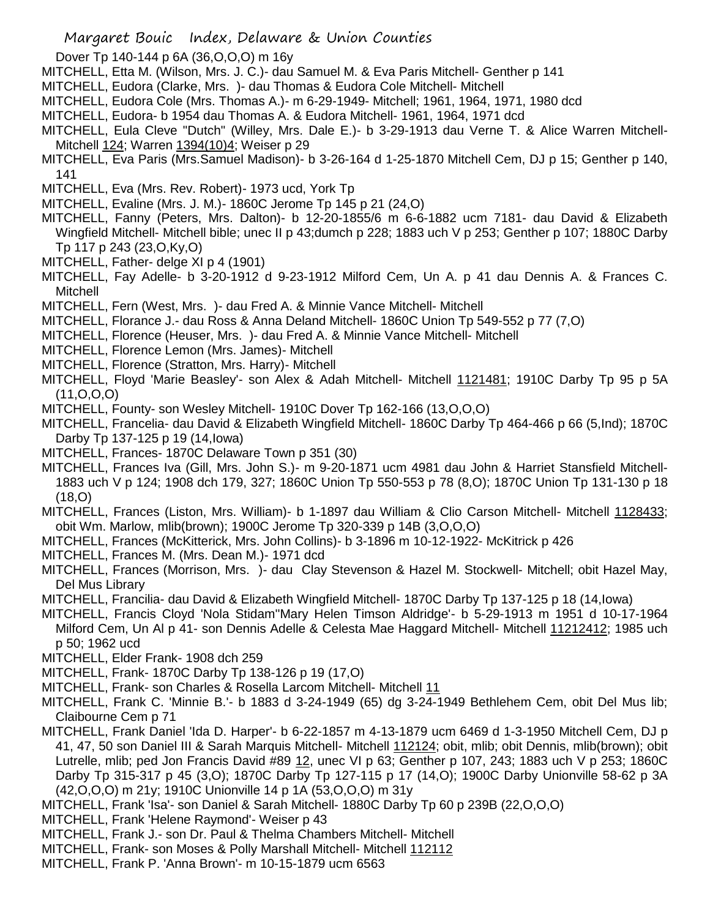- Dover Tp 140-144 p 6A (36,O,O,O) m 16y
- MITCHELL, Etta M. (Wilson, Mrs. J. C.)- dau Samuel M. & Eva Paris Mitchell- Genther p 141
- MITCHELL, Eudora (Clarke, Mrs. )- dau Thomas & Eudora Cole Mitchell- Mitchell
- MITCHELL, Eudora Cole (Mrs. Thomas A.)- m 6-29-1949- Mitchell; 1961, 1964, 1971, 1980 dcd
- MITCHELL, Eudora- b 1954 dau Thomas A. & Eudora Mitchell- 1961, 1964, 1971 dcd
- MITCHELL, Eula Cleve "Dutch" (Willey, Mrs. Dale E.)- b 3-29-1913 dau Verne T. & Alice Warren Mitchell-Mitchell 124; Warren 1394(10)4; Weiser p 29
- MITCHELL, Eva Paris (Mrs.Samuel Madison)- b 3-26-164 d 1-25-1870 Mitchell Cem, DJ p 15; Genther p 140, 141
- MITCHELL, Eva (Mrs. Rev. Robert)- 1973 ucd, York Tp
- MITCHELL, Evaline (Mrs. J. M.)- 1860C Jerome Tp 145 p 21 (24,O)
- MITCHELL, Fanny (Peters, Mrs. Dalton)- b 12-20-1855/6 m 6-6-1882 ucm 7181- dau David & Elizabeth Wingfield Mitchell- Mitchell bible; unec II p 43;dumch p 228; 1883 uch V p 253; Genther p 107; 1880C Darby Tp 117 p 243 (23,O,Ky,O)
- MITCHELL, Father- delge XI p 4 (1901)
- MITCHELL, Fay Adelle- b 3-20-1912 d 9-23-1912 Milford Cem, Un A. p 41 dau Dennis A. & Frances C. Mitchell
- MITCHELL, Fern (West, Mrs. )- dau Fred A. & Minnie Vance Mitchell- Mitchell
- MITCHELL, Florance J.- dau Ross & Anna Deland Mitchell- 1860C Union Tp 549-552 p 77 (7,O)
- MITCHELL, Florence (Heuser, Mrs. )- dau Fred A. & Minnie Vance Mitchell- Mitchell
- MITCHELL, Florence Lemon (Mrs. James)- Mitchell
- MITCHELL, Florence (Stratton, Mrs. Harry)- Mitchell
- MITCHELL, Floyd 'Marie Beasley'- son Alex & Adah Mitchell- Mitchell 1121481; 1910C Darby Tp 95 p 5A (11,O,O,O)
- MITCHELL, Founty- son Wesley Mitchell- 1910C Dover Tp 162-166 (13,O,O,O)
- MITCHELL, Francelia- dau David & Elizabeth Wingfield Mitchell- 1860C Darby Tp 464-466 p 66 (5,Ind); 1870C Darby Tp 137-125 p 19 (14,Iowa)
- MITCHELL, Frances- 1870C Delaware Town p 351 (30)
- MITCHELL, Frances Iva (Gill, Mrs. John S.)- m 9-20-1871 ucm 4981 dau John & Harriet Stansfield Mitchell-1883 uch V p 124; 1908 dch 179, 327; 1860C Union Tp 550-553 p 78 (8,O); 1870C Union Tp 131-130 p 18 (18,O)
- MITCHELL, Frances (Liston, Mrs. William)- b 1-1897 dau William & Clio Carson Mitchell- Mitchell 1128433; obit Wm. Marlow, mlib(brown); 1900C Jerome Tp 320-339 p 14B (3,O,O,O)
- MITCHELL, Frances (McKitterick, Mrs. John Collins)- b 3-1896 m 10-12-1922- McKitrick p 426
- MITCHELL, Frances M. (Mrs. Dean M.)- 1971 dcd
- MITCHELL, Frances (Morrison, Mrs. )- dau Clay Stevenson & Hazel M. Stockwell- Mitchell; obit Hazel May, Del Mus Library
- MITCHELL, Francilia- dau David & Elizabeth Wingfield Mitchell- 1870C Darby Tp 137-125 p 18 (14,Iowa)
- MITCHELL, Francis Cloyd 'Nola Stidam''Mary Helen Timson Aldridge'- b 5-29-1913 m 1951 d 10-17-1964 Milford Cem, Un Al p 41- son Dennis Adelle & Celesta Mae Haggard Mitchell- Mitchell 11212412; 1985 uch p 50; 1962 ucd
- MITCHELL, Elder Frank- 1908 dch 259
- MITCHELL, Frank- 1870C Darby Tp 138-126 p 19 (17,O)
- MITCHELL, Frank- son Charles & Rosella Larcom Mitchell- Mitchell 11
- MITCHELL, Frank C. 'Minnie B.'- b 1883 d 3-24-1949 (65) dg 3-24-1949 Bethlehem Cem, obit Del Mus lib; Claibourne Cem p 71
- MITCHELL, Frank Daniel 'Ida D. Harper'- b 6-22-1857 m 4-13-1879 ucm 6469 d 1-3-1950 Mitchell Cem, DJ p 41, 47, 50 son Daniel III & Sarah Marquis Mitchell- Mitchell 112124; obit, mlib; obit Dennis, mlib(brown); obit Lutrelle, mlib; ped Jon Francis David #89 12, unec VI p 63; Genther p 107, 243; 1883 uch V p 253; 1860C Darby Tp 315-317 p 45 (3,O); 1870C Darby Tp 127-115 p 17 (14,O); 1900C Darby Unionville 58-62 p 3A (42,O,O,O) m 21y; 1910C Unionville 14 p 1A (53,O,O,O) m 31y
- MITCHELL, Frank 'Isa'- son Daniel & Sarah Mitchell- 1880C Darby Tp 60 p 239B (22,O,O,O)
- MITCHELL, Frank 'Helene Raymond'- Weiser p 43
- MITCHELL, Frank J.- son Dr. Paul & Thelma Chambers Mitchell- Mitchell
- MITCHELL, Frank- son Moses & Polly Marshall Mitchell- Mitchell 112112
- MITCHELL, Frank P. 'Anna Brown'- m 10-15-1879 ucm 6563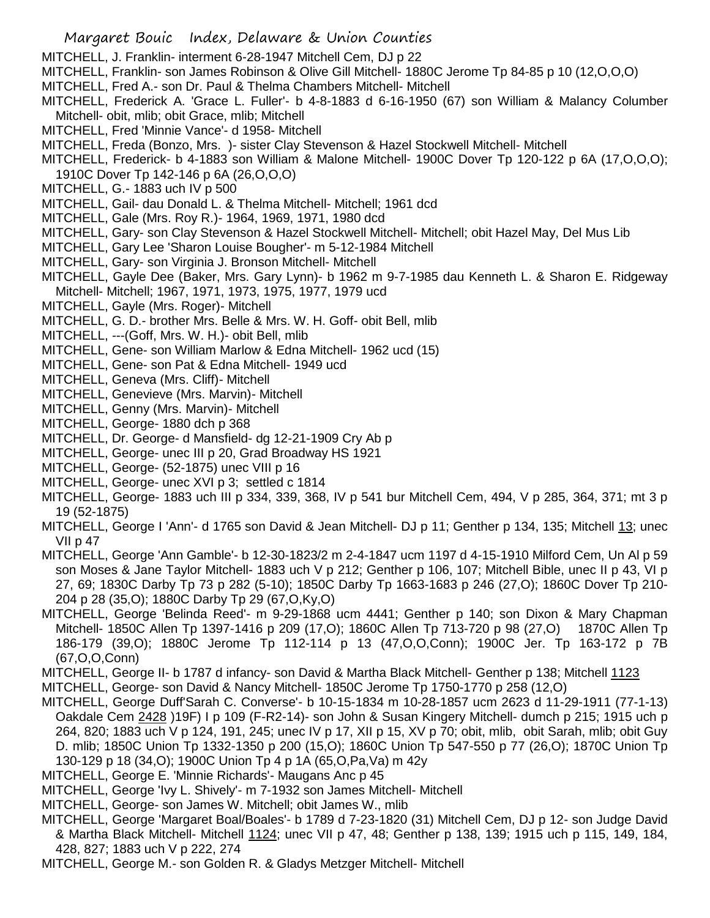- MITCHELL, J. Franklin- interment 6-28-1947 Mitchell Cem, DJ p 22
- MITCHELL, Franklin- son James Robinson & Olive Gill Mitchell- 1880C Jerome Tp 84-85 p 10 (12,O,O,O)
- MITCHELL, Fred A.- son Dr. Paul & Thelma Chambers Mitchell- Mitchell
- MITCHELL, Frederick A. 'Grace L. Fuller'- b 4-8-1883 d 6-16-1950 (67) son William & Malancy Columber Mitchell- obit, mlib; obit Grace, mlib; Mitchell
- MITCHELL, Fred 'Minnie Vance'- d 1958- Mitchell
- MITCHELL, Freda (Bonzo, Mrs. )- sister Clay Stevenson & Hazel Stockwell Mitchell- Mitchell
- MITCHELL, Frederick- b 4-1883 son William & Malone Mitchell- 1900C Dover Tp 120-122 p 6A (17,O,O,O); 1910C Dover Tp 142-146 p 6A (26,O,O,O)
- MITCHELL, G.- 1883 uch IV p 500
- MITCHELL, Gail- dau Donald L. & Thelma Mitchell- Mitchell; 1961 dcd
- MITCHELL, Gale (Mrs. Roy R.)- 1964, 1969, 1971, 1980 dcd
- MITCHELL, Gary- son Clay Stevenson & Hazel Stockwell Mitchell- Mitchell; obit Hazel May, Del Mus Lib
- MITCHELL, Gary Lee 'Sharon Louise Bougher'- m 5-12-1984 Mitchell
- MITCHELL, Gary- son Virginia J. Bronson Mitchell- Mitchell
- MITCHELL, Gayle Dee (Baker, Mrs. Gary Lynn)- b 1962 m 9-7-1985 dau Kenneth L. & Sharon E. Ridgeway Mitchell- Mitchell; 1967, 1971, 1973, 1975, 1977, 1979 ucd
- MITCHELL, Gayle (Mrs. Roger)- Mitchell
- MITCHELL, G. D.- brother Mrs. Belle & Mrs. W. H. Goff- obit Bell, mlib
- MITCHELL, ---(Goff, Mrs. W. H.)- obit Bell, mlib
- MITCHELL, Gene- son William Marlow & Edna Mitchell- 1962 ucd (15)
- MITCHELL, Gene- son Pat & Edna Mitchell- 1949 ucd
- MITCHELL, Geneva (Mrs. Cliff)- Mitchell
- MITCHELL, Genevieve (Mrs. Marvin)- Mitchell
- MITCHELL, Genny (Mrs. Marvin)- Mitchell
- MITCHELL, George- 1880 dch p 368
- MITCHELL, Dr. George- d Mansfield- dg 12-21-1909 Cry Ab p
- MITCHELL, George- unec III p 20, Grad Broadway HS 1921
- MITCHELL, George- (52-1875) unec VIII p 16
- MITCHELL, George- unec XVI p 3; settled c 1814
- MITCHELL, George- 1883 uch III p 334, 339, 368, IV p 541 bur Mitchell Cem, 494, V p 285, 364, 371; mt 3 p 19 (52-1875)
- MITCHELL, George I 'Ann'- d 1765 son David & Jean Mitchell- DJ p 11; Genther p 134, 135; Mitchell 13; unec VII p 47
- MITCHELL, George 'Ann Gamble'- b 12-30-1823/2 m 2-4-1847 ucm 1197 d 4-15-1910 Milford Cem, Un Al p 59 son Moses & Jane Taylor Mitchell- 1883 uch V p 212; Genther p 106, 107; Mitchell Bible, unec II p 43, VI p 27, 69; 1830C Darby Tp 73 p 282 (5-10); 1850C Darby Tp 1663-1683 p 246 (27,O); 1860C Dover Tp 210- 204 p 28 (35,O); 1880C Darby Tp 29 (67,O,Ky,O)
- MITCHELL, George 'Belinda Reed'- m 9-29-1868 ucm 4441; Genther p 140; son Dixon & Mary Chapman Mitchell- 1850C Allen Tp 1397-1416 p 209 (17,O); 1860C Allen Tp 713-720 p 98 (27,O) 1870C Allen Tp 186-179 (39,O); 1880C Jerome Tp 112-114 p 13 (47,O,O,Conn); 1900C Jer. Tp 163-172 p 7B (67,O,O,Conn)
- MITCHELL, George II- b 1787 d infancy- son David & Martha Black Mitchell- Genther p 138; Mitchell 1123
- MITCHELL, George- son David & Nancy Mitchell- 1850C Jerome Tp 1750-1770 p 258 (12,O)
- MITCHELL, George Duff'Sarah C. Converse'- b 10-15-1834 m 10-28-1857 ucm 2623 d 11-29-1911 (77-1-13) Oakdale Cem 2428 )19F) I p 109 (F-R2-14)- son John & Susan Kingery Mitchell- dumch p 215; 1915 uch p 264, 820; 1883 uch V p 124, 191, 245; unec IV p 17, XII p 15, XV p 70; obit, mlib, obit Sarah, mlib; obit Guy D. mlib; 1850C Union Tp 1332-1350 p 200 (15,O); 1860C Union Tp 547-550 p 77 (26,O); 1870C Union Tp 130-129 p 18 (34,O); 1900C Union Tp 4 p 1A (65,O,Pa,Va) m 42y
- MITCHELL, George E. 'Minnie Richards'- Maugans Anc p 45
- MITCHELL, George 'Ivy L. Shively'- m 7-1932 son James Mitchell- Mitchell
- MITCHELL, George- son James W. Mitchell; obit James W., mlib
- MITCHELL, George 'Margaret Boal/Boales'- b 1789 d 7-23-1820 (31) Mitchell Cem, DJ p 12- son Judge David & Martha Black Mitchell- Mitchell 1124; unec VII p 47, 48; Genther p 138, 139; 1915 uch p 115, 149, 184, 428, 827; 1883 uch V p 222, 274
- MITCHELL, George M.- son Golden R. & Gladys Metzger Mitchell- Mitchell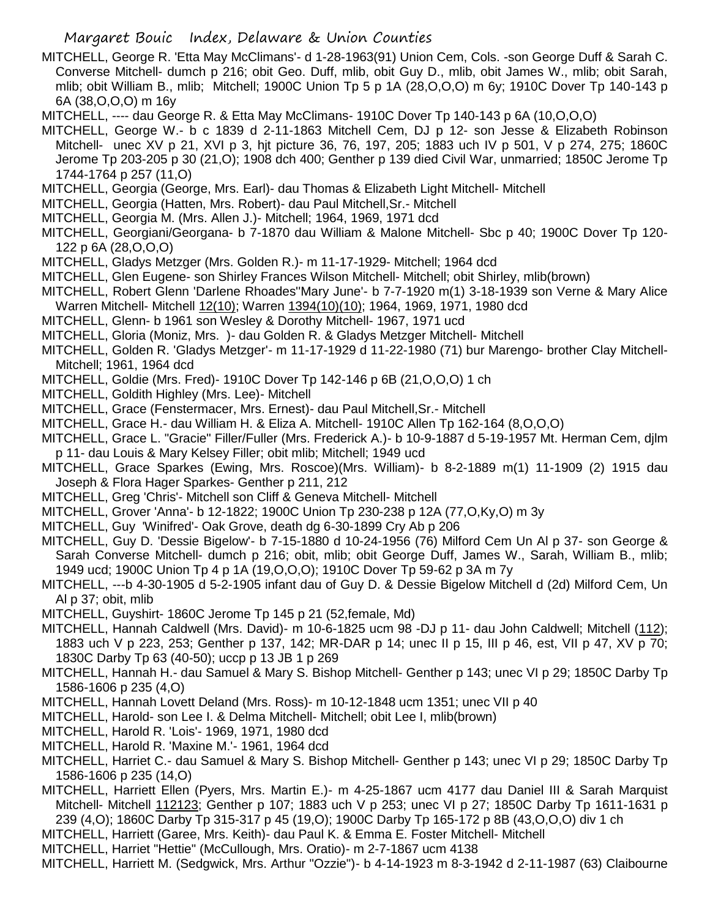- MITCHELL, George R. 'Etta May McClimans'- d 1-28-1963(91) Union Cem, Cols. -son George Duff & Sarah C. Converse Mitchell- dumch p 216; obit Geo. Duff, mlib, obit Guy D., mlib, obit James W., mlib; obit Sarah, mlib; obit William B., mlib; Mitchell; 1900C Union Tp 5 p 1A (28,O,O,O) m 6y; 1910C Dover Tp 140-143 p 6A (38,O,O,O) m 16y
- MITCHELL, ---- dau George R. & Etta May McClimans- 1910C Dover Tp 140-143 p 6A (10,O,O,O)
- MITCHELL, George W.- b c 1839 d 2-11-1863 Mitchell Cem, DJ p 12- son Jesse & Elizabeth Robinson Mitchell- unec XV p 21, XVI p 3, hjt picture 36, 76, 197, 205; 1883 uch IV p 501, V p 274, 275; 1860C Jerome Tp 203-205 p 30 (21,O); 1908 dch 400; Genther p 139 died Civil War, unmarried; 1850C Jerome Tp 1744-1764 p 257 (11,O)
- MITCHELL, Georgia (George, Mrs. Earl)- dau Thomas & Elizabeth Light Mitchell- Mitchell
- MITCHELL, Georgia (Hatten, Mrs. Robert)- dau Paul Mitchell,Sr.- Mitchell
- MITCHELL, Georgia M. (Mrs. Allen J.)- Mitchell; 1964, 1969, 1971 dcd
- MITCHELL, Georgiani/Georgana- b 7-1870 dau William & Malone Mitchell- Sbc p 40; 1900C Dover Tp 120- 122 p 6A (28,O,O,O)
- MITCHELL, Gladys Metzger (Mrs. Golden R.)- m 11-17-1929- Mitchell; 1964 dcd
- MITCHELL, Glen Eugene- son Shirley Frances Wilson Mitchell- Mitchell; obit Shirley, mlib(brown)
- MITCHELL, Robert Glenn 'Darlene Rhoades''Mary June'- b 7-7-1920 m(1) 3-18-1939 son Verne & Mary Alice Warren Mitchell- Mitchell 12(10); Warren 1394(10)(10); 1964, 1969, 1971, 1980 dcd
- MITCHELL, Glenn- b 1961 son Wesley & Dorothy Mitchell- 1967, 1971 ucd
- MITCHELL, Gloria (Moniz, Mrs. )- dau Golden R. & Gladys Metzger Mitchell- Mitchell
- MITCHELL, Golden R. 'Gladys Metzger'- m 11-17-1929 d 11-22-1980 (71) bur Marengo- brother Clay Mitchell-Mitchell; 1961, 1964 dcd
- MITCHELL, Goldie (Mrs. Fred)- 1910C Dover Tp 142-146 p 6B (21,O,O,O) 1 ch
- MITCHELL, Goldith Highley (Mrs. Lee)- Mitchell
- MITCHELL, Grace (Fenstermacer, Mrs. Ernest)- dau Paul Mitchell,Sr.- Mitchell
- MITCHELL, Grace H.- dau William H. & Eliza A. Mitchell- 1910C Allen Tp 162-164 (8,O,O,O)
- MITCHELL, Grace L. "Gracie" Filler/Fuller (Mrs. Frederick A.)- b 10-9-1887 d 5-19-1957 Mt. Herman Cem, djlm p 11- dau Louis & Mary Kelsey Filler; obit mlib; Mitchell; 1949 ucd
- MITCHELL, Grace Sparkes (Ewing, Mrs. Roscoe)(Mrs. William)- b 8-2-1889 m(1) 11-1909 (2) 1915 dau Joseph & Flora Hager Sparkes- Genther p 211, 212
- MITCHELL, Greg 'Chris'- Mitchell son Cliff & Geneva Mitchell- Mitchell
- MITCHELL, Grover 'Anna'- b 12-1822; 1900C Union Tp 230-238 p 12A (77,O,Ky,O) m 3y
- MITCHELL, Guy 'Winifred'- Oak Grove, death dg 6-30-1899 Cry Ab p 206
- MITCHELL, Guy D. 'Dessie Bigelow'- b 7-15-1880 d 10-24-1956 (76) Milford Cem Un Al p 37- son George & Sarah Converse Mitchell- dumch p 216; obit, mlib; obit George Duff, James W., Sarah, William B., mlib; 1949 ucd; 1900C Union Tp 4 p 1A (19,O,O,O); 1910C Dover Tp 59-62 p 3A m 7y
- MITCHELL, ---b 4-30-1905 d 5-2-1905 infant dau of Guy D. & Dessie Bigelow Mitchell d (2d) Milford Cem, Un Al p 37; obit, mlib
- MITCHELL, Guyshirt- 1860C Jerome Tp 145 p 21 (52,female, Md)
- MITCHELL, Hannah Caldwell (Mrs. David)- m 10-6-1825 ucm 98 -DJ p 11- dau John Caldwell; Mitchell (112); 1883 uch V p 223, 253; Genther p 137, 142; MR-DAR p 14; unec II p 15, III p 46, est, VII p 47, XV p 70; 1830C Darby Tp 63 (40-50); uccp p 13 JB 1 p 269
- MITCHELL, Hannah H.- dau Samuel & Mary S. Bishop Mitchell- Genther p 143; unec VI p 29; 1850C Darby Tp 1586-1606 p 235 (4,O)
- MITCHELL, Hannah Lovett Deland (Mrs. Ross)- m 10-12-1848 ucm 1351; unec VII p 40
- MITCHELL, Harold- son Lee I. & Delma Mitchell- Mitchell; obit Lee I, mlib(brown)
- MITCHELL, Harold R. 'Lois'- 1969, 1971, 1980 dcd
- MITCHELL, Harold R. 'Maxine M.'- 1961, 1964 dcd
- MITCHELL, Harriet C.- dau Samuel & Mary S. Bishop Mitchell- Genther p 143; unec VI p 29; 1850C Darby Tp 1586-1606 p 235 (14,O)
- MITCHELL, Harriett Ellen (Pyers, Mrs. Martin E.)- m 4-25-1867 ucm 4177 dau Daniel III & Sarah Marquist Mitchell- Mitchell 112123; Genther p 107; 1883 uch V p 253; unec VI p 27; 1850C Darby Tp 1611-1631 p 239 (4,O); 1860C Darby Tp 315-317 p 45 (19,O); 1900C Darby Tp 165-172 p 8B (43,O,O,O) div 1 ch
- MITCHELL, Harriett (Garee, Mrs. Keith)- dau Paul K. & Emma E. Foster Mitchell- Mitchell
- MITCHELL, Harriet "Hettie" (McCullough, Mrs. Oratio)- m 2-7-1867 ucm 4138
- MITCHELL, Harriett M. (Sedgwick, Mrs. Arthur "Ozzie")- b 4-14-1923 m 8-3-1942 d 2-11-1987 (63) Claibourne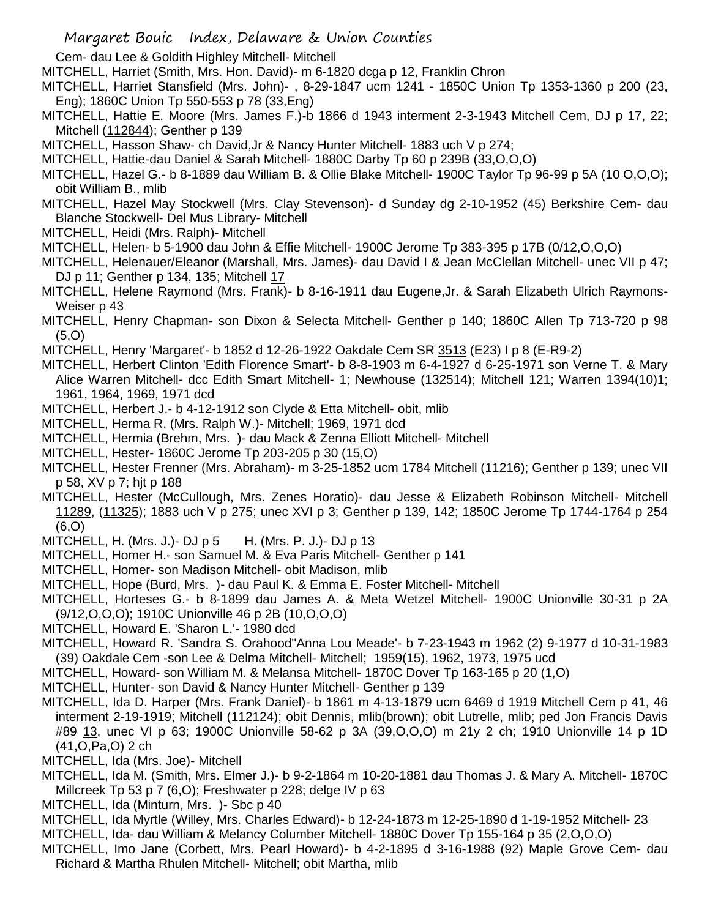Cem- dau Lee & Goldith Highley Mitchell- Mitchell

- MITCHELL, Harriet (Smith, Mrs. Hon. David)- m 6-1820 dcga p 12, Franklin Chron
- MITCHELL, Harriet Stansfield (Mrs. John)- , 8-29-1847 ucm 1241 1850C Union Tp 1353-1360 p 200 (23, Eng); 1860C Union Tp 550-553 p 78 (33,Eng)
- MITCHELL, Hattie E. Moore (Mrs. James F.)-b 1866 d 1943 interment 2-3-1943 Mitchell Cem, DJ p 17, 22; Mitchell (112844); Genther p 139
- MITCHELL, Hasson Shaw- ch David,Jr & Nancy Hunter Mitchell- 1883 uch V p 274;
- MITCHELL, Hattie-dau Daniel & Sarah Mitchell- 1880C Darby Tp 60 p 239B (33,O,O,O)
- MITCHELL, Hazel G.- b 8-1889 dau William B. & Ollie Blake Mitchell- 1900C Taylor Tp 96-99 p 5A (10 O,O,O); obit William B., mlib
- MITCHELL, Hazel May Stockwell (Mrs. Clay Stevenson)- d Sunday dg 2-10-1952 (45) Berkshire Cem- dau Blanche Stockwell- Del Mus Library- Mitchell
- MITCHELL, Heidi (Mrs. Ralph)- Mitchell
- MITCHELL, Helen- b 5-1900 dau John & Effie Mitchell- 1900C Jerome Tp 383-395 p 17B (0/12,O,O,O)
- MITCHELL, Helenauer/Eleanor (Marshall, Mrs. James)- dau David I & Jean McClellan Mitchell- unec VII p 47; DJ p 11; Genther p 134, 135; Mitchell 17
- MITCHELL, Helene Raymond (Mrs. Frank)- b 8-16-1911 dau Eugene,Jr. & Sarah Elizabeth Ulrich Raymons-Weiser p 43
- MITCHELL, Henry Chapman- son Dixon & Selecta Mitchell- Genther p 140; 1860C Allen Tp 713-720 p 98 (5,O)
- MITCHELL, Henry 'Margaret'- b 1852 d 12-26-1922 Oakdale Cem SR 3513 (E23) I p 8 (E-R9-2)
- MITCHELL, Herbert Clinton 'Edith Florence Smart'- b 8-8-1903 m 6-4-1927 d 6-25-1971 son Verne T. & Mary Alice Warren Mitchell- dcc Edith Smart Mitchell- 1; Newhouse (132514); Mitchell 121; Warren 1394(10)1; 1961, 1964, 1969, 1971 dcd
- MITCHELL, Herbert J.- b 4-12-1912 son Clyde & Etta Mitchell- obit, mlib
- MITCHELL, Herma R. (Mrs. Ralph W.)- Mitchell; 1969, 1971 dcd
- MITCHELL, Hermia (Brehm, Mrs. )- dau Mack & Zenna Elliott Mitchell- Mitchell
- MITCHELL, Hester- 1860C Jerome Tp 203-205 p 30 (15,O)
- MITCHELL, Hester Frenner (Mrs. Abraham)- m 3-25-1852 ucm 1784 Mitchell (11216); Genther p 139; unec VII p 58, XV p 7; hjt p 188
- MITCHELL, Hester (McCullough, Mrs. Zenes Horatio)- dau Jesse & Elizabeth Robinson Mitchell- Mitchell 11289, (11325); 1883 uch V p 275; unec XVI p 3; Genther p 139, 142; 1850C Jerome Tp 1744-1764 p 254 (6,O)
- MITCHELL, H. (Mrs. J.)- DJ p 5 H. (Mrs. P. J.)- DJ p 13
- MITCHELL, Homer H.- son Samuel M. & Eva Paris Mitchell- Genther p 141
- MITCHELL, Homer- son Madison Mitchell- obit Madison, mlib
- MITCHELL, Hope (Burd, Mrs. )- dau Paul K. & Emma E. Foster Mitchell- Mitchell
- MITCHELL, Horteses G.- b 8-1899 dau James A. & Meta Wetzel Mitchell- 1900C Unionville 30-31 p 2A (9/12,O,O,O); 1910C Unionville 46 p 2B (10,O,O,O)
- MITCHELL, Howard E. 'Sharon L.'- 1980 dcd
- MITCHELL, Howard R. 'Sandra S. Orahood''Anna Lou Meade'- b 7-23-1943 m 1962 (2) 9-1977 d 10-31-1983 (39) Oakdale Cem -son Lee & Delma Mitchell- Mitchell; 1959(15), 1962, 1973, 1975 ucd
- MITCHELL, Howard- son William M. & Melansa Mitchell- 1870C Dover Tp 163-165 p 20 (1,O)
- MITCHELL, Hunter- son David & Nancy Hunter Mitchell- Genther p 139
- MITCHELL, Ida D. Harper (Mrs. Frank Daniel)- b 1861 m 4-13-1879 ucm 6469 d 1919 Mitchell Cem p 41, 46 interment 2-19-1919; Mitchell (112124); obit Dennis, mlib(brown); obit Lutrelle, mlib; ped Jon Francis Davis #89 13, unec VI p 63; 1900C Unionville 58-62 p 3A (39,O,O,O) m 21y 2 ch; 1910 Unionville 14 p 1D (41,O,Pa,O) 2 ch
- MITCHELL, Ida (Mrs. Joe)- Mitchell
- MITCHELL, Ida M. (Smith, Mrs. Elmer J.)- b 9-2-1864 m 10-20-1881 dau Thomas J. & Mary A. Mitchell- 1870C Millcreek Tp 53 p 7 (6,O); Freshwater p 228; delge IV p 63
- MITCHELL, Ida (Minturn, Mrs. )- Sbc p 40
- MITCHELL, Ida Myrtle (Willey, Mrs. Charles Edward)- b 12-24-1873 m 12-25-1890 d 1-19-1952 Mitchell- 23
- MITCHELL, Ida- dau William & Melancy Columber Mitchell- 1880C Dover Tp 155-164 p 35 (2,O,O,O)
- MITCHELL, Imo Jane (Corbett, Mrs. Pearl Howard)- b 4-2-1895 d 3-16-1988 (92) Maple Grove Cem- dau Richard & Martha Rhulen Mitchell- Mitchell; obit Martha, mlib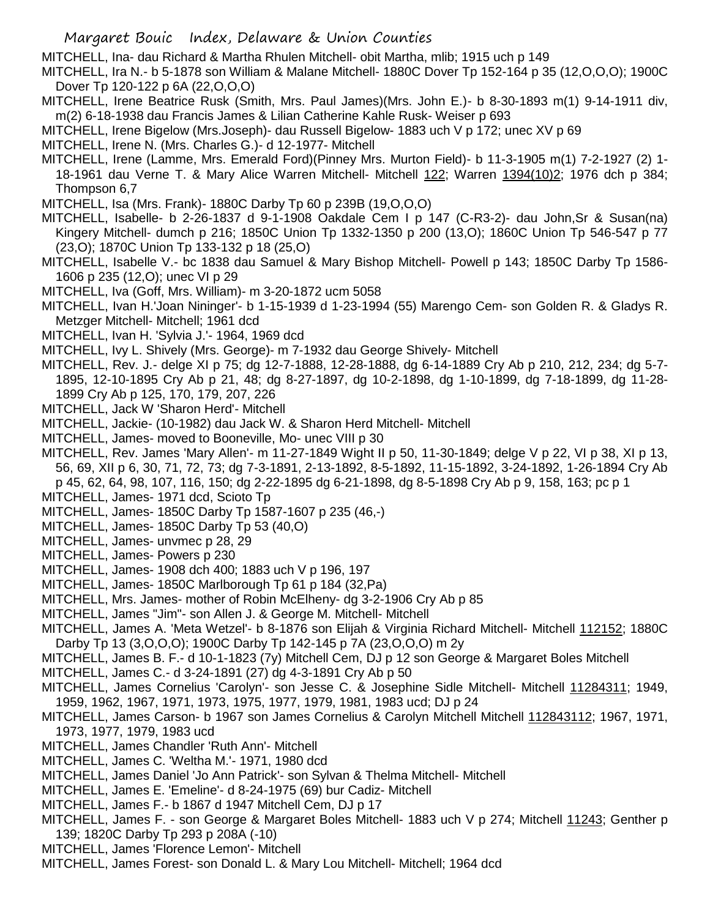MITCHELL, Ina- dau Richard & Martha Rhulen Mitchell- obit Martha, mlib; 1915 uch p 149

MITCHELL, Ira N.- b 5-1878 son William & Malane Mitchell- 1880C Dover Tp 152-164 p 35 (12,O,O,O); 1900C Dover Tp 120-122 p 6A (22,O,O,O)

MITCHELL, Irene Beatrice Rusk (Smith, Mrs. Paul James)(Mrs. John E.)- b 8-30-1893 m(1) 9-14-1911 div, m(2) 6-18-1938 dau Francis James & Lilian Catherine Kahle Rusk- Weiser p 693

MITCHELL, Irene Bigelow (Mrs.Joseph)- dau Russell Bigelow- 1883 uch V p 172; unec XV p 69

MITCHELL, Irene N. (Mrs. Charles G.)- d 12-1977- Mitchell

MITCHELL, Irene (Lamme, Mrs. Emerald Ford)(Pinney Mrs. Murton Field)- b 11-3-1905 m(1) 7-2-1927 (2) 1- 18-1961 dau Verne T. & Mary Alice Warren Mitchell- Mitchell 122; Warren 1394(10)2; 1976 dch p 384; Thompson 6,7

MITCHELL, Isa (Mrs. Frank)- 1880C Darby Tp 60 p 239B (19,O,O,O)

- MITCHELL, Isabelle- b 2-26-1837 d 9-1-1908 Oakdale Cem I p 147 (C-R3-2)- dau John,Sr & Susan(na) Kingery Mitchell- dumch p 216; 1850C Union Tp 1332-1350 p 200 (13,O); 1860C Union Tp 546-547 p 77 (23,O); 1870C Union Tp 133-132 p 18 (25,O)
- MITCHELL, Isabelle V.- bc 1838 dau Samuel & Mary Bishop Mitchell- Powell p 143; 1850C Darby Tp 1586- 1606 p 235 (12,O); unec VI p 29
- MITCHELL, Iva (Goff, Mrs. William)- m 3-20-1872 ucm 5058
- MITCHELL, Ivan H.'Joan Nininger'- b 1-15-1939 d 1-23-1994 (55) Marengo Cem- son Golden R. & Gladys R. Metzger Mitchell- Mitchell; 1961 dcd
- MITCHELL, Ivan H. 'Sylvia J.'- 1964, 1969 dcd
- MITCHELL, Ivy L. Shively (Mrs. George)- m 7-1932 dau George Shively- Mitchell
- MITCHELL, Rev. J.- delge XI p 75; dg 12-7-1888, 12-28-1888, dg 6-14-1889 Cry Ab p 210, 212, 234; dg 5-7- 1895, 12-10-1895 Cry Ab p 21, 48; dg 8-27-1897, dg 10-2-1898, dg 1-10-1899, dg 7-18-1899, dg 11-28- 1899 Cry Ab p 125, 170, 179, 207, 226
- MITCHELL, Jack W 'Sharon Herd'- Mitchell
- MITCHELL, Jackie- (10-1982) dau Jack W. & Sharon Herd Mitchell- Mitchell
- MITCHELL, James- moved to Booneville, Mo- unec VIII p 30

MITCHELL, Rev. James 'Mary Allen'- m 11-27-1849 Wight II p 50, 11-30-1849; delge V p 22, VI p 38, XI p 13, 56, 69, XII p 6, 30, 71, 72, 73; dg 7-3-1891, 2-13-1892, 8-5-1892, 11-15-1892, 3-24-1892, 1-26-1894 Cry Ab p 45, 62, 64, 98, 107, 116, 150; dg 2-22-1895 dg 6-21-1898, dg 8-5-1898 Cry Ab p 9, 158, 163; pc p 1

MITCHELL, James- 1971 dcd, Scioto Tp

- MITCHELL, James- 1850C Darby Tp 1587-1607 p 235 (46,-)
- MITCHELL, James- 1850C Darby Tp 53 (40,O)
- MITCHELL, James- unvmec p 28, 29
- MITCHELL, James- Powers p 230
- MITCHELL, James- 1908 dch 400; 1883 uch V p 196, 197
- MITCHELL, James- 1850C Marlborough Tp 61 p 184 (32,Pa)
- MITCHELL, Mrs. James- mother of Robin McElheny- dg 3-2-1906 Cry Ab p 85
- MITCHELL, James "Jim"- son Allen J. & George M. Mitchell- Mitchell

MITCHELL, James A. 'Meta Wetzel'- b 8-1876 son Elijah & Virginia Richard Mitchell- Mitchell 112152; 1880C Darby Tp 13 (3,O,O,O); 1900C Darby Tp 142-145 p 7A (23,O,O,O) m 2y

- MITCHELL, James B. F.- d 10-1-1823 (7y) Mitchell Cem, DJ p 12 son George & Margaret Boles Mitchell
- MITCHELL, James C.- d 3-24-1891 (27) dg 4-3-1891 Cry Ab p 50
- MITCHELL, James Cornelius 'Carolyn'- son Jesse C. & Josephine Sidle Mitchell- Mitchell 11284311; 1949, 1959, 1962, 1967, 1971, 1973, 1975, 1977, 1979, 1981, 1983 ucd; DJ p 24
- MITCHELL, James Carson- b 1967 son James Cornelius & Carolyn Mitchell Mitchell 112843112; 1967, 1971, 1973, 1977, 1979, 1983 ucd
- MITCHELL, James Chandler 'Ruth Ann'- Mitchell
- MITCHELL, James C. 'Weltha M.'- 1971, 1980 dcd
- MITCHELL, James Daniel 'Jo Ann Patrick'- son Sylvan & Thelma Mitchell- Mitchell
- MITCHELL, James E. 'Emeline'- d 8-24-1975 (69) bur Cadiz- Mitchell
- MITCHELL, James F.- b 1867 d 1947 Mitchell Cem, DJ p 17
- MITCHELL, James F. son George & Margaret Boles Mitchell- 1883 uch V p 274; Mitchell 11243; Genther p 139; 1820C Darby Tp 293 p 208A (-10)
- MITCHELL, James 'Florence Lemon'- Mitchell
- MITCHELL, James Forest- son Donald L. & Mary Lou Mitchell- Mitchell; 1964 dcd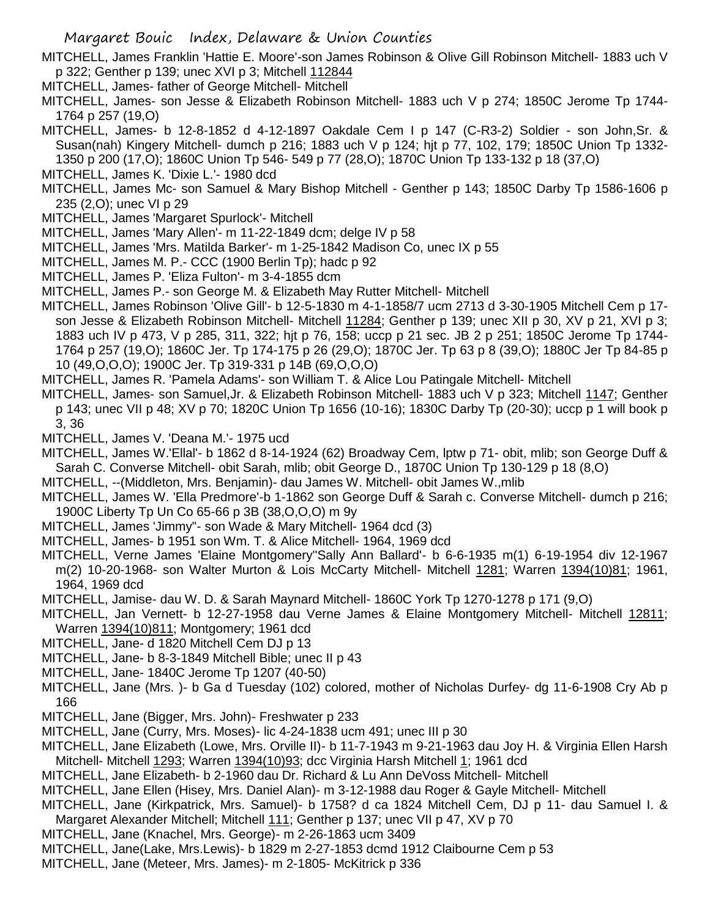MITCHELL, James Franklin 'Hattie E. Moore'-son James Robinson & Olive Gill Robinson Mitchell- 1883 uch V p 322; Genther p 139; unec XVI p 3; Mitchell 112844

- MITCHELL, James- father of George Mitchell- Mitchell
- MITCHELL, James- son Jesse & Elizabeth Robinson Mitchell- 1883 uch V p 274; 1850C Jerome Tp 1744- 1764 p 257 (19,O)

MITCHELL, James- b 12-8-1852 d 4-12-1897 Oakdale Cem I p 147 (C-R3-2) Soldier - son John,Sr. & Susan(nah) Kingery Mitchell- dumch p 216; 1883 uch V p 124; hjt p 77, 102, 179; 1850C Union Tp 1332- 1350 p 200 (17,O); 1860C Union Tp 546- 549 p 77 (28,O); 1870C Union Tp 133-132 p 18 (37,O)

MITCHELL, James K. 'Dixie L.'- 1980 dcd

MITCHELL, James Mc- son Samuel & Mary Bishop Mitchell - Genther p 143; 1850C Darby Tp 1586-1606 p 235 (2,O); unec VI p 29

- MITCHELL, James 'Margaret Spurlock'- Mitchell
- MITCHELL, James 'Mary Allen'- m 11-22-1849 dcm; delge IV p 58
- MITCHELL, James 'Mrs. Matilda Barker'- m 1-25-1842 Madison Co, unec IX p 55
- MITCHELL, James M. P.- CCC (1900 Berlin Tp); hadc p 92
- MITCHELL, James P. 'Eliza Fulton'- m 3-4-1855 dcm
- MITCHELL, James P.- son George M. & Elizabeth May Rutter Mitchell- Mitchell
- MITCHELL, James Robinson 'Olive Gill'- b 12-5-1830 m 4-1-1858/7 ucm 2713 d 3-30-1905 Mitchell Cem p 17 son Jesse & Elizabeth Robinson Mitchell- Mitchell 11284; Genther p 139; unec XII p 30, XV p 21, XVI p 3; 1883 uch IV p 473, V p 285, 311, 322; hjt p 76, 158; uccp p 21 sec. JB 2 p 251; 1850C Jerome Tp 1744- 1764 p 257 (19,O); 1860C Jer. Tp 174-175 p 26 (29,O); 1870C Jer. Tp 63 p 8 (39,O); 1880C Jer Tp 84-85 p 10 (49,O,O,O); 1900C Jer. Tp 319-331 p 14B (69,O,O,O)
- MITCHELL, James R. 'Pamela Adams'- son William T. & Alice Lou Patingale Mitchell- Mitchell
- MITCHELL, James- son Samuel,Jr. & Elizabeth Robinson Mitchell- 1883 uch V p 323; Mitchell 1147; Genther p 143; unec VII p 48; XV p 70; 1820C Union Tp 1656 (10-16); 1830C Darby Tp (20-30); uccp p 1 will book p 3, 36
- MITCHELL, James V. 'Deana M.'- 1975 ucd
- MITCHELL, James W.'Ellal'- b 1862 d 8-14-1924 (62) Broadway Cem, lptw p 71- obit, mlib; son George Duff & Sarah C. Converse Mitchell- obit Sarah, mlib; obit George D., 1870C Union Tp 130-129 p 18 (8,O)
- MITCHELL, --(Middleton, Mrs. Benjamin)- dau James W. Mitchell- obit James W.,mlib
- MITCHELL, James W. 'Ella Predmore'-b 1-1862 son George Duff & Sarah c. Converse Mitchell- dumch p 216; 1900C Liberty Tp Un Co 65-66 p 3B (38,O,O,O) m 9y
- MITCHELL, James 'Jimmy"- son Wade & Mary Mitchell- 1964 dcd (3)
- MITCHELL, James- b 1951 son Wm. T. & Alice Mitchell- 1964, 1969 dcd
- MITCHELL, Verne James 'Elaine Montgomery''Sally Ann Ballard'- b 6-6-1935 m(1) 6-19-1954 div 12-1967 m(2) 10-20-1968- son Walter Murton & Lois McCarty Mitchell- Mitchell 1281; Warren 1394(10)81; 1961, 1964, 1969 dcd
- MITCHELL, Jamise- dau W. D. & Sarah Maynard Mitchell- 1860C York Tp 1270-1278 p 171 (9,O)
- MITCHELL, Jan Vernett- b 12-27-1958 dau Verne James & Elaine Montgomery Mitchell- Mitchell 12811; Warren 1394(10)811; Montgomery; 1961 dcd
- MITCHELL, Jane- d 1820 Mitchell Cem DJ p 13
- MITCHELL, Jane- b 8-3-1849 Mitchell Bible; unec II p 43
- MITCHELL, Jane- 1840C Jerome Tp 1207 (40-50)
- MITCHELL, Jane (Mrs. )- b Ga d Tuesday (102) colored, mother of Nicholas Durfey- dg 11-6-1908 Cry Ab p 166
- MITCHELL, Jane (Bigger, Mrs. John)- Freshwater p 233
- MITCHELL, Jane (Curry, Mrs. Moses)- lic 4-24-1838 ucm 491; unec III p 30
- MITCHELL, Jane Elizabeth (Lowe, Mrs. Orville II)- b 11-7-1943 m 9-21-1963 dau Joy H. & Virginia Ellen Harsh Mitchell- Mitchell 1293; Warren 1394(10)93; dcc Virginia Harsh Mitchell 1; 1961 dcd
- MITCHELL, Jane Elizabeth- b 2-1960 dau Dr. Richard & Lu Ann DeVoss Mitchell- Mitchell
- MITCHELL, Jane Ellen (Hisey, Mrs. Daniel Alan)- m 3-12-1988 dau Roger & Gayle Mitchell- Mitchell
- MITCHELL, Jane (Kirkpatrick, Mrs. Samuel)- b 1758? d ca 1824 Mitchell Cem, DJ p 11- dau Samuel I. & Margaret Alexander Mitchell; Mitchell 111; Genther p 137; unec VII p 47, XV p 70
- MITCHELL, Jane (Knachel, Mrs. George)- m 2-26-1863 ucm 3409
- MITCHELL, Jane(Lake, Mrs.Lewis)- b 1829 m 2-27-1853 dcmd 1912 Claibourne Cem p 53
- MITCHELL, Jane (Meteer, Mrs. James)- m 2-1805- McKitrick p 336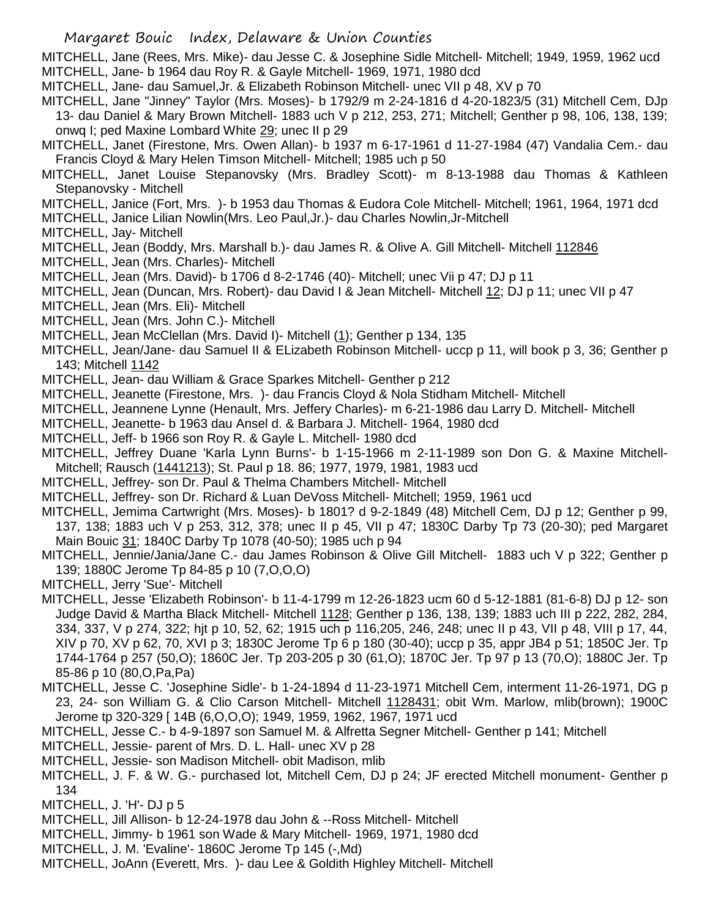MITCHELL, Jane (Rees, Mrs. Mike)- dau Jesse C. & Josephine Sidle Mitchell- Mitchell; 1949, 1959, 1962 ucd MITCHELL, Jane- b 1964 dau Roy R. & Gayle Mitchell- 1969, 1971, 1980 dcd

MITCHELL, Jane- dau Samuel,Jr. & Elizabeth Robinson Mitchell- unec VII p 48, XV p 70

MITCHELL, Jane "Jinney" Taylor (Mrs. Moses)- b 1792/9 m 2-24-1816 d 4-20-1823/5 (31) Mitchell Cem, DJp 13- dau Daniel & Mary Brown Mitchell- 1883 uch V p 212, 253, 271; Mitchell; Genther p 98, 106, 138, 139; onwq I; ped Maxine Lombard White 29; unec II p 29

MITCHELL, Janet (Firestone, Mrs. Owen Allan)- b 1937 m 6-17-1961 d 11-27-1984 (47) Vandalia Cem.- dau Francis Cloyd & Mary Helen Timson Mitchell- Mitchell; 1985 uch p 50

- MITCHELL, Janet Louise Stepanovsky (Mrs. Bradley Scott)- m 8-13-1988 dau Thomas & Kathleen Stepanovsky - Mitchell
- MITCHELL, Janice (Fort, Mrs. )- b 1953 dau Thomas & Eudora Cole Mitchell- Mitchell; 1961, 1964, 1971 dcd
- MITCHELL, Janice Lilian Nowlin(Mrs. Leo Paul,Jr.)- dau Charles Nowlin,Jr-Mitchell
- MITCHELL, Jay- Mitchell
- MITCHELL, Jean (Boddy, Mrs. Marshall b.)- dau James R. & Olive A. Gill Mitchell- Mitchell 112846
- MITCHELL, Jean (Mrs. Charles)- Mitchell
- MITCHELL, Jean (Mrs. David)- b 1706 d 8-2-1746 (40)- Mitchell; unec Vii p 47; DJ p 11
- MITCHELL, Jean (Duncan, Mrs. Robert)- dau David I & Jean Mitchell- Mitchell 12; DJ p 11; unec VII p 47
- MITCHELL, Jean (Mrs. Eli)- Mitchell
- MITCHELL, Jean (Mrs. John C.)- Mitchell

MITCHELL, Jean McClellan (Mrs. David I)- Mitchell (1); Genther p 134, 135

- MITCHELL, Jean/Jane- dau Samuel II & ELizabeth Robinson Mitchell- uccp p 11, will book p 3, 36; Genther p 143; Mitchell 1142
- MITCHELL, Jean- dau William & Grace Sparkes Mitchell- Genther p 212
- MITCHELL, Jeanette (Firestone, Mrs. )- dau Francis Cloyd & Nola Stidham Mitchell- Mitchell
- MITCHELL, Jeannene Lynne (Henault, Mrs. Jeffery Charles)- m 6-21-1986 dau Larry D. Mitchell- Mitchell
- MITCHELL, Jeanette- b 1963 dau Ansel d. & Barbara J. Mitchell- 1964, 1980 dcd
- MITCHELL, Jeff- b 1966 son Roy R. & Gayle L. Mitchell- 1980 dcd
- MITCHELL, Jeffrey Duane 'Karla Lynn Burns'- b 1-15-1966 m 2-11-1989 son Don G. & Maxine Mitchell-Mitchell; Rausch (1441213); St. Paul p 18. 86; 1977, 1979, 1981, 1983 ucd
- MITCHELL, Jeffrey- son Dr. Paul & Thelma Chambers Mitchell- Mitchell
- MITCHELL, Jeffrey- son Dr. Richard & Luan DeVoss Mitchell- Mitchell; 1959, 1961 ucd

MITCHELL, Jemima Cartwright (Mrs. Moses)- b 1801? d 9-2-1849 (48) Mitchell Cem, DJ p 12; Genther p 99, 137, 138; 1883 uch V p 253, 312, 378; unec II p 45, VII p 47; 1830C Darby Tp 73 (20-30); ped Margaret Main Bouic 31; 1840C Darby Tp 1078 (40-50); 1985 uch p 94

- MITCHELL, Jennie/Jania/Jane C.- dau James Robinson & Olive Gill Mitchell- 1883 uch V p 322; Genther p 139; 1880C Jerome Tp 84-85 p 10 (7,O,O,O)
- MITCHELL, Jerry 'Sue'- Mitchell
- MITCHELL, Jesse 'Elizabeth Robinson'- b 11-4-1799 m 12-26-1823 ucm 60 d 5-12-1881 (81-6-8) DJ p 12- son Judge David & Martha Black Mitchell- Mitchell 1128; Genther p 136, 138, 139; 1883 uch III p 222, 282, 284, 334, 337, V p 274, 322; hjt p 10, 52, 62; 1915 uch p 116,205, 246, 248; unec II p 43, VII p 48, VIII p 17, 44, XIV p 70, XV p 62, 70, XVI p 3; 1830C Jerome Tp 6 p 180 (30-40); uccp p 35, appr JB4 p 51; 1850C Jer. Tp 1744-1764 p 257 (50,O); 1860C Jer. Tp 203-205 p 30 (61,O); 1870C Jer. Tp 97 p 13 (70,O); 1880C Jer. Tp 85-86 p 10 (80,O,Pa,Pa)
- MITCHELL, Jesse C. 'Josephine Sidle'- b 1-24-1894 d 11-23-1971 Mitchell Cem, interment 11-26-1971, DG p 23, 24- son William G. & Clio Carson Mitchell- Mitchell 1128431; obit Wm. Marlow, mlib(brown); 1900C Jerome tp 320-329 [ 14B (6,O,O,O); 1949, 1959, 1962, 1967, 1971 ucd
- MITCHELL, Jesse C.- b 4-9-1897 son Samuel M. & Alfretta Segner Mitchell- Genther p 141; Mitchell
- MITCHELL, Jessie- parent of Mrs. D. L. Hall- unec XV p 28
- MITCHELL, Jessie- son Madison Mitchell- obit Madison, mlib
- MITCHELL, J. F. & W. G.- purchased lot, Mitchell Cem, DJ p 24; JF erected Mitchell monument- Genther p 134
- MITCHELL, J. 'H'- DJ p 5
- MITCHELL, Jill Allison- b 12-24-1978 dau John & --Ross Mitchell- Mitchell
- MITCHELL, Jimmy- b 1961 son Wade & Mary Mitchell- 1969, 1971, 1980 dcd
- MITCHELL, J. M. 'Evaline'- 1860C Jerome Tp 145 (-,Md)
- MITCHELL, JoAnn (Everett, Mrs. )- dau Lee & Goldith Highley Mitchell- Mitchell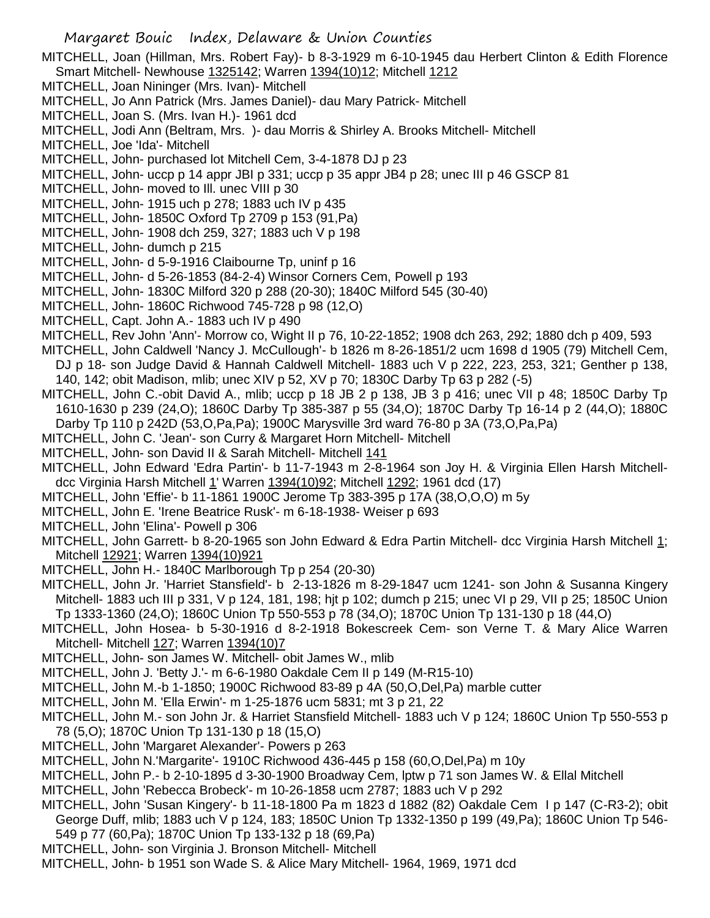MITCHELL, Joan (Hillman, Mrs. Robert Fay)- b 8-3-1929 m 6-10-1945 dau Herbert Clinton & Edith Florence Smart Mitchell- Newhouse 1325142; Warren 1394(10)12; Mitchell 1212

- MITCHELL, Joan Nininger (Mrs. Ivan)- Mitchell
- MITCHELL, Jo Ann Patrick (Mrs. James Daniel)- dau Mary Patrick- Mitchell
- MITCHELL, Joan S. (Mrs. Ivan H.)- 1961 dcd

MITCHELL, Jodi Ann (Beltram, Mrs. )- dau Morris & Shirley A. Brooks Mitchell- Mitchell

- MITCHELL, Joe 'Ida'- Mitchell
- MITCHELL, John- purchased lot Mitchell Cem, 3-4-1878 DJ p 23
- MITCHELL, John- uccp p 14 appr JBI p 331; uccp p 35 appr JB4 p 28; unec III p 46 GSCP 81
- MITCHELL, John- moved to Ill. unec VIII p 30
- MITCHELL, John- 1915 uch p 278; 1883 uch IV p 435
- MITCHELL, John- 1850C Oxford Tp 2709 p 153 (91,Pa)
- MITCHELL, John- 1908 dch 259, 327; 1883 uch V p 198
- MITCHELL, John- dumch p 215
- MITCHELL, John- d 5-9-1916 Claibourne Tp, uninf p 16
- MITCHELL, John- d 5-26-1853 (84-2-4) Winsor Corners Cem, Powell p 193
- MITCHELL, John- 1830C Milford 320 p 288 (20-30); 1840C Milford 545 (30-40)
- MITCHELL, John- 1860C Richwood 745-728 p 98 (12,O)
- MITCHELL, Capt. John A.- 1883 uch IV p 490
- MITCHELL, Rev John 'Ann'- Morrow co, Wight II p 76, 10-22-1852; 1908 dch 263, 292; 1880 dch p 409, 593
- MITCHELL, John Caldwell 'Nancy J. McCullough'- b 1826 m 8-26-1851/2 ucm 1698 d 1905 (79) Mitchell Cem, DJ p 18- son Judge David & Hannah Caldwell Mitchell- 1883 uch V p 222, 223, 253, 321; Genther p 138, 140, 142; obit Madison, mlib; unec XIV p 52, XV p 70; 1830C Darby Tp 63 p 282 (-5)
- MITCHELL, John C.-obit David A., mlib; uccp p 18 JB 2 p 138, JB 3 p 416; unec VII p 48; 1850C Darby Tp 1610-1630 p 239 (24,O); 1860C Darby Tp 385-387 p 55 (34,O); 1870C Darby Tp 16-14 p 2 (44,O); 1880C Darby Tp 110 p 242D (53,O,Pa,Pa); 1900C Marysville 3rd ward 76-80 p 3A (73,O,Pa,Pa)
- MITCHELL, John C. 'Jean'- son Curry & Margaret Horn Mitchell- Mitchell
- MITCHELL, John- son David II & Sarah Mitchell- Mitchell 141
- MITCHELL, John Edward 'Edra Partin'- b 11-7-1943 m 2-8-1964 son Joy H. & Virginia Ellen Harsh Mitchelldcc Virginia Harsh Mitchell 1' Warren 1394(10)92; Mitchell 1292; 1961 dcd (17)
- MITCHELL, John 'Effie'- b 11-1861 1900C Jerome Tp 383-395 p 17A (38,O,O,O) m 5y
- MITCHELL, John E. 'Irene Beatrice Rusk'- m 6-18-1938- Weiser p 693
- MITCHELL, John 'Elina'- Powell p 306
- MITCHELL, John Garrett- b 8-20-1965 son John Edward & Edra Partin Mitchell- dcc Virginia Harsh Mitchell 1; Mitchell 12921; Warren 1394(10)921
- MITCHELL, John H.- 1840C Marlborough Tp p 254 (20-30)
- MITCHELL, John Jr. 'Harriet Stansfield'- b 2-13-1826 m 8-29-1847 ucm 1241- son John & Susanna Kingery Mitchell- 1883 uch III p 331, V p 124, 181, 198; hjt p 102; dumch p 215; unec VI p 29, VII p 25; 1850C Union Tp 1333-1360 (24,O); 1860C Union Tp 550-553 p 78 (34,O); 1870C Union Tp 131-130 p 18 (44,O)
- MITCHELL, John Hosea- b 5-30-1916 d 8-2-1918 Bokescreek Cem- son Verne T. & Mary Alice Warren Mitchell- Mitchell 127; Warren 1394(10)7
- MITCHELL, John- son James W. Mitchell- obit James W., mlib
- MITCHELL, John J. 'Betty J.'- m 6-6-1980 Oakdale Cem II p 149 (M-R15-10)
- MITCHELL, John M.-b 1-1850; 1900C Richwood 83-89 p 4A (50,O,Del,Pa) marble cutter
- MITCHELL, John M. 'Ella Erwin'- m 1-25-1876 ucm 5831; mt 3 p 21, 22
- MITCHELL, John M.- son John Jr. & Harriet Stansfield Mitchell- 1883 uch V p 124; 1860C Union Tp 550-553 p 78 (5,O); 1870C Union Tp 131-130 p 18 (15,O)
- MITCHELL, John 'Margaret Alexander'- Powers p 263
- MITCHELL, John N.'Margarite'- 1910C Richwood 436-445 p 158 (60,O,Del,Pa) m 10y
- MITCHELL, John P.- b 2-10-1895 d 3-30-1900 Broadway Cem, lptw p 71 son James W. & Ellal Mitchell
- MITCHELL, John 'Rebecca Brobeck'- m 10-26-1858 ucm 2787; 1883 uch V p 292
- MITCHELL, John 'Susan Kingery'- b 11-18-1800 Pa m 1823 d 1882 (82) Oakdale Cem I p 147 (C-R3-2); obit George Duff, mlib; 1883 uch V p 124, 183; 1850C Union Tp 1332-1350 p 199 (49,Pa); 1860C Union Tp 546- 549 p 77 (60,Pa); 1870C Union Tp 133-132 p 18 (69,Pa)
- MITCHELL, John- son Virginia J. Bronson Mitchell- Mitchell
- MITCHELL, John- b 1951 son Wade S. & Alice Mary Mitchell- 1964, 1969, 1971 dcd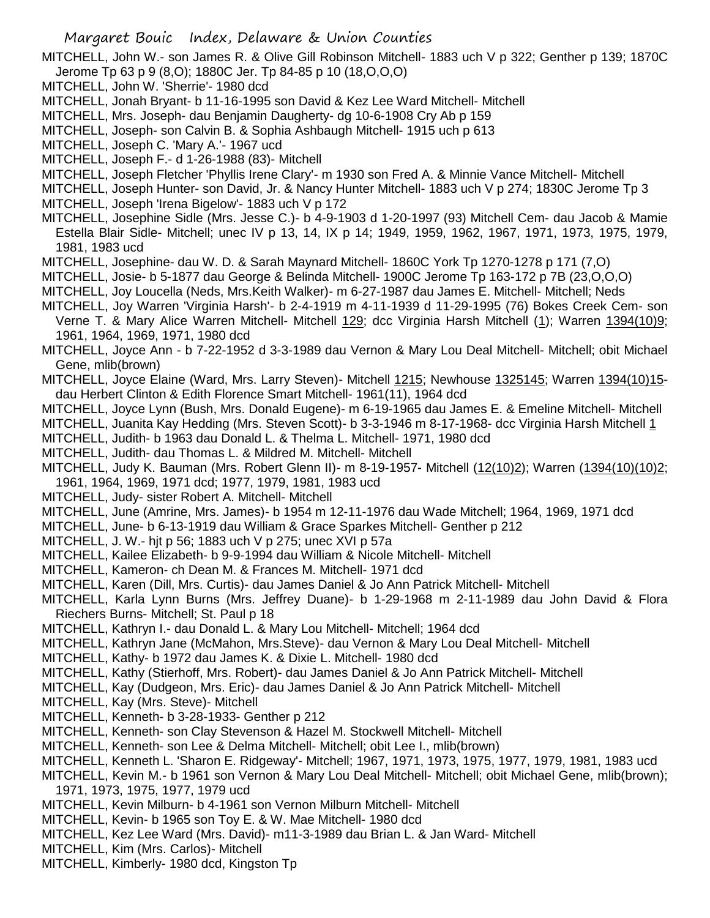MITCHELL, John W.- son James R. & Olive Gill Robinson Mitchell- 1883 uch V p 322; Genther p 139; 1870C Jerome Tp 63 p 9 (8,O); 1880C Jer. Tp 84-85 p 10 (18,O,O,O)

- MITCHELL, John W. 'Sherrie'- 1980 dcd
- MITCHELL, Jonah Bryant- b 11-16-1995 son David & Kez Lee Ward Mitchell- Mitchell
- MITCHELL, Mrs. Joseph- dau Benjamin Daugherty- dg 10-6-1908 Cry Ab p 159
- MITCHELL, Joseph- son Calvin B. & Sophia Ashbaugh Mitchell- 1915 uch p 613
- MITCHELL, Joseph C. 'Mary A.'- 1967 ucd
- MITCHELL, Joseph F.- d 1-26-1988 (83)- Mitchell
- MITCHELL, Joseph Fletcher 'Phyllis Irene Clary'- m 1930 son Fred A. & Minnie Vance Mitchell- Mitchell
- MITCHELL, Joseph Hunter- son David, Jr. & Nancy Hunter Mitchell- 1883 uch V p 274; 1830C Jerome Tp 3
- MITCHELL, Joseph 'Irena Bigelow'- 1883 uch V p 172
- MITCHELL, Josephine Sidle (Mrs. Jesse C.)- b 4-9-1903 d 1-20-1997 (93) Mitchell Cem- dau Jacob & Mamie Estella Blair Sidle- Mitchell; unec IV p 13, 14, IX p 14; 1949, 1959, 1962, 1967, 1971, 1973, 1975, 1979, 1981, 1983 ucd
- MITCHELL, Josephine- dau W. D. & Sarah Maynard Mitchell- 1860C York Tp 1270-1278 p 171 (7,O)
- MITCHELL, Josie- b 5-1877 dau George & Belinda Mitchell- 1900C Jerome Tp 163-172 p 7B (23,O,O,O)
- MITCHELL, Joy Loucella (Neds, Mrs.Keith Walker)- m 6-27-1987 dau James E. Mitchell- Mitchell; Neds
- MITCHELL, Joy Warren 'Virginia Harsh'- b 2-4-1919 m 4-11-1939 d 11-29-1995 (76) Bokes Creek Cem- son Verne T. & Mary Alice Warren Mitchell- Mitchell 129; dcc Virginia Harsh Mitchell (1); Warren 1394(10)9; 1961, 1964, 1969, 1971, 1980 dcd
- MITCHELL, Joyce Ann b 7-22-1952 d 3-3-1989 dau Vernon & Mary Lou Deal Mitchell- Mitchell; obit Michael Gene, mlib(brown)
- MITCHELL, Joyce Elaine (Ward, Mrs. Larry Steven)- Mitchell 1215; Newhouse 1325145; Warren 1394(10)15 dau Herbert Clinton & Edith Florence Smart Mitchell- 1961(11), 1964 dcd
- MITCHELL, Joyce Lynn (Bush, Mrs. Donald Eugene)- m 6-19-1965 dau James E. & Emeline Mitchell- Mitchell MITCHELL, Juanita Kay Hedding (Mrs. Steven Scott)- b 3-3-1946 m 8-17-1968- dcc Virginia Harsh Mitchell 1
- MITCHELL, Judith- b 1963 dau Donald L. & Thelma L. Mitchell- 1971, 1980 dcd
- MITCHELL, Judith- dau Thomas L. & Mildred M. Mitchell- Mitchell
- MITCHELL, Judy K. Bauman (Mrs. Robert Glenn II)- m 8-19-1957- Mitchell (12(10)2); Warren (1394(10)(10)2; 1961, 1964, 1969, 1971 dcd; 1977, 1979, 1981, 1983 ucd
- MITCHELL, Judy- sister Robert A. Mitchell- Mitchell
- MITCHELL, June (Amrine, Mrs. James)- b 1954 m 12-11-1976 dau Wade Mitchell; 1964, 1969, 1971 dcd
- MITCHELL, June- b 6-13-1919 dau William & Grace Sparkes Mitchell- Genther p 212
- MITCHELL, J. W.- hjt p 56; 1883 uch V p 275; unec XVI p 57a
- MITCHELL, Kailee Elizabeth- b 9-9-1994 dau William & Nicole Mitchell- Mitchell
- MITCHELL, Kameron- ch Dean M. & Frances M. Mitchell- 1971 dcd
- MITCHELL, Karen (Dill, Mrs. Curtis)- dau James Daniel & Jo Ann Patrick Mitchell- Mitchell
- MITCHELL, Karla Lynn Burns (Mrs. Jeffrey Duane)- b 1-29-1968 m 2-11-1989 dau John David & Flora Riechers Burns- Mitchell; St. Paul p 18
- MITCHELL, Kathryn I.- dau Donald L. & Mary Lou Mitchell- Mitchell; 1964 dcd
- MITCHELL, Kathryn Jane (McMahon, Mrs.Steve)- dau Vernon & Mary Lou Deal Mitchell- Mitchell
- MITCHELL, Kathy- b 1972 dau James K. & Dixie L. Mitchell- 1980 dcd
- MITCHELL, Kathy (Stierhoff, Mrs. Robert)- dau James Daniel & Jo Ann Patrick Mitchell- Mitchell
- MITCHELL, Kay (Dudgeon, Mrs. Eric)- dau James Daniel & Jo Ann Patrick Mitchell- Mitchell
- MITCHELL, Kay (Mrs. Steve)- Mitchell
- MITCHELL, Kenneth- b 3-28-1933- Genther p 212
- MITCHELL, Kenneth- son Clay Stevenson & Hazel M. Stockwell Mitchell- Mitchell
- MITCHELL, Kenneth- son Lee & Delma Mitchell- Mitchell; obit Lee I., mlib(brown)
- MITCHELL, Kenneth L. 'Sharon E. Ridgeway'- Mitchell; 1967, 1971, 1973, 1975, 1977, 1979, 1981, 1983 ucd
- MITCHELL, Kevin M.- b 1961 son Vernon & Mary Lou Deal Mitchell- Mitchell; obit Michael Gene, mlib(brown); 1971, 1973, 1975, 1977, 1979 ucd
- MITCHELL, Kevin Milburn- b 4-1961 son Vernon Milburn Mitchell- Mitchell
- MITCHELL, Kevin- b 1965 son Toy E. & W. Mae Mitchell- 1980 dcd
- MITCHELL, Kez Lee Ward (Mrs. David)- m11-3-1989 dau Brian L. & Jan Ward- Mitchell
- MITCHELL, Kim (Mrs. Carlos)- Mitchell
- MITCHELL, Kimberly- 1980 dcd, Kingston Tp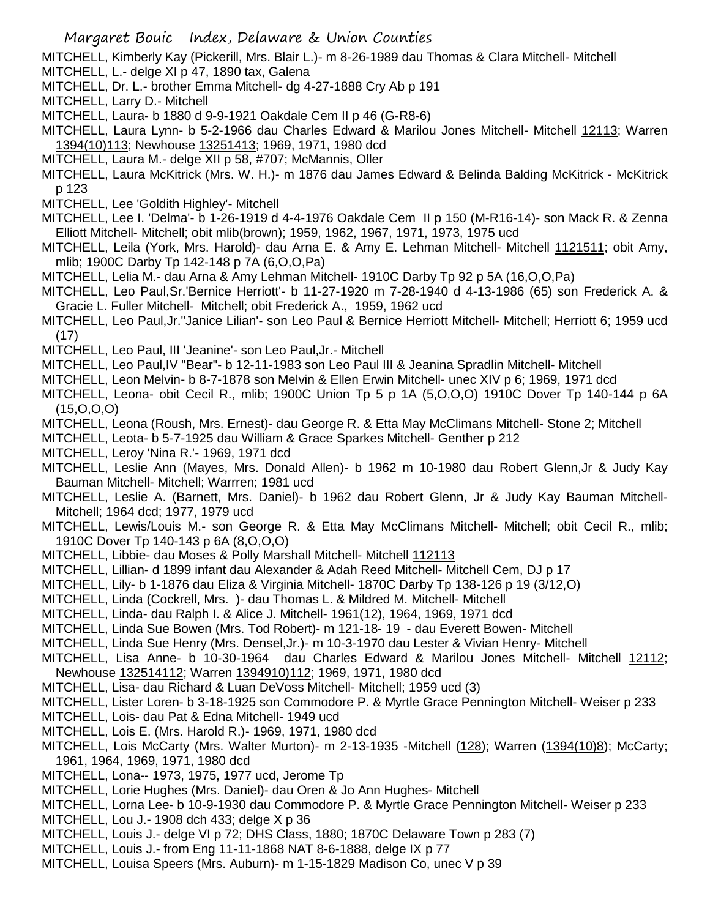MITCHELL, Kimberly Kay (Pickerill, Mrs. Blair L.)- m 8-26-1989 dau Thomas & Clara Mitchell- Mitchell

- MITCHELL, L.- delge XI p 47, 1890 tax, Galena
- MITCHELL, Dr. L.- brother Emma Mitchell- dg 4-27-1888 Cry Ab p 191
- MITCHELL, Larry D.- Mitchell
- MITCHELL, Laura- b 1880 d 9-9-1921 Oakdale Cem II p 46 (G-R8-6)
- MITCHELL, Laura Lynn- b 5-2-1966 dau Charles Edward & Marilou Jones Mitchell- Mitchell 12113; Warren 1394(10)113; Newhouse 13251413; 1969, 1971, 1980 dcd
- MITCHELL, Laura M.- delge XII p 58, #707; McMannis, Oller
- MITCHELL, Laura McKitrick (Mrs. W. H.)- m 1876 dau James Edward & Belinda Balding McKitrick McKitrick p 123
- MITCHELL, Lee 'Goldith Highley'- Mitchell
- MITCHELL, Lee I. 'Delma'- b 1-26-1919 d 4-4-1976 Oakdale Cem II p 150 (M-R16-14)- son Mack R. & Zenna Elliott Mitchell- Mitchell; obit mlib(brown); 1959, 1962, 1967, 1971, 1973, 1975 ucd
- MITCHELL, Leila (York, Mrs. Harold)- dau Arna E. & Amy E. Lehman Mitchell- Mitchell 1121511; obit Amy, mlib; 1900C Darby Tp 142-148 p 7A (6,O,O,Pa)
- MITCHELL, Lelia M.- dau Arna & Amy Lehman Mitchell- 1910C Darby Tp 92 p 5A (16,O,O,Pa)
- MITCHELL, Leo Paul,Sr.'Bernice Herriott'- b 11-27-1920 m 7-28-1940 d 4-13-1986 (65) son Frederick A. & Gracie L. Fuller Mitchell- Mitchell; obit Frederick A., 1959, 1962 ucd
- MITCHELL, Leo Paul,Jr."Janice Lilian'- son Leo Paul & Bernice Herriott Mitchell- Mitchell; Herriott 6; 1959 ucd (17)
- MITCHELL, Leo Paul, III 'Jeanine'- son Leo Paul,Jr.- Mitchell
- MITCHELL, Leo Paul,IV "Bear"- b 12-11-1983 son Leo Paul III & Jeanina Spradlin Mitchell- Mitchell
- MITCHELL, Leon Melvin- b 8-7-1878 son Melvin & Ellen Erwin Mitchell- unec XIV p 6; 1969, 1971 dcd
- MITCHELL, Leona- obit Cecil R., mlib; 1900C Union Tp 5 p 1A (5,O,O,O) 1910C Dover Tp 140-144 p 6A  $(15, 0, 0, 0)$
- MITCHELL, Leona (Roush, Mrs. Ernest)- dau George R. & Etta May McClimans Mitchell- Stone 2; Mitchell
- MITCHELL, Leota- b 5-7-1925 dau William & Grace Sparkes Mitchell- Genther p 212
- MITCHELL, Leroy 'Nina R.'- 1969, 1971 dcd
- MITCHELL, Leslie Ann (Mayes, Mrs. Donald Allen)- b 1962 m 10-1980 dau Robert Glenn,Jr & Judy Kay Bauman Mitchell- Mitchell; Warrren; 1981 ucd
- MITCHELL, Leslie A. (Barnett, Mrs. Daniel)- b 1962 dau Robert Glenn, Jr & Judy Kay Bauman Mitchell-Mitchell; 1964 dcd; 1977, 1979 ucd
- MITCHELL, Lewis/Louis M.- son George R. & Etta May McClimans Mitchell- Mitchell; obit Cecil R., mlib; 1910C Dover Tp 140-143 p 6A (8,O,O,O)
- MITCHELL, Libbie- dau Moses & Polly Marshall Mitchell- Mitchell 112113
- MITCHELL, Lillian- d 1899 infant dau Alexander & Adah Reed Mitchell- Mitchell Cem, DJ p 17
- MITCHELL, Lily- b 1-1876 dau Eliza & Virginia Mitchell- 1870C Darby Tp 138-126 p 19 (3/12,O)
- MITCHELL, Linda (Cockrell, Mrs. )- dau Thomas L. & Mildred M. Mitchell- Mitchell
- MITCHELL, Linda- dau Ralph I. & Alice J. Mitchell- 1961(12), 1964, 1969, 1971 dcd
- MITCHELL, Linda Sue Bowen (Mrs. Tod Robert)- m 121-18- 19 dau Everett Bowen- Mitchell
- MITCHELL, Linda Sue Henry (Mrs. Densel,Jr.)- m 10-3-1970 dau Lester & Vivian Henry- Mitchell
- MITCHELL, Lisa Anne- b 10-30-1964 dau Charles Edward & Marilou Jones Mitchell- Mitchell 12112; Newhouse 132514112; Warren 1394910)112; 1969, 1971, 1980 dcd
- MITCHELL, Lisa- dau Richard & Luan DeVoss Mitchell- Mitchell; 1959 ucd (3)
- MITCHELL, Lister Loren- b 3-18-1925 son Commodore P. & Myrtle Grace Pennington Mitchell- Weiser p 233
- MITCHELL, Lois- dau Pat & Edna Mitchell- 1949 ucd
- MITCHELL, Lois E. (Mrs. Harold R.)- 1969, 1971, 1980 dcd
- MITCHELL, Lois McCarty (Mrs. Walter Murton)- m 2-13-1935 -Mitchell (128); Warren (1394(10)8); McCarty; 1961, 1964, 1969, 1971, 1980 dcd
- MITCHELL, Lona-- 1973, 1975, 1977 ucd, Jerome Tp
- MITCHELL, Lorie Hughes (Mrs. Daniel)- dau Oren & Jo Ann Hughes- Mitchell
- MITCHELL, Lorna Lee- b 10-9-1930 dau Commodore P. & Myrtle Grace Pennington Mitchell- Weiser p 233
- MITCHELL, Lou J.- 1908 dch 433; delge X p 36
- MITCHELL, Louis J.- delge VI p 72; DHS Class, 1880; 1870C Delaware Town p 283 (7)
- MITCHELL, Louis J.- from Eng 11-11-1868 NAT 8-6-1888, delge IX p 77
- MITCHELL, Louisa Speers (Mrs. Auburn)- m 1-15-1829 Madison Co, unec V p 39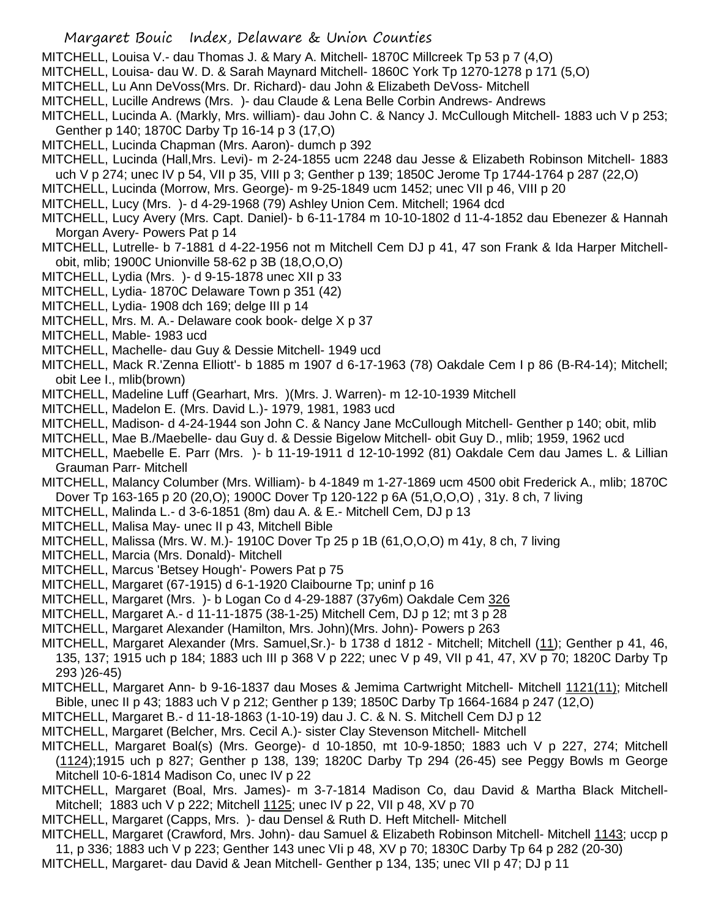- MITCHELL, Louisa V.- dau Thomas J. & Mary A. Mitchell- 1870C Millcreek Tp 53 p 7 (4,O)
- MITCHELL, Louisa- dau W. D. & Sarah Maynard Mitchell- 1860C York Tp 1270-1278 p 171 (5,O)
- MITCHELL, Lu Ann DeVoss(Mrs. Dr. Richard)- dau John & Elizabeth DeVoss- Mitchell
- MITCHELL, Lucille Andrews (Mrs. )- dau Claude & Lena Belle Corbin Andrews- Andrews
- MITCHELL, Lucinda A. (Markly, Mrs. william)- dau John C. & Nancy J. McCullough Mitchell- 1883 uch V p 253; Genther p 140; 1870C Darby Tp 16-14 p 3 (17,O)
- MITCHELL, Lucinda Chapman (Mrs. Aaron)- dumch p 392
- MITCHELL, Lucinda (Hall,Mrs. Levi)- m 2-24-1855 ucm 2248 dau Jesse & Elizabeth Robinson Mitchell- 1883 uch V p 274; unec IV p 54, VII p 35, VIII p 3; Genther p 139; 1850C Jerome Tp 1744-1764 p 287 (22,O)
- MITCHELL, Lucinda (Morrow, Mrs. George)- m 9-25-1849 ucm 1452; unec VII p 46, VIII p 20
- MITCHELL, Lucy (Mrs. )- d 4-29-1968 (79) Ashley Union Cem. Mitchell; 1964 dcd
- MITCHELL, Lucy Avery (Mrs. Capt. Daniel)- b 6-11-1784 m 10-10-1802 d 11-4-1852 dau Ebenezer & Hannah Morgan Avery- Powers Pat p 14
- MITCHELL, Lutrelle- b 7-1881 d 4-22-1956 not m Mitchell Cem DJ p 41, 47 son Frank & Ida Harper Mitchellobit, mlib; 1900C Unionville 58-62 p 3B (18,O,O,O)
- MITCHELL, Lydia (Mrs. )- d 9-15-1878 unec XII p 33
- MITCHELL, Lydia- 1870C Delaware Town p 351 (42)
- MITCHELL, Lydia- 1908 dch 169; delge III p 14
- MITCHELL, Mrs. M. A.- Delaware cook book- delge X p 37
- MITCHELL, Mable- 1983 ucd
- MITCHELL, Machelle- dau Guy & Dessie Mitchell- 1949 ucd
- MITCHELL, Mack R.'Zenna Elliott'- b 1885 m 1907 d 6-17-1963 (78) Oakdale Cem I p 86 (B-R4-14); Mitchell; obit Lee I., mlib(brown)
- MITCHELL, Madeline Luff (Gearhart, Mrs. )(Mrs. J. Warren)- m 12-10-1939 Mitchell
- MITCHELL, Madelon E. (Mrs. David L.)- 1979, 1981, 1983 ucd
- MITCHELL, Madison- d 4-24-1944 son John C. & Nancy Jane McCullough Mitchell- Genther p 140; obit, mlib
- MITCHELL, Mae B./Maebelle- dau Guy d. & Dessie Bigelow Mitchell- obit Guy D., mlib; 1959, 1962 ucd
- MITCHELL, Maebelle E. Parr (Mrs. )- b 11-19-1911 d 12-10-1992 (81) Oakdale Cem dau James L. & Lillian Grauman Parr- Mitchell
- MITCHELL, Malancy Columber (Mrs. William)- b 4-1849 m 1-27-1869 ucm 4500 obit Frederick A., mlib; 1870C Dover Tp 163-165 p 20 (20,O); 1900C Dover Tp 120-122 p 6A (51,O,O,O) , 31y. 8 ch, 7 living
- MITCHELL, Malinda L.- d 3-6-1851 (8m) dau A. & E.- Mitchell Cem, DJ p 13
- MITCHELL, Malisa May- unec II p 43, Mitchell Bible
- MITCHELL, Malissa (Mrs. W. M.)- 1910C Dover Tp 25 p 1B (61,O,O,O) m 41y, 8 ch, 7 living
- MITCHELL, Marcia (Mrs. Donald)- Mitchell
- MITCHELL, Marcus 'Betsey Hough'- Powers Pat p 75
- MITCHELL, Margaret (67-1915) d 6-1-1920 Claibourne Tp; uninf p 16
- MITCHELL, Margaret (Mrs. )- b Logan Co d 4-29-1887 (37y6m) Oakdale Cem 326
- MITCHELL, Margaret A.- d 11-11-1875 (38-1-25) Mitchell Cem, DJ p 12; mt 3 p 28
- MITCHELL, Margaret Alexander (Hamilton, Mrs. John)(Mrs. John)- Powers p 263
- MITCHELL, Margaret Alexander (Mrs. Samuel,Sr.)- b 1738 d 1812 Mitchell; Mitchell (11); Genther p 41, 46, 135, 137; 1915 uch p 184; 1883 uch III p 368 V p 222; unec V p 49, VII p 41, 47, XV p 70; 1820C Darby Tp 293 )26-45)
- MITCHELL, Margaret Ann- b 9-16-1837 dau Moses & Jemima Cartwright Mitchell- Mitchell 1121(11); Mitchell Bible, unec II p 43; 1883 uch V p 212; Genther p 139; 1850C Darby Tp 1664-1684 p 247 (12,O)
- MITCHELL, Margaret B.- d 11-18-1863 (1-10-19) dau J. C. & N. S. Mitchell Cem DJ p 12
- MITCHELL, Margaret (Belcher, Mrs. Cecil A.)- sister Clay Stevenson Mitchell- Mitchell
- MITCHELL, Margaret Boal(s) (Mrs. George)- d 10-1850, mt 10-9-1850; 1883 uch V p 227, 274; Mitchell (1124);1915 uch p 827; Genther p 138, 139; 1820C Darby Tp 294 (26-45) see Peggy Bowls m George Mitchell 10-6-1814 Madison Co, unec IV p 22
- MITCHELL, Margaret (Boal, Mrs. James)- m 3-7-1814 Madison Co, dau David & Martha Black Mitchell-Mitchell; 1883 uch V p 222; Mitchell 1125; unec IV p 22, VII p 48, XV p 70
- MITCHELL, Margaret (Capps, Mrs. )- dau Densel & Ruth D. Heft Mitchell- Mitchell
- MITCHELL, Margaret (Crawford, Mrs. John)- dau Samuel & Elizabeth Robinson Mitchell- Mitchell 1143; uccp p 11, p 336; 1883 uch V p 223; Genther 143 unec VIi p 48, XV p 70; 1830C Darby Tp 64 p 282 (20-30)
- MITCHELL, Margaret- dau David & Jean Mitchell- Genther p 134, 135; unec VII p 47; DJ p 11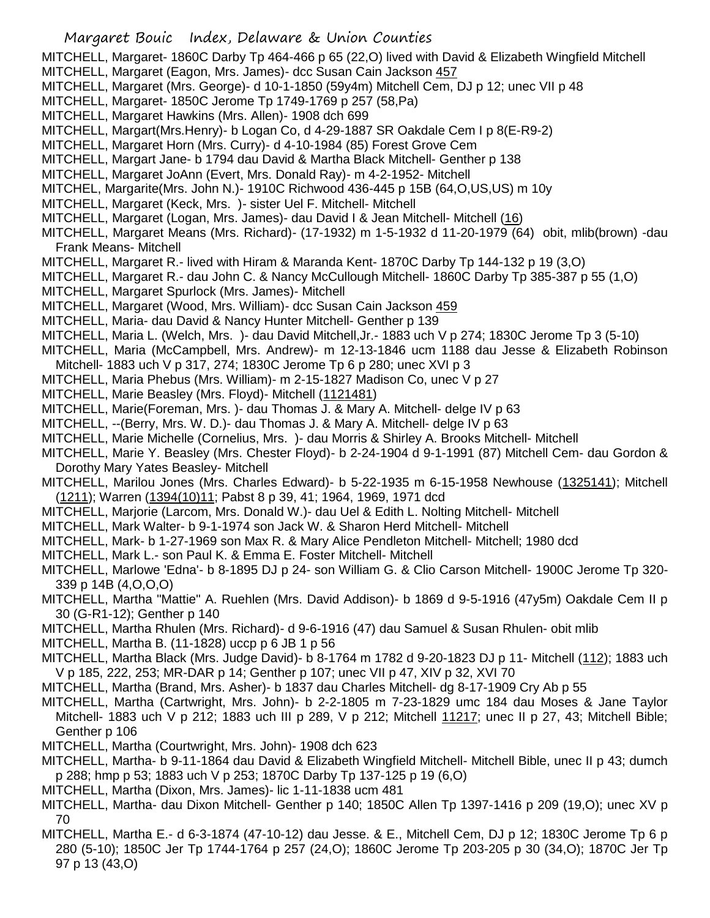MITCHELL, Margaret- 1860C Darby Tp 464-466 p 65 (22,O) lived with David & Elizabeth Wingfield Mitchell

- MITCHELL, Margaret (Eagon, Mrs. James)- dcc Susan Cain Jackson 457
- MITCHELL, Margaret (Mrs. George)- d 10-1-1850 (59y4m) Mitchell Cem, DJ p 12; unec VII p 48
- MITCHELL, Margaret- 1850C Jerome Tp 1749-1769 p 257 (58,Pa)
- MITCHELL, Margaret Hawkins (Mrs. Allen)- 1908 dch 699
- MITCHELL, Margart(Mrs.Henry)- b Logan Co, d 4-29-1887 SR Oakdale Cem I p 8(E-R9-2)
- MITCHELL, Margaret Horn (Mrs. Curry)- d 4-10-1984 (85) Forest Grove Cem
- MITCHELL, Margart Jane- b 1794 dau David & Martha Black Mitchell- Genther p 138
- MITCHELL, Margaret JoAnn (Evert, Mrs. Donald Ray)- m 4-2-1952- Mitchell
- MITCHEL, Margarite(Mrs. John N.)- 1910C Richwood 436-445 p 15B (64,O,US,US) m 10y
- MITCHELL, Margaret (Keck, Mrs. )- sister Uel F. Mitchell- Mitchell
- MITCHELL, Margaret (Logan, Mrs. James)- dau David I & Jean Mitchell- Mitchell (16)
- MITCHELL, Margaret Means (Mrs. Richard)- (17-1932) m 1-5-1932 d 11-20-1979 (64) obit, mlib(brown) -dau Frank Means- Mitchell
- MITCHELL, Margaret R.- lived with Hiram & Maranda Kent- 1870C Darby Tp 144-132 p 19 (3,O)
- MITCHELL, Margaret R.- dau John C. & Nancy McCullough Mitchell- 1860C Darby Tp 385-387 p 55 (1,O)
- MITCHELL, Margaret Spurlock (Mrs. James)- Mitchell
- MITCHELL, Margaret (Wood, Mrs. William)- dcc Susan Cain Jackson 459
- MITCHELL, Maria- dau David & Nancy Hunter Mitchell- Genther p 139
- MITCHELL, Maria L. (Welch, Mrs. )- dau David Mitchell,Jr.- 1883 uch V p 274; 1830C Jerome Tp 3 (5-10)
- MITCHELL, Maria (McCampbell, Mrs. Andrew)- m 12-13-1846 ucm 1188 dau Jesse & Elizabeth Robinson Mitchell- 1883 uch V p 317, 274; 1830C Jerome Tp 6 p 280; unec XVI p 3
- MITCHELL, Maria Phebus (Mrs. William)- m 2-15-1827 Madison Co, unec V p 27
- MITCHELL, Marie Beasley (Mrs. Floyd)- Mitchell (1121481)
- MITCHELL, Marie(Foreman, Mrs. )- dau Thomas J. & Mary A. Mitchell- delge IV p 63
- MITCHELL, --(Berry, Mrs. W. D.)- dau Thomas J. & Mary A. Mitchell- delge IV p 63
- MITCHELL, Marie Michelle (Cornelius, Mrs. )- dau Morris & Shirley A. Brooks Mitchell- Mitchell
- MITCHELL, Marie Y. Beasley (Mrs. Chester Floyd)- b 2-24-1904 d 9-1-1991 (87) Mitchell Cem- dau Gordon & Dorothy Mary Yates Beasley- Mitchell
- MITCHELL, Marilou Jones (Mrs. Charles Edward)- b 5-22-1935 m 6-15-1958 Newhouse (1325141); Mitchell (1211); Warren (1394(10)11; Pabst 8 p 39, 41; 1964, 1969, 1971 dcd
- MITCHELL, Marjorie (Larcom, Mrs. Donald W.)- dau Uel & Edith L. Nolting Mitchell- Mitchell
- MITCHELL, Mark Walter- b 9-1-1974 son Jack W. & Sharon Herd Mitchell- Mitchell
- MITCHELL, Mark- b 1-27-1969 son Max R. & Mary Alice Pendleton Mitchell- Mitchell; 1980 dcd
- MITCHELL, Mark L.- son Paul K. & Emma E. Foster Mitchell- Mitchell
- MITCHELL, Marlowe 'Edna'- b 8-1895 DJ p 24- son William G. & Clio Carson Mitchell- 1900C Jerome Tp 320- 339 p 14B (4,O,O,O)
- MITCHELL, Martha "Mattie" A. Ruehlen (Mrs. David Addison)- b 1869 d 9-5-1916 (47y5m) Oakdale Cem II p 30 (G-R1-12); Genther p 140
- MITCHELL, Martha Rhulen (Mrs. Richard)- d 9-6-1916 (47) dau Samuel & Susan Rhulen- obit mlib
- MITCHELL, Martha B. (11-1828) uccp p 6 JB 1 p 56
- MITCHELL, Martha Black (Mrs. Judge David)- b 8-1764 m 1782 d 9-20-1823 DJ p 11- Mitchell (112); 1883 uch V p 185, 222, 253; MR-DAR p 14; Genther p 107; unec VII p 47, XIV p 32, XVI 70
- MITCHELL, Martha (Brand, Mrs. Asher)- b 1837 dau Charles Mitchell- dg 8-17-1909 Cry Ab p 55
- MITCHELL, Martha (Cartwright, Mrs. John)- b 2-2-1805 m 7-23-1829 umc 184 dau Moses & Jane Taylor Mitchell- 1883 uch V p 212; 1883 uch III p 289, V p 212; Mitchell 11217; unec II p 27, 43; Mitchell Bible; Genther p 106
- MITCHELL, Martha (Courtwright, Mrs. John)- 1908 dch 623
- MITCHELL, Martha- b 9-11-1864 dau David & Elizabeth Wingfield Mitchell- Mitchell Bible, unec II p 43; dumch p 288; hmp p 53; 1883 uch V p 253; 1870C Darby Tp 137-125 p 19 (6,O)
- MITCHELL, Martha (Dixon, Mrs. James)- lic 1-11-1838 ucm 481
- MITCHELL, Martha- dau Dixon Mitchell- Genther p 140; 1850C Allen Tp 1397-1416 p 209 (19,O); unec XV p 70
- MITCHELL, Martha E.- d 6-3-1874 (47-10-12) dau Jesse. & E., Mitchell Cem, DJ p 12; 1830C Jerome Tp 6 p 280 (5-10); 1850C Jer Tp 1744-1764 p 257 (24,O); 1860C Jerome Tp 203-205 p 30 (34,O); 1870C Jer Tp 97 p 13 (43,O)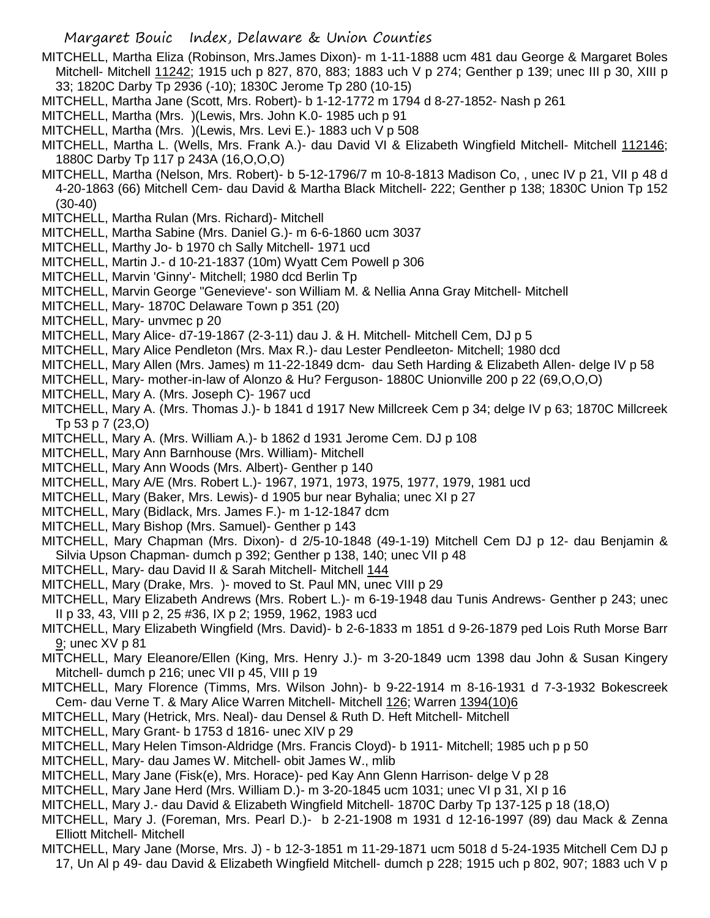- MITCHELL, Martha Eliza (Robinson, Mrs.James Dixon)- m 1-11-1888 ucm 481 dau George & Margaret Boles Mitchell- Mitchell 11242; 1915 uch p 827, 870, 883; 1883 uch V p 274; Genther p 139; unec III p 30, XIII p 33; 1820C Darby Tp 2936 (-10); 1830C Jerome Tp 280 (10-15)
- MITCHELL, Martha Jane (Scott, Mrs. Robert)- b 1-12-1772 m 1794 d 8-27-1852- Nash p 261
- MITCHELL, Martha (Mrs. )(Lewis, Mrs. John K.0- 1985 uch p 91
- MITCHELL, Martha (Mrs. )(Lewis, Mrs. Levi E.)- 1883 uch V p 508
- MITCHELL, Martha L. (Wells, Mrs. Frank A.)- dau David VI & Elizabeth Wingfield Mitchell- Mitchell 112146; 1880C Darby Tp 117 p 243A (16,O,O,O)
- MITCHELL, Martha (Nelson, Mrs. Robert)- b 5-12-1796/7 m 10-8-1813 Madison Co, , unec IV p 21, VII p 48 d 4-20-1863 (66) Mitchell Cem- dau David & Martha Black Mitchell- 222; Genther p 138; 1830C Union Tp 152 (30-40)
- MITCHELL, Martha Rulan (Mrs. Richard)- Mitchell
- MITCHELL, Martha Sabine (Mrs. Daniel G.)- m 6-6-1860 ucm 3037
- MITCHELL, Marthy Jo- b 1970 ch Sally Mitchell- 1971 ucd
- MITCHELL, Martin J.- d 10-21-1837 (10m) Wyatt Cem Powell p 306
- MITCHELL, Marvin 'Ginny'- Mitchell; 1980 dcd Berlin Tp
- MITCHELL, Marvin George "Genevieve'- son William M. & Nellia Anna Gray Mitchell- Mitchell
- MITCHELL, Mary- 1870C Delaware Town p 351 (20)
- MITCHELL, Mary- unvmec p 20
- MITCHELL, Mary Alice- d7-19-1867 (2-3-11) dau J. & H. Mitchell- Mitchell Cem, DJ p 5
- MITCHELL, Mary Alice Pendleton (Mrs. Max R.)- dau Lester Pendleeton- Mitchell; 1980 dcd
- MITCHELL, Mary Allen (Mrs. James) m 11-22-1849 dcm- dau Seth Harding & Elizabeth Allen- delge IV p 58
- MITCHELL, Mary- mother-in-law of Alonzo & Hu? Ferguson- 1880C Unionville 200 p 22 (69,O,O,O)
- MITCHELL, Mary A. (Mrs. Joseph C)- 1967 ucd
- MITCHELL, Mary A. (Mrs. Thomas J.)- b 1841 d 1917 New Millcreek Cem p 34; delge IV p 63; 1870C Millcreek Tp 53 p 7 (23,O)
- MITCHELL, Mary A. (Mrs. William A.)- b 1862 d 1931 Jerome Cem. DJ p 108
- MITCHELL, Mary Ann Barnhouse (Mrs. William)- Mitchell
- MITCHELL, Mary Ann Woods (Mrs. Albert)- Genther p 140
- MITCHELL, Mary A/E (Mrs. Robert L.)- 1967, 1971, 1973, 1975, 1977, 1979, 1981 ucd
- MITCHELL, Mary (Baker, Mrs. Lewis)- d 1905 bur near Byhalia; unec XI p 27
- MITCHELL, Mary (Bidlack, Mrs. James F.)- m 1-12-1847 dcm
- MITCHELL, Mary Bishop (Mrs. Samuel)- Genther p 143
- MITCHELL, Mary Chapman (Mrs. Dixon)- d 2/5-10-1848 (49-1-19) Mitchell Cem DJ p 12- dau Benjamin & Silvia Upson Chapman- dumch p 392; Genther p 138, 140; unec VII p 48
- MITCHELL, Mary- dau David II & Sarah Mitchell- Mitchell 144
- MITCHELL, Mary (Drake, Mrs. )- moved to St. Paul MN, unec VIII p 29
- MITCHELL, Mary Elizabeth Andrews (Mrs. Robert L.)- m 6-19-1948 dau Tunis Andrews- Genther p 243; unec II p 33, 43, VIII p 2, 25 #36, IX p 2; 1959, 1962, 1983 ucd
- MITCHELL, Mary Elizabeth Wingfield (Mrs. David)- b 2-6-1833 m 1851 d 9-26-1879 ped Lois Ruth Morse Barr 9; unec XV p 81
- MITCHELL, Mary Eleanore/Ellen (King, Mrs. Henry J.)- m 3-20-1849 ucm 1398 dau John & Susan Kingery Mitchell- dumch p 216; unec VII p 45, VIII p 19
- MITCHELL, Mary Florence (Timms, Mrs. Wilson John)- b 9-22-1914 m 8-16-1931 d 7-3-1932 Bokescreek Cem- dau Verne T. & Mary Alice Warren Mitchell- Mitchell 126; Warren 1394(10)6
- MITCHELL, Mary (Hetrick, Mrs. Neal)- dau Densel & Ruth D. Heft Mitchell- Mitchell
- MITCHELL, Mary Grant- b 1753 d 1816- unec XIV p 29
- MITCHELL, Mary Helen Timson-Aldridge (Mrs. Francis Cloyd)- b 1911- Mitchell; 1985 uch p p 50
- MITCHELL, Mary- dau James W. Mitchell- obit James W., mlib
- MITCHELL, Mary Jane (Fisk(e), Mrs. Horace)- ped Kay Ann Glenn Harrison- delge V p 28
- MITCHELL, Mary Jane Herd (Mrs. William D.)- m 3-20-1845 ucm 1031; unec VI p 31, XI p 16
- MITCHELL, Mary J.- dau David & Elizabeth Wingfield Mitchell- 1870C Darby Tp 137-125 p 18 (18,O)
- MITCHELL, Mary J. (Foreman, Mrs. Pearl D.)- b 2-21-1908 m 1931 d 12-16-1997 (89) dau Mack & Zenna Elliott Mitchell- Mitchell
- MITCHELL, Mary Jane (Morse, Mrs. J) b 12-3-1851 m 11-29-1871 ucm 5018 d 5-24-1935 Mitchell Cem DJ p 17, Un Al p 49- dau David & Elizabeth Wingfield Mitchell- dumch p 228; 1915 uch p 802, 907; 1883 uch V p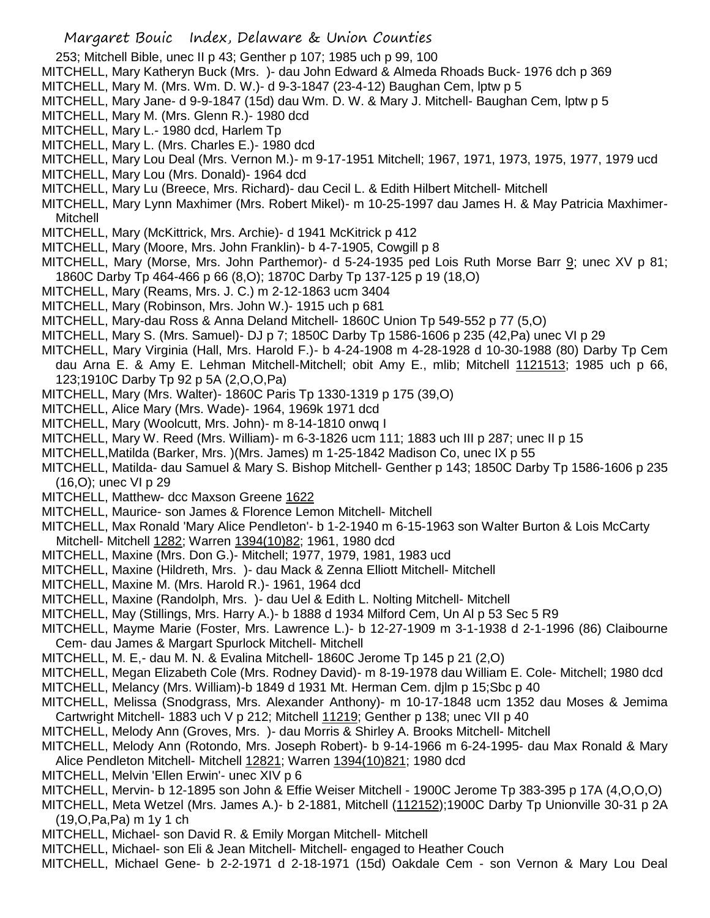- 253; Mitchell Bible, unec II p 43; Genther p 107; 1985 uch p 99, 100
- MITCHELL, Mary Katheryn Buck (Mrs. )- dau John Edward & Almeda Rhoads Buck- 1976 dch p 369
- MITCHELL, Mary M. (Mrs. Wm. D. W.)- d 9-3-1847 (23-4-12) Baughan Cem, lptw p 5
- MITCHELL, Mary Jane- d 9-9-1847 (15d) dau Wm. D. W. & Mary J. Mitchell- Baughan Cem, lptw p 5
- MITCHELL, Mary M. (Mrs. Glenn R.)- 1980 dcd
- MITCHELL, Mary L.- 1980 dcd, Harlem Tp
- MITCHELL, Mary L. (Mrs. Charles E.)- 1980 dcd
- MITCHELL, Mary Lou Deal (Mrs. Vernon M.)- m 9-17-1951 Mitchell; 1967, 1971, 1973, 1975, 1977, 1979 ucd
- MITCHELL, Mary Lou (Mrs. Donald)- 1964 dcd
- MITCHELL, Mary Lu (Breece, Mrs. Richard)- dau Cecil L. & Edith Hilbert Mitchell- Mitchell
- MITCHELL, Mary Lynn Maxhimer (Mrs. Robert Mikel)- m 10-25-1997 dau James H. & May Patricia Maxhimer-Mitchell
- MITCHELL, Mary (McKittrick, Mrs. Archie)- d 1941 McKitrick p 412
- MITCHELL, Mary (Moore, Mrs. John Franklin)- b 4-7-1905, Cowgill p 8
- MITCHELL, Mary (Morse, Mrs. John Parthemor)- d 5-24-1935 ped Lois Ruth Morse Barr 9; unec XV p 81; 1860C Darby Tp 464-466 p 66 (8,O); 1870C Darby Tp 137-125 p 19 (18,O)
- MITCHELL, Mary (Reams, Mrs. J. C.) m 2-12-1863 ucm 3404
- MITCHELL, Mary (Robinson, Mrs. John W.)- 1915 uch p 681
- MITCHELL, Mary-dau Ross & Anna Deland Mitchell- 1860C Union Tp 549-552 p 77 (5,O)
- MITCHELL, Mary S. (Mrs. Samuel)- DJ p 7; 1850C Darby Tp 1586-1606 p 235 (42,Pa) unec VI p 29
- MITCHELL, Mary Virginia (Hall, Mrs. Harold F.)- b 4-24-1908 m 4-28-1928 d 10-30-1988 (80) Darby Tp Cem dau Arna E. & Amy E. Lehman Mitchell-Mitchell; obit Amy E., mlib; Mitchell 1121513; 1985 uch p 66, 123;1910C Darby Tp 92 p 5A (2,O,O,Pa)
- MITCHELL, Mary (Mrs. Walter)- 1860C Paris Tp 1330-1319 p 175 (39,O)
- MITCHELL, Alice Mary (Mrs. Wade)- 1964, 1969k 1971 dcd
- MITCHELL, Mary (Woolcutt, Mrs. John)- m 8-14-1810 onwq I
- MITCHELL, Mary W. Reed (Mrs. William)- m 6-3-1826 ucm 111; 1883 uch III p 287; unec II p 15
- MITCHELL,Matilda (Barker, Mrs. )(Mrs. James) m 1-25-1842 Madison Co, unec IX p 55
- MITCHELL, Matilda- dau Samuel & Mary S. Bishop Mitchell- Genther p 143; 1850C Darby Tp 1586-1606 p 235 (16,O); unec VI p 29
- MITCHELL, Matthew- dcc Maxson Greene 1622
- MITCHELL, Maurice- son James & Florence Lemon Mitchell- Mitchell
- MITCHELL, Max Ronald 'Mary Alice Pendleton'- b 1-2-1940 m 6-15-1963 son Walter Burton & Lois McCarty Mitchell- Mitchell 1282; Warren 1394(10)82; 1961, 1980 dcd
- MITCHELL, Maxine (Mrs. Don G.)- Mitchell; 1977, 1979, 1981, 1983 ucd
- MITCHELL, Maxine (Hildreth, Mrs. )- dau Mack & Zenna Elliott Mitchell- Mitchell
- MITCHELL, Maxine M. (Mrs. Harold R.)- 1961, 1964 dcd
- MITCHELL, Maxine (Randolph, Mrs. )- dau Uel & Edith L. Nolting Mitchell- Mitchell
- MITCHELL, May (Stillings, Mrs. Harry A.)- b 1888 d 1934 Milford Cem, Un Al p 53 Sec 5 R9
- MITCHELL, Mayme Marie (Foster, Mrs. Lawrence L.)- b 12-27-1909 m 3-1-1938 d 2-1-1996 (86) Claibourne Cem- dau James & Margart Spurlock Mitchell- Mitchell
- MITCHELL, M. E,- dau M. N. & Evalina Mitchell- 1860C Jerome Tp 145 p 21 (2,O)
- MITCHELL, Megan Elizabeth Cole (Mrs. Rodney David)- m 8-19-1978 dau William E. Cole- Mitchell; 1980 dcd MITCHELL, Melancy (Mrs. William)-b 1849 d 1931 Mt. Herman Cem. djlm p 15;Sbc p 40
- MITCHELL, Melissa (Snodgrass, Mrs. Alexander Anthony)- m 10-17-1848 ucm 1352 dau Moses & Jemima Cartwright Mitchell- 1883 uch V p 212; Mitchell 11219; Genther p 138; unec VII p 40
- MITCHELL, Melody Ann (Groves, Mrs. )- dau Morris & Shirley A. Brooks Mitchell- Mitchell
- MITCHELL, Melody Ann (Rotondo, Mrs. Joseph Robert)- b 9-14-1966 m 6-24-1995- dau Max Ronald & Mary Alice Pendleton Mitchell- Mitchell 12821; Warren 1394(10)821; 1980 dcd
- MITCHELL, Melvin 'Ellen Erwin'- unec XIV p 6
- MITCHELL, Mervin- b 12-1895 son John & Effie Weiser Mitchell 1900C Jerome Tp 383-395 p 17A (4,O,O,O)
- MITCHELL, Meta Wetzel (Mrs. James A.)- b 2-1881, Mitchell (112152);1900C Darby Tp Unionville 30-31 p 2A (19,O,Pa,Pa) m 1y 1 ch
- MITCHELL, Michael- son David R. & Emily Morgan Mitchell- Mitchell
- MITCHELL, Michael- son Eli & Jean Mitchell- Mitchell- engaged to Heather Couch
- MITCHELL, Michael Gene- b 2-2-1971 d 2-18-1971 (15d) Oakdale Cem son Vernon & Mary Lou Deal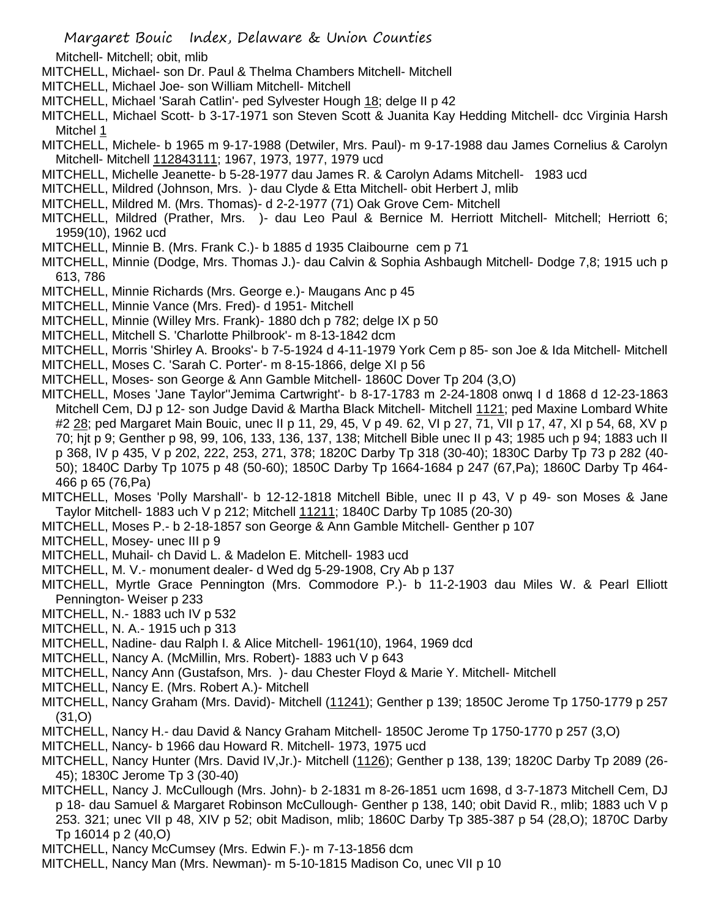Mitchell- Mitchell; obit, mlib

- MITCHELL, Michael- son Dr. Paul & Thelma Chambers Mitchell- Mitchell
- MITCHELL, Michael Joe- son William Mitchell- Mitchell
- MITCHELL, Michael 'Sarah Catlin'- ped Sylvester Hough 18; delge II p 42
- MITCHELL, Michael Scott- b 3-17-1971 son Steven Scott & Juanita Kay Hedding Mitchell- dcc Virginia Harsh Mitchel 1
- MITCHELL, Michele- b 1965 m 9-17-1988 (Detwiler, Mrs. Paul)- m 9-17-1988 dau James Cornelius & Carolyn Mitchell- Mitchell 112843111; 1967, 1973, 1977, 1979 ucd
- MITCHELL, Michelle Jeanette- b 5-28-1977 dau James R. & Carolyn Adams Mitchell- 1983 ucd
- MITCHELL, Mildred (Johnson, Mrs. )- dau Clyde & Etta Mitchell- obit Herbert J, mlib
- MITCHELL, Mildred M. (Mrs. Thomas)- d 2-2-1977 (71) Oak Grove Cem- Mitchell
- MITCHELL, Mildred (Prather, Mrs. )- dau Leo Paul & Bernice M. Herriott Mitchell- Mitchell; Herriott 6; 1959(10), 1962 ucd
- MITCHELL, Minnie B. (Mrs. Frank C.)- b 1885 d 1935 Claibourne cem p 71
- MITCHELL, Minnie (Dodge, Mrs. Thomas J.)- dau Calvin & Sophia Ashbaugh Mitchell- Dodge 7,8; 1915 uch p 613, 786
- MITCHELL, Minnie Richards (Mrs. George e.)- Maugans Anc p 45
- MITCHELL, Minnie Vance (Mrs. Fred)- d 1951- Mitchell
- MITCHELL, Minnie (Willey Mrs. Frank)- 1880 dch p 782; delge IX p 50
- MITCHELL, Mitchell S. 'Charlotte Philbrook'- m 8-13-1842 dcm
- MITCHELL, Morris 'Shirley A. Brooks'- b 7-5-1924 d 4-11-1979 York Cem p 85- son Joe & Ida Mitchell- Mitchell
- MITCHELL, Moses C. 'Sarah C. Porter'- m 8-15-1866, delge XI p 56
- MITCHELL, Moses- son George & Ann Gamble Mitchell- 1860C Dover Tp 204 (3,O)
- MITCHELL, Moses 'Jane Taylor''Jemima Cartwright'- b 8-17-1783 m 2-24-1808 onwq I d 1868 d 12-23-1863 Mitchell Cem, DJ p 12- son Judge David & Martha Black Mitchell- Mitchell 1121; ped Maxine Lombard White #2 28; ped Margaret Main Bouic, unec II p 11, 29, 45, V p 49. 62, VI p 27, 71, VII p 17, 47, XI p 54, 68, XV p 70; hjt p 9; Genther p 98, 99, 106, 133, 136, 137, 138; Mitchell Bible unec II p 43; 1985 uch p 94; 1883 uch II p 368, IV p 435, V p 202, 222, 253, 271, 378; 1820C Darby Tp 318 (30-40); 1830C Darby Tp 73 p 282 (40- 50); 1840C Darby Tp 1075 p 48 (50-60); 1850C Darby Tp 1664-1684 p 247 (67,Pa); 1860C Darby Tp 464- 466 p 65 (76,Pa)
- MITCHELL, Moses 'Polly Marshall'- b 12-12-1818 Mitchell Bible, unec II p 43, V p 49- son Moses & Jane Taylor Mitchell- 1883 uch V p 212; Mitchell 11211; 1840C Darby Tp 1085 (20-30)
- MITCHELL, Moses P.- b 2-18-1857 son George & Ann Gamble Mitchell- Genther p 107
- MITCHELL, Mosey- unec III p 9
- MITCHELL, Muhail- ch David L. & Madelon E. Mitchell- 1983 ucd
- MITCHELL, M. V.- monument dealer- d Wed dg 5-29-1908, Cry Ab p 137
- MITCHELL, Myrtle Grace Pennington (Mrs. Commodore P.)- b 11-2-1903 dau Miles W. & Pearl Elliott Pennington- Weiser p 233
- MITCHELL, N.- 1883 uch IV p 532
- MITCHELL, N. A.- 1915 uch p 313
- MITCHELL, Nadine- dau Ralph I. & Alice Mitchell- 1961(10), 1964, 1969 dcd
- MITCHELL, Nancy A. (McMillin, Mrs. Robert)- 1883 uch V p 643
- MITCHELL, Nancy Ann (Gustafson, Mrs. )- dau Chester Floyd & Marie Y. Mitchell- Mitchell
- MITCHELL, Nancy E. (Mrs. Robert A.)- Mitchell
- MITCHELL, Nancy Graham (Mrs. David)- Mitchell (11241); Genther p 139; 1850C Jerome Tp 1750-1779 p 257 (31,O)
- MITCHELL, Nancy H.- dau David & Nancy Graham Mitchell- 1850C Jerome Tp 1750-1770 p 257 (3,O)
- MITCHELL, Nancy- b 1966 dau Howard R. Mitchell- 1973, 1975 ucd
- MITCHELL, Nancy Hunter (Mrs. David IV,Jr.)- Mitchell (1126); Genther p 138, 139; 1820C Darby Tp 2089 (26- 45); 1830C Jerome Tp 3 (30-40)
- MITCHELL, Nancy J. McCullough (Mrs. John)- b 2-1831 m 8-26-1851 ucm 1698, d 3-7-1873 Mitchell Cem, DJ p 18- dau Samuel & Margaret Robinson McCullough- Genther p 138, 140; obit David R., mlib; 1883 uch V p 253. 321; unec VII p 48, XIV p 52; obit Madison, mlib; 1860C Darby Tp 385-387 p 54 (28,O); 1870C Darby Tp 16014 p 2 (40,O)
- MITCHELL, Nancy McCumsey (Mrs. Edwin F.)- m 7-13-1856 dcm
- MITCHELL, Nancy Man (Mrs. Newman)- m 5-10-1815 Madison Co, unec VII p 10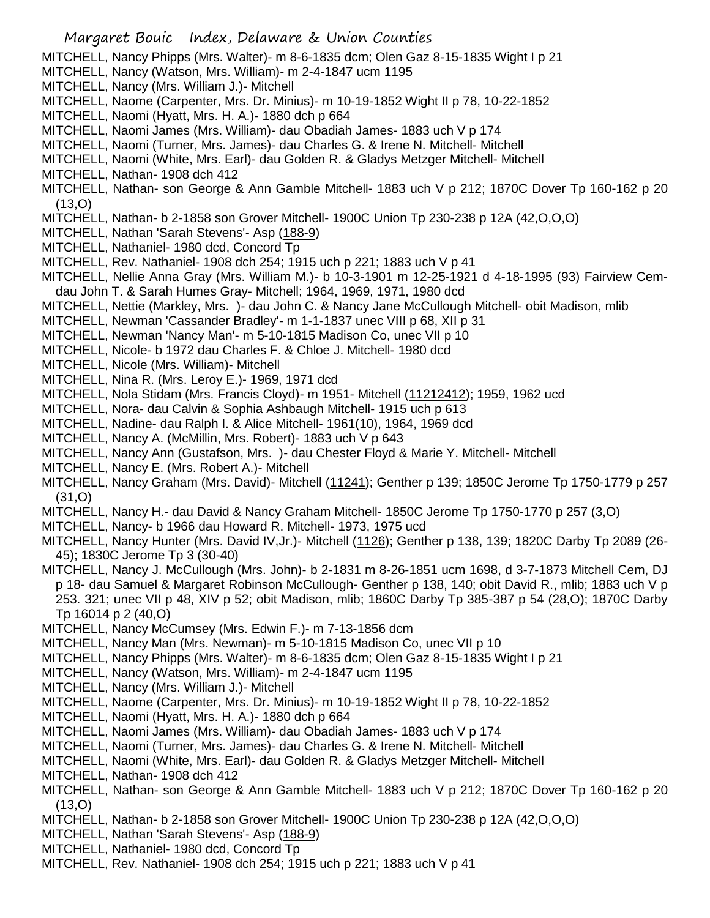- Margaret Bouic Index, Delaware & Union Counties MITCHELL, Nancy Phipps (Mrs. Walter)- m 8-6-1835 dcm; Olen Gaz 8-15-1835 Wight I p 21 MITCHELL, Nancy (Watson, Mrs. William)- m 2-4-1847 ucm 1195 MITCHELL, Nancy (Mrs. William J.)- Mitchell MITCHELL, Naome (Carpenter, Mrs. Dr. Minius)- m 10-19-1852 Wight II p 78, 10-22-1852 MITCHELL, Naomi (Hyatt, Mrs. H. A.)- 1880 dch p 664 MITCHELL, Naomi James (Mrs. William)- dau Obadiah James- 1883 uch V p 174 MITCHELL, Naomi (Turner, Mrs. James)- dau Charles G. & Irene N. Mitchell- Mitchell MITCHELL, Naomi (White, Mrs. Earl)- dau Golden R. & Gladys Metzger Mitchell- Mitchell MITCHELL, Nathan- 1908 dch 412 MITCHELL, Nathan- son George & Ann Gamble Mitchell- 1883 uch V p 212; 1870C Dover Tp 160-162 p 20 (13,O) MITCHELL, Nathan- b 2-1858 son Grover Mitchell- 1900C Union Tp 230-238 p 12A (42,O,O,O) MITCHELL, Nathan 'Sarah Stevens'- Asp (188-9) MITCHELL, Nathaniel- 1980 dcd, Concord Tp MITCHELL, Rev. Nathaniel- 1908 dch 254; 1915 uch p 221; 1883 uch V p 41 MITCHELL, Nellie Anna Gray (Mrs. William M.)- b 10-3-1901 m 12-25-1921 d 4-18-1995 (93) Fairview Cemdau John T. & Sarah Humes Gray- Mitchell; 1964, 1969, 1971, 1980 dcd MITCHELL, Nettie (Markley, Mrs. )- dau John C. & Nancy Jane McCullough Mitchell- obit Madison, mlib MITCHELL, Newman 'Cassander Bradley'- m 1-1-1837 unec VIII p 68, XII p 31 MITCHELL, Newman 'Nancy Man'- m 5-10-1815 Madison Co, unec VII p 10 MITCHELL, Nicole- b 1972 dau Charles F. & Chloe J. Mitchell- 1980 dcd MITCHELL, Nicole (Mrs. William)- Mitchell MITCHELL, Nina R. (Mrs. Leroy E.)- 1969, 1971 dcd MITCHELL, Nola Stidam (Mrs. Francis Cloyd)- m 1951- Mitchell (11212412); 1959, 1962 ucd MITCHELL, Nora- dau Calvin & Sophia Ashbaugh Mitchell- 1915 uch p 613 MITCHELL, Nadine- dau Ralph I. & Alice Mitchell- 1961(10), 1964, 1969 dcd MITCHELL, Nancy A. (McMillin, Mrs. Robert)- 1883 uch V p 643 MITCHELL, Nancy Ann (Gustafson, Mrs. )- dau Chester Floyd & Marie Y. Mitchell- Mitchell MITCHELL, Nancy E. (Mrs. Robert A.)- Mitchell MITCHELL, Nancy Graham (Mrs. David)- Mitchell (11241); Genther p 139; 1850C Jerome Tp 1750-1779 p 257 (31,O) MITCHELL, Nancy H.- dau David & Nancy Graham Mitchell- 1850C Jerome Tp 1750-1770 p 257 (3,O) MITCHELL, Nancy- b 1966 dau Howard R. Mitchell- 1973, 1975 ucd MITCHELL, Nancy Hunter (Mrs. David IV, Jr.)- Mitchell (1126); Genther p 138, 139; 1820C Darby Tp 2089 (26-45); 1830C Jerome Tp 3 (30-40) MITCHELL, Nancy J. McCullough (Mrs. John)- b 2-1831 m 8-26-1851 ucm 1698, d 3-7-1873 Mitchell Cem, DJ p 18- dau Samuel & Margaret Robinson McCullough- Genther p 138, 140; obit David R., mlib; 1883 uch V p 253. 321; unec VII p 48, XIV p 52; obit Madison, mlib; 1860C Darby Tp 385-387 p 54 (28,O); 1870C Darby Tp 16014 p 2 (40,O) MITCHELL, Nancy McCumsey (Mrs. Edwin F.)- m 7-13-1856 dcm MITCHELL, Nancy Man (Mrs. Newman)- m 5-10-1815 Madison Co, unec VII p 10
- MITCHELL, Nancy Phipps (Mrs. Walter)- m 8-6-1835 dcm; Olen Gaz 8-15-1835 Wight I p 21
- MITCHELL, Nancy (Watson, Mrs. William)- m 2-4-1847 ucm 1195
- MITCHELL, Nancy (Mrs. William J.)- Mitchell
- MITCHELL, Naome (Carpenter, Mrs. Dr. Minius)- m 10-19-1852 Wight II p 78, 10-22-1852
- MITCHELL, Naomi (Hyatt, Mrs. H. A.)- 1880 dch p 664
- MITCHELL, Naomi James (Mrs. William)- dau Obadiah James- 1883 uch V p 174
- MITCHELL, Naomi (Turner, Mrs. James)- dau Charles G. & Irene N. Mitchell- Mitchell
- MITCHELL, Naomi (White, Mrs. Earl)- dau Golden R. & Gladys Metzger Mitchell- Mitchell
- MITCHELL, Nathan- 1908 dch 412
- MITCHELL, Nathan- son George & Ann Gamble Mitchell- 1883 uch V p 212; 1870C Dover Tp 160-162 p 20 (13,O)
- MITCHELL, Nathan- b 2-1858 son Grover Mitchell- 1900C Union Tp 230-238 p 12A (42,O,O,O)
- MITCHELL, Nathan 'Sarah Stevens'- Asp (188-9)
- MITCHELL, Nathaniel- 1980 dcd, Concord Tp
- MITCHELL, Rev. Nathaniel- 1908 dch 254; 1915 uch p 221; 1883 uch V p 41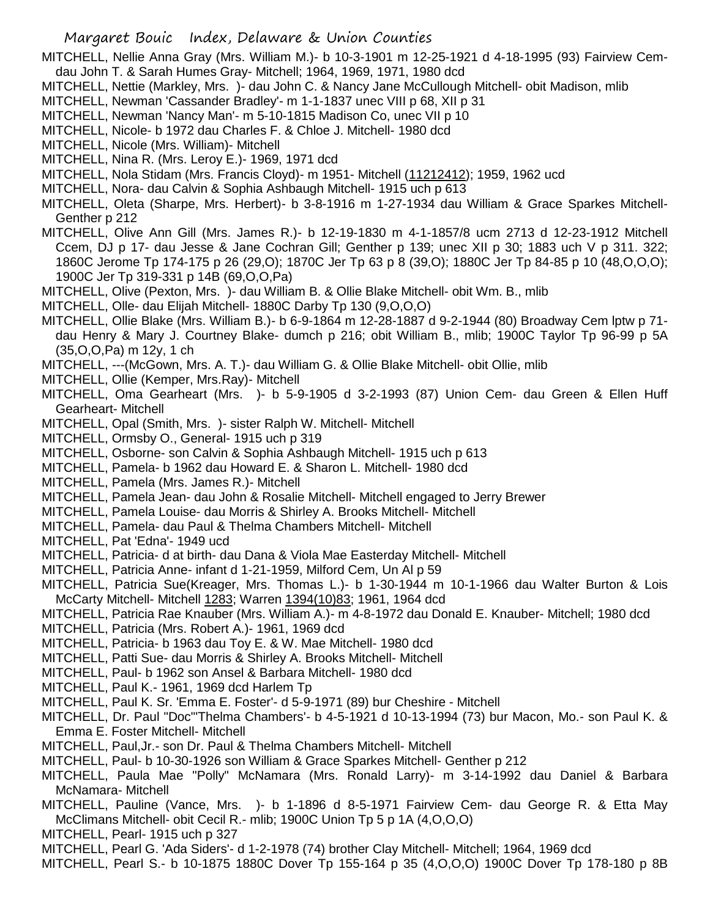MITCHELL, Nellie Anna Gray (Mrs. William M.)- b 10-3-1901 m 12-25-1921 d 4-18-1995 (93) Fairview Cemdau John T. & Sarah Humes Gray- Mitchell; 1964, 1969, 1971, 1980 dcd

- MITCHELL, Nettie (Markley, Mrs. )- dau John C. & Nancy Jane McCullough Mitchell- obit Madison, mlib
- MITCHELL, Newman 'Cassander Bradley'- m 1-1-1837 unec VIII p 68, XII p 31
- MITCHELL, Newman 'Nancy Man'- m 5-10-1815 Madison Co, unec VII p 10
- MITCHELL, Nicole- b 1972 dau Charles F. & Chloe J. Mitchell- 1980 dcd
- MITCHELL, Nicole (Mrs. William)- Mitchell
- MITCHELL, Nina R. (Mrs. Leroy E.)- 1969, 1971 dcd
- MITCHELL, Nola Stidam (Mrs. Francis Cloyd)- m 1951- Mitchell (11212412); 1959, 1962 ucd
- MITCHELL, Nora- dau Calvin & Sophia Ashbaugh Mitchell- 1915 uch p 613
- MITCHELL, Oleta (Sharpe, Mrs. Herbert)- b 3-8-1916 m 1-27-1934 dau William & Grace Sparkes Mitchell-Genther p 212
- MITCHELL, Olive Ann Gill (Mrs. James R.)- b 12-19-1830 m 4-1-1857/8 ucm 2713 d 12-23-1912 Mitchell Ccem, DJ p 17- dau Jesse & Jane Cochran Gill; Genther p 139; unec XII p 30; 1883 uch V p 311. 322; 1860C Jerome Tp 174-175 p 26 (29,O); 1870C Jer Tp 63 p 8 (39,O); 1880C Jer Tp 84-85 p 10 (48,O,O,O); 1900C Jer Tp 319-331 p 14B (69,O,O,Pa)
- MITCHELL, Olive (Pexton, Mrs. )- dau William B. & Ollie Blake Mitchell- obit Wm. B., mlib
- MITCHELL, Olle- dau Elijah Mitchell- 1880C Darby Tp 130 (9,O,O,O)
- MITCHELL, Ollie Blake (Mrs. William B.)- b 6-9-1864 m 12-28-1887 d 9-2-1944 (80) Broadway Cem lptw p 71 dau Henry & Mary J. Courtney Blake- dumch p 216; obit William B., mlib; 1900C Taylor Tp 96-99 p 5A (35,O,O,Pa) m 12y, 1 ch
- MITCHELL, ---(McGown, Mrs. A. T.)- dau William G. & Ollie Blake Mitchell- obit Ollie, mlib
- MITCHELL, Ollie (Kemper, Mrs.Ray)- Mitchell
- MITCHELL, Oma Gearheart (Mrs. )- b 5-9-1905 d 3-2-1993 (87) Union Cem- dau Green & Ellen Huff Gearheart- Mitchell
- MITCHELL, Opal (Smith, Mrs. )- sister Ralph W. Mitchell- Mitchell
- MITCHELL, Ormsby O., General- 1915 uch p 319
- MITCHELL, Osborne- son Calvin & Sophia Ashbaugh Mitchell- 1915 uch p 613
- MITCHELL, Pamela- b 1962 dau Howard E. & Sharon L. Mitchell- 1980 dcd
- MITCHELL, Pamela (Mrs. James R.)- Mitchell
- MITCHELL, Pamela Jean- dau John & Rosalie Mitchell- Mitchell engaged to Jerry Brewer
- MITCHELL, Pamela Louise- dau Morris & Shirley A. Brooks Mitchell- Mitchell
- MITCHELL, Pamela- dau Paul & Thelma Chambers Mitchell- Mitchell
- MITCHELL, Pat 'Edna'- 1949 ucd
- MITCHELL, Patricia- d at birth- dau Dana & Viola Mae Easterday Mitchell- Mitchell
- MITCHELL, Patricia Anne- infant d 1-21-1959, Milford Cem, Un Al p 59
- MITCHELL, Patricia Sue(Kreager, Mrs. Thomas L.)- b 1-30-1944 m 10-1-1966 dau Walter Burton & Lois McCarty Mitchell- Mitchell 1283; Warren 1394(10)83; 1961, 1964 dcd
- MITCHELL, Patricia Rae Knauber (Mrs. William A.)- m 4-8-1972 dau Donald E. Knauber- Mitchell; 1980 dcd
- MITCHELL, Patricia (Mrs. Robert A.)- 1961, 1969 dcd
- MITCHELL, Patricia- b 1963 dau Toy E. & W. Mae Mitchell- 1980 dcd
- MITCHELL, Patti Sue- dau Morris & Shirley A. Brooks Mitchell- Mitchell
- MITCHELL, Paul- b 1962 son Ansel & Barbara Mitchell- 1980 dcd
- MITCHELL, Paul K.- 1961, 1969 dcd Harlem Tp
- MITCHELL, Paul K. Sr. 'Emma E. Foster'- d 5-9-1971 (89) bur Cheshire Mitchell
- MITCHELL, Dr. Paul "Doc"'Thelma Chambers'- b 4-5-1921 d 10-13-1994 (73) bur Macon, Mo.- son Paul K. & Emma E. Foster Mitchell- Mitchell
- MITCHELL, Paul,Jr.- son Dr. Paul & Thelma Chambers Mitchell- Mitchell
- MITCHELL, Paul- b 10-30-1926 son William & Grace Sparkes Mitchell- Genther p 212
- MITCHELL, Paula Mae "Polly" McNamara (Mrs. Ronald Larry)- m 3-14-1992 dau Daniel & Barbara McNamara- Mitchell
- MITCHELL, Pauline (Vance, Mrs. )- b 1-1896 d 8-5-1971 Fairview Cem- dau George R. & Etta May McClimans Mitchell- obit Cecil R.- mlib; 1900C Union Tp 5 p 1A (4,O,O,O)
- MITCHELL, Pearl- 1915 uch p 327
- MITCHELL, Pearl G. 'Ada Siders'- d 1-2-1978 (74) brother Clay Mitchell- Mitchell; 1964, 1969 dcd
- MITCHELL, Pearl S.- b 10-1875 1880C Dover Tp 155-164 p 35 (4,O,O,O) 1900C Dover Tp 178-180 p 8B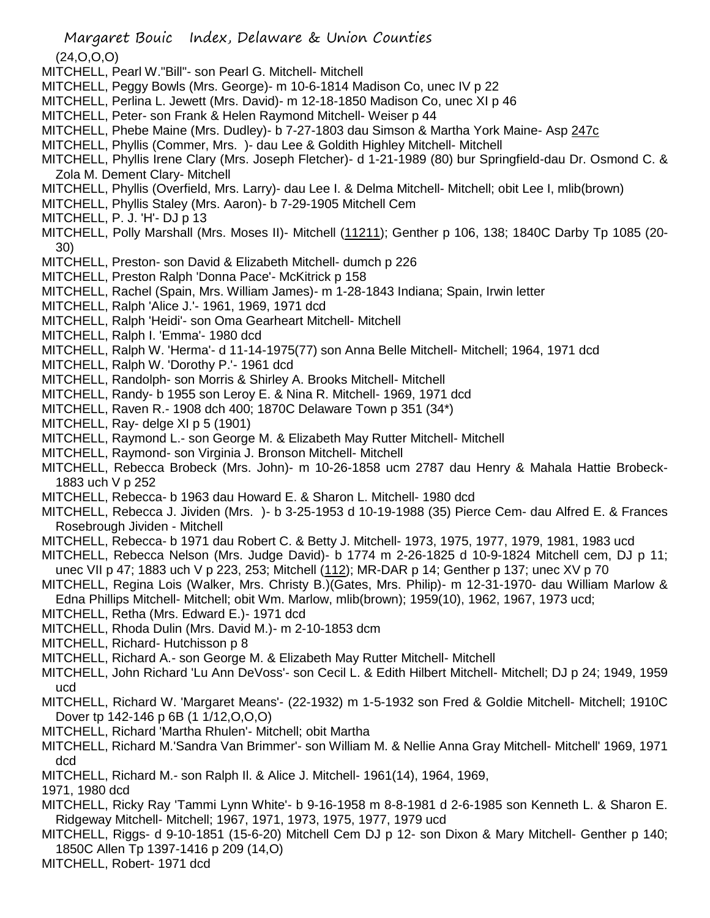Margaret Bouic Index, Delaware & Union Counties (24,O,O,O) MITCHELL, Pearl W."Bill"- son Pearl G. Mitchell- Mitchell MITCHELL, Peggy Bowls (Mrs. George)- m 10-6-1814 Madison Co, unec IV p 22 MITCHELL, Perlina L. Jewett (Mrs. David)- m 12-18-1850 Madison Co, unec XI p 46 MITCHELL, Peter- son Frank & Helen Raymond Mitchell- Weiser p 44 MITCHELL, Phebe Maine (Mrs. Dudley)- b 7-27-1803 dau Simson & Martha York Maine- Asp 247c MITCHELL, Phyllis (Commer, Mrs. )- dau Lee & Goldith Highley Mitchell- Mitchell MITCHELL, Phyllis Irene Clary (Mrs. Joseph Fletcher)- d 1-21-1989 (80) bur Springfield-dau Dr. Osmond C. & Zola M. Dement Clary- Mitchell MITCHELL, Phyllis (Overfield, Mrs. Larry)- dau Lee I. & Delma Mitchell- Mitchell; obit Lee I, mlib(brown) MITCHELL, Phyllis Staley (Mrs. Aaron)- b 7-29-1905 Mitchell Cem MITCHELL, P. J. 'H'- DJ p 13 MITCHELL, Polly Marshall (Mrs. Moses II)- Mitchell (11211); Genther p 106, 138; 1840C Darby Tp 1085 (20-30) MITCHELL, Preston- son David & Elizabeth Mitchell- dumch p 226 MITCHELL, Preston Ralph 'Donna Pace'- McKitrick p 158 MITCHELL, Rachel (Spain, Mrs. William James)- m 1-28-1843 Indiana; Spain, Irwin letter MITCHELL, Ralph 'Alice J.'- 1961, 1969, 1971 dcd MITCHELL, Ralph 'Heidi'- son Oma Gearheart Mitchell- Mitchell MITCHELL, Ralph I. 'Emma'- 1980 dcd MITCHELL, Ralph W. 'Herma'- d 11-14-1975(77) son Anna Belle Mitchell- Mitchell; 1964, 1971 dcd MITCHELL, Ralph W. 'Dorothy P.'- 1961 dcd MITCHELL, Randolph- son Morris & Shirley A. Brooks Mitchell- Mitchell MITCHELL, Randy- b 1955 son Leroy E. & Nina R. Mitchell- 1969, 1971 dcd MITCHELL, Raven R.- 1908 dch 400; 1870C Delaware Town p 351 (34\*) MITCHELL, Ray- delge XI p 5 (1901) MITCHELL, Raymond L.- son George M. & Elizabeth May Rutter Mitchell- Mitchell MITCHELL, Raymond- son Virginia J. Bronson Mitchell- Mitchell MITCHELL, Rebecca Brobeck (Mrs. John)- m 10-26-1858 ucm 2787 dau Henry & Mahala Hattie Brobeck-1883 uch V p 252

MITCHELL, Rebecca- b 1963 dau Howard E. & Sharon L. Mitchell- 1980 dcd

MITCHELL, Rebecca J. Jividen (Mrs. )- b 3-25-1953 d 10-19-1988 (35) Pierce Cem- dau Alfred E. & Frances Rosebrough Jividen - Mitchell

MITCHELL, Rebecca- b 1971 dau Robert C. & Betty J. Mitchell- 1973, 1975, 1977, 1979, 1981, 1983 ucd

MITCHELL, Rebecca Nelson (Mrs. Judge David)- b 1774 m 2-26-1825 d 10-9-1824 Mitchell cem, DJ p 11; unec VII p 47; 1883 uch V p 223, 253; Mitchell (112); MR-DAR p 14; Genther p 137; unec XV p 70

- MITCHELL, Regina Lois (Walker, Mrs. Christy B.)(Gates, Mrs. Philip)- m 12-31-1970- dau William Marlow & Edna Phillips Mitchell- Mitchell; obit Wm. Marlow, mlib(brown); 1959(10), 1962, 1967, 1973 ucd;
- MITCHELL, Retha (Mrs. Edward E.)- 1971 dcd
- MITCHELL, Rhoda Dulin (Mrs. David M.)- m 2-10-1853 dcm
- MITCHELL, Richard- Hutchisson p 8
- MITCHELL, Richard A.- son George M. & Elizabeth May Rutter Mitchell- Mitchell
- MITCHELL, John Richard 'Lu Ann DeVoss'- son Cecil L. & Edith Hilbert Mitchell- Mitchell; DJ p 24; 1949, 1959 ucd
- MITCHELL, Richard W. 'Margaret Means'- (22-1932) m 1-5-1932 son Fred & Goldie Mitchell- Mitchell; 1910C Dover tp 142-146 p 6B (1 1/12,O,O,O)
- MITCHELL, Richard 'Martha Rhulen'- Mitchell; obit Martha
- MITCHELL, Richard M.'Sandra Van Brimmer'- son William M. & Nellie Anna Gray Mitchell- Mitchell' 1969, 1971 dcd
- MITCHELL, Richard M.- son Ralph Il. & Alice J. Mitchell- 1961(14), 1964, 1969,

1971, 1980 dcd

- MITCHELL, Ricky Ray 'Tammi Lynn White'- b 9-16-1958 m 8-8-1981 d 2-6-1985 son Kenneth L. & Sharon E. Ridgeway Mitchell- Mitchell; 1967, 1971, 1973, 1975, 1977, 1979 ucd
- MITCHELL, Riggs- d 9-10-1851 (15-6-20) Mitchell Cem DJ p 12- son Dixon & Mary Mitchell- Genther p 140; 1850C Allen Tp 1397-1416 p 209 (14,O)
- MITCHELL, Robert- 1971 dcd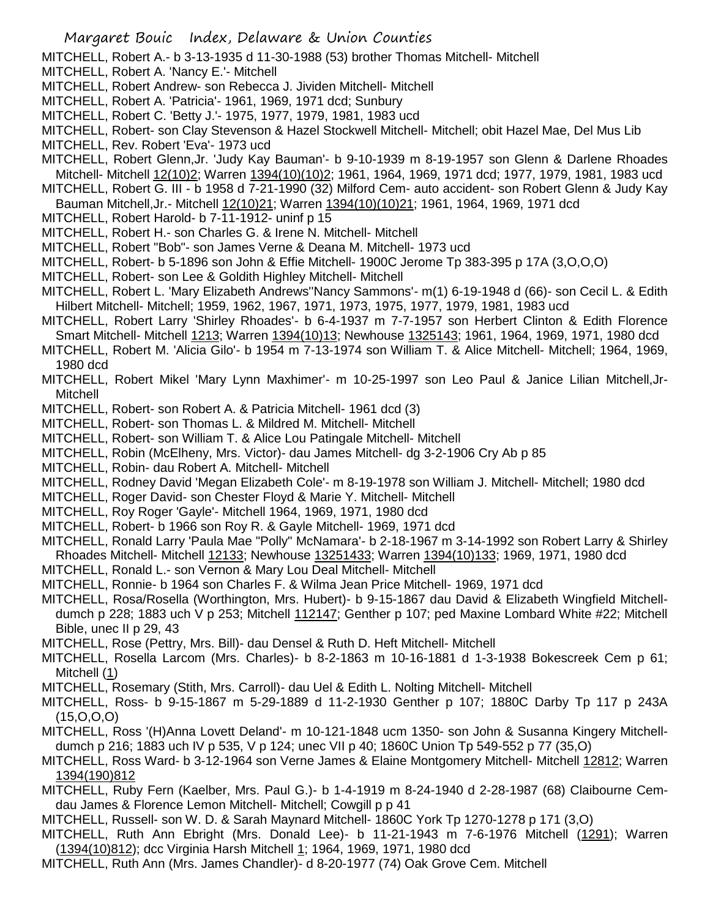MITCHELL, Robert A.- b 3-13-1935 d 11-30-1988 (53) brother Thomas Mitchell- Mitchell

- MITCHELL, Robert A. 'Nancy E.'- Mitchell
- MITCHELL, Robert Andrew- son Rebecca J. Jividen Mitchell- Mitchell
- MITCHELL, Robert A. 'Patricia'- 1961, 1969, 1971 dcd; Sunbury
- MITCHELL, Robert C. 'Betty J.'- 1975, 1977, 1979, 1981, 1983 ucd
- MITCHELL, Robert- son Clay Stevenson & Hazel Stockwell Mitchell- Mitchell; obit Hazel Mae, Del Mus Lib
- MITCHELL, Rev. Robert 'Eva'- 1973 ucd
- MITCHELL, Robert Glenn,Jr. 'Judy Kay Bauman'- b 9-10-1939 m 8-19-1957 son Glenn & Darlene Rhoades Mitchell- Mitchell 12(10)2; Warren 1394(10)(10)2; 1961, 1964, 1969, 1971 dcd; 1977, 1979, 1981, 1983 ucd
- MITCHELL, Robert G. III b 1958 d 7-21-1990 (32) Milford Cem- auto accident- son Robert Glenn & Judy Kay Bauman Mitchell,Jr.- Mitchell 12(10)21; Warren 1394(10)(10)21; 1961, 1964, 1969, 1971 dcd
- MITCHELL, Robert Harold- b 7-11-1912- uninf p 15
- MITCHELL, Robert H.- son Charles G. & Irene N. Mitchell- Mitchell
- MITCHELL, Robert "Bob"- son James Verne & Deana M. Mitchell- 1973 ucd
- MITCHELL, Robert- b 5-1896 son John & Effie Mitchell- 1900C Jerome Tp 383-395 p 17A (3,O,O,O)
- MITCHELL, Robert- son Lee & Goldith Highley Mitchell- Mitchell
- MITCHELL, Robert L. 'Mary Elizabeth Andrews''Nancy Sammons'- m(1) 6-19-1948 d (66)- son Cecil L. & Edith Hilbert Mitchell- Mitchell; 1959, 1962, 1967, 1971, 1973, 1975, 1977, 1979, 1981, 1983 ucd
- MITCHELL, Robert Larry 'Shirley Rhoades'- b 6-4-1937 m 7-7-1957 son Herbert Clinton & Edith Florence Smart Mitchell- Mitchell 1213; Warren 1394(10)13; Newhouse 1325143; 1961, 1964, 1969, 1971, 1980 dcd
- MITCHELL, Robert M. 'Alicia Gilo'- b 1954 m 7-13-1974 son William T. & Alice Mitchell- Mitchell; 1964, 1969, 1980 dcd
- MITCHELL, Robert Mikel 'Mary Lynn Maxhimer'- m 10-25-1997 son Leo Paul & Janice Lilian Mitchell,Jr-Mitchell
- MITCHELL, Robert- son Robert A. & Patricia Mitchell- 1961 dcd (3)
- MITCHELL, Robert- son Thomas L. & Mildred M. Mitchell- Mitchell
- MITCHELL, Robert- son William T. & Alice Lou Patingale Mitchell- Mitchell
- MITCHELL, Robin (McElheny, Mrs. Victor)- dau James Mitchell- dg 3-2-1906 Cry Ab p 85
- MITCHELL, Robin- dau Robert A. Mitchell- Mitchell
- MITCHELL, Rodney David 'Megan Elizabeth Cole'- m 8-19-1978 son William J. Mitchell- Mitchell; 1980 dcd
- MITCHELL, Roger David- son Chester Floyd & Marie Y. Mitchell- Mitchell
- MITCHELL, Roy Roger 'Gayle'- Mitchell 1964, 1969, 1971, 1980 dcd
- MITCHELL, Robert- b 1966 son Roy R. & Gayle Mitchell- 1969, 1971 dcd
- MITCHELL, Ronald Larry 'Paula Mae "Polly" McNamara'- b 2-18-1967 m 3-14-1992 son Robert Larry & Shirley Rhoades Mitchell- Mitchell 12133; Newhouse 13251433; Warren 1394(10)133; 1969, 1971, 1980 dcd
- MITCHELL, Ronald L.- son Vernon & Mary Lou Deal Mitchell- Mitchell
- MITCHELL, Ronnie- b 1964 son Charles F. & Wilma Jean Price Mitchell- 1969, 1971 dcd
- MITCHELL, Rosa/Rosella (Worthington, Mrs. Hubert)- b 9-15-1867 dau David & Elizabeth Wingfield Mitchelldumch p 228; 1883 uch V p 253; Mitchell 112147; Genther p 107; ped Maxine Lombard White #22; Mitchell Bible, unec II p 29, 43
- MITCHELL, Rose (Pettry, Mrs. Bill)- dau Densel & Ruth D. Heft Mitchell- Mitchell
- MITCHELL, Rosella Larcom (Mrs. Charles)- b 8-2-1863 m 10-16-1881 d 1-3-1938 Bokescreek Cem p 61; Mitchell (1)
- MITCHELL, Rosemary (Stith, Mrs. Carroll)- dau Uel & Edith L. Nolting Mitchell- Mitchell
- MITCHELL, Ross- b 9-15-1867 m 5-29-1889 d 11-2-1930 Genther p 107; 1880C Darby Tp 117 p 243A (15,O,O,O)
- MITCHELL, Ross '(H)Anna Lovett Deland'- m 10-121-1848 ucm 1350- son John & Susanna Kingery Mitchelldumch p 216; 1883 uch IV p 535, V p 124; unec VII p 40; 1860C Union Tp 549-552 p 77 (35,O)
- MITCHELL, Ross Ward- b 3-12-1964 son Verne James & Elaine Montgomery Mitchell- Mitchell 12812; Warren 1394(190)812
- MITCHELL, Ruby Fern (Kaelber, Mrs. Paul G.)- b 1-4-1919 m 8-24-1940 d 2-28-1987 (68) Claibourne Cemdau James & Florence Lemon Mitchell- Mitchell; Cowgill p p 41
- MITCHELL, Russell- son W. D. & Sarah Maynard Mitchell- 1860C York Tp 1270-1278 p 171 (3,O)
- MITCHELL, Ruth Ann Ebright (Mrs. Donald Lee)- b 11-21-1943 m 7-6-1976 Mitchell (1291); Warren (1394(10)812); dcc Virginia Harsh Mitchell 1; 1964, 1969, 1971, 1980 dcd
- MITCHELL, Ruth Ann (Mrs. James Chandler)- d 8-20-1977 (74) Oak Grove Cem. Mitchell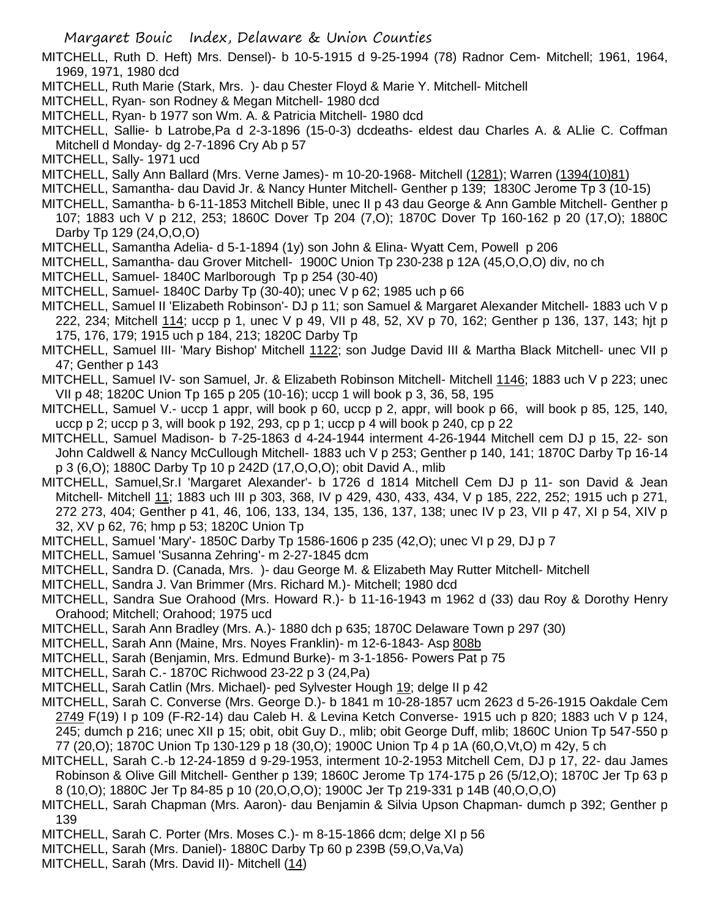MITCHELL, Ruth D. Heft) Mrs. Densel)- b 10-5-1915 d 9-25-1994 (78) Radnor Cem- Mitchell; 1961, 1964, 1969, 1971, 1980 dcd

- MITCHELL, Ruth Marie (Stark, Mrs. )- dau Chester Floyd & Marie Y. Mitchell- Mitchell
- MITCHELL, Ryan- son Rodney & Megan Mitchell- 1980 dcd
- MITCHELL, Ryan- b 1977 son Wm. A. & Patricia Mitchell- 1980 dcd

MITCHELL, Sallie- b Latrobe,Pa d 2-3-1896 (15-0-3) dcdeaths- eldest dau Charles A. & ALlie C. Coffman Mitchell d Monday- dg 2-7-1896 Cry Ab p 57

- MITCHELL, Sally- 1971 ucd
- MITCHELL, Sally Ann Ballard (Mrs. Verne James)- m 10-20-1968- Mitchell (1281); Warren (1394(10)81)
- MITCHELL, Samantha- dau David Jr. & Nancy Hunter Mitchell- Genther p 139; 1830C Jerome Tp 3 (10-15)
- MITCHELL, Samantha- b 6-11-1853 Mitchell Bible, unec II p 43 dau George & Ann Gamble Mitchell- Genther p 107; 1883 uch V p 212, 253; 1860C Dover Tp 204 (7,O); 1870C Dover Tp 160-162 p 20 (17,O); 1880C Darby Tp 129 (24,O,O,O)
- MITCHELL, Samantha Adelia- d 5-1-1894 (1y) son John & Elina- Wyatt Cem, Powell p 206
- MITCHELL, Samantha- dau Grover Mitchell- 1900C Union Tp 230-238 p 12A (45,O,O,O) div, no ch
- MITCHELL, Samuel- 1840C Marlborough Tp p 254 (30-40)
- MITCHELL, Samuel- 1840C Darby Tp (30-40); unec V p 62; 1985 uch p 66
- MITCHELL, Samuel II 'Elizabeth Robinson'- DJ p 11; son Samuel & Margaret Alexander Mitchell- 1883 uch V p 222, 234; Mitchell 114; uccp p 1, unec V p 49, VII p 48, 52, XV p 70, 162; Genther p 136, 137, 143; hjt p 175, 176, 179; 1915 uch p 184, 213; 1820C Darby Tp
- MITCHELL, Samuel III- 'Mary Bishop' Mitchell 1122; son Judge David III & Martha Black Mitchell- unec VII p 47; Genther p 143
- MITCHELL, Samuel IV- son Samuel, Jr. & Elizabeth Robinson Mitchell- Mitchell 1146; 1883 uch V p 223; unec VII p 48; 1820C Union Tp 165 p 205 (10-16); uccp 1 will book p 3, 36, 58, 195
- MITCHELL, Samuel V.- uccp 1 appr, will book p 60, uccp p 2, appr, will book p 66, will book p 85, 125, 140, uccp p 2; uccp p 3, will book p 192, 293, cp p 1; uccp p 4 will book p 240, cp p 22
- MITCHELL, Samuel Madison- b 7-25-1863 d 4-24-1944 interment 4-26-1944 Mitchell cem DJ p 15, 22- son John Caldwell & Nancy McCullough Mitchell- 1883 uch V p 253; Genther p 140, 141; 1870C Darby Tp 16-14 p 3 (6,O); 1880C Darby Tp 10 p 242D (17,O,O,O); obit David A., mlib
- MITCHELL, Samuel,Sr.I 'Margaret Alexander'- b 1726 d 1814 Mitchell Cem DJ p 11- son David & Jean Mitchell- Mitchell 11; 1883 uch III p 303, 368, IV p 429, 430, 433, 434, V p 185, 222, 252; 1915 uch p 271, 272 273, 404; Genther p 41, 46, 106, 133, 134, 135, 136, 137, 138; unec IV p 23, VII p 47, XI p 54, XIV p 32, XV p 62, 76; hmp p 53; 1820C Union Tp
- MITCHELL, Samuel 'Mary'- 1850C Darby Tp 1586-1606 p 235 (42,O); unec VI p 29, DJ p 7
- MITCHELL, Samuel 'Susanna Zehring'- m 2-27-1845 dcm
- MITCHELL, Sandra D. (Canada, Mrs. )- dau George M. & Elizabeth May Rutter Mitchell- Mitchell
- MITCHELL, Sandra J. Van Brimmer (Mrs. Richard M.)- Mitchell; 1980 dcd
- MITCHELL, Sandra Sue Orahood (Mrs. Howard R.)- b 11-16-1943 m 1962 d (33) dau Roy & Dorothy Henry Orahood; Mitchell; Orahood; 1975 ucd
- MITCHELL, Sarah Ann Bradley (Mrs. A.)- 1880 dch p 635; 1870C Delaware Town p 297 (30)
- MITCHELL, Sarah Ann (Maine, Mrs. Noyes Franklin)- m 12-6-1843- Asp 808b
- MITCHELL, Sarah (Benjamin, Mrs. Edmund Burke)- m 3-1-1856- Powers Pat p 75
- MITCHELL, Sarah C.- 1870C Richwood 23-22 p 3 (24,Pa)
- MITCHELL, Sarah Catlin (Mrs. Michael)- ped Sylvester Hough 19; delge II p 42
- MITCHELL, Sarah C. Converse (Mrs. George D.)- b 1841 m 10-28-1857 ucm 2623 d 5-26-1915 Oakdale Cem 2749 F(19) I p 109 (F-R2-14) dau Caleb H. & Levina Ketch Converse- 1915 uch p 820; 1883 uch V p 124, 245; dumch p 216; unec XII p 15; obit, obit Guy D., mlib; obit George Duff, mlib; 1860C Union Tp 547-550 p 77 (20,O); 1870C Union Tp 130-129 p 18 (30,O); 1900C Union Tp 4 p 1A (60,O,Vt,O) m 42y, 5 ch
- MITCHELL, Sarah C.-b 12-24-1859 d 9-29-1953, interment 10-2-1953 Mitchell Cem, DJ p 17, 22- dau James Robinson & Olive Gill Mitchell- Genther p 139; 1860C Jerome Tp 174-175 p 26 (5/12,O); 1870C Jer Tp 63 p 8 (10,O); 1880C Jer Tp 84-85 p 10 (20,O,O,O); 1900C Jer Tp 219-331 p 14B (40,O,O,O)
- MITCHELL, Sarah Chapman (Mrs. Aaron)- dau Benjamin & Silvia Upson Chapman- dumch p 392; Genther p 139
- MITCHELL, Sarah C. Porter (Mrs. Moses C.)- m 8-15-1866 dcm; delge XI p 56
- MITCHELL, Sarah (Mrs. Daniel)- 1880C Darby Tp 60 p 239B (59,O,Va,Va)
- MITCHELL, Sarah (Mrs. David II)- Mitchell (14)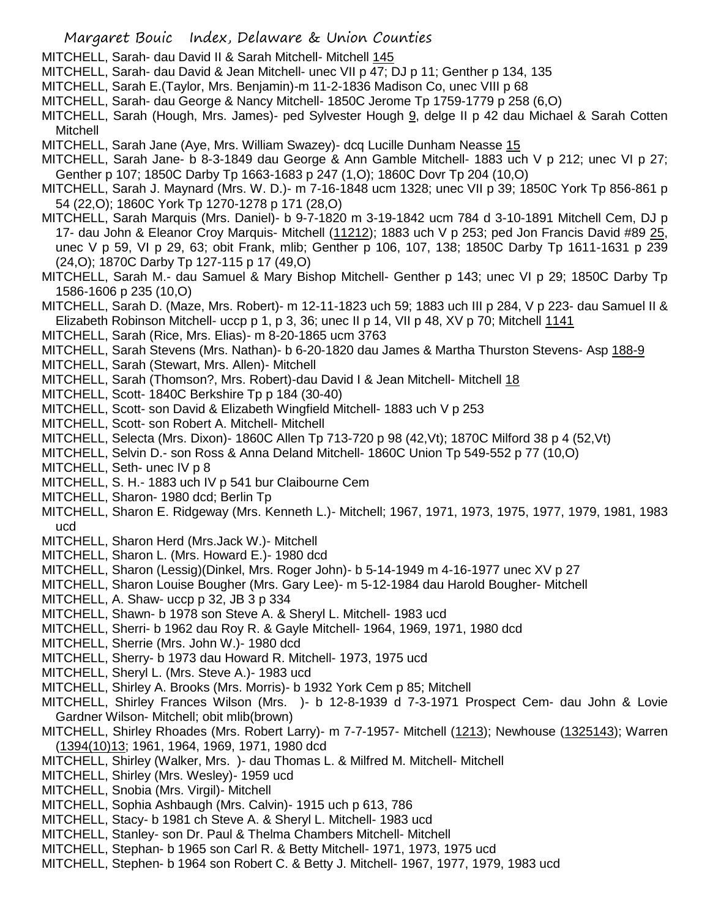- Margaret Bouic Index, Delaware & Union Counties
- MITCHELL, Sarah- dau David II & Sarah Mitchell- Mitchell 145
- MITCHELL, Sarah- dau David & Jean Mitchell- unec VII p 47; DJ p 11; Genther p 134, 135
- MITCHELL, Sarah E.(Taylor, Mrs. Benjamin)-m 11-2-1836 Madison Co, unec VIII p 68
- MITCHELL, Sarah- dau George & Nancy Mitchell- 1850C Jerome Tp 1759-1779 p 258 (6,O)
- MITCHELL, Sarah (Hough, Mrs. James)- ped Sylvester Hough 9, delge II p 42 dau Michael & Sarah Cotten Mitchell
- MITCHELL, Sarah Jane (Aye, Mrs. William Swazey)- dcq Lucille Dunham Neasse 15
- MITCHELL, Sarah Jane- b 8-3-1849 dau George & Ann Gamble Mitchell- 1883 uch V p 212; unec VI p 27; Genther p 107; 1850C Darby Tp 1663-1683 p 247 (1,O); 1860C Dovr Tp 204 (10,O)
- MITCHELL, Sarah J. Maynard (Mrs. W. D.)- m 7-16-1848 ucm 1328; unec VII p 39; 1850C York Tp 856-861 p 54 (22,O); 1860C York Tp 1270-1278 p 171 (28,O)
- MITCHELL, Sarah Marquis (Mrs. Daniel)- b 9-7-1820 m 3-19-1842 ucm 784 d 3-10-1891 Mitchell Cem, DJ p 17- dau John & Eleanor Croy Marquis- Mitchell (11212); 1883 uch V p 253; ped Jon Francis David #89 25, unec V p 59, VI p 29, 63; obit Frank, mlib; Genther p 106, 107, 138; 1850C Darby Tp 1611-1631 p 239 (24,O); 1870C Darby Tp 127-115 p 17 (49,O)
- MITCHELL, Sarah M.- dau Samuel & Mary Bishop Mitchell- Genther p 143; unec VI p 29; 1850C Darby Tp 1586-1606 p 235 (10,O)
- MITCHELL, Sarah D. (Maze, Mrs. Robert)- m 12-11-1823 uch 59; 1883 uch III p 284, V p 223- dau Samuel II & Elizabeth Robinson Mitchell- uccp p 1, p 3, 36; unec II p 14, VII p 48, XV p 70; Mitchell 1141
- MITCHELL, Sarah (Rice, Mrs. Elias)- m 8-20-1865 ucm 3763
- MITCHELL, Sarah Stevens (Mrs. Nathan)- b 6-20-1820 dau James & Martha Thurston Stevens- Asp 188-9
- MITCHELL, Sarah (Stewart, Mrs. Allen)- Mitchell
- MITCHELL, Sarah (Thomson?, Mrs. Robert)-dau David I & Jean Mitchell- Mitchell 18
- MITCHELL, Scott- 1840C Berkshire Tp p 184 (30-40)
- MITCHELL, Scott- son David & Elizabeth Wingfield Mitchell- 1883 uch V p 253
- MITCHELL, Scott- son Robert A. Mitchell- Mitchell
- MITCHELL, Selecta (Mrs. Dixon)- 1860C Allen Tp 713-720 p 98 (42,Vt); 1870C Milford 38 p 4 (52,Vt)
- MITCHELL, Selvin D.- son Ross & Anna Deland Mitchell- 1860C Union Tp 549-552 p 77 (10,O)
- MITCHELL, Seth- unec IV p 8
- MITCHELL, S. H.- 1883 uch IV p 541 bur Claibourne Cem
- MITCHELL, Sharon- 1980 dcd; Berlin Tp
- MITCHELL, Sharon E. Ridgeway (Mrs. Kenneth L.)- Mitchell; 1967, 1971, 1973, 1975, 1977, 1979, 1981, 1983 ucd
- MITCHELL, Sharon Herd (Mrs.Jack W.)- Mitchell
- MITCHELL, Sharon L. (Mrs. Howard E.)- 1980 dcd
- MITCHELL, Sharon (Lessig)(Dinkel, Mrs. Roger John)- b 5-14-1949 m 4-16-1977 unec XV p 27
- MITCHELL, Sharon Louise Bougher (Mrs. Gary Lee)- m 5-12-1984 dau Harold Bougher- Mitchell
- MITCHELL, A. Shaw- uccp p 32, JB 3 p 334
- MITCHELL, Shawn- b 1978 son Steve A. & Sheryl L. Mitchell- 1983 ucd
- MITCHELL, Sherri- b 1962 dau Roy R. & Gayle Mitchell- 1964, 1969, 1971, 1980 dcd
- MITCHELL, Sherrie (Mrs. John W.)- 1980 dcd
- MITCHELL, Sherry- b 1973 dau Howard R. Mitchell- 1973, 1975 ucd
- MITCHELL, Sheryl L. (Mrs. Steve A.)- 1983 ucd
- MITCHELL, Shirley A. Brooks (Mrs. Morris)- b 1932 York Cem p 85; Mitchell
- MITCHELL, Shirley Frances Wilson (Mrs. )- b 12-8-1939 d 7-3-1971 Prospect Cem- dau John & Lovie Gardner Wilson- Mitchell; obit mlib(brown)
- MITCHELL, Shirley Rhoades (Mrs. Robert Larry)- m 7-7-1957- Mitchell (1213); Newhouse (1325143); Warren (1394(10)13; 1961, 1964, 1969, 1971, 1980 dcd
- MITCHELL, Shirley (Walker, Mrs. )- dau Thomas L. & Milfred M. Mitchell- Mitchell
- MITCHELL, Shirley (Mrs. Wesley)- 1959 ucd
- MITCHELL, Snobia (Mrs. Virgil)- Mitchell
- MITCHELL, Sophia Ashbaugh (Mrs. Calvin)- 1915 uch p 613, 786
- MITCHELL, Stacy- b 1981 ch Steve A. & Sheryl L. Mitchell- 1983 ucd
- MITCHELL, Stanley- son Dr. Paul & Thelma Chambers Mitchell- Mitchell
- MITCHELL, Stephan- b 1965 son Carl R. & Betty Mitchell- 1971, 1973, 1975 ucd
- MITCHELL, Stephen- b 1964 son Robert C. & Betty J. Mitchell- 1967, 1977, 1979, 1983 ucd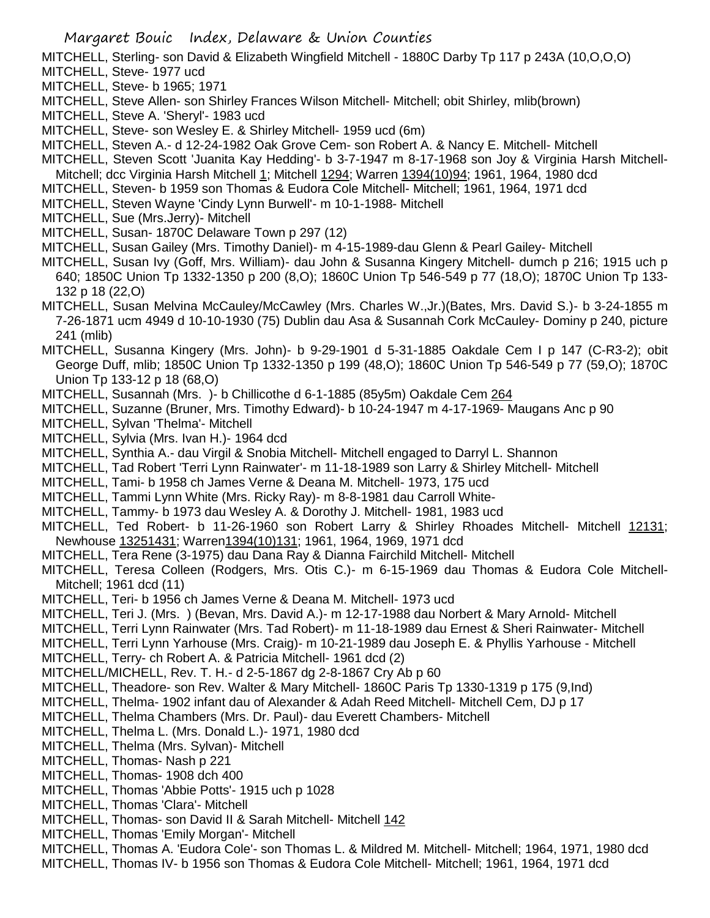MITCHELL, Sterling- son David & Elizabeth Wingfield Mitchell - 1880C Darby Tp 117 p 243A (10,O,O,O)

- MITCHELL, Steve- 1977 ucd MITCHELL, Steve- b 1965; 1971
- MITCHELL, Steve Allen- son Shirley Frances Wilson Mitchell- Mitchell; obit Shirley, mlib(brown)
- MITCHELL, Steve A. 'Sheryl'- 1983 ucd
- MITCHELL, Steve- son Wesley E. & Shirley Mitchell- 1959 ucd (6m)
- MITCHELL, Steven A.- d 12-24-1982 Oak Grove Cem- son Robert A. & Nancy E. Mitchell- Mitchell
- MITCHELL, Steven Scott 'Juanita Kay Hedding'- b 3-7-1947 m 8-17-1968 son Joy & Virginia Harsh Mitchell-Mitchell; dcc Virginia Harsh Mitchell 1; Mitchell 1294; Warren 1394(10)94; 1961, 1964, 1980 dcd
- MITCHELL, Steven- b 1959 son Thomas & Eudora Cole Mitchell- Mitchell; 1961, 1964, 1971 dcd
- MITCHELL, Steven Wayne 'Cindy Lynn Burwell'- m 10-1-1988- Mitchell
- MITCHELL, Sue (Mrs.Jerry)- Mitchell
- MITCHELL, Susan- 1870C Delaware Town p 297 (12)
- MITCHELL, Susan Gailey (Mrs. Timothy Daniel)- m 4-15-1989-dau Glenn & Pearl Gailey- Mitchell
- MITCHELL, Susan Ivy (Goff, Mrs. William)- dau John & Susanna Kingery Mitchell- dumch p 216; 1915 uch p 640; 1850C Union Tp 1332-1350 p 200 (8,O); 1860C Union Tp 546-549 p 77 (18,O); 1870C Union Tp 133- 132 p 18 (22,O)
- MITCHELL, Susan Melvina McCauley/McCawley (Mrs. Charles W.,Jr.)(Bates, Mrs. David S.)- b 3-24-1855 m 7-26-1871 ucm 4949 d 10-10-1930 (75) Dublin dau Asa & Susannah Cork McCauley- Dominy p 240, picture 241 (mlib)
- MITCHELL, Susanna Kingery (Mrs. John)- b 9-29-1901 d 5-31-1885 Oakdale Cem I p 147 (C-R3-2); obit George Duff, mlib; 1850C Union Tp 1332-1350 p 199 (48,O); 1860C Union Tp 546-549 p 77 (59,O); 1870C Union Tp 133-12 p 18 (68,O)
- MITCHELL, Susannah (Mrs. )- b Chillicothe d 6-1-1885 (85y5m) Oakdale Cem 264
- MITCHELL, Suzanne (Bruner, Mrs. Timothy Edward)- b 10-24-1947 m 4-17-1969- Maugans Anc p 90
- MITCHELL, Sylvan 'Thelma'- Mitchell
- MITCHELL, Sylvia (Mrs. Ivan H.)- 1964 dcd
- MITCHELL, Synthia A.- dau Virgil & Snobia Mitchell- Mitchell engaged to Darryl L. Shannon
- MITCHELL, Tad Robert 'Terri Lynn Rainwater'- m 11-18-1989 son Larry & Shirley Mitchell- Mitchell
- MITCHELL, Tami- b 1958 ch James Verne & Deana M. Mitchell- 1973, 175 ucd
- MITCHELL, Tammi Lynn White (Mrs. Ricky Ray)- m 8-8-1981 dau Carroll White-
- MITCHELL, Tammy- b 1973 dau Wesley A. & Dorothy J. Mitchell- 1981, 1983 ucd
- MITCHELL, Ted Robert- b 11-26-1960 son Robert Larry & Shirley Rhoades Mitchell- Mitchell 12131; Newhouse 13251431; Warren1394(10)131; 1961, 1964, 1969, 1971 dcd
- MITCHELL, Tera Rene (3-1975) dau Dana Ray & Dianna Fairchild Mitchell- Mitchell
- MITCHELL, Teresa Colleen (Rodgers, Mrs. Otis C.)- m 6-15-1969 dau Thomas & Eudora Cole Mitchell-Mitchell; 1961 dcd (11)
- MITCHELL, Teri- b 1956 ch James Verne & Deana M. Mitchell- 1973 ucd
- MITCHELL, Teri J. (Mrs. ) (Bevan, Mrs. David A.)- m 12-17-1988 dau Norbert & Mary Arnold- Mitchell
- MITCHELL, Terri Lynn Rainwater (Mrs. Tad Robert)- m 11-18-1989 dau Ernest & Sheri Rainwater- Mitchell
- MITCHELL, Terri Lynn Yarhouse (Mrs. Craig)- m 10-21-1989 dau Joseph E. & Phyllis Yarhouse Mitchell
- MITCHELL, Terry- ch Robert A. & Patricia Mitchell- 1961 dcd (2)
- MITCHELL/MICHELL, Rev. T. H.- d 2-5-1867 dg 2-8-1867 Cry Ab p 60
- MITCHELL, Theadore- son Rev. Walter & Mary Mitchell- 1860C Paris Tp 1330-1319 p 175 (9,Ind)
- MITCHELL, Thelma- 1902 infant dau of Alexander & Adah Reed Mitchell- Mitchell Cem, DJ p 17
- MITCHELL, Thelma Chambers (Mrs. Dr. Paul)- dau Everett Chambers- Mitchell
- MITCHELL, Thelma L. (Mrs. Donald L.)- 1971, 1980 dcd
- MITCHELL, Thelma (Mrs. Sylvan)- Mitchell
- MITCHELL, Thomas- Nash p 221
- MITCHELL, Thomas- 1908 dch 400
- MITCHELL, Thomas 'Abbie Potts'- 1915 uch p 1028
- MITCHELL, Thomas 'Clara'- Mitchell
- MITCHELL, Thomas- son David II & Sarah Mitchell- Mitchell 142
- MITCHELL, Thomas 'Emily Morgan'- Mitchell
- MITCHELL, Thomas A. 'Eudora Cole'- son Thomas L. & Mildred M. Mitchell- Mitchell; 1964, 1971, 1980 dcd MITCHELL, Thomas IV- b 1956 son Thomas & Eudora Cole Mitchell- Mitchell; 1961, 1964, 1971 dcd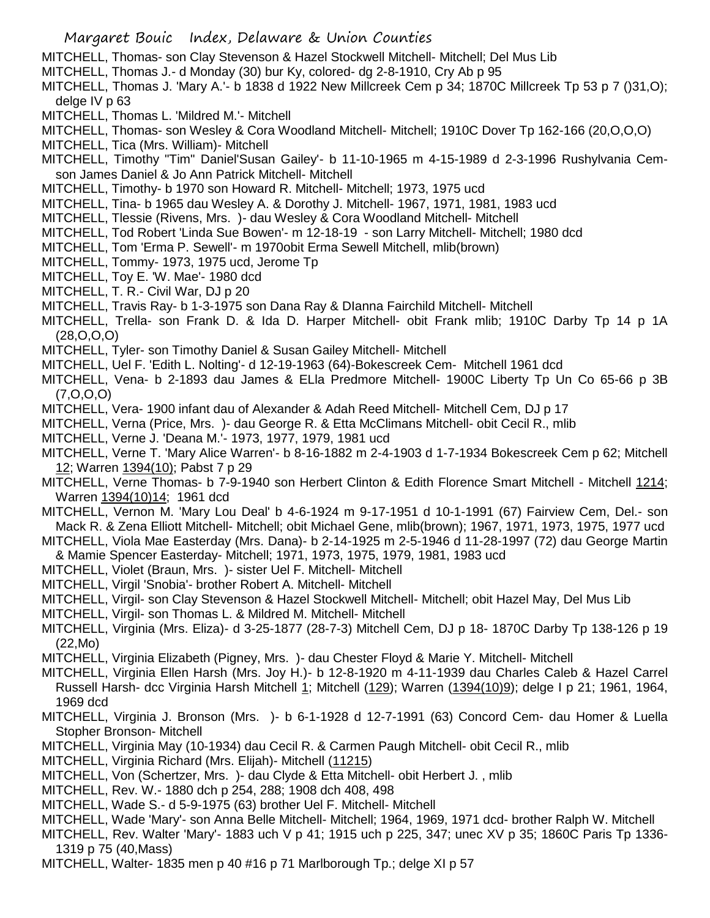- MITCHELL, Thomas- son Clay Stevenson & Hazel Stockwell Mitchell- Mitchell; Del Mus Lib
- MITCHELL, Thomas J.- d Monday (30) bur Ky, colored- dg 2-8-1910, Cry Ab p 95
- MITCHELL, Thomas J. 'Mary A.'- b 1838 d 1922 New Millcreek Cem p 34; 1870C Millcreek Tp 53 p 7 ()31,O); delge IV p 63
- MITCHELL, Thomas L. 'Mildred M.'- Mitchell
- MITCHELL, Thomas- son Wesley & Cora Woodland Mitchell- Mitchell; 1910C Dover Tp 162-166 (20,O,O,O)
- MITCHELL, Tica (Mrs. William)- Mitchell
- MITCHELL, Timothy "Tim" Daniel'Susan Gailey'- b 11-10-1965 m 4-15-1989 d 2-3-1996 Rushylvania Cemson James Daniel & Jo Ann Patrick Mitchell- Mitchell
- MITCHELL, Timothy- b 1970 son Howard R. Mitchell- Mitchell; 1973, 1975 ucd
- MITCHELL, Tina- b 1965 dau Wesley A. & Dorothy J. Mitchell- 1967, 1971, 1981, 1983 ucd
- MITCHELL, Tlessie (Rivens, Mrs. )- dau Wesley & Cora Woodland Mitchell- Mitchell
- MITCHELL, Tod Robert 'Linda Sue Bowen'- m 12-18-19 son Larry Mitchell- Mitchell; 1980 dcd
- MITCHELL, Tom 'Erma P. Sewell'- m 1970obit Erma Sewell Mitchell, mlib(brown)
- MITCHELL, Tommy- 1973, 1975 ucd, Jerome Tp
- MITCHELL, Toy E. 'W. Mae'- 1980 dcd
- MITCHELL, T. R.- Civil War, DJ p 20
- MITCHELL, Travis Ray- b 1-3-1975 son Dana Ray & DIanna Fairchild Mitchell- Mitchell
- MITCHELL, Trella- son Frank D. & Ida D. Harper Mitchell- obit Frank mlib; 1910C Darby Tp 14 p 1A (28,O,O,O)
- MITCHELL, Tyler- son Timothy Daniel & Susan Gailey Mitchell- Mitchell
- MITCHELL, Uel F. 'Edith L. Nolting'- d 12-19-1963 (64)-Bokescreek Cem- Mitchell 1961 dcd
- MITCHELL, Vena- b 2-1893 dau James & ELla Predmore Mitchell- 1900C Liberty Tp Un Co 65-66 p 3B (7,O,O,O)
- MITCHELL, Vera- 1900 infant dau of Alexander & Adah Reed Mitchell- Mitchell Cem, DJ p 17
- MITCHELL, Verna (Price, Mrs. )- dau George R. & Etta McClimans Mitchell- obit Cecil R., mlib
- MITCHELL, Verne J. 'Deana M.'- 1973, 1977, 1979, 1981 ucd
- MITCHELL, Verne T. 'Mary Alice Warren'- b 8-16-1882 m 2-4-1903 d 1-7-1934 Bokescreek Cem p 62; Mitchell 12; Warren 1394(10); Pabst 7 p 29
- MITCHELL, Verne Thomas- b 7-9-1940 son Herbert Clinton & Edith Florence Smart Mitchell Mitchell 1214; Warren 1394(10)14; 1961 dcd
- MITCHELL, Vernon M. 'Mary Lou Deal' b 4-6-1924 m 9-17-1951 d 10-1-1991 (67) Fairview Cem, Del.- son Mack R. & Zena Elliott Mitchell- Mitchell; obit Michael Gene, mlib(brown); 1967, 1971, 1973, 1975, 1977 ucd
- MITCHELL, Viola Mae Easterday (Mrs. Dana)- b 2-14-1925 m 2-5-1946 d 11-28-1997 (72) dau George Martin & Mamie Spencer Easterday- Mitchell; 1971, 1973, 1975, 1979, 1981, 1983 ucd
- MITCHELL, Violet (Braun, Mrs. )- sister Uel F. Mitchell- Mitchell
- MITCHELL, Virgil 'Snobia'- brother Robert A. Mitchell- Mitchell
- MITCHELL, Virgil- son Clay Stevenson & Hazel Stockwell Mitchell- Mitchell; obit Hazel May, Del Mus Lib
- MITCHELL, Virgil- son Thomas L. & Mildred M. Mitchell- Mitchell
- MITCHELL, Virginia (Mrs. Eliza)- d 3-25-1877 (28-7-3) Mitchell Cem, DJ p 18- 1870C Darby Tp 138-126 p 19 (22,Mo)
- MITCHELL, Virginia Elizabeth (Pigney, Mrs. )- dau Chester Floyd & Marie Y. Mitchell- Mitchell
- MITCHELL, Virginia Ellen Harsh (Mrs. Joy H.)- b 12-8-1920 m 4-11-1939 dau Charles Caleb & Hazel Carrel Russell Harsh- dcc Virginia Harsh Mitchell 1; Mitchell (129); Warren (1394(10)9); delge I p 21; 1961, 1964, 1969 dcd
- MITCHELL, Virginia J. Bronson (Mrs. )- b 6-1-1928 d 12-7-1991 (63) Concord Cem- dau Homer & Luella Stopher Bronson- Mitchell
- MITCHELL, Virginia May (10-1934) dau Cecil R. & Carmen Paugh Mitchell- obit Cecil R., mlib
- MITCHELL, Virginia Richard (Mrs. Elijah)- Mitchell (11215)
- MITCHELL, Von (Schertzer, Mrs. )- dau Clyde & Etta Mitchell- obit Herbert J. , mlib
- MITCHELL, Rev. W.- 1880 dch p 254, 288; 1908 dch 408, 498
- MITCHELL, Wade S.- d 5-9-1975 (63) brother Uel F. Mitchell- Mitchell
- MITCHELL, Wade 'Mary'- son Anna Belle Mitchell- Mitchell; 1964, 1969, 1971 dcd- brother Ralph W. Mitchell
- MITCHELL, Rev. Walter 'Mary'- 1883 uch V p 41; 1915 uch p 225, 347; unec XV p 35; 1860C Paris Tp 1336- 1319 p 75 (40,Mass)
- MITCHELL, Walter- 1835 men p 40 #16 p 71 Marlborough Tp.; delge XI p 57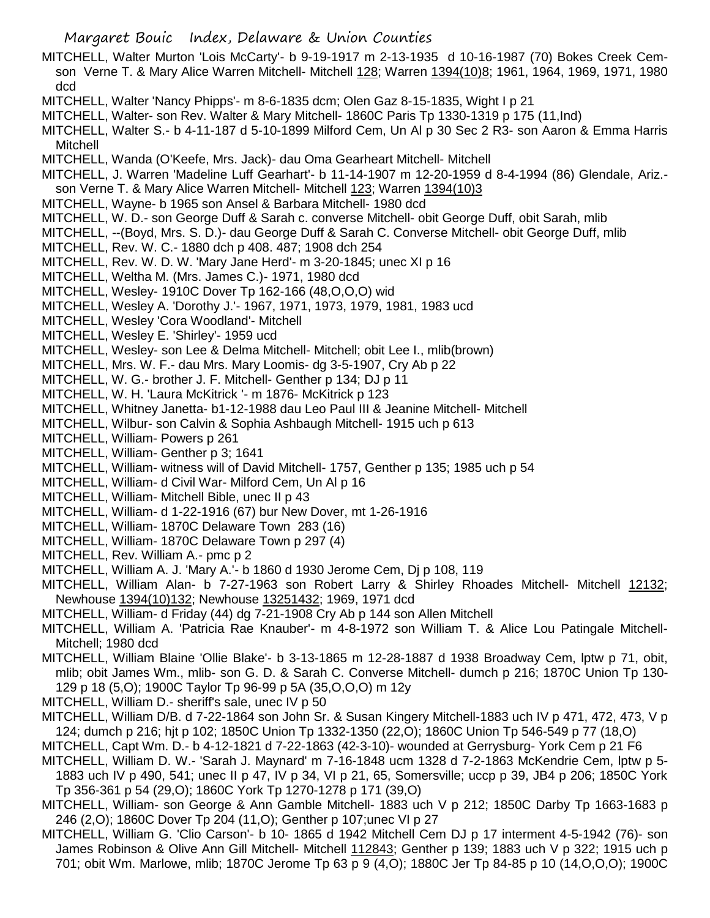- MITCHELL, Walter Murton 'Lois McCarty'- b 9-19-1917 m 2-13-1935 d 10-16-1987 (70) Bokes Creek Cemson Verne T. & Mary Alice Warren Mitchell- Mitchell 128; Warren 1394(10)8; 1961, 1964, 1969, 1971, 1980 dcd
- MITCHELL, Walter 'Nancy Phipps'- m 8-6-1835 dcm; Olen Gaz 8-15-1835, Wight I p 21
- MITCHELL, Walter- son Rev. Walter & Mary Mitchell- 1860C Paris Tp 1330-1319 p 175 (11,Ind)
- MITCHELL, Walter S.- b 4-11-187 d 5-10-1899 Milford Cem, Un Al p 30 Sec 2 R3- son Aaron & Emma Harris Mitchell
- MITCHELL, Wanda (O'Keefe, Mrs. Jack)- dau Oma Gearheart Mitchell- Mitchell
- MITCHELL, J. Warren 'Madeline Luff Gearhart'- b 11-14-1907 m 12-20-1959 d 8-4-1994 (86) Glendale, Ariz. son Verne T. & Mary Alice Warren Mitchell- Mitchell 123; Warren 1394(10)3
- MITCHELL, Wayne- b 1965 son Ansel & Barbara Mitchell- 1980 dcd
- MITCHELL, W. D.- son George Duff & Sarah c. converse Mitchell- obit George Duff, obit Sarah, mlib
- MITCHELL, --(Boyd, Mrs. S. D.)- dau George Duff & Sarah C. Converse Mitchell- obit George Duff, mlib
- MITCHELL, Rev. W. C.- 1880 dch p 408. 487; 1908 dch 254
- MITCHELL, Rev. W. D. W. 'Mary Jane Herd'- m 3-20-1845; unec XI p 16
- MITCHELL, Weltha M. (Mrs. James C.)- 1971, 1980 dcd
- MITCHELL, Wesley- 1910C Dover Tp 162-166 (48,O,O,O) wid
- MITCHELL, Wesley A. 'Dorothy J.'- 1967, 1971, 1973, 1979, 1981, 1983 ucd
- MITCHELL, Wesley 'Cora Woodland'- Mitchell
- MITCHELL, Wesley E. 'Shirley'- 1959 ucd
- MITCHELL, Wesley- son Lee & Delma Mitchell- Mitchell; obit Lee I., mlib(brown)
- MITCHELL, Mrs. W. F.- dau Mrs. Mary Loomis- dg 3-5-1907, Cry Ab p 22
- MITCHELL, W. G.- brother J. F. Mitchell- Genther p 134; DJ p 11
- MITCHELL, W. H. 'Laura McKitrick '- m 1876- McKitrick p 123
- MITCHELL, Whitney Janetta- b1-12-1988 dau Leo Paul III & Jeanine Mitchell- Mitchell
- MITCHELL, Wilbur- son Calvin & Sophia Ashbaugh Mitchell- 1915 uch p 613
- MITCHELL, William- Powers p 261
- MITCHELL, William- Genther p 3; 1641
- MITCHELL, William- witness will of David Mitchell- 1757, Genther p 135; 1985 uch p 54
- MITCHELL, William- d Civil War- Milford Cem, Un Al p 16
- MITCHELL, William- Mitchell Bible, unec II p 43
- MITCHELL, William- d 1-22-1916 (67) bur New Dover, mt 1-26-1916
- MITCHELL, William- 1870C Delaware Town 283 (16)
- MITCHELL, William- 1870C Delaware Town p 297 (4)
- MITCHELL, Rev. William A.- pmc p 2
- MITCHELL, William A. J. 'Mary A.'- b 1860 d 1930 Jerome Cem, Dj p 108, 119
- MITCHELL, William Alan- b 7-27-1963 son Robert Larry & Shirley Rhoades Mitchell- Mitchell 12132; Newhouse 1394(10)132; Newhouse 13251432; 1969, 1971 dcd
- MITCHELL, William- d Friday (44) dg 7-21-1908 Cry Ab p 144 son Allen Mitchell
- MITCHELL, William A. 'Patricia Rae Knauber'- m 4-8-1972 son William T. & Alice Lou Patingale Mitchell-Mitchell; 1980 dcd
- MITCHELL, William Blaine 'Ollie Blake'- b 3-13-1865 m 12-28-1887 d 1938 Broadway Cem, lptw p 71, obit, mlib; obit James Wm., mlib- son G. D. & Sarah C. Converse Mitchell- dumch p 216; 1870C Union Tp 130- 129 p 18 (5,O); 1900C Taylor Tp 96-99 p 5A (35,O,O,O) m 12y
- MITCHELL, William D.- sheriff's sale, unec IV p 50
- MITCHELL, William D/B. d 7-22-1864 son John Sr. & Susan Kingery Mitchell-1883 uch IV p 471, 472, 473, V p 124; dumch p 216; hjt p 102; 1850C Union Tp 1332-1350 (22,O); 1860C Union Tp 546-549 p 77 (18,O)
- MITCHELL, Capt Wm. D.- b 4-12-1821 d 7-22-1863 (42-3-10)- wounded at Gerrysburg- York Cem p 21 F6
- MITCHELL, William D. W.- 'Sarah J. Maynard' m 7-16-1848 ucm 1328 d 7-2-1863 McKendrie Cem, lptw p 5- 1883 uch IV p 490, 541; unec II p 47, IV p 34, VI p 21, 65, Somersville; uccp p 39, JB4 p 206; 1850C York Tp 356-361 p 54 (29,O); 1860C York Tp 1270-1278 p 171 (39,O)
- MITCHELL, William- son George & Ann Gamble Mitchell- 1883 uch V p 212; 1850C Darby Tp 1663-1683 p 246 (2,O); 1860C Dover Tp 204 (11,O); Genther p 107;unec VI p 27
- MITCHELL, William G. 'Clio Carson'- b 10- 1865 d 1942 Mitchell Cem DJ p 17 interment 4-5-1942 (76)- son James Robinson & Olive Ann Gill Mitchell- Mitchell 112843; Genther p 139; 1883 uch V p 322; 1915 uch p 701; obit Wm. Marlowe, mlib; 1870C Jerome Tp 63 p 9 (4,O); 1880C Jer Tp 84-85 p 10 (14,O,O,O); 1900C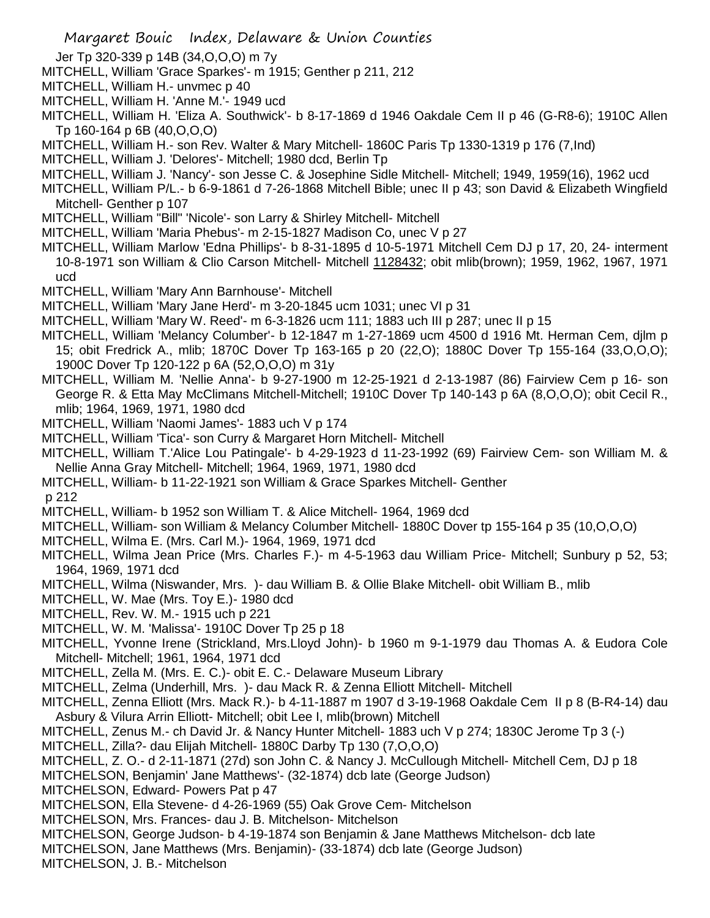- Jer Tp 320-339 p 14B (34,O,O,O) m 7y
- MITCHELL, William 'Grace Sparkes'- m 1915; Genther p 211, 212
- MITCHELL, William H.- unvmec p 40
- MITCHELL, William H. 'Anne M.'- 1949 ucd
- MITCHELL, William H. 'Eliza A. Southwick'- b 8-17-1869 d 1946 Oakdale Cem II p 46 (G-R8-6); 1910C Allen Tp 160-164 p 6B (40,O,O,O)
- MITCHELL, William H.- son Rev. Walter & Mary Mitchell- 1860C Paris Tp 1330-1319 p 176 (7,Ind)
- MITCHELL, William J. 'Delores'- Mitchell; 1980 dcd, Berlin Tp
- MITCHELL, William J. 'Nancy'- son Jesse C. & Josephine Sidle Mitchell- Mitchell; 1949, 1959(16), 1962 ucd
- MITCHELL, William P/L.- b 6-9-1861 d 7-26-1868 Mitchell Bible; unec II p 43; son David & Elizabeth Wingfield Mitchell- Genther p 107
- MITCHELL, William "Bill" 'Nicole'- son Larry & Shirley Mitchell- Mitchell
- MITCHELL, William 'Maria Phebus'- m 2-15-1827 Madison Co, unec V p 27
- MITCHELL, William Marlow 'Edna Phillips'- b 8-31-1895 d 10-5-1971 Mitchell Cem DJ p 17, 20, 24- interment 10-8-1971 son William & Clio Carson Mitchell- Mitchell 1128432; obit mlib(brown); 1959, 1962, 1967, 1971 ucd
- MITCHELL, William 'Mary Ann Barnhouse'- Mitchell
- MITCHELL, William 'Mary Jane Herd'- m 3-20-1845 ucm 1031; unec VI p 31
- MITCHELL, William 'Mary W. Reed'- m 6-3-1826 ucm 111; 1883 uch III p 287; unec II p 15
- MITCHELL, William 'Melancy Columber'- b 12-1847 m 1-27-1869 ucm 4500 d 1916 Mt. Herman Cem, djlm p 15; obit Fredrick A., mlib; 1870C Dover Tp 163-165 p 20 (22,O); 1880C Dover Tp 155-164 (33,O,O,O); 1900C Dover Tp 120-122 p 6A (52,O,O,O) m 31y
- MITCHELL, William M. 'Nellie Anna'- b 9-27-1900 m 12-25-1921 d 2-13-1987 (86) Fairview Cem p 16- son George R. & Etta May McClimans Mitchell-Mitchell; 1910C Dover Tp 140-143 p 6A (8,O,O,O); obit Cecil R., mlib; 1964, 1969, 1971, 1980 dcd
- MITCHELL, William 'Naomi James'- 1883 uch V p 174
- MITCHELL, William 'Tica'- son Curry & Margaret Horn Mitchell- Mitchell
- MITCHELL, William T.'Alice Lou Patingale'- b 4-29-1923 d 11-23-1992 (69) Fairview Cem- son William M. & Nellie Anna Gray Mitchell- Mitchell; 1964, 1969, 1971, 1980 dcd
- MITCHELL, William- b 11-22-1921 son William & Grace Sparkes Mitchell- Genther

p 212

- MITCHELL, William- b 1952 son William T. & Alice Mitchell- 1964, 1969 dcd
- MITCHELL, William- son William & Melancy Columber Mitchell- 1880C Dover tp 155-164 p 35 (10,O,O,O)
- MITCHELL, Wilma E. (Mrs. Carl M.)- 1964, 1969, 1971 dcd
- MITCHELL, Wilma Jean Price (Mrs. Charles F.)- m 4-5-1963 dau William Price- Mitchell; Sunbury p 52, 53; 1964, 1969, 1971 dcd
- MITCHELL, Wilma (Niswander, Mrs. )- dau William B. & Ollie Blake Mitchell- obit William B., mlib
- MITCHELL, W. Mae (Mrs. Toy E.)- 1980 dcd
- MITCHELL, Rev. W. M.- 1915 uch p 221
- MITCHELL, W. M. 'Malissa'- 1910C Dover Tp 25 p 18
- MITCHELL, Yvonne Irene (Strickland, Mrs.Lloyd John)- b 1960 m 9-1-1979 dau Thomas A. & Eudora Cole Mitchell- Mitchell; 1961, 1964, 1971 dcd
- MITCHELL, Zella M. (Mrs. E. C.)- obit E. C.- Delaware Museum Library
- MITCHELL, Zelma (Underhill, Mrs. )- dau Mack R. & Zenna Elliott Mitchell- Mitchell
- MITCHELL, Zenna Elliott (Mrs. Mack R.)- b 4-11-1887 m 1907 d 3-19-1968 Oakdale Cem II p 8 (B-R4-14) dau Asbury & Vilura Arrin Elliott- Mitchell; obit Lee I, mlib(brown) Mitchell
- MITCHELL, Zenus M.- ch David Jr. & Nancy Hunter Mitchell- 1883 uch V p 274; 1830C Jerome Tp 3 (-)
- MITCHELL, Zilla?- dau Elijah Mitchell- 1880C Darby Tp 130 (7,O,O,O)
- MITCHELL, Z. O.- d 2-11-1871 (27d) son John C. & Nancy J. McCullough Mitchell- Mitchell Cem, DJ p 18
- MITCHELSON, Benjamin' Jane Matthews'- (32-1874) dcb late (George Judson)
- MITCHELSON, Edward- Powers Pat p 47
- MITCHELSON, Ella Stevene- d 4-26-1969 (55) Oak Grove Cem- Mitchelson
- MITCHELSON, Mrs. Frances- dau J. B. Mitchelson- Mitchelson
- MITCHELSON, George Judson- b 4-19-1874 son Benjamin & Jane Matthews Mitchelson- dcb late
- MITCHELSON, Jane Matthews (Mrs. Benjamin)- (33-1874) dcb late (George Judson)
- MITCHELSON, J. B.- Mitchelson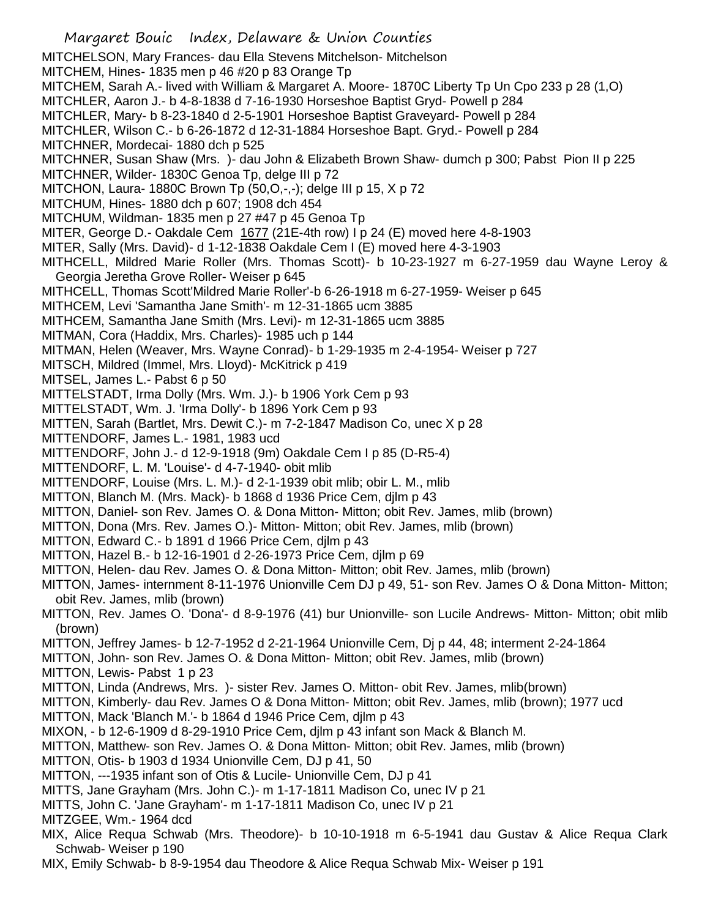Margaret Bouic Index, Delaware & Union Counties MITCHELSON, Mary Frances- dau Ella Stevens Mitchelson- Mitchelson MITCHEM, Hines- 1835 men p 46 #20 p 83 Orange Tp MITCHEM, Sarah A.- lived with William & Margaret A. Moore- 1870C Liberty Tp Un Cpo 233 p 28 (1,O) MITCHLER, Aaron J.- b 4-8-1838 d 7-16-1930 Horseshoe Baptist Gryd- Powell p 284 MITCHLER, Mary- b 8-23-1840 d 2-5-1901 Horseshoe Baptist Graveyard- Powell p 284 MITCHLER, Wilson C.- b 6-26-1872 d 12-31-1884 Horseshoe Bapt. Gryd.- Powell p 284 MITCHNER, Mordecai- 1880 dch p 525 MITCHNER, Susan Shaw (Mrs. )- dau John & Elizabeth Brown Shaw- dumch p 300; Pabst Pion II p 225 MITCHNER, Wilder- 1830C Genoa Tp, delge III p 72 MITCHON, Laura- 1880C Brown Tp (50,O,-,-); delge III p 15, X p 72 MITCHUM, Hines- 1880 dch p 607; 1908 dch 454 MITCHUM, Wildman- 1835 men p 27 #47 p 45 Genoa Tp MITER, George D.- Oakdale Cem  $1677$  (21E-4th row) I p 24 (E) moved here 4-8-1903 MITER, Sally (Mrs. David)- d 1-12-1838 Oakdale Cem I (E) moved here 4-3-1903 MITHCELL, Mildred Marie Roller (Mrs. Thomas Scott)- b 10-23-1927 m 6-27-1959 dau Wayne Leroy & Georgia Jeretha Grove Roller- Weiser p 645 MITHCELL, Thomas Scott'Mildred Marie Roller'-b 6-26-1918 m 6-27-1959- Weiser p 645 MITHCEM, Levi 'Samantha Jane Smith'- m 12-31-1865 ucm 3885 MITHCEM, Samantha Jane Smith (Mrs. Levi)- m 12-31-1865 ucm 3885 MITMAN, Cora (Haddix, Mrs. Charles)- 1985 uch p 144 MITMAN, Helen (Weaver, Mrs. Wayne Conrad)- b 1-29-1935 m 2-4-1954- Weiser p 727 MITSCH, Mildred (Immel, Mrs. Lloyd)- McKitrick p 419 MITSEL, James L.- Pabst 6 p 50 MITTELSTADT, Irma Dolly (Mrs. Wm. J.)- b 1906 York Cem p 93 MITTELSTADT, Wm. J. 'Irma Dolly'- b 1896 York Cem p 93 MITTEN, Sarah (Bartlet, Mrs. Dewit C.)- m 7-2-1847 Madison Co, unec X p 28 MITTENDORF, James L.- 1981, 1983 ucd MITTENDORF, John J.- d 12-9-1918 (9m) Oakdale Cem I p 85 (D-R5-4) MITTENDORF, L. M. 'Louise'- d 4-7-1940- obit mlib MITTENDORF, Louise (Mrs. L. M.)- d 2-1-1939 obit mlib; obir L. M., mlib MITTON, Blanch M. (Mrs. Mack)- b 1868 d 1936 Price Cem, djlm p 43 MITTON, Daniel- son Rev. James O. & Dona Mitton- Mitton; obit Rev. James, mlib (brown) MITTON, Dona (Mrs. Rev. James O.)- Mitton- Mitton; obit Rev. James, mlib (brown) MITTON, Edward C.- b 1891 d 1966 Price Cem, djlm p 43 MITTON, Hazel B.- b 12-16-1901 d 2-26-1973 Price Cem, djlm p 69 MITTON, Helen- dau Rev. James O. & Dona Mitton- Mitton; obit Rev. James, mlib (brown) MITTON, James- internment 8-11-1976 Unionville Cem DJ p 49, 51- son Rev. James O & Dona Mitton- Mitton; obit Rev. James, mlib (brown) MITTON, Rev. James O. 'Dona'- d 8-9-1976 (41) bur Unionville- son Lucile Andrews- Mitton- Mitton; obit mlib (brown) MITTON, Jeffrey James- b 12-7-1952 d 2-21-1964 Unionville Cem, Dj p 44, 48; interment 2-24-1864 MITTON, John- son Rev. James O. & Dona Mitton- Mitton; obit Rev. James, mlib (brown) MITTON, Lewis- Pabst 1 p 23 MITTON, Linda (Andrews, Mrs. )- sister Rev. James O. Mitton- obit Rev. James, mlib(brown) MITTON, Kimberly- dau Rev. James O & Dona Mitton- Mitton; obit Rev. James, mlib (brown); 1977 ucd MITTON, Mack 'Blanch M.'- b 1864 d 1946 Price Cem, djlm p 43 MIXON, - b 12-6-1909 d 8-29-1910 Price Cem, djlm p 43 infant son Mack & Blanch M. MITTON, Matthew- son Rev. James O. & Dona Mitton- Mitton; obit Rev. James, mlib (brown) MITTON, Otis- b 1903 d 1934 Unionville Cem, DJ p 41, 50 MITTON, ---1935 infant son of Otis & Lucile- Unionville Cem, DJ p 41 MITTS, Jane Grayham (Mrs. John C.)- m 1-17-1811 Madison Co, unec IV p 21 MITTS, John C. 'Jane Grayham'- m 1-17-1811 Madison Co, unec IV p 21 MITZGEE, Wm.- 1964 dcd MIX, Alice Requa Schwab (Mrs. Theodore)- b 10-10-1918 m 6-5-1941 dau Gustav & Alice Requa Clark Schwab- Weiser p 190

MIX, Emily Schwab- b 8-9-1954 dau Theodore & Alice Requa Schwab Mix- Weiser p 191